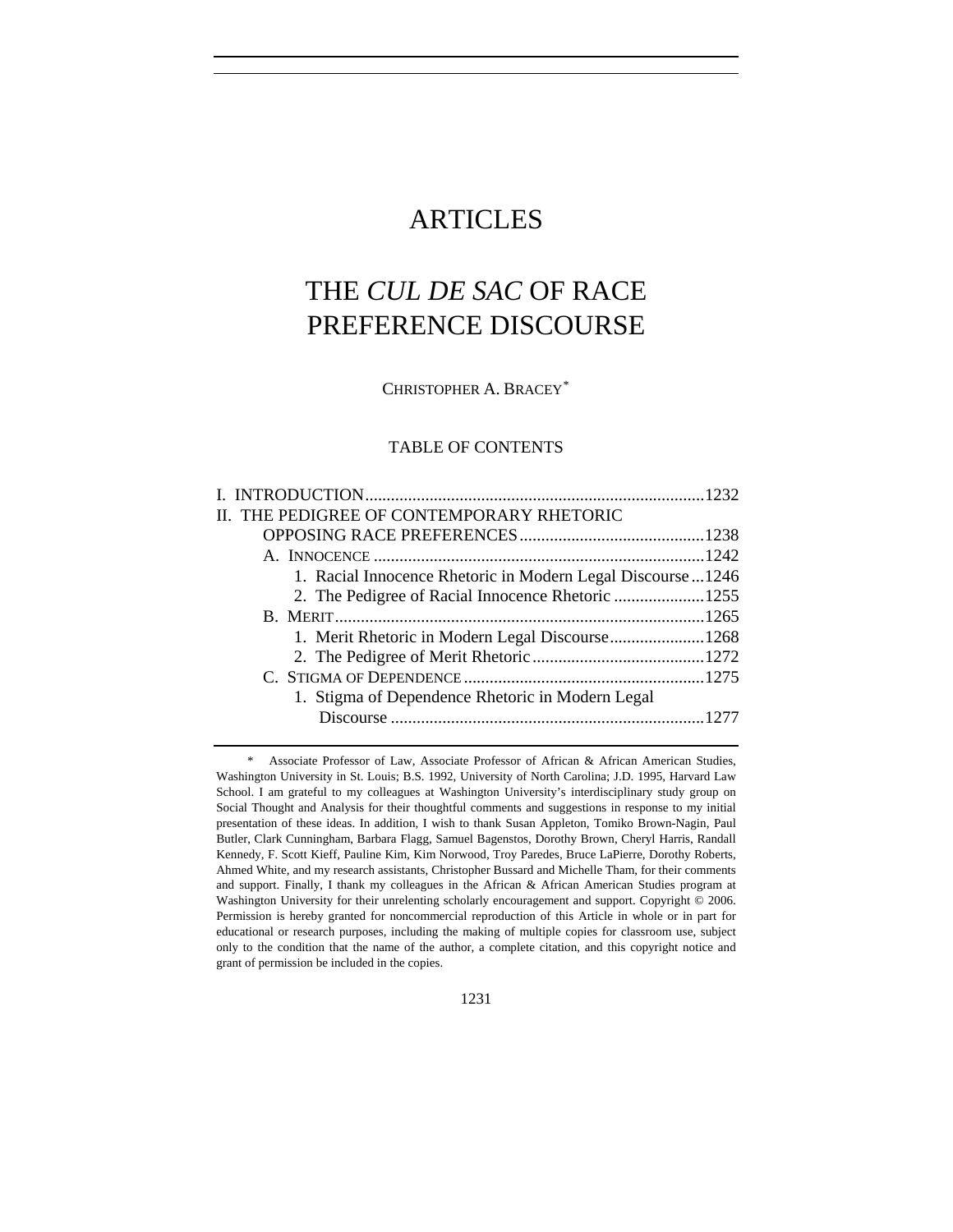## ARTICLES

# THE *CUL DE SAC* OF RACE PREFERENCE DISCOURSE

CHRISTOPHER A. BRACEY<sup>[\\*](#page-0-0)</sup>

#### TABLE OF CONTENTS

| II. THE PEDIGREE OF CONTEMPORARY RHETORIC                    |  |
|--------------------------------------------------------------|--|
|                                                              |  |
|                                                              |  |
| 1. Racial Innocence Rhetoric in Modern Legal Discourse  1246 |  |
| 2. The Pedigree of Racial Innocence Rhetoric 1255            |  |
|                                                              |  |
| 1. Merit Rhetoric in Modern Legal Discourse1268              |  |
|                                                              |  |
|                                                              |  |
| 1. Stigma of Dependence Rhetoric in Modern Legal             |  |
|                                                              |  |
|                                                              |  |

<span id="page-0-0"></span> <sup>\*</sup> Associate Professor of Law, Associate Professor of African & African American Studies, Washington University in St. Louis; B.S. 1992, University of North Carolina; J.D. 1995, Harvard Law School. I am grateful to my colleagues at Washington University's interdisciplinary study group on Social Thought and Analysis for their thoughtful comments and suggestions in response to my initial presentation of these ideas. In addition, I wish to thank Susan Appleton, Tomiko Brown-Nagin, Paul Butler, Clark Cunningham, Barbara Flagg, Samuel Bagenstos, Dorothy Brown, Cheryl Harris, Randall Kennedy, F. Scott Kieff, Pauline Kim, Kim Norwood, Troy Paredes, Bruce LaPierre, Dorothy Roberts, Ahmed White, and my research assistants, Christopher Bussard and Michelle Tham, for their comments and support. Finally, I thank my colleagues in the African & African American Studies program at Washington University for their unrelenting scholarly encouragement and support. Copyright © 2006. Permission is hereby granted for noncommercial reproduction of this Article in whole or in part for educational or research purposes, including the making of multiple copies for classroom use, subject only to the condition that the name of the author, a complete citation, and this copyright notice and grant of permission be included in the copies.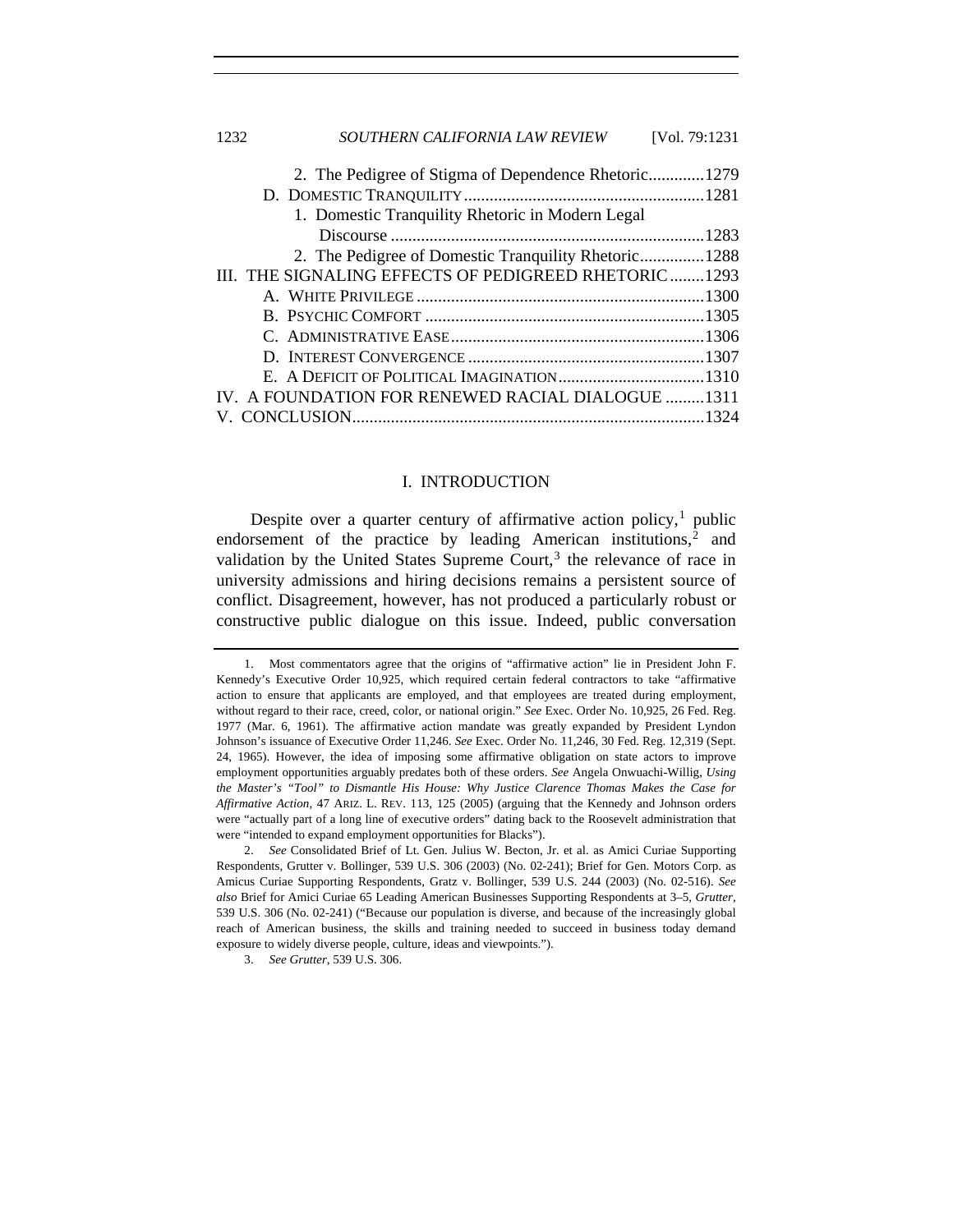## 1232 *SOUTHERN CALIFORNIA LAW REVIEW* [Vol. 79:1231

| 2. The Pedigree of Stigma of Dependence Rhetoric1279   |  |
|--------------------------------------------------------|--|
|                                                        |  |
| 1. Domestic Tranquility Rhetoric in Modern Legal       |  |
|                                                        |  |
| 2. The Pedigree of Domestic Tranquility Rhetoric1288   |  |
| III. THE SIGNALING EFFECTS OF PEDIGREED RHETORIC  1293 |  |
|                                                        |  |
|                                                        |  |
|                                                        |  |
|                                                        |  |
|                                                        |  |
| IV. A FOUNDATION FOR RENEWED RACIAL DIALOGUE 1311      |  |
|                                                        |  |
|                                                        |  |

#### I. INTRODUCTION

Despite over a quarter century of affirmative action policy, $<sup>1</sup>$  $<sup>1</sup>$  $<sup>1</sup>$  public</sup> endorsement of the practice by leading American institutions, $\overline{2}$  $\overline{2}$  $\overline{2}$  and validation by the United States Supreme Court, $3$  the relevance of race in university admissions and hiring decisions remains a persistent source of conflict. Disagreement, however, has not produced a particularly robust or constructive public dialogue on this issue. Indeed, public conversation

<span id="page-1-0"></span><sup>1.</sup> Most commentators agree that the origins of "affirmative action" lie in President John F. Kennedy's Executive Order 10,925, which required certain federal contractors to take "affirmative action to ensure that applicants are employed, and that employees are treated during employment, without regard to their race, creed, color, or national origin." *See* Exec. Order No. 10,925, 26 Fed. Reg. 1977 (Mar. 6, 1961). The affirmative action mandate was greatly expanded by President Lyndon Johnson's issuance of Executive Order 11,246. *See* Exec. Order No. 11,246, 30 Fed. Reg. 12,319 (Sept. 24, 1965). However, the idea of imposing some affirmative obligation on state actors to improve employment opportunities arguably predates both of these orders. *See* Angela Onwuachi-Willig, *Using the Master's "Tool" to Dismantle His House: Why Justice Clarence Thomas Makes the Case for Affirmative Action*, 47 ARIZ. L. REV. 113, 125 (2005) (arguing that the Kennedy and Johnson orders were "actually part of a long line of executive orders" dating back to the Roosevelt administration that were "intended to expand employment opportunities for Blacks").

<span id="page-1-1"></span><sup>2.</sup> *See* Consolidated Brief of Lt. Gen. Julius W. Becton, Jr. et al. as Amici Curiae Supporting Respondents, Grutter v. Bollinger, 539 U.S. 306 (2003) (No. 02-241); Brief for Gen. Motors Corp. as Amicus Curiae Supporting Respondents, Gratz v. Bollinger, 539 U.S. 244 (2003) (No. 02-516). *See also* Brief for Amici Curiae 65 Leading American Businesses Supporting Respondents at 3–5, *Grutter*, 539 U.S. 306 (No. 02-241) ("Because our population is diverse, and because of the increasingly global reach of American business, the skills and training needed to succeed in business today demand exposure to widely diverse people, culture, ideas and viewpoints.").

<span id="page-1-2"></span><sup>3.</sup> *See Grutter*, 539 U.S. 306.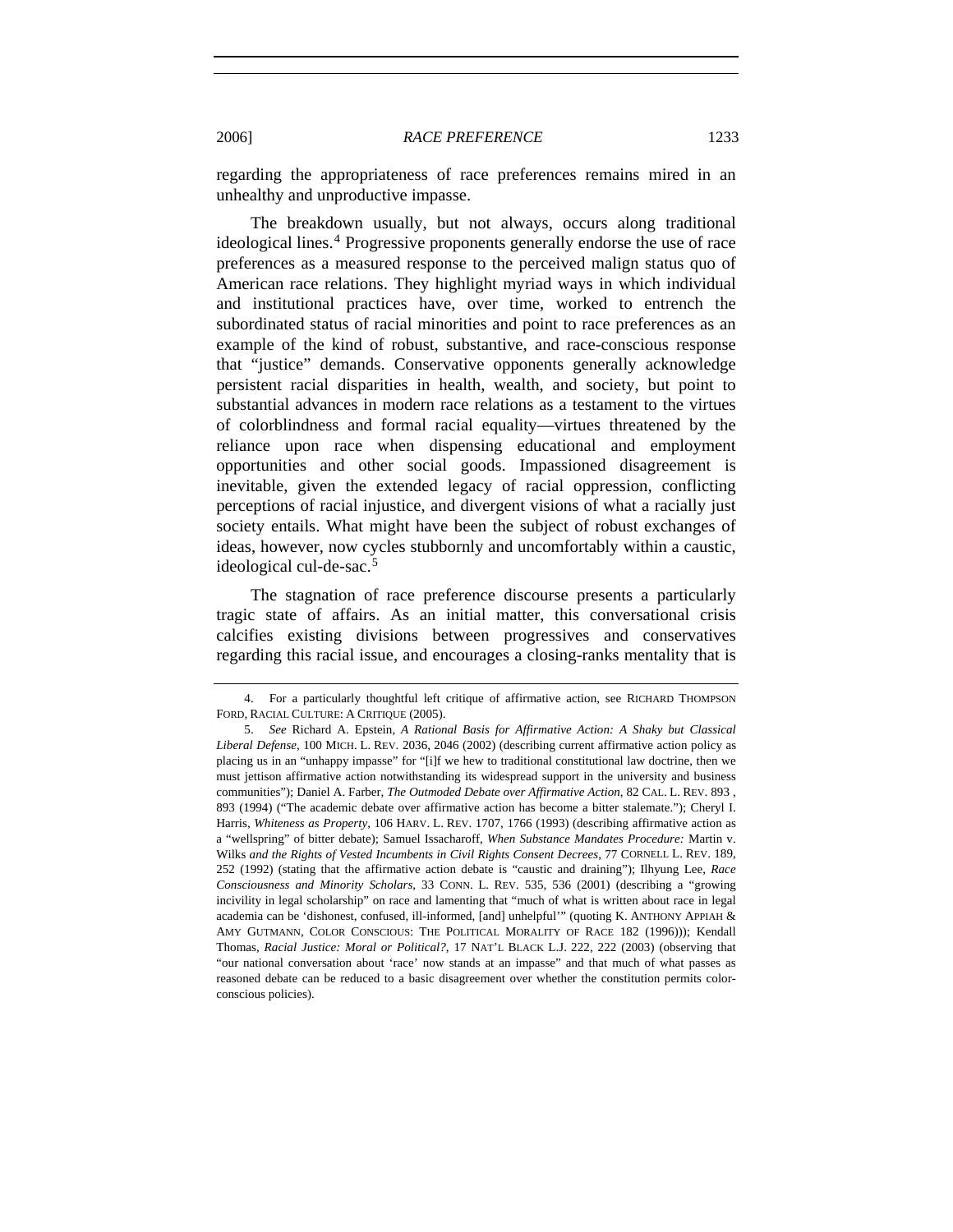regarding the appropriateness of race preferences remains mired in an unhealthy and unproductive impasse.

The breakdown usually, but not always, occurs along traditional ideological lines.<sup>[4](#page-2-0)</sup> Progressive proponents generally endorse the use of race preferences as a measured response to the perceived malign status quo of American race relations. They highlight myriad ways in which individual and institutional practices have, over time, worked to entrench the subordinated status of racial minorities and point to race preferences as an example of the kind of robust, substantive, and race-conscious response that "justice" demands. Conservative opponents generally acknowledge persistent racial disparities in health, wealth, and society, but point to substantial advances in modern race relations as a testament to the virtues of colorblindness and formal racial equality—virtues threatened by the reliance upon race when dispensing educational and employment opportunities and other social goods. Impassioned disagreement is inevitable, given the extended legacy of racial oppression, conflicting perceptions of racial injustice, and divergent visions of what a racially just society entails. What might have been the subject of robust exchanges of ideas, however, now cycles stubbornly and uncomfortably within a caustic, ideological cul-de-sac.<sup>[5](#page-2-1)</sup>

The stagnation of race preference discourse presents a particularly tragic state of affairs. As an initial matter, this conversational crisis calcifies existing divisions between progressives and conservatives regarding this racial issue, and encourages a closing-ranks mentality that is

<span id="page-2-0"></span><sup>4.</sup> For a particularly thoughtful left critique of affirmative action, see RICHARD THOMPSON FORD, RACIAL CULTURE: A CRITIQUE (2005).

<span id="page-2-1"></span><sup>5.</sup> *See* Richard A. Epstein, *A Rational Basis for Affirmative Action: A Shaky but Classical Liberal Defense*, 100 MICH. L. REV. 2036, 2046 (2002) (describing current affirmative action policy as placing us in an "unhappy impasse" for "[i]f we hew to traditional constitutional law doctrine, then we must jettison affirmative action notwithstanding its widespread support in the university and business communities"); Daniel A. Farber, *The Outmoded Debate over Affirmative Action*, 82 CAL. L. REV. 893 , 893 (1994) ("The academic debate over affirmative action has become a bitter stalemate."); Cheryl I. Harris, *Whiteness as Property*, 106 HARV. L. REV. 1707, 1766 (1993) (describing affirmative action as a "wellspring" of bitter debate); Samuel Issacharoff, *When Substance Mandates Procedure:* Martin v. Wilks *and the Rights of Vested Incumbents in Civil Rights Consent Decrees*, 77 CORNELL L. REV. 189, 252 (1992) (stating that the affirmative action debate is "caustic and draining"); Ilhyung Lee, *Race Consciousness and Minority Scholars*, 33 CONN. L. REV. 535, 536 (2001) (describing a "growing incivility in legal scholarship" on race and lamenting that "much of what is written about race in legal academia can be 'dishonest, confused, ill-informed, [and] unhelpful'" (quoting K. ANTHONY APPIAH & AMY GUTMANN, COLOR CONSCIOUS: THE POLITICAL MORALITY OF RACE 182 (1996))); Kendall Thomas, *Racial Justice: Moral or Political?*, 17 NAT'L BLACK L.J. 222, 222 (2003) (observing that "our national conversation about 'race' now stands at an impasse" and that much of what passes as reasoned debate can be reduced to a basic disagreement over whether the constitution permits colorconscious policies).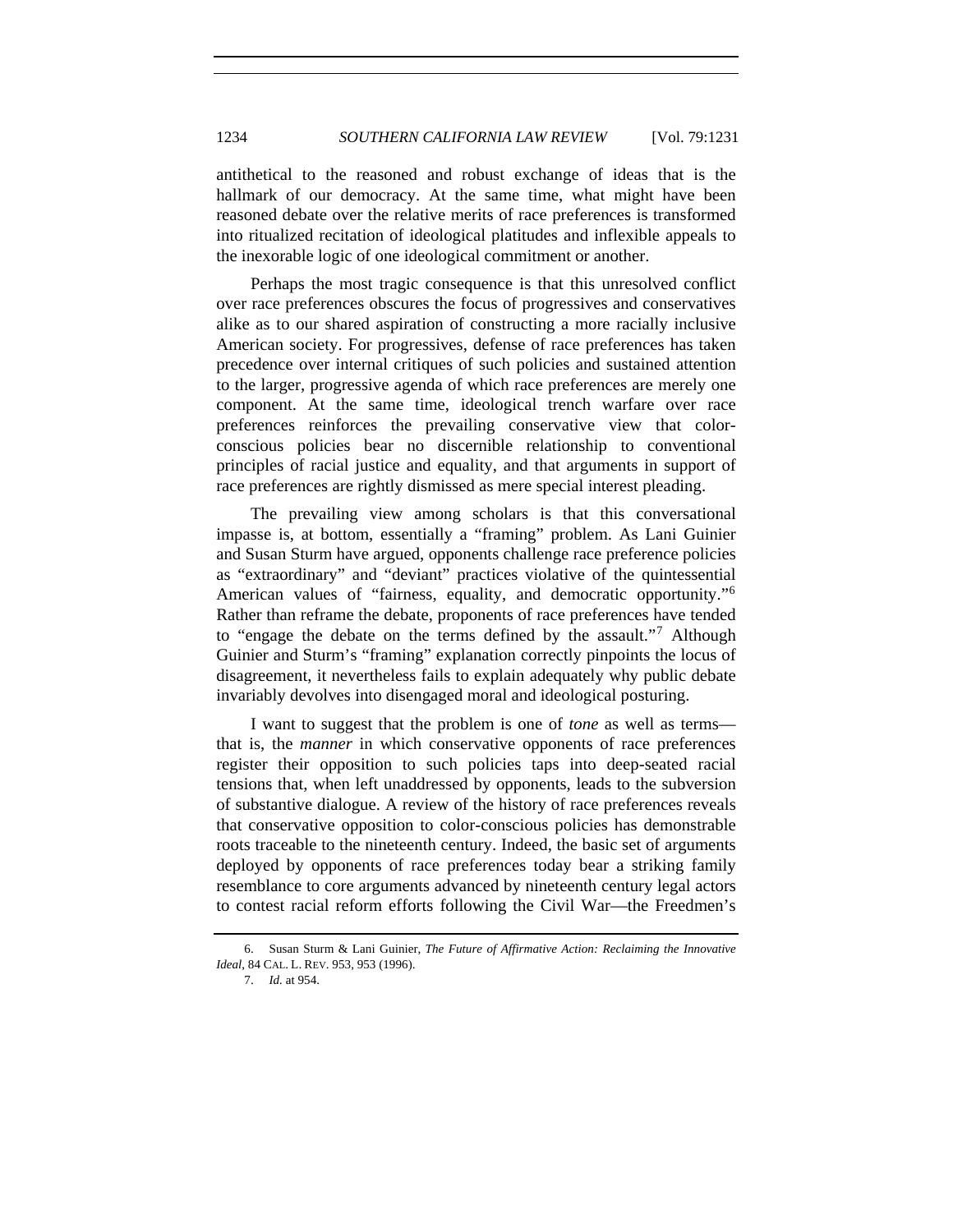antithetical to the reasoned and robust exchange of ideas that is the hallmark of our democracy. At the same time, what might have been reasoned debate over the relative merits of race preferences is transformed into ritualized recitation of ideological platitudes and inflexible appeals to the inexorable logic of one ideological commitment or another.

Perhaps the most tragic consequence is that this unresolved conflict over race preferences obscures the focus of progressives and conservatives alike as to our shared aspiration of constructing a more racially inclusive American society. For progressives, defense of race preferences has taken precedence over internal critiques of such policies and sustained attention to the larger, progressive agenda of which race preferences are merely one component. At the same time, ideological trench warfare over race preferences reinforces the prevailing conservative view that colorconscious policies bear no discernible relationship to conventional principles of racial justice and equality, and that arguments in support of race preferences are rightly dismissed as mere special interest pleading.

The prevailing view among scholars is that this conversational impasse is, at bottom, essentially a "framing" problem. As Lani Guinier and Susan Sturm have argued, opponents challenge race preference policies as "extraordinary" and "deviant" practices violative of the quintessential American values of "fairness, equality, and democratic opportunity."<sup>[6](#page-3-0)</sup> Rather than reframe the debate, proponents of race preferences have tended to "engage the debate on the terms defined by the assault."[7](#page-3-1) Although Guinier and Sturm's "framing" explanation correctly pinpoints the locus of disagreement, it nevertheless fails to explain adequately why public debate invariably devolves into disengaged moral and ideological posturing.

I want to suggest that the problem is one of *tone* as well as terms that is, the *manner* in which conservative opponents of race preferences register their opposition to such policies taps into deep-seated racial tensions that, when left unaddressed by opponents, leads to the subversion of substantive dialogue. A review of the history of race preferences reveals that conservative opposition to color-conscious policies has demonstrable roots traceable to the nineteenth century. Indeed, the basic set of arguments deployed by opponents of race preferences today bear a striking family resemblance to core arguments advanced by nineteenth century legal actors to contest racial reform efforts following the Civil War—the Freedmen's

<span id="page-3-1"></span><span id="page-3-0"></span><sup>6.</sup> Susan Sturm & Lani Guinier, *The Future of Affirmative Action: Reclaiming the Innovative Ideal*, 84 CAL. L. REV. 953, 953 (1996).

<sup>7.</sup> *Id.* at 954.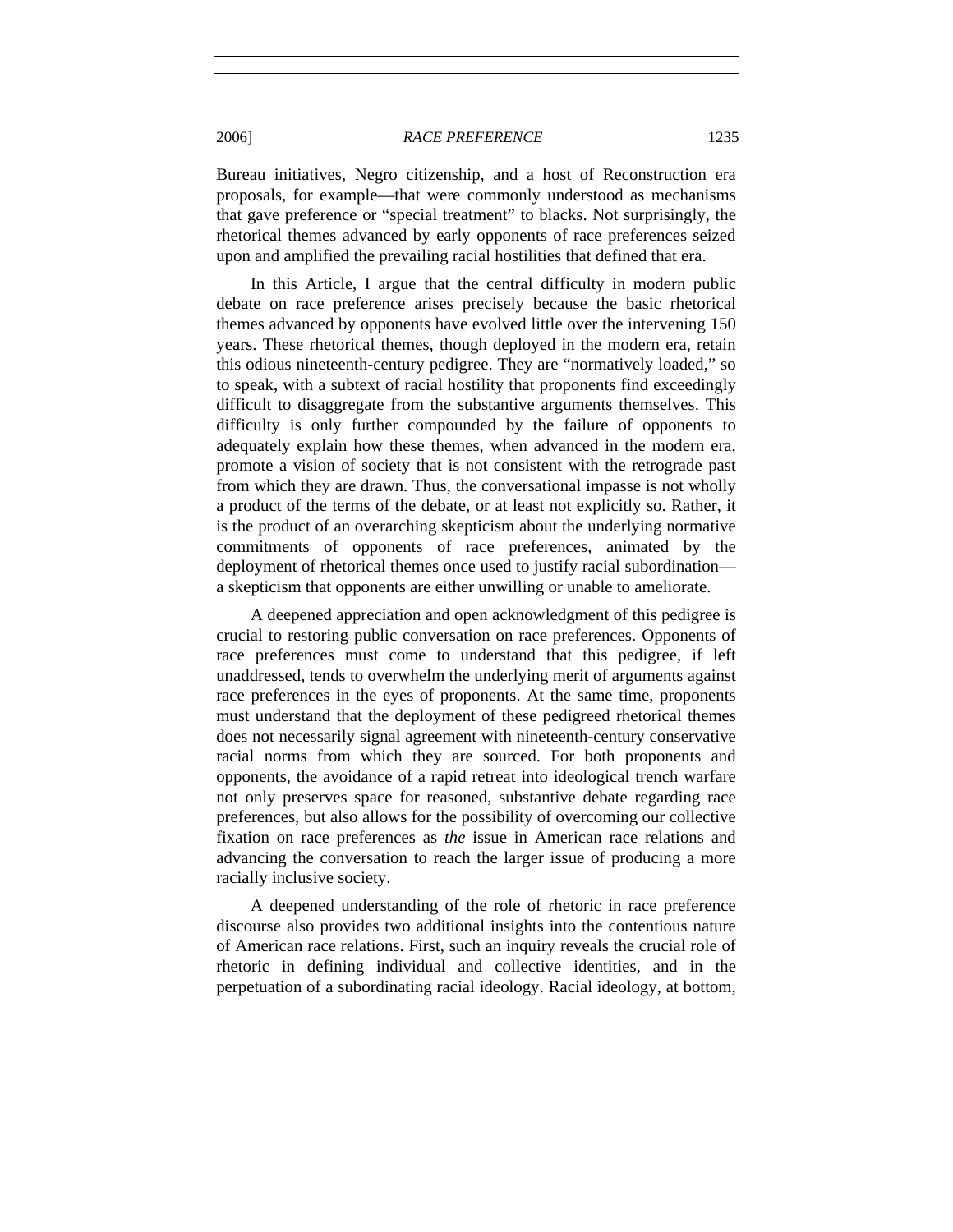Bureau initiatives, Negro citizenship, and a host of Reconstruction era proposals, for example—that were commonly understood as mechanisms that gave preference or "special treatment" to blacks. Not surprisingly, the rhetorical themes advanced by early opponents of race preferences seized upon and amplified the prevailing racial hostilities that defined that era.

In this Article, I argue that the central difficulty in modern public debate on race preference arises precisely because the basic rhetorical themes advanced by opponents have evolved little over the intervening 150 years. These rhetorical themes, though deployed in the modern era, retain this odious nineteenth-century pedigree. They are "normatively loaded," so to speak, with a subtext of racial hostility that proponents find exceedingly difficult to disaggregate from the substantive arguments themselves. This difficulty is only further compounded by the failure of opponents to adequately explain how these themes, when advanced in the modern era, promote a vision of society that is not consistent with the retrograde past from which they are drawn. Thus, the conversational impasse is not wholly a product of the terms of the debate, or at least not explicitly so. Rather, it is the product of an overarching skepticism about the underlying normative commitments of opponents of race preferences, animated by the deployment of rhetorical themes once used to justify racial subordination a skepticism that opponents are either unwilling or unable to ameliorate.

A deepened appreciation and open acknowledgment of this pedigree is crucial to restoring public conversation on race preferences. Opponents of race preferences must come to understand that this pedigree, if left unaddressed, tends to overwhelm the underlying merit of arguments against race preferences in the eyes of proponents. At the same time, proponents must understand that the deployment of these pedigreed rhetorical themes does not necessarily signal agreement with nineteenth-century conservative racial norms from which they are sourced. For both proponents and opponents, the avoidance of a rapid retreat into ideological trench warfare not only preserves space for reasoned, substantive debate regarding race preferences, but also allows for the possibility of overcoming our collective fixation on race preferences as *the* issue in American race relations and advancing the conversation to reach the larger issue of producing a more racially inclusive society.

A deepened understanding of the role of rhetoric in race preference discourse also provides two additional insights into the contentious nature of American race relations. First, such an inquiry reveals the crucial role of rhetoric in defining individual and collective identities, and in the perpetuation of a subordinating racial ideology. Racial ideology, at bottom,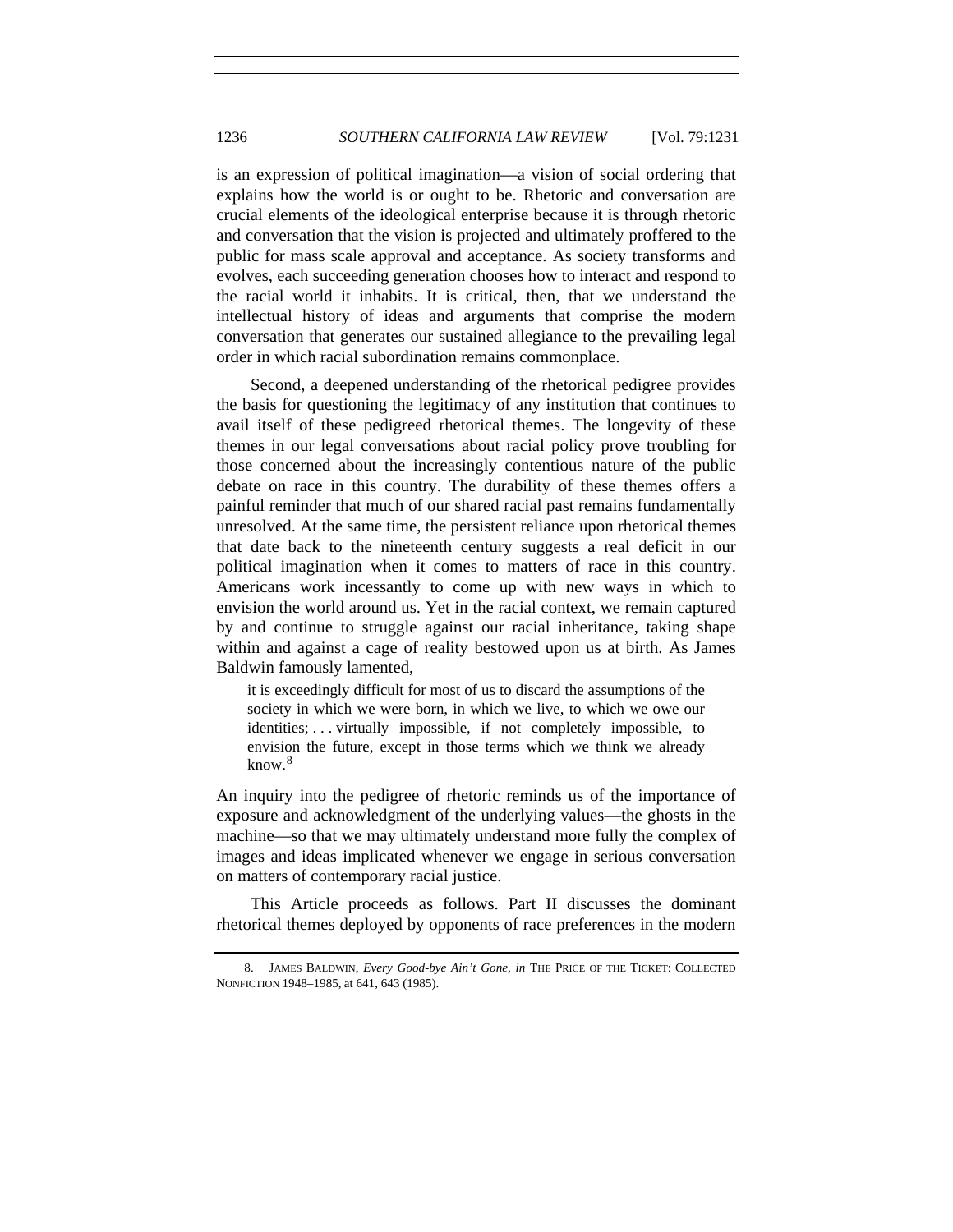is an expression of political imagination—a vision of social ordering that explains how the world is or ought to be. Rhetoric and conversation are crucial elements of the ideological enterprise because it is through rhetoric and conversation that the vision is projected and ultimately proffered to the public for mass scale approval and acceptance. As society transforms and evolves, each succeeding generation chooses how to interact and respond to the racial world it inhabits. It is critical, then, that we understand the intellectual history of ideas and arguments that comprise the modern conversation that generates our sustained allegiance to the prevailing legal order in which racial subordination remains commonplace.

Second, a deepened understanding of the rhetorical pedigree provides the basis for questioning the legitimacy of any institution that continues to avail itself of these pedigreed rhetorical themes. The longevity of these themes in our legal conversations about racial policy prove troubling for those concerned about the increasingly contentious nature of the public debate on race in this country. The durability of these themes offers a painful reminder that much of our shared racial past remains fundamentally unresolved. At the same time, the persistent reliance upon rhetorical themes that date back to the nineteenth century suggests a real deficit in our political imagination when it comes to matters of race in this country. Americans work incessantly to come up with new ways in which to envision the world around us. Yet in the racial context, we remain captured by and continue to struggle against our racial inheritance, taking shape within and against a cage of reality bestowed upon us at birth. As James Baldwin famously lamented,

it is exceedingly difficult for most of us to discard the assumptions of the society in which we were born, in which we live, to which we owe our identities; . . . virtually impossible, if not completely impossible, to envision the future, except in those terms which we think we already  $k$ now. $8$ 

An inquiry into the pedigree of rhetoric reminds us of the importance of exposure and acknowledgment of the underlying values—the ghosts in the machine—so that we may ultimately understand more fully the complex of images and ideas implicated whenever we engage in serious conversation on matters of contemporary racial justice.

This Article proceeds as follows. Part II discusses the dominant rhetorical themes deployed by opponents of race preferences in the modern

<span id="page-5-0"></span><sup>8.</sup> JAMES BALDWIN, *Every Good-bye Ain't Gone*, *in* THE PRICE OF THE TICKET: COLLECTED NONFICTION 1948–1985, at 641, 643 (1985).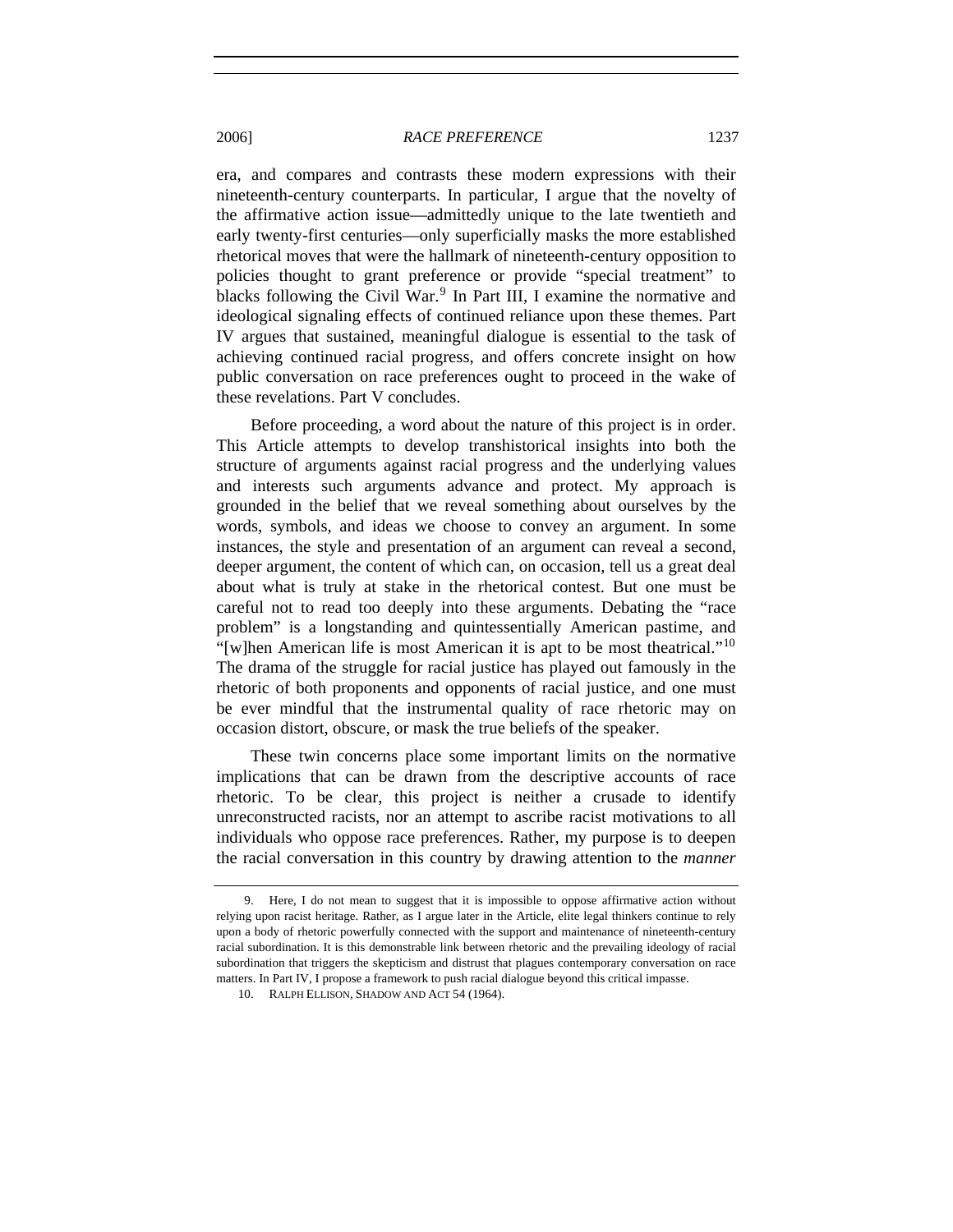era, and compares and contrasts these modern expressions with their nineteenth-century counterparts. In particular, I argue that the novelty of the affirmative action issue—admittedly unique to the late twentieth and early twenty-first centuries—only superficially masks the more established rhetorical moves that were the hallmark of nineteenth-century opposition to policies thought to grant preference or provide "special treatment" to blacks following the Civil War.<sup>[9](#page-6-0)</sup> In Part III, I examine the normative and ideological signaling effects of continued reliance upon these themes. Part IV argues that sustained, meaningful dialogue is essential to the task of achieving continued racial progress, and offers concrete insight on how public conversation on race preferences ought to proceed in the wake of these revelations. Part V concludes.

Before proceeding, a word about the nature of this project is in order. This Article attempts to develop transhistorical insights into both the structure of arguments against racial progress and the underlying values and interests such arguments advance and protect. My approach is grounded in the belief that we reveal something about ourselves by the words, symbols, and ideas we choose to convey an argument. In some instances, the style and presentation of an argument can reveal a second, deeper argument, the content of which can, on occasion, tell us a great deal about what is truly at stake in the rhetorical contest. But one must be careful not to read too deeply into these arguments. Debating the "race problem" is a longstanding and quintessentially American pastime, and "[w]hen American life is most American it is apt to be most theatrical."<sup>[10](#page-6-1)</sup> The drama of the struggle for racial justice has played out famously in the rhetoric of both proponents and opponents of racial justice, and one must be ever mindful that the instrumental quality of race rhetoric may on occasion distort, obscure, or mask the true beliefs of the speaker.

These twin concerns place some important limits on the normative implications that can be drawn from the descriptive accounts of race rhetoric. To be clear, this project is neither a crusade to identify unreconstructed racists, nor an attempt to ascribe racist motivations to all individuals who oppose race preferences. Rather, my purpose is to deepen the racial conversation in this country by drawing attention to the *manner*

<span id="page-6-1"></span><span id="page-6-0"></span><sup>9.</sup> Here, I do not mean to suggest that it is impossible to oppose affirmative action without relying upon racist heritage. Rather, as I argue later in the Article, elite legal thinkers continue to rely upon a body of rhetoric powerfully connected with the support and maintenance of nineteenth-century racial subordination. It is this demonstrable link between rhetoric and the prevailing ideology of racial subordination that triggers the skepticism and distrust that plagues contemporary conversation on race matters. In Part IV, I propose a framework to push racial dialogue beyond this critical impasse.

<sup>10.</sup> RALPH ELLISON, SHADOW AND ACT 54 (1964).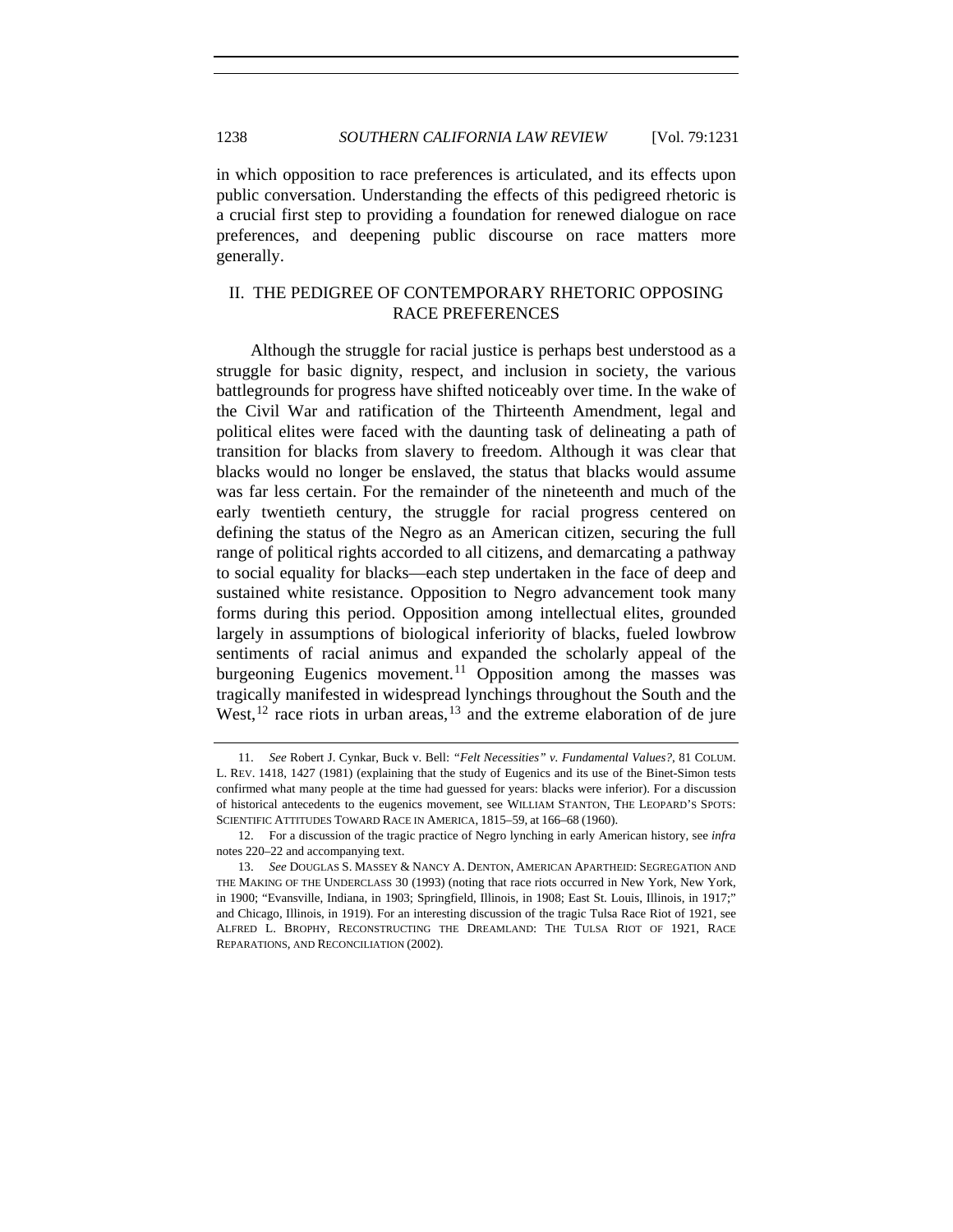<span id="page-7-0"></span>1238 *SOUTHERN CALIFORNIA LAW REVIEW* [Vol. 79:1231

in which opposition to race preferences is articulated, and its effects upon public conversation. Understanding the effects of this pedigreed rhetoric is a crucial first step to providing a foundation for renewed dialogue on race preferences, and deepening public discourse on race matters more generally.

## II. THE PEDIGREE OF CONTEMPORARY RHETORIC OPPOSING RACE PREFERENCES

Although the struggle for racial justice is perhaps best understood as a struggle for basic dignity, respect, and inclusion in society, the various battlegrounds for progress have shifted noticeably over time. In the wake of the Civil War and ratification of the Thirteenth Amendment, legal and political elites were faced with the daunting task of delineating a path of transition for blacks from slavery to freedom. Although it was clear that blacks would no longer be enslaved, the status that blacks would assume was far less certain. For the remainder of the nineteenth and much of the early twentieth century, the struggle for racial progress centered on defining the status of the Negro as an American citizen, securing the full range of political rights accorded to all citizens, and demarcating a pathway to social equality for blacks—each step undertaken in the face of deep and sustained white resistance. Opposition to Negro advancement took many forms during this period. Opposition among intellectual elites, grounded largely in assumptions of biological inferiority of blacks, fueled lowbrow sentiments of racial animus and expanded the scholarly appeal of the burgeoning Eugenics movement.<sup>[11](#page-7-1)</sup> Opposition among the masses was tragically manifested in widespread lynchings throughout the South and the West, $12$  race riots in urban areas, $13$  and the extreme elaboration of de jure

<span id="page-7-1"></span><sup>11.</sup> *See* Robert J. Cynkar, Buck v. Bell: *"Felt Necessities" v. Fundamental Values?*, 81 COLUM. L. REV. 1418, 1427 (1981) (explaining that the study of Eugenics and its use of the Binet-Simon tests confirmed what many people at the time had guessed for years: blacks were inferior). For a discussion of historical antecedents to the eugenics movement, see WILLIAM STANTON, THE LEOPARD'S SPOTS: SCIENTIFIC ATTITUDES TOWARD RACE IN AMERICA, 1815–59, at 166–68 (1960).

<span id="page-7-2"></span><sup>12.</sup> For a discussion of the tragic practice of Negro lynching in early American history, see *infra* notes 220–22 and accompanying text.

<span id="page-7-3"></span><sup>13.</sup> *See* DOUGLAS S. MASSEY & NANCY A. DENTON, AMERICAN APARTHEID: SEGREGATION AND THE MAKING OF THE UNDERCLASS 30 (1993) (noting that race riots occurred in New York, New York, in 1900; "Evansville, Indiana, in 1903; Springfield, Illinois, in 1908; East St. Louis, Illinois, in 1917;" and Chicago, Illinois, in 1919). For an interesting discussion of the tragic Tulsa Race Riot of 1921, see ALFRED L. BROPHY, RECONSTRUCTING THE DREAMLAND: THE TULSA RIOT OF 1921, RACE REPARATIONS, AND RECONCILIATION (2002).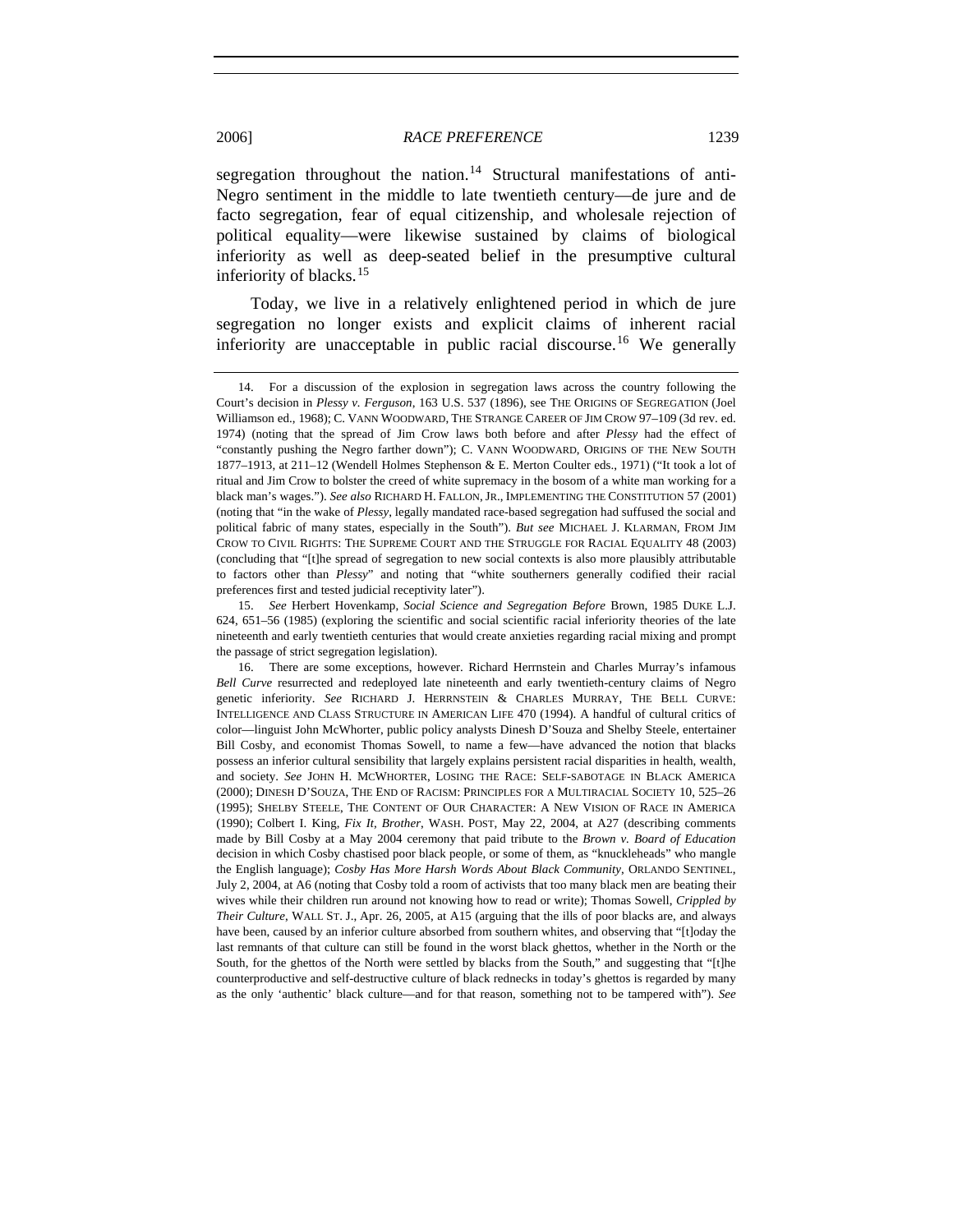segregation throughout the nation.<sup>[14](#page-8-0)</sup> Structural manifestations of anti-Negro sentiment in the middle to late twentieth century—de jure and de facto segregation, fear of equal citizenship, and wholesale rejection of political equality—were likewise sustained by claims of biological inferiority as well as deep-seated belief in the presumptive cultural inferiority of blacks.[15](#page-8-1)

Today, we live in a relatively enlightened period in which de jure segregation no longer exists and explicit claims of inherent racial inferiority are unacceptable in public racial discourse.<sup>[16](#page-8-2)</sup> We generally

<span id="page-8-0"></span><sup>14.</sup> For a discussion of the explosion in segregation laws across the country following the Court's decision in *Plessy v. Ferguson*, 163 U.S. 537 (1896), see THE ORIGINS OF SEGREGATION (Joel Williamson ed., 1968); C. VANN WOODWARD, THE STRANGE CAREER OF JIM CROW 97–109 (3d rev. ed. 1974) (noting that the spread of Jim Crow laws both before and after *Plessy* had the effect of "constantly pushing the Negro farther down"); C. VANN WOODWARD, ORIGINS OF THE NEW SOUTH 1877–1913, at 211–12 (Wendell Holmes Stephenson & E. Merton Coulter eds., 1971) ("It took a lot of ritual and Jim Crow to bolster the creed of white supremacy in the bosom of a white man working for a black man's wages."). *See also* RICHARD H. FALLON, JR., IMPLEMENTING THE CONSTITUTION 57 (2001) (noting that "in the wake of *Plessy*, legally mandated race-based segregation had suffused the social and political fabric of many states, especially in the South"). *But see* MICHAEL J. KLARMAN, FROM JIM CROW TO CIVIL RIGHTS: THE SUPREME COURT AND THE STRUGGLE FOR RACIAL EQUALITY 48 (2003) (concluding that "[t]he spread of segregation to new social contexts is also more plausibly attributable to factors other than *Plessy*" and noting that "white southerners generally codified their racial preferences first and tested judicial receptivity later").

<span id="page-8-1"></span><sup>15.</sup> *See* Herbert Hovenkamp, *Social Science and Segregation Before* Brown, 1985 DUKE L.J. 624, 651–56 (1985) (exploring the scientific and social scientific racial inferiority theories of the late nineteenth and early twentieth centuries that would create anxieties regarding racial mixing and prompt the passage of strict segregation legislation).

<span id="page-8-2"></span><sup>16.</sup> There are some exceptions, however. Richard Herrnstein and Charles Murray's infamous *Bell Curve* resurrected and redeployed late nineteenth and early twentieth-century claims of Negro genetic inferiority. *See* RICHARD J. HERRNSTEIN & CHARLES MURRAY, THE BELL CURVE: INTELLIGENCE AND CLASS STRUCTURE IN AMERICAN LIFE 470 (1994). A handful of cultural critics of color—linguist John McWhorter, public policy analysts Dinesh D'Souza and Shelby Steele, entertainer Bill Cosby, and economist Thomas Sowell, to name a few—have advanced the notion that blacks possess an inferior cultural sensibility that largely explains persistent racial disparities in health, wealth, and society. *See* JOHN H. MCWHORTER, LOSING THE RACE: SELF-SABOTAGE IN BLACK AMERICA (2000); DINESH D'SOUZA, THE END OF RACISM: PRINCIPLES FOR A MULTIRACIAL SOCIETY 10, 525–26 (1995); SHELBY STEELE, THE CONTENT OF OUR CHARACTER: A NEW VISION OF RACE IN AMERICA (1990); Colbert I. King, *Fix It, Brother*, WASH. POST, May 22, 2004, at A27 (describing comments made by Bill Cosby at a May 2004 ceremony that paid tribute to the *Brown v. Board of Education* decision in which Cosby chastised poor black people, or some of them, as "knuckleheads" who mangle the English language); *Cosby Has More Harsh Words About Black Community*, ORLANDO SENTINEL, July 2, 2004, at A6 (noting that Cosby told a room of activists that too many black men are beating their wives while their children run around not knowing how to read or write); Thomas Sowell, *Crippled by Their Culture*, WALL ST. J., Apr. 26, 2005, at A15 (arguing that the ills of poor blacks are, and always have been, caused by an inferior culture absorbed from southern whites, and observing that "[t]oday the last remnants of that culture can still be found in the worst black ghettos, whether in the North or the South, for the ghettos of the North were settled by blacks from the South," and suggesting that "[t]he counterproductive and self-destructive culture of black rednecks in today's ghettos is regarded by many as the only 'authentic' black culture—and for that reason, something not to be tampered with"). *See*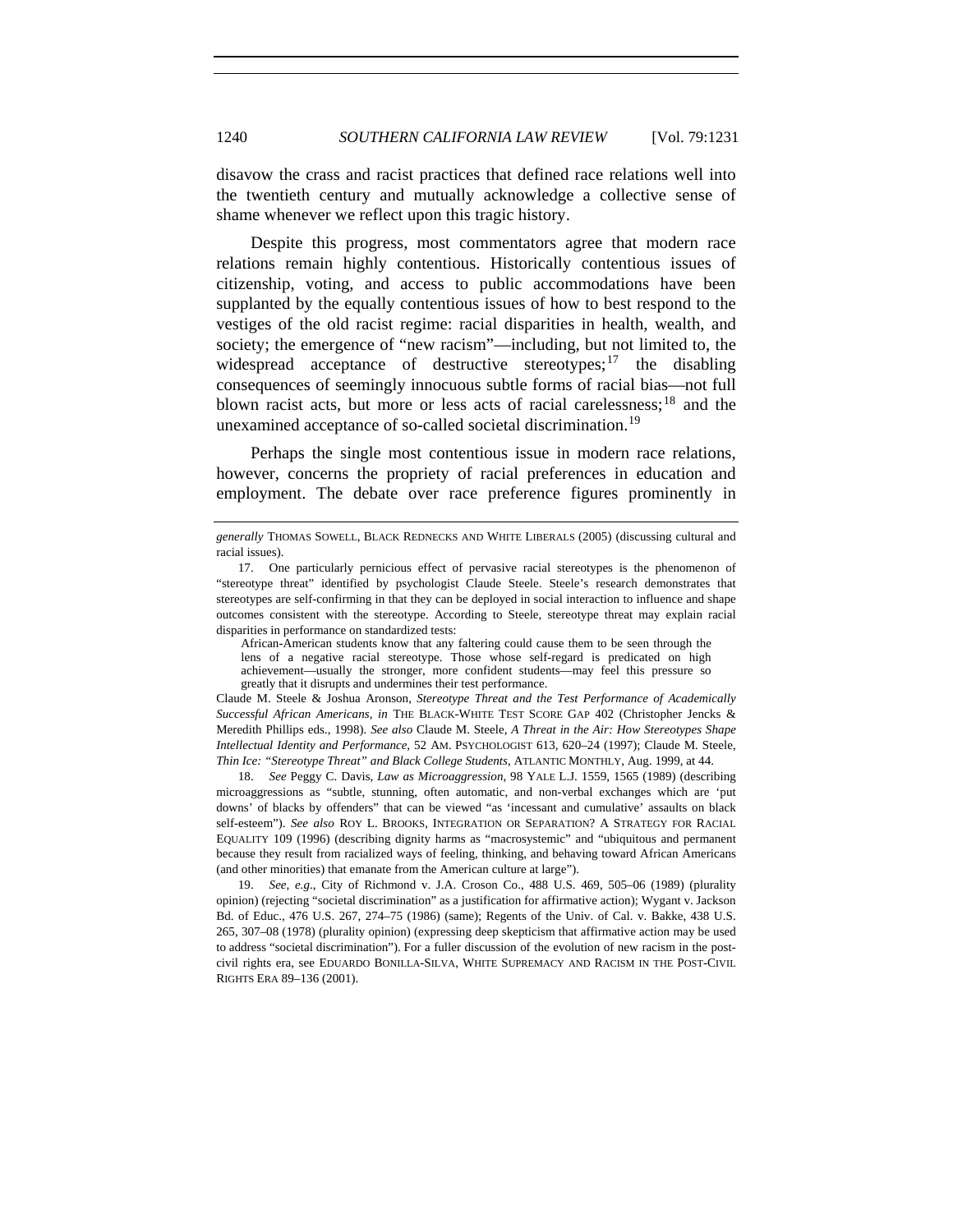disavow the crass and racist practices that defined race relations well into the twentieth century and mutually acknowledge a collective sense of shame whenever we reflect upon this tragic history.

Despite this progress, most commentators agree that modern race relations remain highly contentious. Historically contentious issues of citizenship, voting, and access to public accommodations have been supplanted by the equally contentious issues of how to best respond to the vestiges of the old racist regime: racial disparities in health, wealth, and society; the emergence of "new racism"—including, but not limited to, the widespread acceptance of destructive stereotypes; $17$  the disabling consequences of seemingly innocuous subtle forms of racial bias—not full blown racist acts, but more or less acts of racial carelessness; $18$  and the unexamined acceptance of so-called societal discrimination.<sup>[19](#page-9-2)</sup>

Perhaps the single most contentious issue in modern race relations, however, concerns the propriety of racial preferences in education and employment. The debate over race preference figures prominently in

Claude M. Steele & Joshua Aronson, *Stereotype Threat and the Test Performance of Academically Successful African Americans*, *in* THE BLACK-WHITE TEST SCORE GAP 402 (Christopher Jencks & Meredith Phillips eds., 1998). *See also* Claude M. Steele, *A Threat in the Air: How Stereotypes Shape Intellectual Identity and Performance*, 52 AM. PSYCHOLOGIST 613, 620–24 (1997); Claude M. Steele, *Thin Ice: "Stereotype Threat" and Black College Students*, ATLANTIC MONTHLY, Aug. 1999, at 44.

<span id="page-9-1"></span>18. *See* Peggy C. Davis, *Law as Microaggression*, 98 YALE L.J. 1559, 1565 (1989) (describing microaggressions as "subtle, stunning, often automatic, and non-verbal exchanges which are 'put downs' of blacks by offenders" that can be viewed "as 'incessant and cumulative' assaults on black self-esteem"). *See also* ROY L. BROOKS, INTEGRATION OR SEPARATION? A STRATEGY FOR RACIAL EQUALITY 109 (1996) (describing dignity harms as "macrosystemic" and "ubiquitous and permanent because they result from racialized ways of feeling, thinking, and behaving toward African Americans (and other minorities) that emanate from the American culture at large").

<span id="page-9-2"></span>19. *See, e.g*., City of Richmond v. J.A. Croson Co., 488 U.S. 469, 505–06 (1989) (plurality opinion) (rejecting "societal discrimination" as a justification for affirmative action); Wygant v. Jackson Bd. of Educ., 476 U.S. 267, 274–75 (1986) (same); Regents of the Univ. of Cal. v. Bakke, 438 U.S. 265, 307–08 (1978) (plurality opinion) (expressing deep skepticism that affirmative action may be used to address "societal discrimination"). For a fuller discussion of the evolution of new racism in the postcivil rights era, see EDUARDO BONILLA-SILVA, WHITE SUPREMACY AND RACISM IN THE POST-CIVIL RIGHTS ERA 89–136 (2001).

*generally* THOMAS SOWELL, BLACK REDNECKS AND WHITE LIBERALS (2005) (discussing cultural and racial issues).

<span id="page-9-0"></span><sup>17.</sup> One particularly pernicious effect of pervasive racial stereotypes is the phenomenon of "stereotype threat" identified by psychologist Claude Steele. Steele's research demonstrates that stereotypes are self-confirming in that they can be deployed in social interaction to influence and shape outcomes consistent with the stereotype. According to Steele, stereotype threat may explain racial disparities in performance on standardized tests:

African-American students know that any faltering could cause them to be seen through the lens of a negative racial stereotype. Those whose self-regard is predicated on high achievement—usually the stronger, more confident students—may feel this pressure so greatly that it disrupts and undermines their test performance.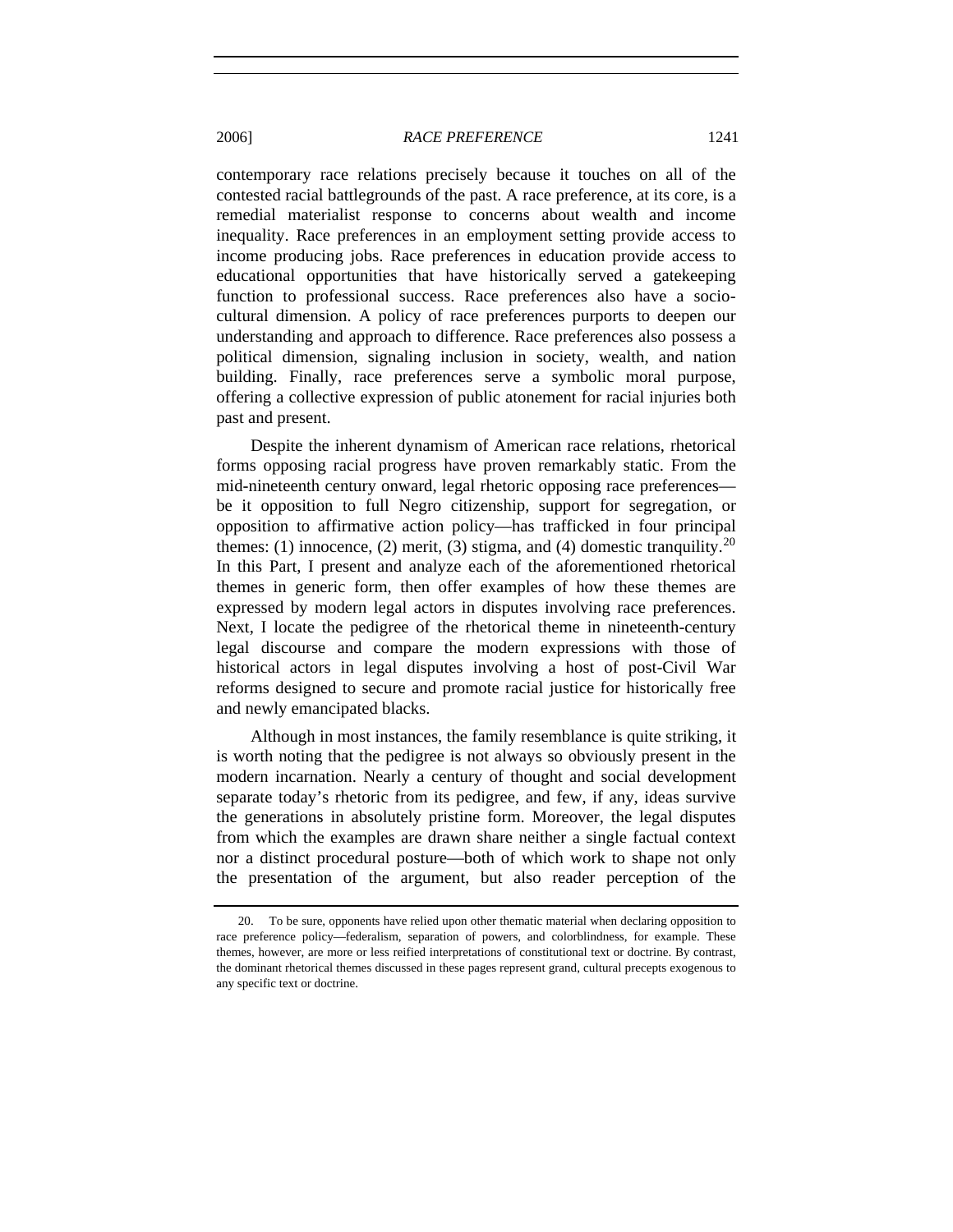contemporary race relations precisely because it touches on all of the contested racial battlegrounds of the past. A race preference, at its core, is a remedial materialist response to concerns about wealth and income inequality. Race preferences in an employment setting provide access to income producing jobs. Race preferences in education provide access to educational opportunities that have historically served a gatekeeping function to professional success. Race preferences also have a sociocultural dimension. A policy of race preferences purports to deepen our understanding and approach to difference. Race preferences also possess a political dimension, signaling inclusion in society, wealth, and nation building. Finally, race preferences serve a symbolic moral purpose, offering a collective expression of public atonement for racial injuries both past and present.

Despite the inherent dynamism of American race relations, rhetorical forms opposing racial progress have proven remarkably static. From the mid-nineteenth century onward, legal rhetoric opposing race preferences be it opposition to full Negro citizenship, support for segregation, or opposition to affirmative action policy—has trafficked in four principal themes: (1) innocence, (2) merit, (3) stigma, and (4) domestic tranquility.<sup>[20](#page-10-0)</sup> In this Part, I present and analyze each of the aforementioned rhetorical themes in generic form, then offer examples of how these themes are expressed by modern legal actors in disputes involving race preferences. Next, I locate the pedigree of the rhetorical theme in nineteenth-century legal discourse and compare the modern expressions with those of historical actors in legal disputes involving a host of post-Civil War reforms designed to secure and promote racial justice for historically free and newly emancipated blacks.

Although in most instances, the family resemblance is quite striking, it is worth noting that the pedigree is not always so obviously present in the modern incarnation. Nearly a century of thought and social development separate today's rhetoric from its pedigree, and few, if any, ideas survive the generations in absolutely pristine form. Moreover, the legal disputes from which the examples are drawn share neither a single factual context nor a distinct procedural posture—both of which work to shape not only the presentation of the argument, but also reader perception of the

<span id="page-10-0"></span><sup>20.</sup> To be sure, opponents have relied upon other thematic material when declaring opposition to race preference policy—federalism, separation of powers, and colorblindness, for example. These themes, however, are more or less reified interpretations of constitutional text or doctrine. By contrast, the dominant rhetorical themes discussed in these pages represent grand, cultural precepts exogenous to any specific text or doctrine.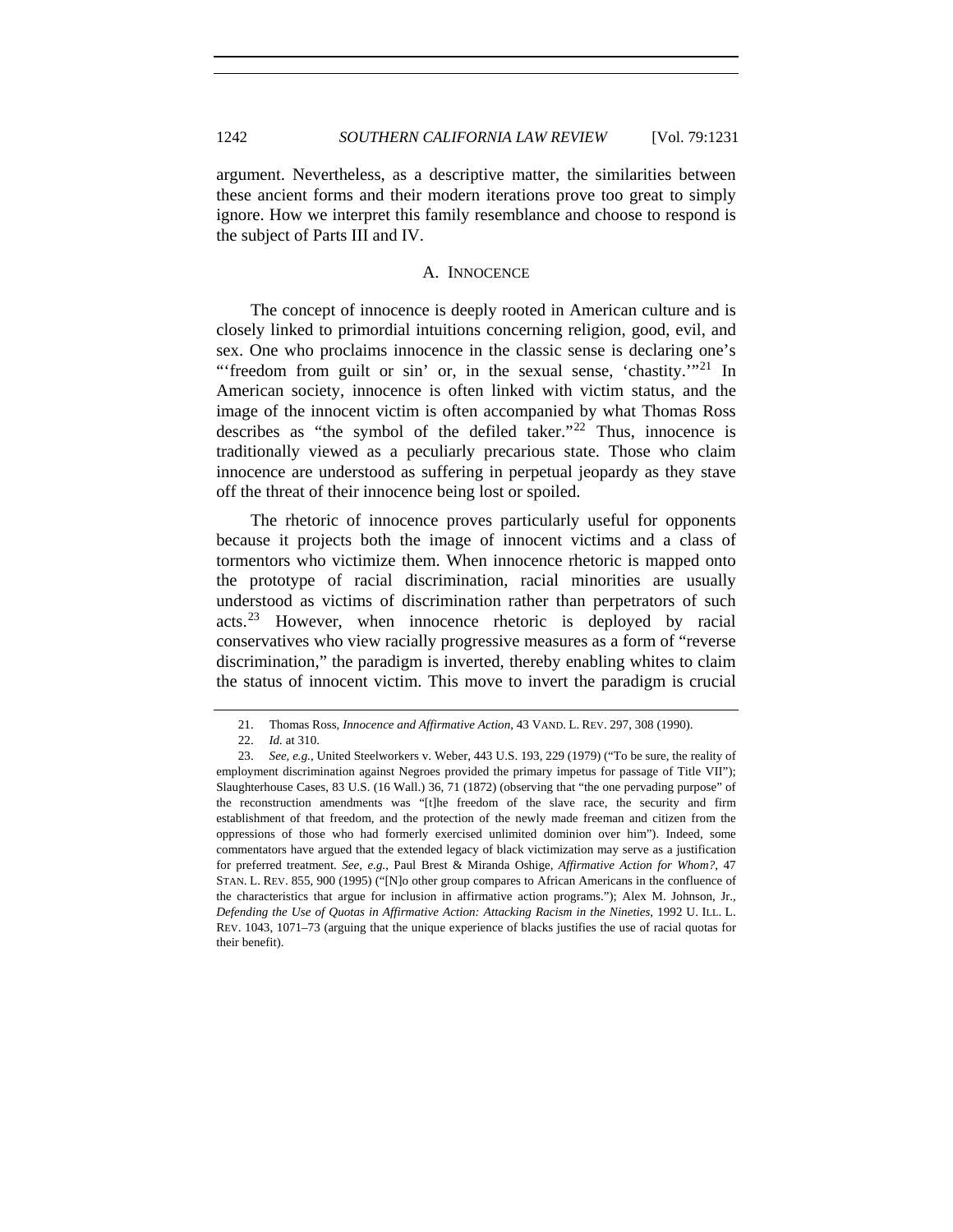argument. Nevertheless, as a descriptive matter, the similarities between these ancient forms and their modern iterations prove too great to simply ignore. How we interpret this family resemblance and choose to respond is the subject of Parts III and IV.

#### A. INNOCENCE

The concept of innocence is deeply rooted in American culture and is closely linked to primordial intuitions concerning religion, good, evil, and sex. One who proclaims innocence in the classic sense is declaring one's "'freedom from guilt or sin' or, in the sexual sense, 'chastity.'"<sup>[21](#page-11-1)</sup> In American society, innocence is often linked with victim status, and the image of the innocent victim is often accompanied by what Thomas Ross describes as "the symbol of the defiled taker."<sup>[22](#page-11-2)</sup> Thus, innocence is traditionally viewed as a peculiarly precarious state. Those who claim innocence are understood as suffering in perpetual jeopardy as they stave off the threat of their innocence being lost or spoiled.

The rhetoric of innocence proves particularly useful for opponents because it projects both the image of innocent victims and a class of tormentors who victimize them. When innocence rhetoric is mapped onto the prototype of racial discrimination, racial minorities are usually understood as victims of discrimination rather than perpetrators of such acts.<sup>[23](#page-11-3)</sup> However, when innocence rhetoric is deployed by racial conservatives who view racially progressive measures as a form of "reverse discrimination," the paradigm is inverted, thereby enabling whites to claim the status of innocent victim. This move to invert the paradigm is crucial

<span id="page-11-0"></span>

<sup>21.</sup> Thomas Ross, *Innocence and Affirmative Action*, 43 VAND. L. REV. 297, 308 (1990).

<sup>22.</sup> *Id.* at 310.

<span id="page-11-3"></span><span id="page-11-2"></span><span id="page-11-1"></span><sup>23.</sup> *See, e.g.*, United Steelworkers v. Weber, 443 U.S. 193, 229 (1979) ("To be sure, the reality of employment discrimination against Negroes provided the primary impetus for passage of Title VII"); Slaughterhouse Cases, 83 U.S. (16 Wall.) 36, 71 (1872) (observing that "the one pervading purpose" of the reconstruction amendments was "[t]he freedom of the slave race, the security and firm establishment of that freedom, and the protection of the newly made freeman and citizen from the oppressions of those who had formerly exercised unlimited dominion over him"). Indeed, some commentators have argued that the extended legacy of black victimization may serve as a justification for preferred treatment. *See, e.g.*, Paul Brest & Miranda Oshige, *Affirmative Action for Whom?*, 47 STAN. L. REV. 855, 900 (1995) ("[N]o other group compares to African Americans in the confluence of the characteristics that argue for inclusion in affirmative action programs."); Alex M. Johnson, Jr., *Defending the Use of Quotas in Affirmative Action: Attacking Racism in the Nineties*, 1992 U. ILL. L. REV. 1043, 1071–73 (arguing that the unique experience of blacks justifies the use of racial quotas for their benefit).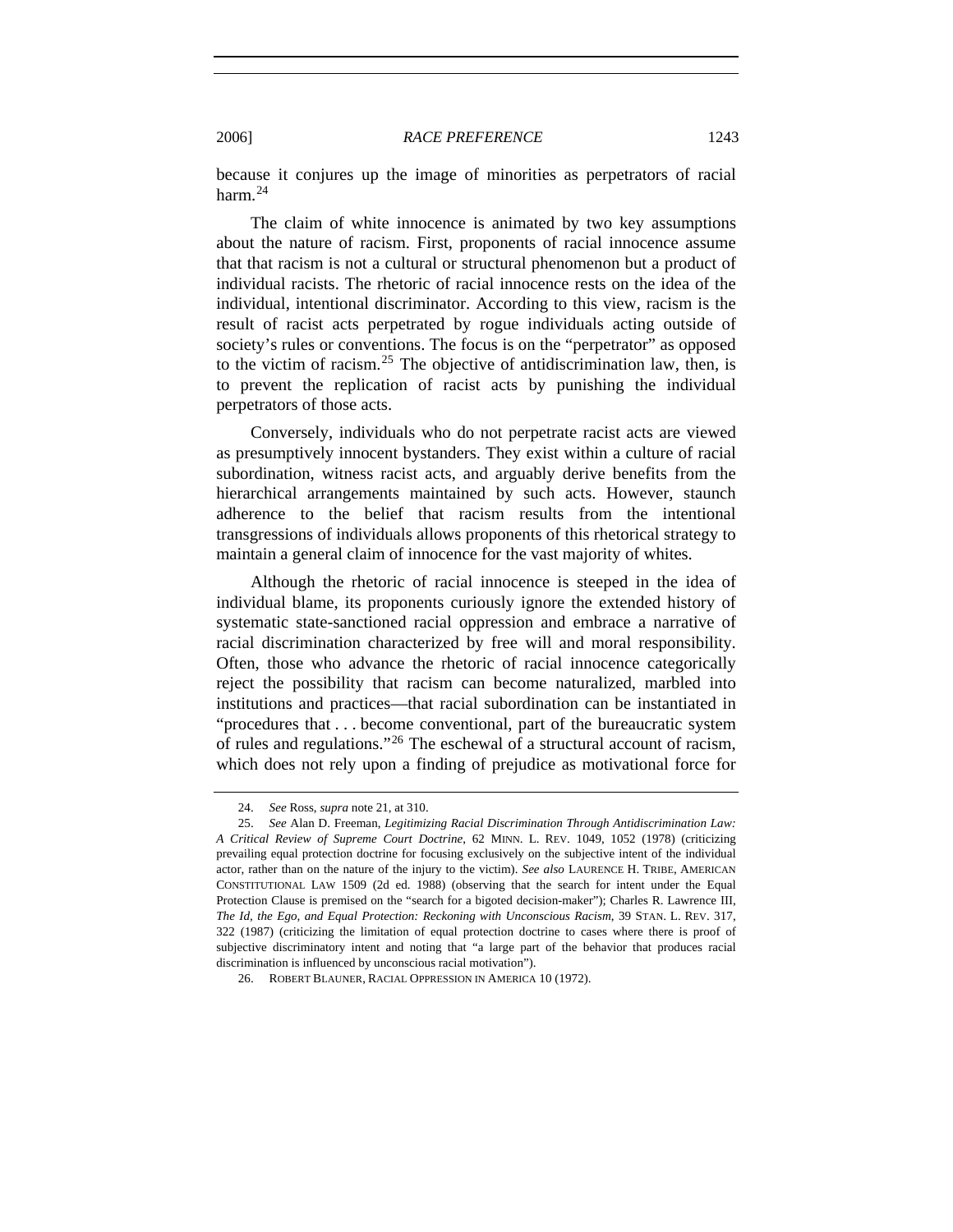because it conjures up the image of minorities as perpetrators of racial harm. $^{24}$  $^{24}$  $^{24}$ 

The claim of white innocence is animated by two key assumptions about the nature of racism. First, proponents of racial innocence assume that that racism is not a cultural or structural phenomenon but a product of individual racists. The rhetoric of racial innocence rests on the idea of the individual, intentional discriminator. According to this view, racism is the result of racist acts perpetrated by rogue individuals acting outside of society's rules or conventions. The focus is on the "perpetrator" as opposed to the victim of racism.[25](#page-12-1) The objective of antidiscrimination law, then, is to prevent the replication of racist acts by punishing the individual perpetrators of those acts.

Conversely, individuals who do not perpetrate racist acts are viewed as presumptively innocent bystanders. They exist within a culture of racial subordination, witness racist acts, and arguably derive benefits from the hierarchical arrangements maintained by such acts. However, staunch adherence to the belief that racism results from the intentional transgressions of individuals allows proponents of this rhetorical strategy to maintain a general claim of innocence for the vast majority of whites.

Although the rhetoric of racial innocence is steeped in the idea of individual blame, its proponents curiously ignore the extended history of systematic state-sanctioned racial oppression and embrace a narrative of racial discrimination characterized by free will and moral responsibility. Often, those who advance the rhetoric of racial innocence categorically reject the possibility that racism can become naturalized, marbled into institutions and practices—that racial subordination can be instantiated in "procedures that . . . become conventional, part of the bureaucratic system of rules and regulations."[26](#page-12-2) The eschewal of a structural account of racism, which does not rely upon a finding of prejudice as motivational force for

<sup>24.</sup> *See* Ross, *supra* note 21, at 310.

<span id="page-12-1"></span><span id="page-12-0"></span><sup>25.</sup> *See* Alan D. Freeman, *Legitimizing Racial Discrimination Through Antidiscrimination Law: A Critical Review of Supreme Court Doctrine*, 62 MINN. L. REV. 1049, 1052 (1978) (criticizing prevailing equal protection doctrine for focusing exclusively on the subjective intent of the individual actor, rather than on the nature of the injury to the victim). *See also* LAURENCE H. TRIBE, AMERICAN CONSTITUTIONAL LAW 1509 (2d ed. 1988) (observing that the search for intent under the Equal Protection Clause is premised on the "search for a bigoted decision-maker"); Charles R. Lawrence III, *The Id, the Ego, and Equal Protection: Reckoning with Unconscious Racism*, 39 STAN. L. REV. 317, 322 (1987) (criticizing the limitation of equal protection doctrine to cases where there is proof of subjective discriminatory intent and noting that "a large part of the behavior that produces racial discrimination is influenced by unconscious racial motivation").

<span id="page-12-2"></span><sup>26.</sup> ROBERT BLAUNER, RACIAL OPPRESSION IN AMERICA 10 (1972).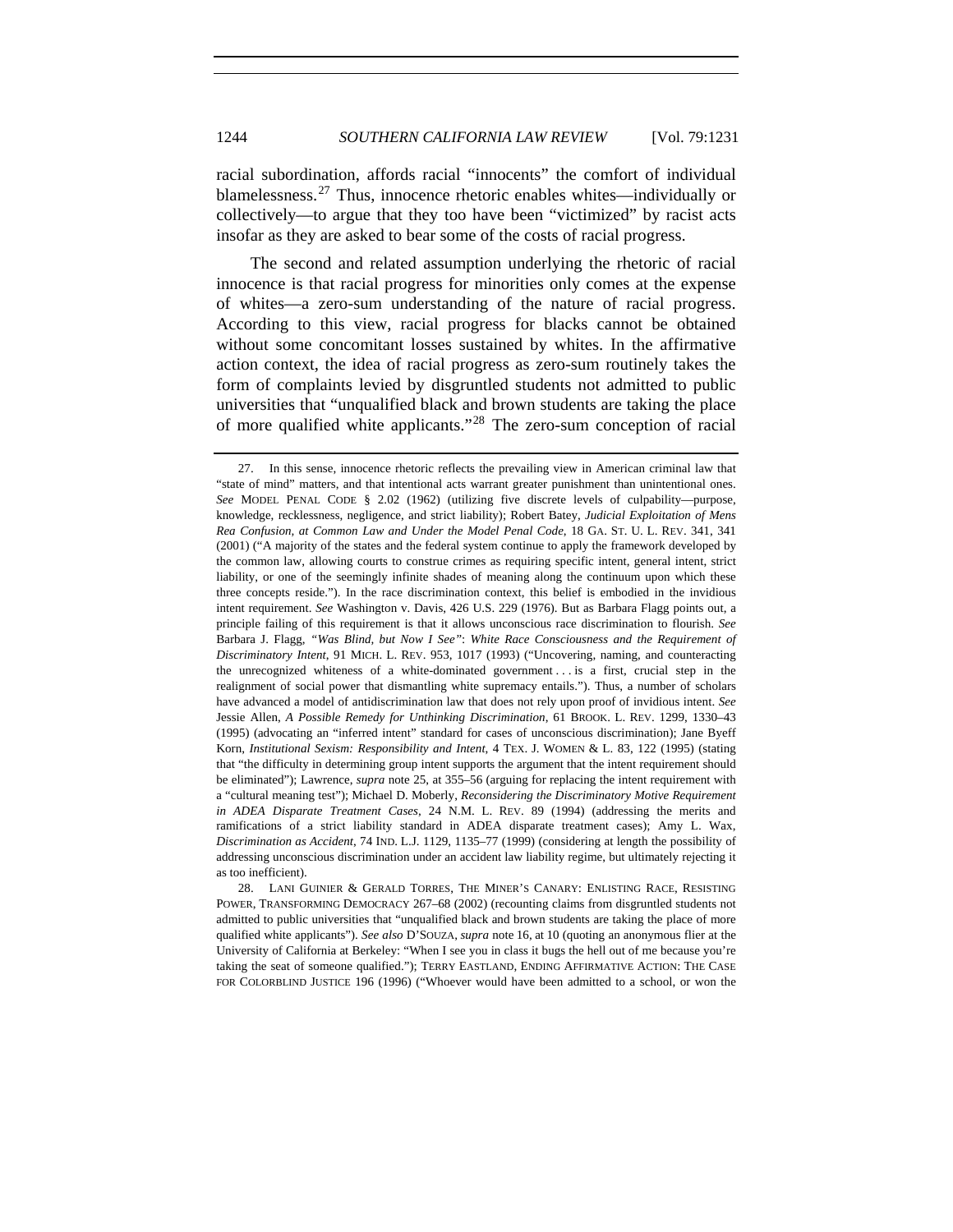racial subordination, affords racial "innocents" the comfort of individual blamelessness.[27](#page-13-0) Thus, innocence rhetoric enables whites—individually or collectively—to argue that they too have been "victimized" by racist acts insofar as they are asked to bear some of the costs of racial progress.

The second and related assumption underlying the rhetoric of racial innocence is that racial progress for minorities only comes at the expense of whites—a zero-sum understanding of the nature of racial progress. According to this view, racial progress for blacks cannot be obtained without some concomitant losses sustained by whites. In the affirmative action context, the idea of racial progress as zero-sum routinely takes the form of complaints levied by disgruntled students not admitted to public universities that "unqualified black and brown students are taking the place of more qualified white applicants."[28](#page-13-1) The zero-sum conception of racial

<span id="page-13-0"></span><sup>27.</sup> In this sense, innocence rhetoric reflects the prevailing view in American criminal law that "state of mind" matters, and that intentional acts warrant greater punishment than unintentional ones. *See* MODEL PENAL CODE § 2.02 (1962) (utilizing five discrete levels of culpability—purpose, knowledge, recklessness, negligence, and strict liability); Robert Batey, *Judicial Exploitation of Mens Rea Confusion, at Common Law and Under the Model Penal Code*, 18 GA. ST. U. L. REV. 341, 341 (2001) ("A majority of the states and the federal system continue to apply the framework developed by the common law, allowing courts to construe crimes as requiring specific intent, general intent, strict liability, or one of the seemingly infinite shades of meaning along the continuum upon which these three concepts reside."). In the race discrimination context, this belief is embodied in the invidious intent requirement. *See* Washington v. Davis, 426 U.S. 229 (1976). But as Barbara Flagg points out, a principle failing of this requirement is that it allows unconscious race discrimination to flourish. *See* Barbara J. Flagg, *"Was Blind, but Now I See"*: *White Race Consciousness and the Requirement of Discriminatory Intent*, 91 MICH. L. REV. 953, 1017 (1993) ("Uncovering, naming, and counteracting the unrecognized whiteness of a white-dominated government . . . is a first, crucial step in the realignment of social power that dismantling white supremacy entails."). Thus, a number of scholars have advanced a model of antidiscrimination law that does not rely upon proof of invidious intent. *See* Jessie Allen, *A Possible Remedy for Unthinking Discrimination*, 61 BROOK. L. REV. 1299, 1330–43 (1995) (advocating an "inferred intent" standard for cases of unconscious discrimination); Jane Byeff Korn, *Institutional Sexism: Responsibility and Intent*, 4 TEX. J. WOMEN & L. 83, 122 (1995) (stating that "the difficulty in determining group intent supports the argument that the intent requirement should be eliminated"); Lawrence, *supra* note 25, at 355–56 (arguing for replacing the intent requirement with a "cultural meaning test"); Michael D. Moberly, *Reconsidering the Discriminatory Motive Requirement in ADEA Disparate Treatment Cases*, 24 N.M. L. REV. 89 (1994) (addressing the merits and ramifications of a strict liability standard in ADEA disparate treatment cases); Amy L. Wax, *Discrimination as Accident*, 74 IND. L.J. 1129, 1135–77 (1999) (considering at length the possibility of addressing unconscious discrimination under an accident law liability regime, but ultimately rejecting it as too inefficient).

<span id="page-13-1"></span><sup>28.</sup> LANI GUINIER & GERALD TORRES, THE MINER'S CANARY: ENLISTING RACE, RESISTING POWER, TRANSFORMING DEMOCRACY 267–68 (2002) (recounting claims from disgruntled students not admitted to public universities that "unqualified black and brown students are taking the place of more qualified white applicants"). *See also* D'SOUZA, *supra* note 16, at 10 (quoting an anonymous flier at the University of California at Berkeley: "When I see you in class it bugs the hell out of me because you're taking the seat of someone qualified."); TERRY EASTLAND, ENDING AFFIRMATIVE ACTION: THE CASE FOR COLORBLIND JUSTICE 196 (1996) ("Whoever would have been admitted to a school, or won the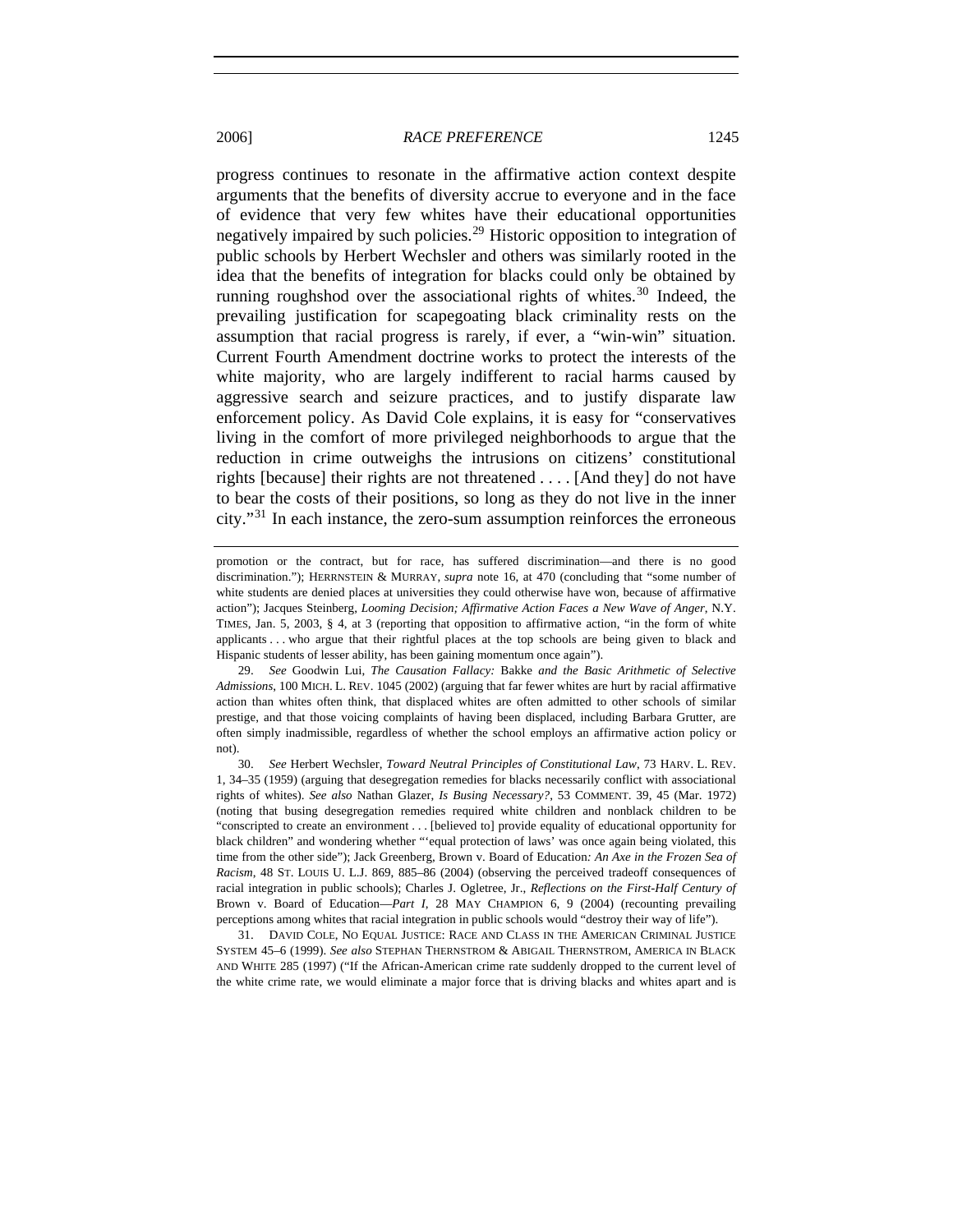progress continues to resonate in the affirmative action context despite arguments that the benefits of diversity accrue to everyone and in the face of evidence that very few whites have their educational opportunities negatively impaired by such policies.<sup>[29](#page-14-0)</sup> Historic opposition to integration of public schools by Herbert Wechsler and others was similarly rooted in the idea that the benefits of integration for blacks could only be obtained by running roughshod over the associational rights of whites.<sup>[30](#page-14-1)</sup> Indeed, the prevailing justification for scapegoating black criminality rests on the assumption that racial progress is rarely, if ever, a "win-win" situation. Current Fourth Amendment doctrine works to protect the interests of the white majority, who are largely indifferent to racial harms caused by aggressive search and seizure practices, and to justify disparate law enforcement policy. As David Cole explains, it is easy for "conservatives living in the comfort of more privileged neighborhoods to argue that the reduction in crime outweighs the intrusions on citizens' constitutional rights [because] their rights are not threatened . . . . [And they] do not have to bear the costs of their positions, so long as they do not live in the inner city."[31](#page-14-2) In each instance, the zero-sum assumption reinforces the erroneous

<span id="page-14-2"></span>31. DAVID COLE, NO EQUAL JUSTICE: RACE AND CLASS IN THE AMERICAN CRIMINAL JUSTICE SYSTEM 45–6 (1999). *See also* STEPHAN THERNSTROM & ABIGAIL THERNSTROM, AMERICA IN BLACK AND WHITE 285 (1997) ("If the African-American crime rate suddenly dropped to the current level of the white crime rate, we would eliminate a major force that is driving blacks and whites apart and is

promotion or the contract, but for race, has suffered discrimination—and there is no good discrimination."); HERRNSTEIN & MURRAY, *supra* note 16, at 470 (concluding that "some number of white students are denied places at universities they could otherwise have won, because of affirmative action"); Jacques Steinberg, *Looming Decision; Affirmative Action Faces a New Wave of Anger*, N.Y. TIMES, Jan. 5, 2003, § 4, at 3 (reporting that opposition to affirmative action, "in the form of white applicants . . . who argue that their rightful places at the top schools are being given to black and Hispanic students of lesser ability, has been gaining momentum once again").

<span id="page-14-0"></span><sup>29.</sup> *See* Goodwin Lui, *The Causation Fallacy:* Bakke *and the Basic Arithmetic of Selective Admissions*, 100 MICH. L. REV. 1045 (2002) (arguing that far fewer whites are hurt by racial affirmative action than whites often think, that displaced whites are often admitted to other schools of similar prestige, and that those voicing complaints of having been displaced, including Barbara Grutter, are often simply inadmissible, regardless of whether the school employs an affirmative action policy or not).

<span id="page-14-1"></span><sup>30.</sup> *See* Herbert Wechsler, *Toward Neutral Principles of Constitutional Law*, 73 HARV. L. REV. 1, 34–35 (1959) (arguing that desegregation remedies for blacks necessarily conflict with associational rights of whites). *See also* Nathan Glazer, *Is Busing Necessary?*, 53 COMMENT. 39, 45 (Mar. 1972) (noting that busing desegregation remedies required white children and nonblack children to be "conscripted to create an environment . . . [believed to] provide equality of educational opportunity for black children" and wondering whether "'equal protection of laws' was once again being violated, this time from the other side"); Jack Greenberg, Brown v. Board of Education*: An Axe in the Frozen Sea of Racism*, 48 ST. LOUIS U. L.J. 869, 885–86 (2004) (observing the perceived tradeoff consequences of racial integration in public schools); Charles J. Ogletree, Jr., *Reflections on the First-Half Century of*  Brown v. Board of Education—*Part I*, 28 MAY CHAMPION 6, 9 (2004) (recounting prevailing perceptions among whites that racial integration in public schools would "destroy their way of life").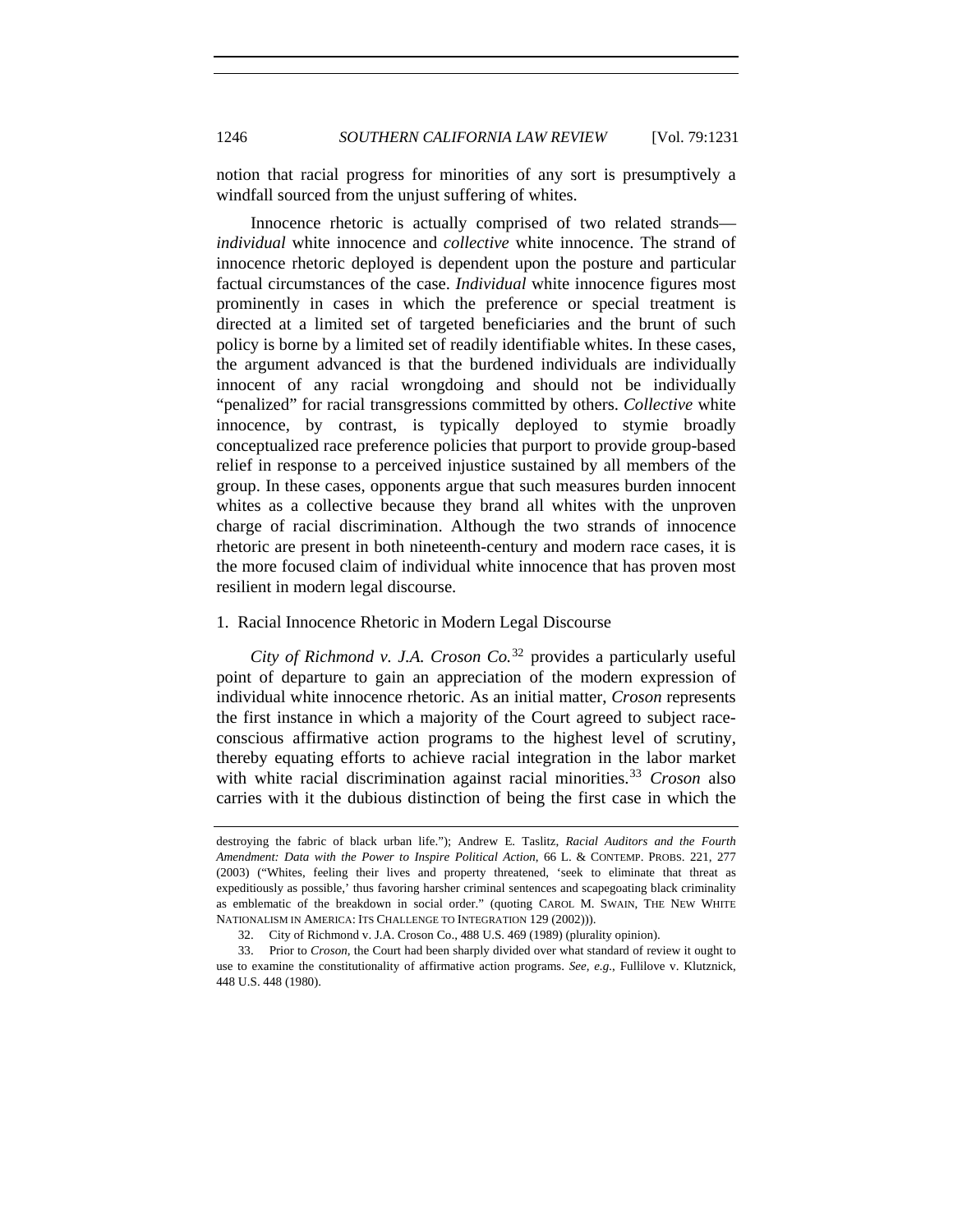<span id="page-15-0"></span>notion that racial progress for minorities of any sort is presumptively a windfall sourced from the unjust suffering of whites.

Innocence rhetoric is actually comprised of two related strands *individual* white innocence and *collective* white innocence. The strand of innocence rhetoric deployed is dependent upon the posture and particular factual circumstances of the case. *Individual* white innocence figures most prominently in cases in which the preference or special treatment is directed at a limited set of targeted beneficiaries and the brunt of such policy is borne by a limited set of readily identifiable whites. In these cases, the argument advanced is that the burdened individuals are individually innocent of any racial wrongdoing and should not be individually "penalized" for racial transgressions committed by others. *Collective* white innocence, by contrast, is typically deployed to stymie broadly conceptualized race preference policies that purport to provide group-based relief in response to a perceived injustice sustained by all members of the group. In these cases, opponents argue that such measures burden innocent whites as a collective because they brand all whites with the unproven charge of racial discrimination. Although the two strands of innocence rhetoric are present in both nineteenth-century and modern race cases, it is the more focused claim of individual white innocence that has proven most resilient in modern legal discourse.

#### 1. Racial Innocence Rhetoric in Modern Legal Discourse

*City of Richmond v. J.A. Croson Co.*[32](#page-15-1) provides a particularly useful point of departure to gain an appreciation of the modern expression of individual white innocence rhetoric. As an initial matter, *Croson* represents the first instance in which a majority of the Court agreed to subject raceconscious affirmative action programs to the highest level of scrutiny, thereby equating efforts to achieve racial integration in the labor market with white racial discrimination against racial minorities.<sup>[33](#page-15-2)</sup> *Croson* also carries with it the dubious distinction of being the first case in which the

destroying the fabric of black urban life."); Andrew E. Taslitz, *Racial Auditors and the Fourth Amendment: Data with the Power to Inspire Political Action*, 66 L. & CONTEMP. PROBS. 221, 277 (2003) ("Whites, feeling their lives and property threatened, 'seek to eliminate that threat as expeditiously as possible,' thus favoring harsher criminal sentences and scapegoating black criminality as emblematic of the breakdown in social order." (quoting CAROL M. SWAIN, THE NEW WHITE NATIONALISM IN AMERICA: ITS CHALLENGE TO INTEGRATION 129 (2002))).

<sup>32.</sup> City of Richmond v. J.A. Croson Co., 488 U.S. 469 (1989) (plurality opinion).

<span id="page-15-2"></span><span id="page-15-1"></span><sup>33.</sup> Prior to *Croson*, the Court had been sharply divided over what standard of review it ought to use to examine the constitutionality of affirmative action programs. *See, e.g.*, Fullilove v. Klutznick, 448 U.S. 448 (1980).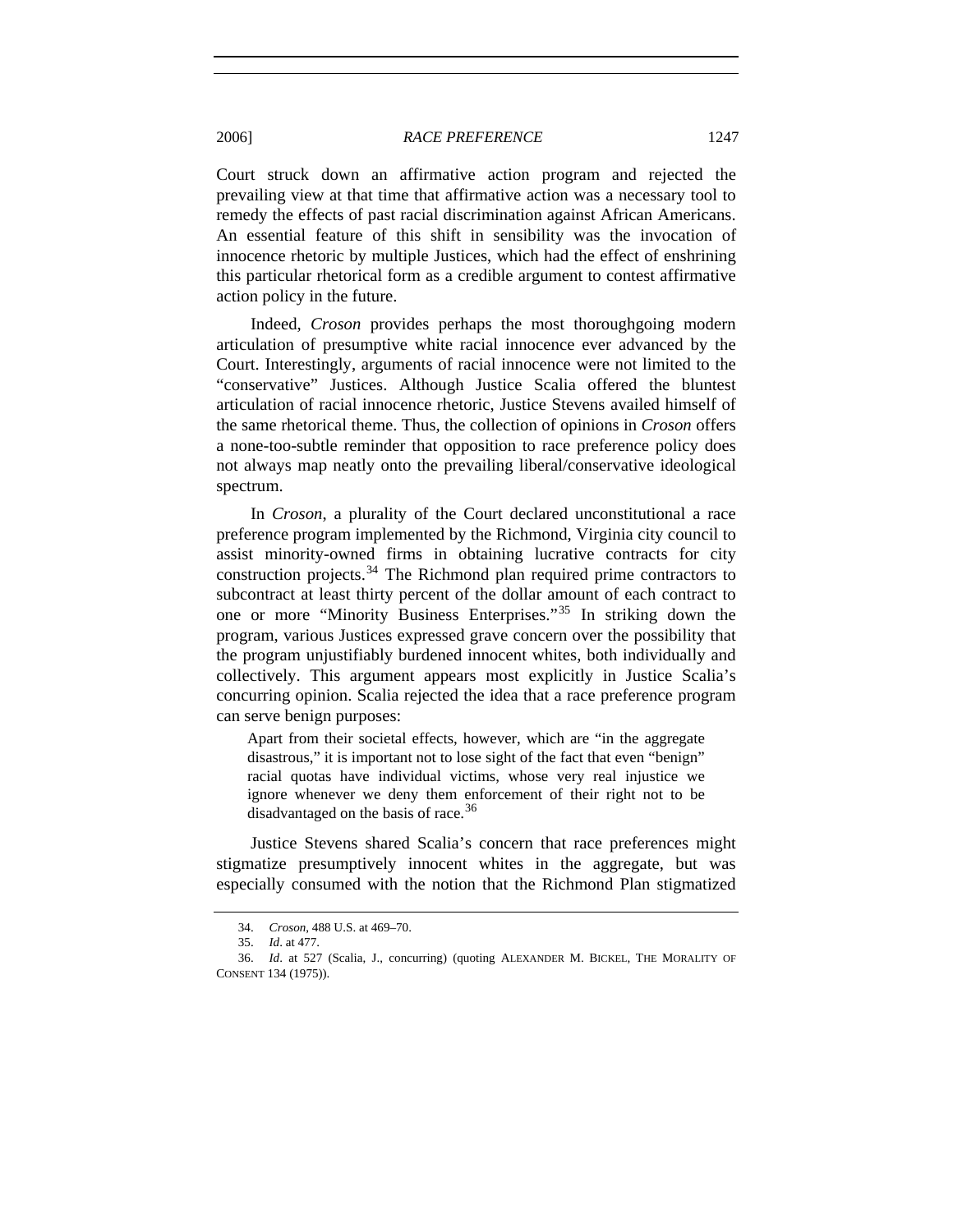Court struck down an affirmative action program and rejected the prevailing view at that time that affirmative action was a necessary tool to remedy the effects of past racial discrimination against African Americans. An essential feature of this shift in sensibility was the invocation of innocence rhetoric by multiple Justices, which had the effect of enshrining this particular rhetorical form as a credible argument to contest affirmative action policy in the future.

Indeed, *Croson* provides perhaps the most thoroughgoing modern articulation of presumptive white racial innocence ever advanced by the Court. Interestingly, arguments of racial innocence were not limited to the "conservative" Justices. Although Justice Scalia offered the bluntest articulation of racial innocence rhetoric, Justice Stevens availed himself of the same rhetorical theme. Thus, the collection of opinions in *Croson* offers a none-too-subtle reminder that opposition to race preference policy does not always map neatly onto the prevailing liberal/conservative ideological spectrum.

In *Croson*, a plurality of the Court declared unconstitutional a race preference program implemented by the Richmond, Virginia city council to assist minority-owned firms in obtaining lucrative contracts for city construction projects.[34](#page-16-0) The Richmond plan required prime contractors to subcontract at least thirty percent of the dollar amount of each contract to one or more "Minority Business Enterprises."[35](#page-16-1) In striking down the program, various Justices expressed grave concern over the possibility that the program unjustifiably burdened innocent whites, both individually and collectively. This argument appears most explicitly in Justice Scalia's concurring opinion. Scalia rejected the idea that a race preference program can serve benign purposes:

Apart from their societal effects, however, which are "in the aggregate disastrous," it is important not to lose sight of the fact that even "benign" racial quotas have individual victims, whose very real injustice we ignore whenever we deny them enforcement of their right not to be disadvantaged on the basis of race.<sup>[36](#page-16-2)</sup>

Justice Stevens shared Scalia's concern that race preferences might stigmatize presumptively innocent whites in the aggregate, but was especially consumed with the notion that the Richmond Plan stigmatized

 <sup>34.</sup> *Croson*, 488 U.S. at 469–70.

 <sup>35.</sup> *Id*. at 477.

<span id="page-16-2"></span><span id="page-16-1"></span><span id="page-16-0"></span><sup>36.</sup> *Id*. at 527 (Scalia, J., concurring) (quoting ALEXANDER M. BICKEL, THE MORALITY OF CONSENT 134 (1975)).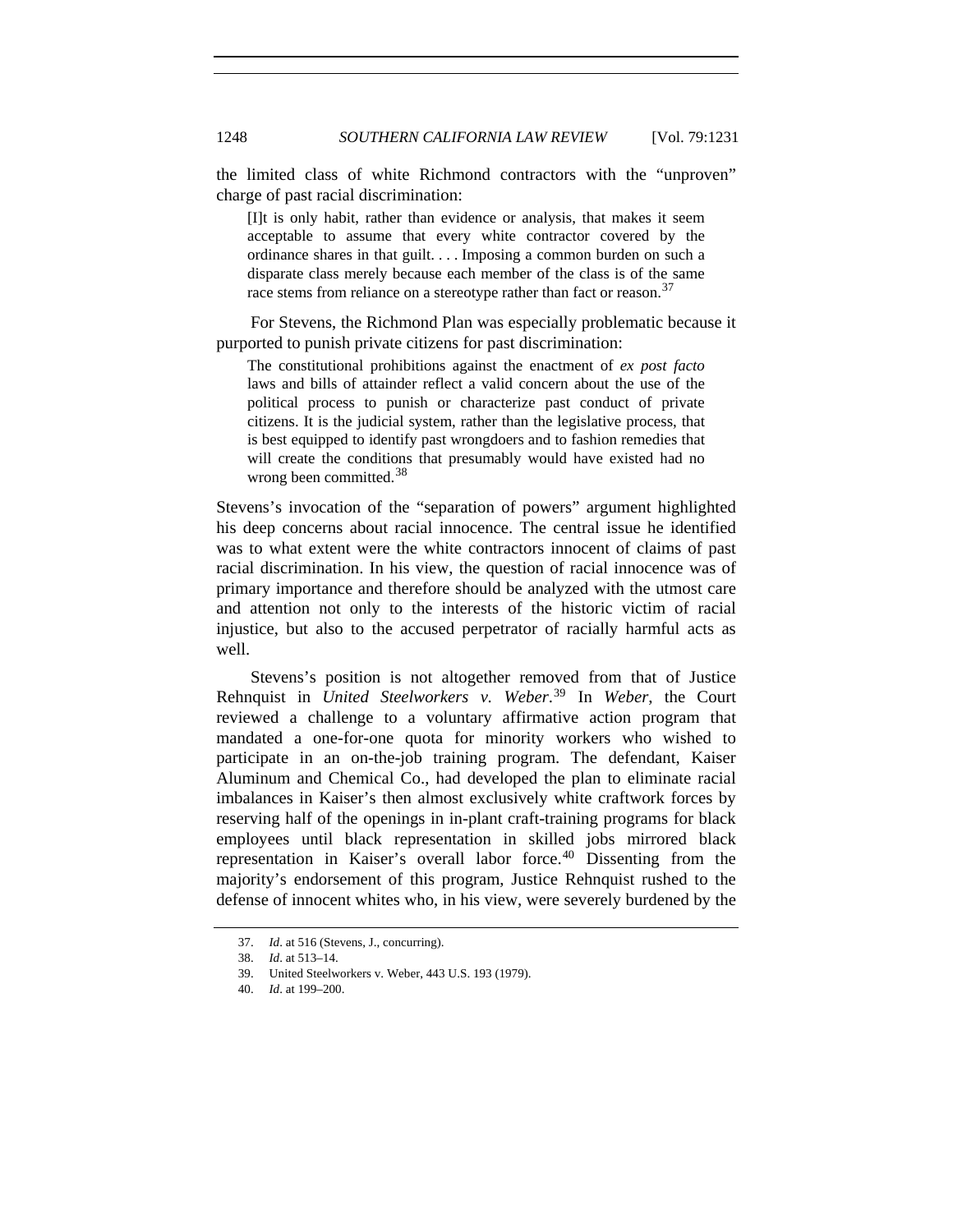the limited class of white Richmond contractors with the "unproven" charge of past racial discrimination:

[I]t is only habit, rather than evidence or analysis, that makes it seem acceptable to assume that every white contractor covered by the ordinance shares in that guilt. . . . Imposing a common burden on such a disparate class merely because each member of the class is of the same race stems from reliance on a stereotype rather than fact or reason.<sup>[37](#page-17-0)</sup>

For Stevens, the Richmond Plan was especially problematic because it purported to punish private citizens for past discrimination:

The constitutional prohibitions against the enactment of *ex post facto* laws and bills of attainder reflect a valid concern about the use of the political process to punish or characterize past conduct of private citizens. It is the judicial system, rather than the legislative process, that is best equipped to identify past wrongdoers and to fashion remedies that will create the conditions that presumably would have existed had no wrong been committed.<sup>[38](#page-17-1)</sup>

Stevens's invocation of the "separation of powers" argument highlighted his deep concerns about racial innocence. The central issue he identified was to what extent were the white contractors innocent of claims of past racial discrimination. In his view, the question of racial innocence was of primary importance and therefore should be analyzed with the utmost care and attention not only to the interests of the historic victim of racial injustice, but also to the accused perpetrator of racially harmful acts as well.

Stevens's position is not altogether removed from that of Justice Rehnquist in *United Steelworkers v. Weber*. [39](#page-17-2) In *Weber*, the Court reviewed a challenge to a voluntary affirmative action program that mandated a one-for-one quota for minority workers who wished to participate in an on-the-job training program. The defendant, Kaiser Aluminum and Chemical Co., had developed the plan to eliminate racial imbalances in Kaiser's then almost exclusively white craftwork forces by reserving half of the openings in in-plant craft-training programs for black employees until black representation in skilled jobs mirrored black representation in Kaiser's overall labor force.<sup>[40](#page-17-3)</sup> Dissenting from the majority's endorsement of this program, Justice Rehnquist rushed to the defense of innocent whites who, in his view, were severely burdened by the

<span id="page-17-1"></span><span id="page-17-0"></span><sup>37.</sup> *Id*. at 516 (Stevens, J., concurring).

<span id="page-17-2"></span><sup>38.</sup> *Id*. at 513–14.

<sup>39.</sup> United Steelworkers v. Weber, 443 U.S. 193 (1979).

<span id="page-17-3"></span><sup>40.</sup> *Id*. at 199–200.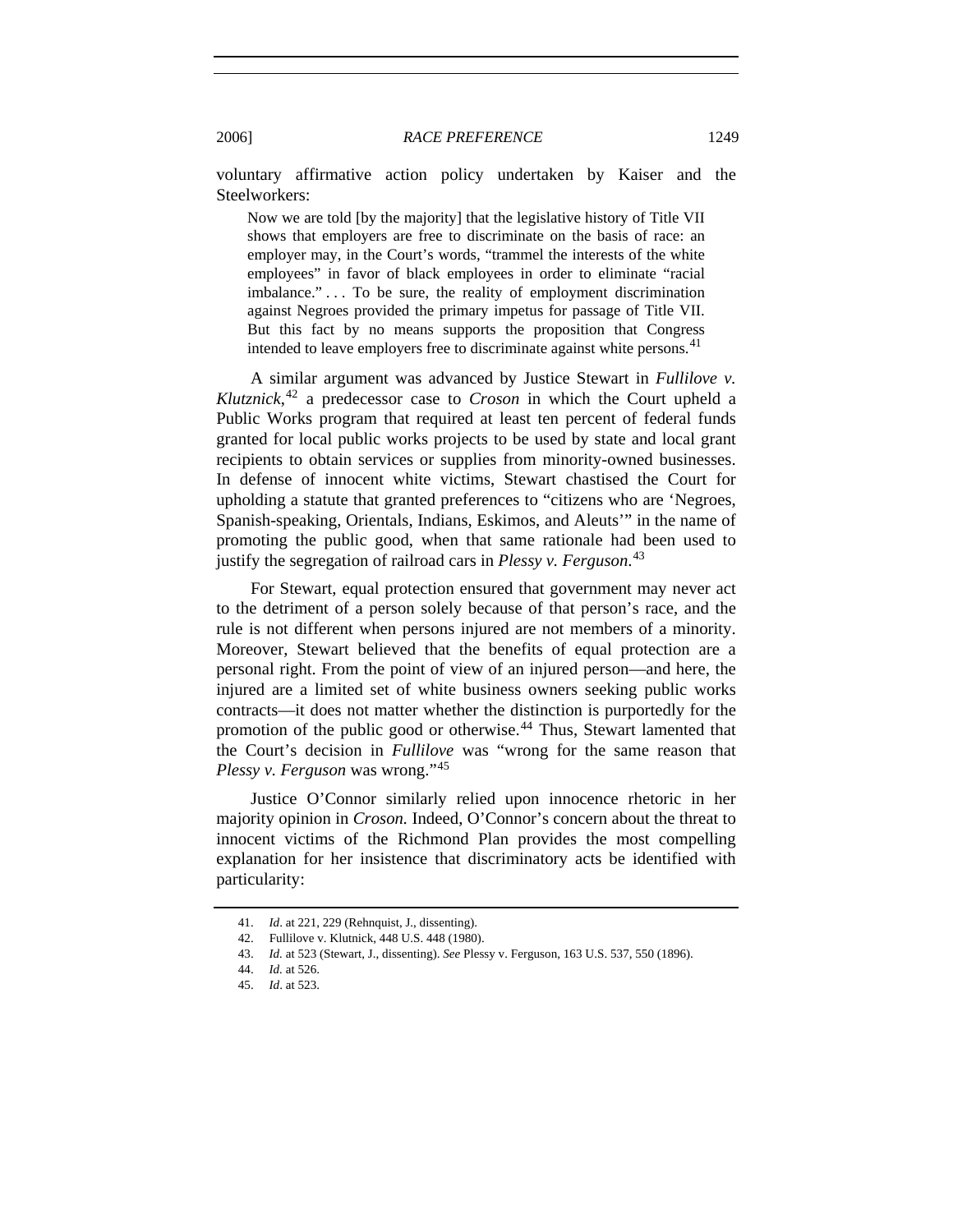voluntary affirmative action policy undertaken by Kaiser and the Steelworkers:

Now we are told [by the majority] that the legislative history of Title VII shows that employers are free to discriminate on the basis of race: an employer may, in the Court's words, "trammel the interests of the white employees" in favor of black employees in order to eliminate "racial imbalance." . . . To be sure, the reality of employment discrimination against Negroes provided the primary impetus for passage of Title VII. But this fact by no means supports the proposition that Congress intended to leave employers free to discriminate against white persons.<sup>[41](#page-18-0)</sup>

A similar argument was advanced by Justice Stewart in *Fullilove v. Klutznick*, [42](#page-18-1) a predecessor case to *Croson* in which the Court upheld a Public Works program that required at least ten percent of federal funds granted for local public works projects to be used by state and local grant recipients to obtain services or supplies from minority-owned businesses. In defense of innocent white victims, Stewart chastised the Court for upholding a statute that granted preferences to "citizens who are 'Negroes, Spanish-speaking, Orientals, Indians, Eskimos, and Aleuts'" in the name of promoting the public good, when that same rationale had been used to justify the segregation of railroad cars in *Plessy v. Ferguson*. [43](#page-18-2)

For Stewart, equal protection ensured that government may never act to the detriment of a person solely because of that person's race, and the rule is not different when persons injured are not members of a minority. Moreover, Stewart believed that the benefits of equal protection are a personal right. From the point of view of an injured person—and here, the injured are a limited set of white business owners seeking public works contracts—it does not matter whether the distinction is purportedly for the promotion of the public good or otherwise.<sup>[44](#page-18-3)</sup> Thus, Stewart lamented that the Court's decision in *Fullilove* was "wrong for the same reason that *Plessy v. Ferguson* was wrong."[45](#page-18-4)

Justice O'Connor similarly relied upon innocence rhetoric in her majority opinion in *Croson.* Indeed, O'Connor's concern about the threat to innocent victims of the Richmond Plan provides the most compelling explanation for her insistence that discriminatory acts be identified with particularity:

<sup>41.</sup> *Id*. at 221, 229 (Rehnquist, J., dissenting).

<span id="page-18-1"></span><span id="page-18-0"></span><sup>42.</sup> Fullilove v. Klutnick, 448 U.S. 448 (1980).

<sup>43.</sup> *Id.* at 523 (Stewart, J., dissenting). *See* Plessy v. Ferguson, 163 U.S. 537, 550 (1896).

<span id="page-18-4"></span><span id="page-18-3"></span><span id="page-18-2"></span><sup>44.</sup> *Id.* at 526.

<sup>45.</sup> *Id*. at 523.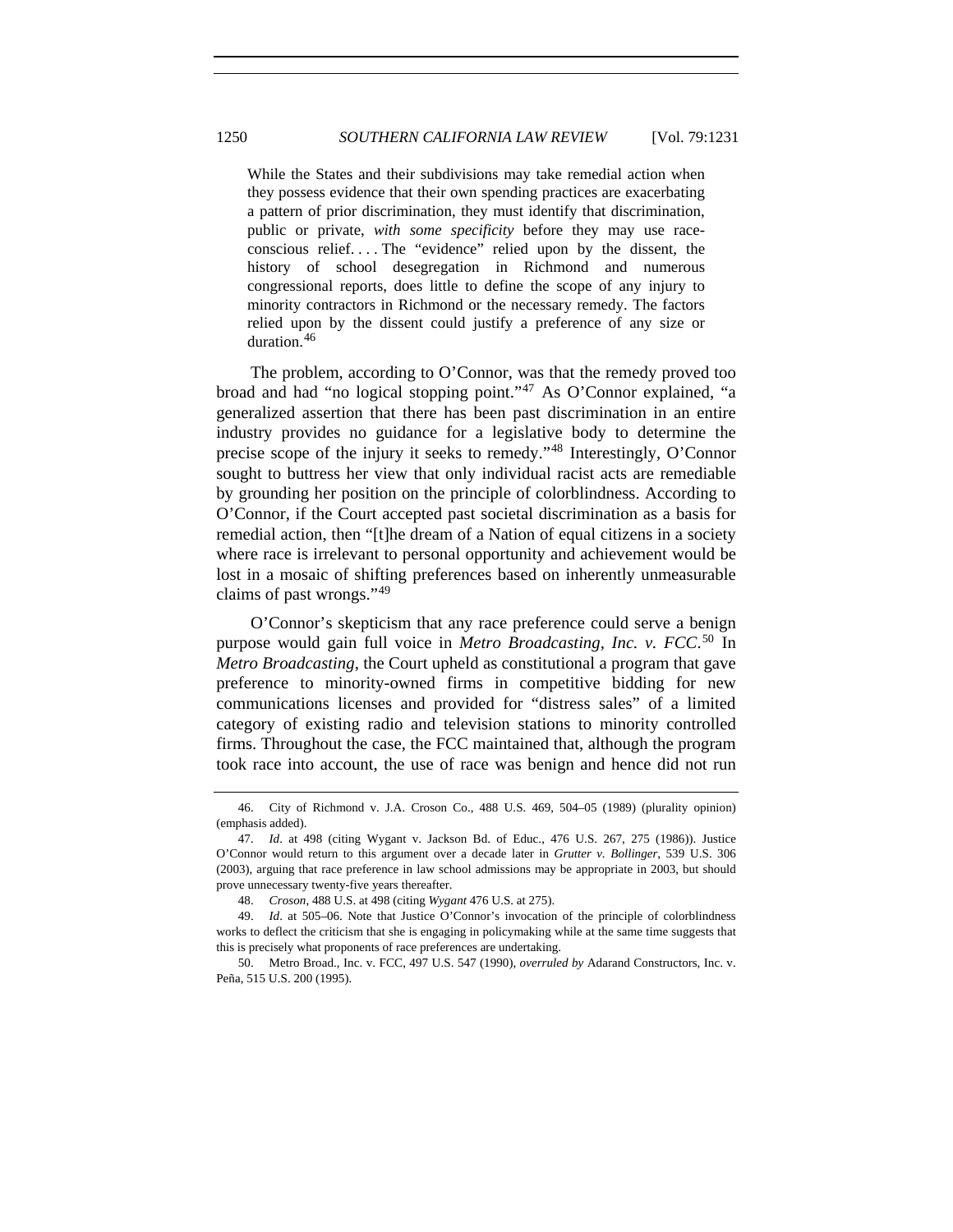While the States and their subdivisions may take remedial action when they possess evidence that their own spending practices are exacerbating a pattern of prior discrimination, they must identify that discrimination, public or private, *with some specificity* before they may use raceconscious relief. . . . The "evidence" relied upon by the dissent, the history of school desegregation in Richmond and numerous congressional reports, does little to define the scope of any injury to minority contractors in Richmond or the necessary remedy. The factors relied upon by the dissent could justify a preference of any size or duration.[46](#page-19-0)

The problem, according to O'Connor, was that the remedy proved too broad and had "no logical stopping point."[47](#page-19-1) As O'Connor explained, "a generalized assertion that there has been past discrimination in an entire industry provides no guidance for a legislative body to determine the precise scope of the injury it seeks to remedy."[48](#page-19-2) Interestingly, O'Connor sought to buttress her view that only individual racist acts are remediable by grounding her position on the principle of colorblindness. According to O'Connor, if the Court accepted past societal discrimination as a basis for remedial action, then "[t]he dream of a Nation of equal citizens in a society where race is irrelevant to personal opportunity and achievement would be lost in a mosaic of shifting preferences based on inherently unmeasurable claims of past wrongs."[49](#page-19-3)

O'Connor's skepticism that any race preference could serve a benign purpose would gain full voice in *Metro Broadcasting, Inc. v. FCC*. [50](#page-19-4) In *Metro Broadcasting*, the Court upheld as constitutional a program that gave preference to minority-owned firms in competitive bidding for new communications licenses and provided for "distress sales" of a limited category of existing radio and television stations to minority controlled firms. Throughout the case, the FCC maintained that, although the program took race into account, the use of race was benign and hence did not run

<span id="page-19-0"></span><sup>46.</sup> City of Richmond v. J.A. Croson Co., 488 U.S. 469, 504–05 (1989) (plurality opinion) (emphasis added).

<span id="page-19-1"></span><sup>47.</sup> *Id*. at 498 (citing Wygant v. Jackson Bd. of Educ., 476 U.S. 267, 275 (1986)). Justice O'Connor would return to this argument over a decade later in *Grutter v. Bollinger*, 539 U.S. 306 (2003), arguing that race preference in law school admissions may be appropriate in 2003, but should prove unnecessary twenty-five years thereafter.

<sup>48.</sup> *Croson*, 488 U.S. at 498 (citing *Wygant* 476 U.S. at 275).

<span id="page-19-3"></span><span id="page-19-2"></span><sup>49.</sup> *Id*. at 505–06. Note that Justice O'Connor's invocation of the principle of colorblindness works to deflect the criticism that she is engaging in policymaking while at the same time suggests that this is precisely what proponents of race preferences are undertaking.

<span id="page-19-4"></span><sup>50.</sup> Metro Broad., Inc. v. FCC, 497 U.S. 547 (1990), *overruled by* Adarand Constructors, Inc. v. Peña, 515 U.S. 200 (1995).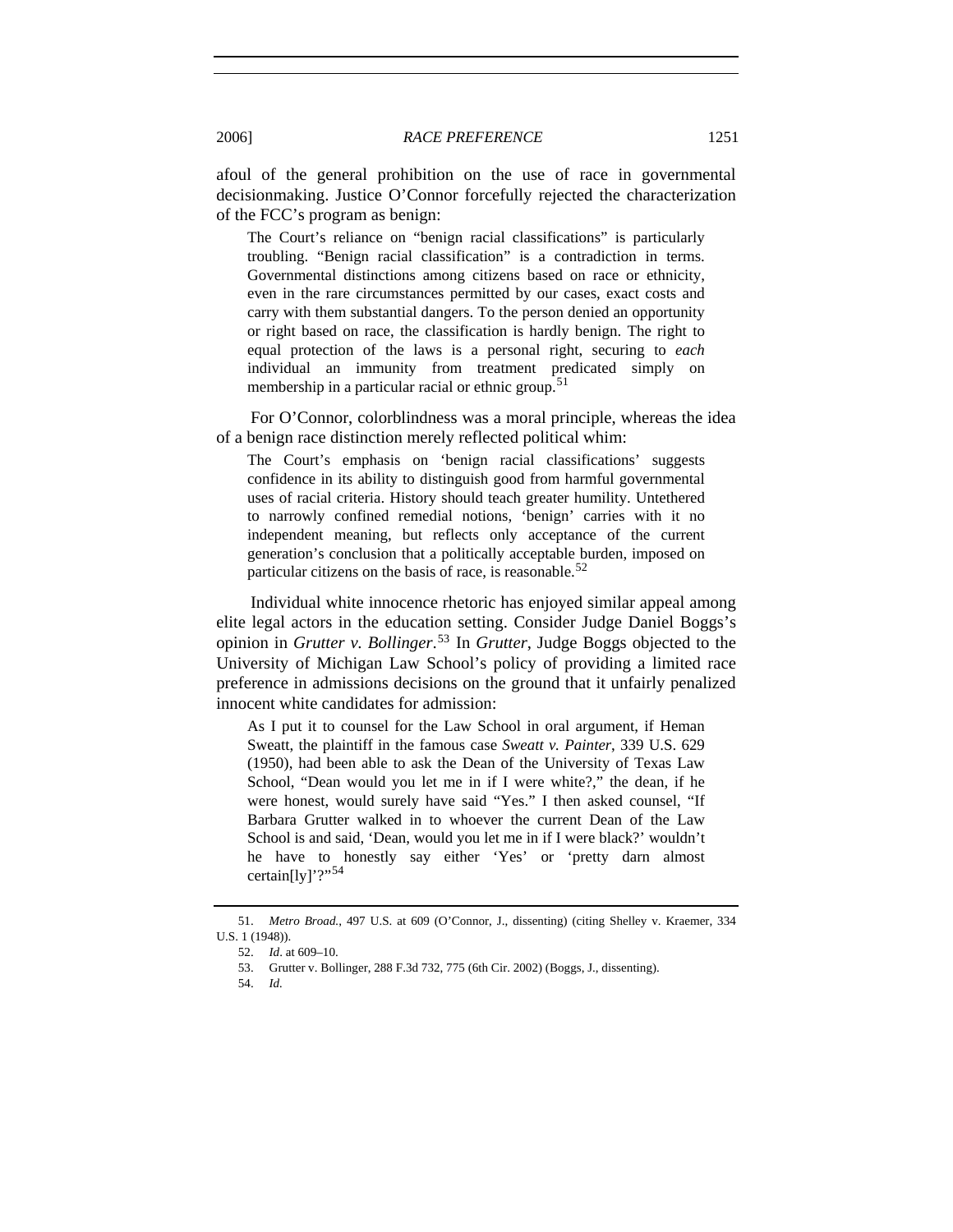afoul of the general prohibition on the use of race in governmental decisionmaking. Justice O'Connor forcefully rejected the characterization of the FCC's program as benign:

The Court's reliance on "benign racial classifications" is particularly troubling. "Benign racial classification" is a contradiction in terms. Governmental distinctions among citizens based on race or ethnicity, even in the rare circumstances permitted by our cases, exact costs and carry with them substantial dangers. To the person denied an opportunity or right based on race, the classification is hardly benign. The right to equal protection of the laws is a personal right, securing to *each* individual an immunity from treatment predicated simply on membership in a particular racial or ethnic group.<sup>[51](#page-20-0)</sup>

For O'Connor, colorblindness was a moral principle, whereas the idea of a benign race distinction merely reflected political whim:

The Court's emphasis on 'benign racial classifications' suggests confidence in its ability to distinguish good from harmful governmental uses of racial criteria. History should teach greater humility. Untethered to narrowly confined remedial notions, 'benign' carries with it no independent meaning, but reflects only acceptance of the current generation's conclusion that a politically acceptable burden, imposed on particular citizens on the basis of race, is reasonable.<sup>[52](#page-20-1)</sup>

Individual white innocence rhetoric has enjoyed similar appeal among elite legal actors in the education setting. Consider Judge Daniel Boggs's opinion in *Grutter v. Bollinger*. [53](#page-20-2) In *Grutter*, Judge Boggs objected to the University of Michigan Law School's policy of providing a limited race preference in admissions decisions on the ground that it unfairly penalized innocent white candidates for admission:

As I put it to counsel for the Law School in oral argument, if Heman Sweatt, the plaintiff in the famous case *Sweatt v. Painter*, 339 U.S. 629 (1950), had been able to ask the Dean of the University of Texas Law School, "Dean would you let me in if I were white?," the dean, if he were honest, would surely have said "Yes." I then asked counsel, "If Barbara Grutter walked in to whoever the current Dean of the Law School is and said, 'Dean, would you let me in if I were black?' wouldn't he have to honestly say either 'Yes' or 'pretty darn almost certain $[ly]'$ ?"<sup>[54](#page-20-3)</sup>

<span id="page-20-3"></span><span id="page-20-2"></span><span id="page-20-1"></span><span id="page-20-0"></span><sup>51.</sup> *Metro Broad.*, 497 U.S. at 609 (O'Connor, J., dissenting) (citing Shelley v. Kraemer, 334 U.S. 1 (1948)).

<sup>52.</sup> *Id*. at 609–10.

<sup>53.</sup> Grutter v. Bollinger, 288 F.3d 732, 775 (6th Cir. 2002) (Boggs, J., dissenting).

<sup>54.</sup> *Id.*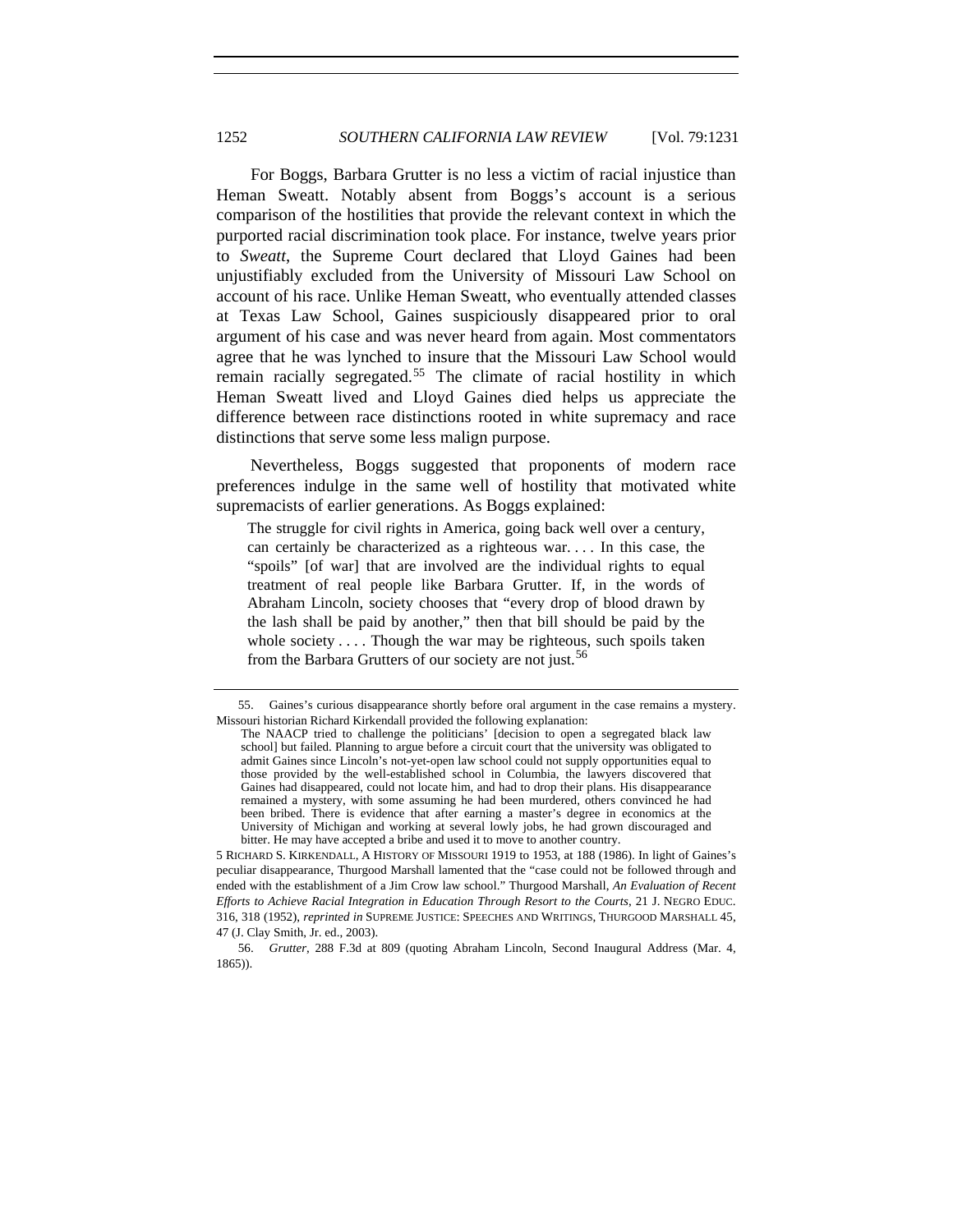For Boggs, Barbara Grutter is no less a victim of racial injustice than Heman Sweatt. Notably absent from Boggs's account is a serious comparison of the hostilities that provide the relevant context in which the purported racial discrimination took place. For instance, twelve years prior to *Sweatt*, the Supreme Court declared that Lloyd Gaines had been unjustifiably excluded from the University of Missouri Law School on account of his race. Unlike Heman Sweatt, who eventually attended classes at Texas Law School, Gaines suspiciously disappeared prior to oral argument of his case and was never heard from again. Most commentators agree that he was lynched to insure that the Missouri Law School would remain racially segregated.<sup>[55](#page-21-0)</sup> The climate of racial hostility in which Heman Sweatt lived and Lloyd Gaines died helps us appreciate the difference between race distinctions rooted in white supremacy and race distinctions that serve some less malign purpose.

Nevertheless, Boggs suggested that proponents of modern race preferences indulge in the same well of hostility that motivated white supremacists of earlier generations. As Boggs explained:

The struggle for civil rights in America, going back well over a century, can certainly be characterized as a righteous war. . . . In this case, the "spoils" [of war] that are involved are the individual rights to equal treatment of real people like Barbara Grutter. If, in the words of Abraham Lincoln, society chooses that "every drop of blood drawn by the lash shall be paid by another," then that bill should be paid by the whole society . . . . Though the war may be righteous, such spoils taken from the Barbara Grutters of our society are not just.<sup>[56](#page-21-1)</sup>

<span id="page-21-0"></span><sup>55.</sup> Gaines's curious disappearance shortly before oral argument in the case remains a mystery. Missouri historian Richard Kirkendall provided the following explanation:

The NAACP tried to challenge the politicians' [decision to open a segregated black law school] but failed. Planning to argue before a circuit court that the university was obligated to admit Gaines since Lincoln's not-yet-open law school could not supply opportunities equal to those provided by the well-established school in Columbia, the lawyers discovered that Gaines had disappeared, could not locate him, and had to drop their plans. His disappearance remained a mystery, with some assuming he had been murdered, others convinced he had been bribed. There is evidence that after earning a master's degree in economics at the University of Michigan and working at several lowly jobs, he had grown discouraged and bitter. He may have accepted a bribe and used it to move to another country.

<sup>5</sup> RICHARD S. KIRKENDALL, A HISTORY OF MISSOURI 1919 to 1953, at 188 (1986). In light of Gaines's peculiar disappearance, Thurgood Marshall lamented that the "case could not be followed through and ended with the establishment of a Jim Crow law school." Thurgood Marshall, *An Evaluation of Recent Efforts to Achieve Racial Integration in Education Through Resort to the Courts*, 21 J. NEGRO EDUC. 316, 318 (1952), *reprinted in* SUPREME JUSTICE: SPEECHES AND WRITINGS, THURGOOD MARSHALL 45, 47 (J. Clay Smith, Jr. ed., 2003).

<span id="page-21-1"></span><sup>56.</sup> *Grutter*, 288 F.3d at 809 (quoting Abraham Lincoln, Second Inaugural Address (Mar. 4, 1865)).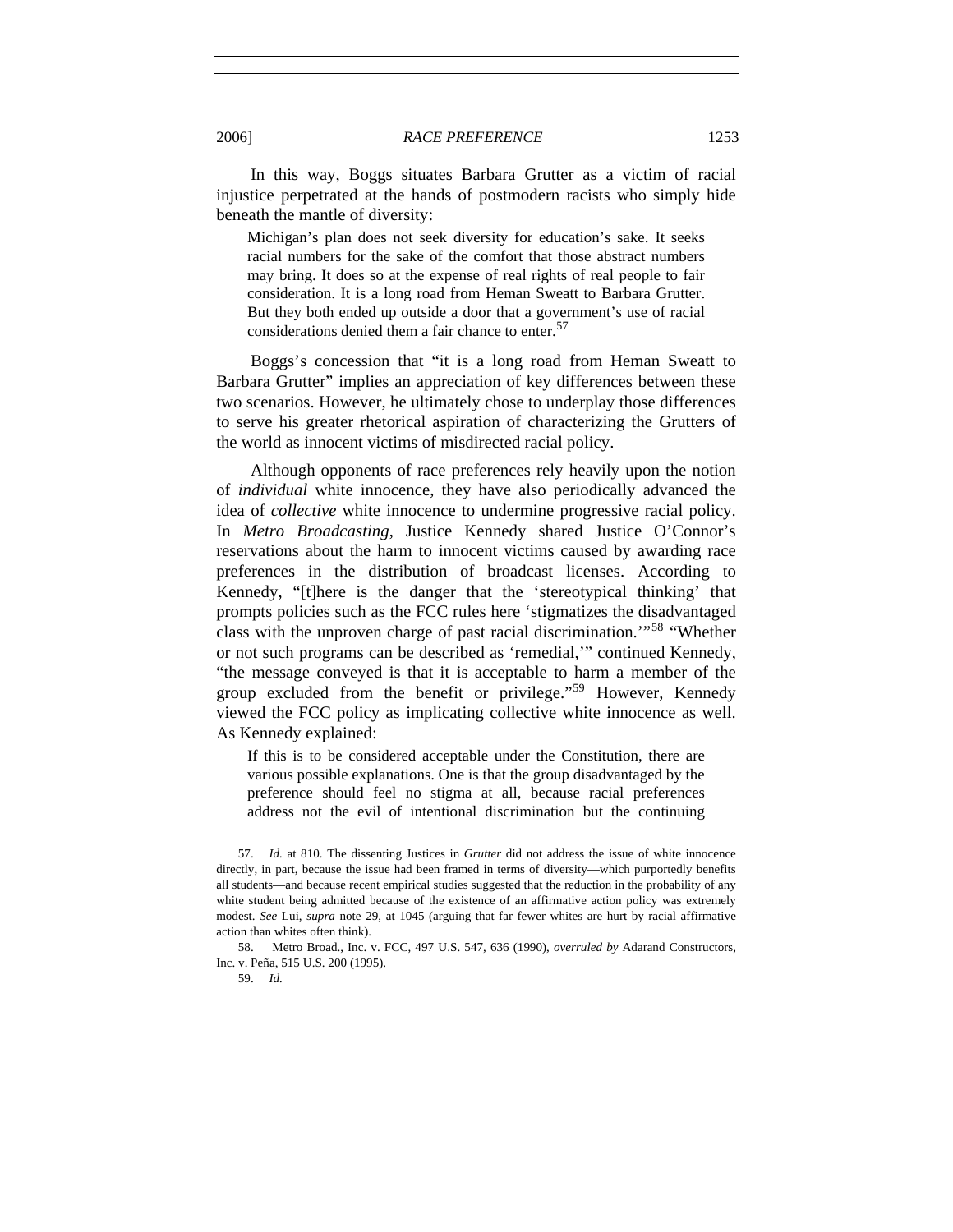In this way, Boggs situates Barbara Grutter as a victim of racial injustice perpetrated at the hands of postmodern racists who simply hide beneath the mantle of diversity:

Michigan's plan does not seek diversity for education's sake. It seeks racial numbers for the sake of the comfort that those abstract numbers may bring. It does so at the expense of real rights of real people to fair consideration. It is a long road from Heman Sweatt to Barbara Grutter. But they both ended up outside a door that a government's use of racial considerations denied them a fair chance to enter.<sup>[57](#page-22-0)</sup>

Boggs's concession that "it is a long road from Heman Sweatt to Barbara Grutter" implies an appreciation of key differences between these two scenarios. However, he ultimately chose to underplay those differences to serve his greater rhetorical aspiration of characterizing the Grutters of the world as innocent victims of misdirected racial policy.

Although opponents of race preferences rely heavily upon the notion of *individual* white innocence, they have also periodically advanced the idea of *collective* white innocence to undermine progressive racial policy. In *Metro Broadcasting*, Justice Kennedy shared Justice O'Connor's reservations about the harm to innocent victims caused by awarding race preferences in the distribution of broadcast licenses. According to Kennedy, "[t]here is the danger that the 'stereotypical thinking' that prompts policies such as the FCC rules here 'stigmatizes the disadvantaged class with the unproven charge of past racial discrimination.'"[58](#page-22-1) "Whether or not such programs can be described as 'remedial,'" continued Kennedy, "the message conveyed is that it is acceptable to harm a member of the group excluded from the benefit or privilege."[59](#page-22-2) However, Kennedy viewed the FCC policy as implicating collective white innocence as well. As Kennedy explained:

If this is to be considered acceptable under the Constitution, there are various possible explanations. One is that the group disadvantaged by the preference should feel no stigma at all, because racial preferences address not the evil of intentional discrimination but the continuing

59. *Id.*

<span id="page-22-0"></span><sup>57.</sup> *Id.* at 810. The dissenting Justices in *Grutter* did not address the issue of white innocence directly, in part, because the issue had been framed in terms of diversity—which purportedly benefits all students—and because recent empirical studies suggested that the reduction in the probability of any white student being admitted because of the existence of an affirmative action policy was extremely modest. *See* Lui, *supra* note 29, at 1045 (arguing that far fewer whites are hurt by racial affirmative action than whites often think).

<span id="page-22-2"></span><span id="page-22-1"></span><sup>58.</sup> Metro Broad., Inc. v. FCC, 497 U.S. 547, 636 (1990), *overruled by* Adarand Constructors, Inc. v. Peña, 515 U.S. 200 (1995).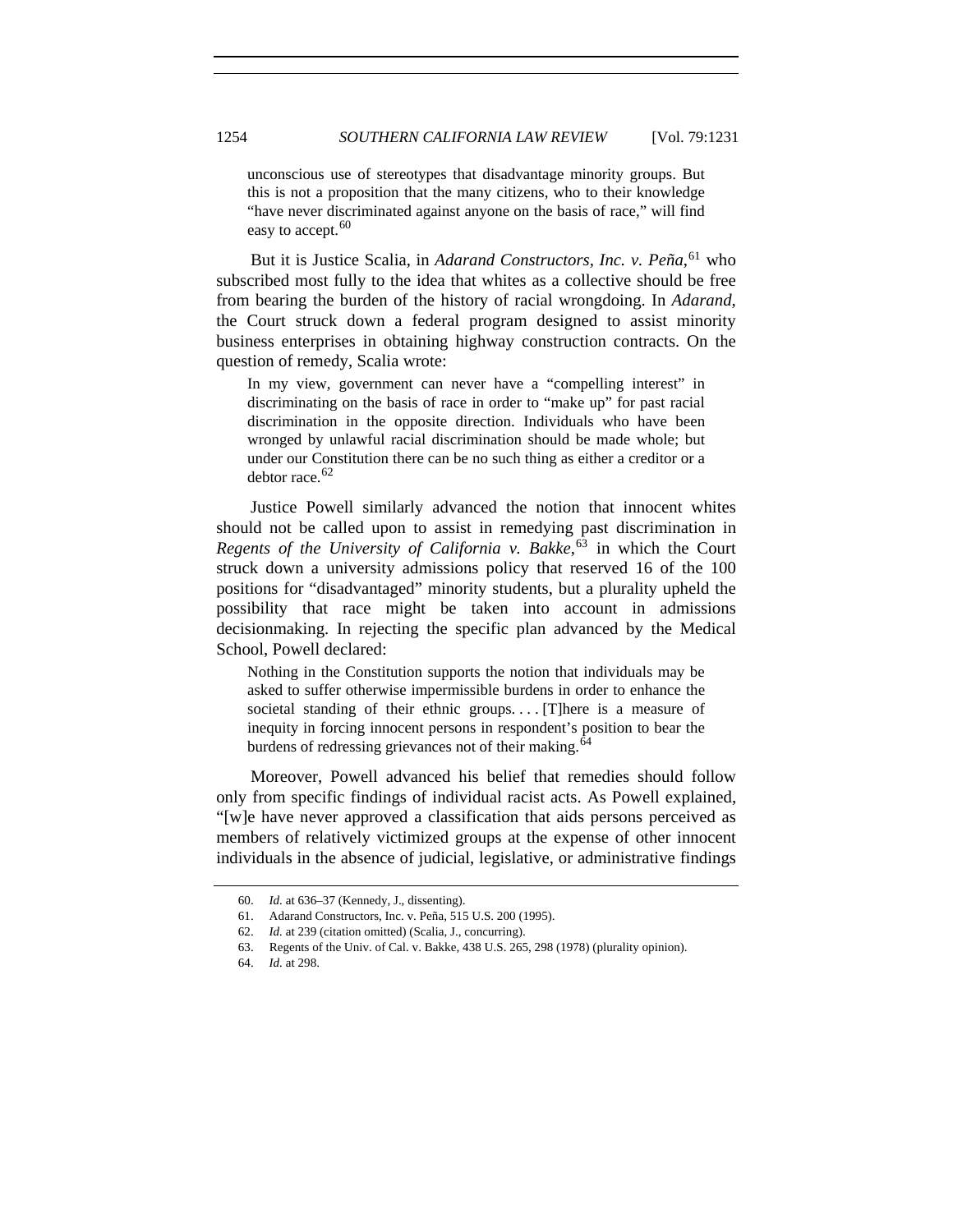unconscious use of stereotypes that disadvantage minority groups. But this is not a proposition that the many citizens, who to their knowledge "have never discriminated against anyone on the basis of race," will find easy to accept.<sup>[60](#page-23-0)</sup>

But it is Justice Scalia, in *Adarand Constructors, Inc. v. Peña*, [61](#page-23-1) who subscribed most fully to the idea that whites as a collective should be free from bearing the burden of the history of racial wrongdoing. In *Adarand*, the Court struck down a federal program designed to assist minority business enterprises in obtaining highway construction contracts. On the question of remedy, Scalia wrote:

In my view, government can never have a "compelling interest" in discriminating on the basis of race in order to "make up" for past racial discrimination in the opposite direction. Individuals who have been wronged by unlawful racial discrimination should be made whole; but under our Constitution there can be no such thing as either a creditor or a debtor race.<sup>[62](#page-23-2)</sup>

Justice Powell similarly advanced the notion that innocent whites should not be called upon to assist in remedying past discrimination in *Regents of the University of California v. Bakke*, [63](#page-23-3) in which the Court struck down a university admissions policy that reserved 16 of the 100 positions for "disadvantaged" minority students, but a plurality upheld the possibility that race might be taken into account in admissions decisionmaking. In rejecting the specific plan advanced by the Medical School, Powell declared:

Nothing in the Constitution supports the notion that individuals may be asked to suffer otherwise impermissible burdens in order to enhance the societal standing of their ethnic groups.... [T]here is a measure of inequity in forcing innocent persons in respondent's position to bear the burdens of redressing grievances not of their making.<sup>[64](#page-23-4)</sup>

Moreover, Powell advanced his belief that remedies should follow only from specific findings of individual racist acts. As Powell explained, "[w]e have never approved a classification that aids persons perceived as members of relatively victimized groups at the expense of other innocent individuals in the absence of judicial, legislative, or administrative findings

<sup>60.</sup> *Id.* at 636–37 (Kennedy, J., dissenting).

<span id="page-23-2"></span><span id="page-23-1"></span><span id="page-23-0"></span><sup>61.</sup> Adarand Constructors, Inc. v. Peña, 515 U.S. 200 (1995).

<sup>62.</sup> *Id.* at 239 (citation omitted) (Scalia, J., concurring).

<span id="page-23-3"></span><sup>63.</sup> Regents of the Univ. of Cal. v. Bakke, 438 U.S. 265, 298 (1978) (plurality opinion).

<span id="page-23-4"></span><sup>64.</sup> *Id.* at 298.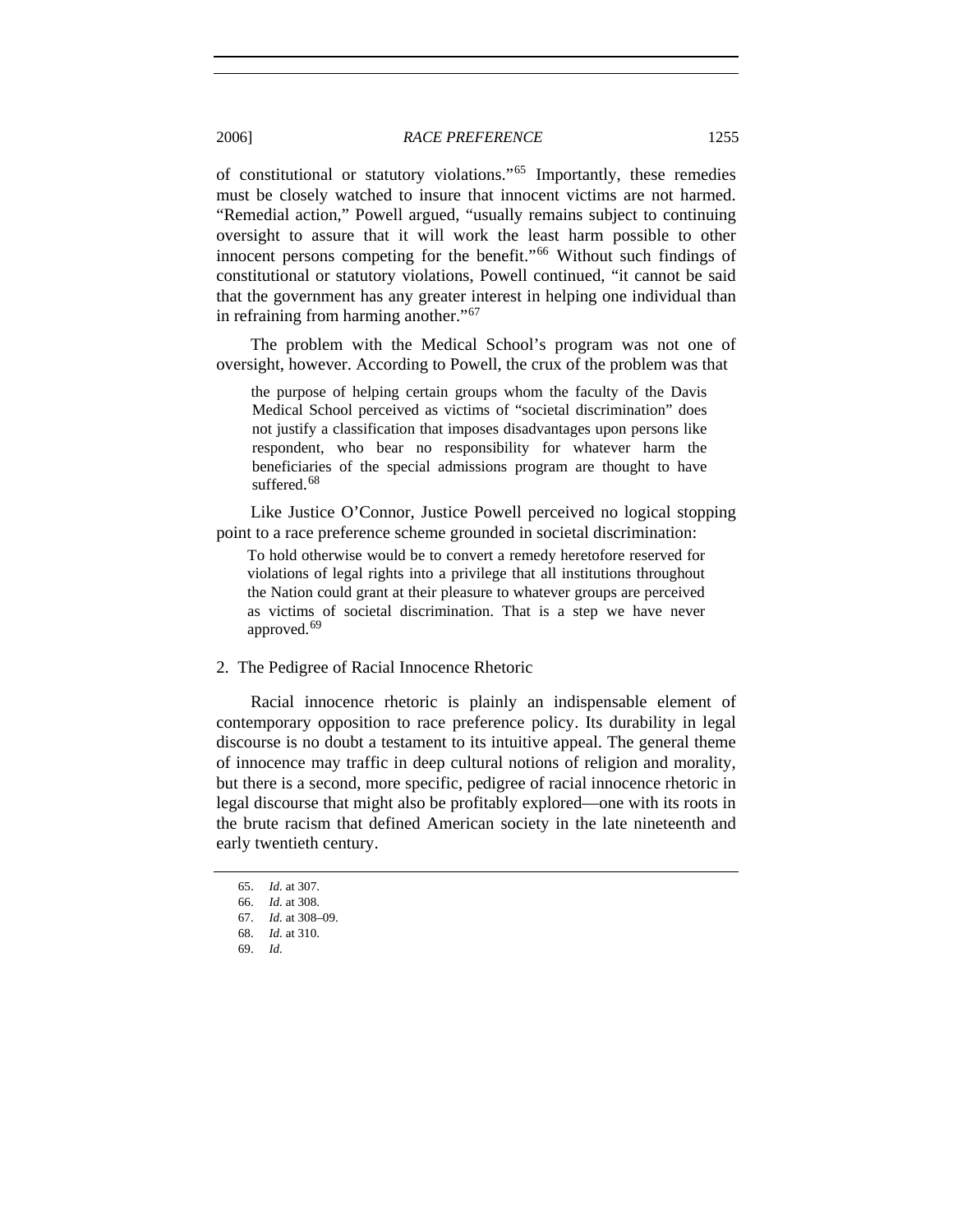of constitutional or statutory violations."[65](#page-24-1) Importantly, these remedies must be closely watched to insure that innocent victims are not harmed. "Remedial action," Powell argued, "usually remains subject to continuing oversight to assure that it will work the least harm possible to other innocent persons competing for the benefit."<sup>[66](#page-24-2)</sup> Without such findings of constitutional or statutory violations, Powell continued, "it cannot be said that the government has any greater interest in helping one individual than in refraining from harming another."<sup>[67](#page-24-3)</sup>

The problem with the Medical School's program was not one of oversight, however. According to Powell, the crux of the problem was that

the purpose of helping certain groups whom the faculty of the Davis Medical School perceived as victims of "societal discrimination" does not justify a classification that imposes disadvantages upon persons like respondent, who bear no responsibility for whatever harm the beneficiaries of the special admissions program are thought to have suffered.<sup>[68](#page-24-4)</sup>

Like Justice O'Connor, Justice Powell perceived no logical stopping point to a race preference scheme grounded in societal discrimination:

To hold otherwise would be to convert a remedy heretofore reserved for violations of legal rights into a privilege that all institutions throughout the Nation could grant at their pleasure to whatever groups are perceived as victims of societal discrimination. That is a step we have never approved.<sup>[69](#page-24-5)</sup>

2. The Pedigree of Racial Innocence Rhetoric

Racial innocence rhetoric is plainly an indispensable element of contemporary opposition to race preference policy. Its durability in legal discourse is no doubt a testament to its intuitive appeal. The general theme of innocence may traffic in deep cultural notions of religion and morality, but there is a second, more specific, pedigree of racial innocence rhetoric in legal discourse that might also be profitably explored—one with its roots in the brute racism that defined American society in the late nineteenth and early twentieth century.

<span id="page-24-0"></span>

<sup>65.</sup> *Id.* at 307.

<span id="page-24-3"></span><span id="page-24-2"></span><span id="page-24-1"></span><sup>66.</sup> *Id.* at 308.

<span id="page-24-4"></span><sup>67.</sup> *Id.* at 308–09.

<sup>68.</sup> *Id.* at 310.

<span id="page-24-5"></span><sup>69.</sup> *Id.*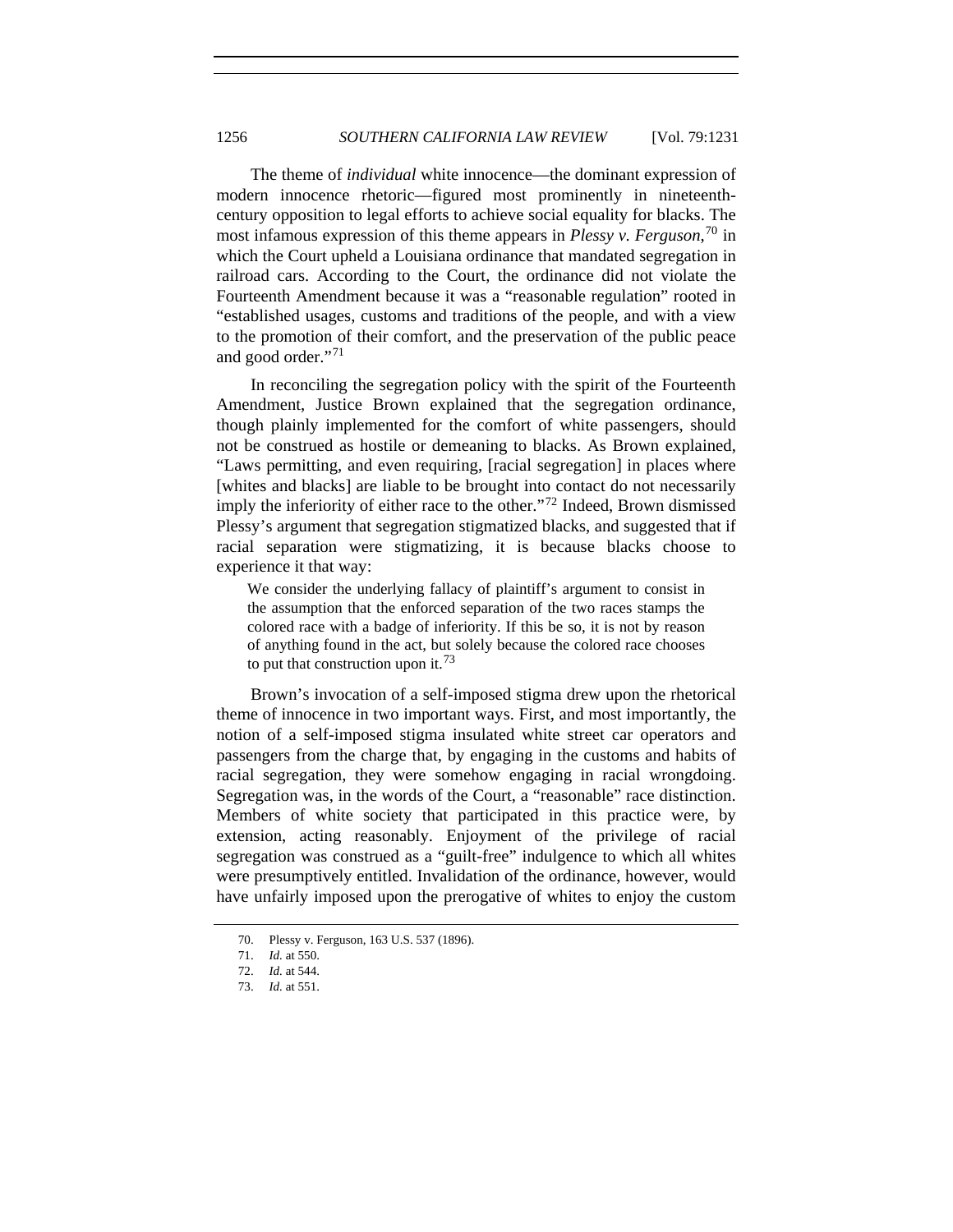The theme of *individual* white innocence—the dominant expression of modern innocence rhetoric—figured most prominently in nineteenthcentury opposition to legal efforts to achieve social equality for blacks. The most infamous expression of this theme appears in *Plessy v. Ferguson*, [70](#page-25-0) in which the Court upheld a Louisiana ordinance that mandated segregation in railroad cars. According to the Court, the ordinance did not violate the Fourteenth Amendment because it was a "reasonable regulation" rooted in "established usages, customs and traditions of the people, and with a view to the promotion of their comfort, and the preservation of the public peace and good order."<sup>[71](#page-25-1)</sup>

In reconciling the segregation policy with the spirit of the Fourteenth Amendment, Justice Brown explained that the segregation ordinance, though plainly implemented for the comfort of white passengers, should not be construed as hostile or demeaning to blacks. As Brown explained, "Laws permitting, and even requiring, [racial segregation] in places where [whites and blacks] are liable to be brought into contact do not necessarily imply the inferiority of either race to the other."[72](#page-25-2) Indeed, Brown dismissed Plessy's argument that segregation stigmatized blacks, and suggested that if racial separation were stigmatizing, it is because blacks choose to experience it that way:

We consider the underlying fallacy of plaintiff's argument to consist in the assumption that the enforced separation of the two races stamps the colored race with a badge of inferiority. If this be so, it is not by reason of anything found in the act, but solely because the colored race chooses to put that construction upon it.<sup>[73](#page-25-3)</sup>

Brown's invocation of a self-imposed stigma drew upon the rhetorical theme of innocence in two important ways. First, and most importantly, the notion of a self-imposed stigma insulated white street car operators and passengers from the charge that, by engaging in the customs and habits of racial segregation, they were somehow engaging in racial wrongdoing. Segregation was, in the words of the Court, a "reasonable" race distinction. Members of white society that participated in this practice were, by extension, acting reasonably. Enjoyment of the privilege of racial segregation was construed as a "guilt-free" indulgence to which all whites were presumptively entitled. Invalidation of the ordinance, however, would have unfairly imposed upon the prerogative of whites to enjoy the custom

<span id="page-25-0"></span><sup>70.</sup> Plessy v. Ferguson, 163 U.S. 537 (1896).

<span id="page-25-1"></span><sup>71.</sup> *Id.* at 550.

<span id="page-25-2"></span><sup>72.</sup> *Id.* at 544.

<span id="page-25-3"></span><sup>73.</sup> *Id.* at 551.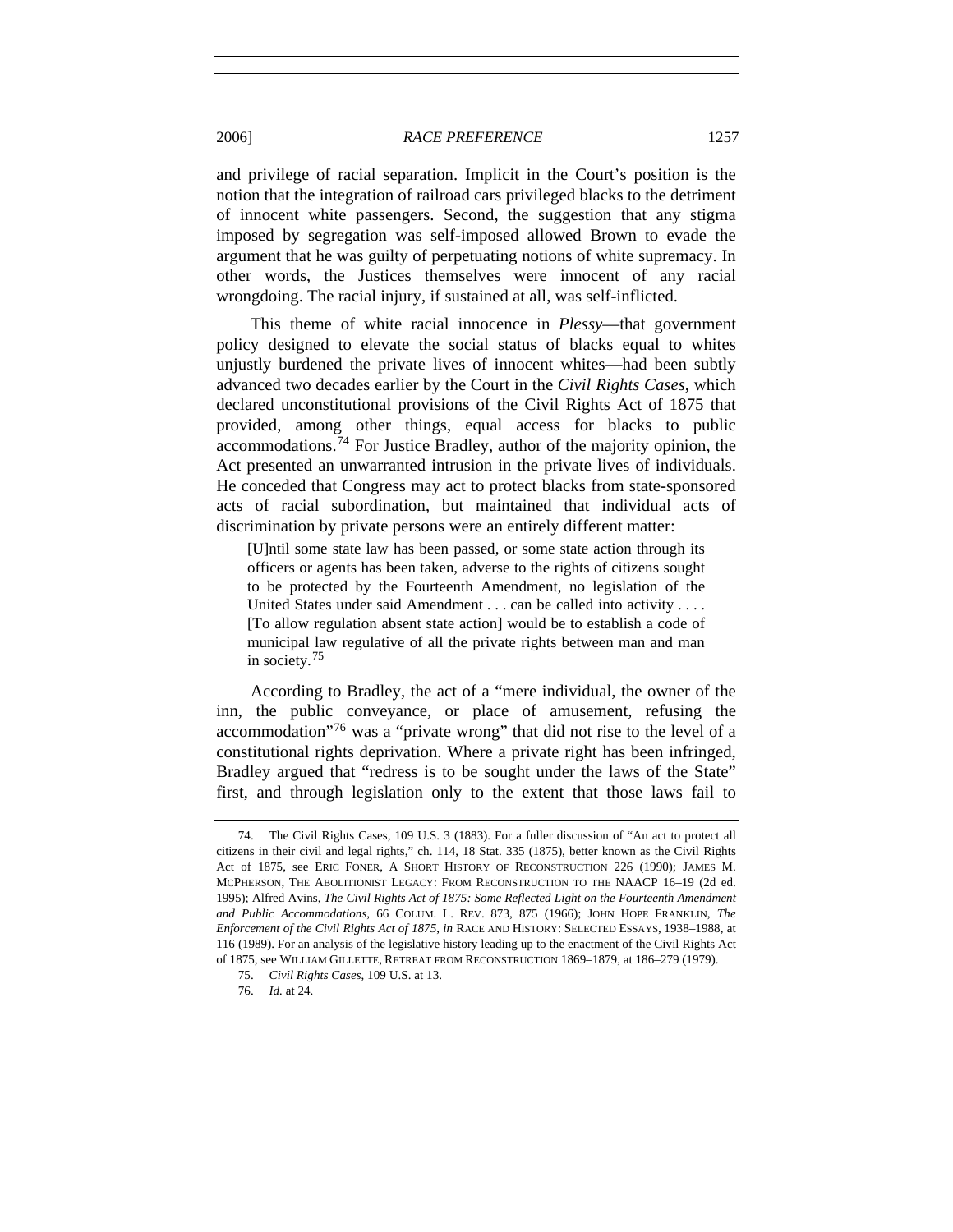and privilege of racial separation. Implicit in the Court's position is the notion that the integration of railroad cars privileged blacks to the detriment of innocent white passengers. Second, the suggestion that any stigma imposed by segregation was self-imposed allowed Brown to evade the argument that he was guilty of perpetuating notions of white supremacy. In other words, the Justices themselves were innocent of any racial wrongdoing. The racial injury, if sustained at all, was self-inflicted.

This theme of white racial innocence in *Plessy*—that government policy designed to elevate the social status of blacks equal to whites unjustly burdened the private lives of innocent whites—had been subtly advanced two decades earlier by the Court in the *Civil Rights Cases*, which declared unconstitutional provisions of the Civil Rights Act of 1875 that provided, among other things, equal access for blacks to public accommodations.<sup>[74](#page-26-0)</sup> For Justice Bradley, author of the majority opinion, the Act presented an unwarranted intrusion in the private lives of individuals. He conceded that Congress may act to protect blacks from state-sponsored acts of racial subordination, but maintained that individual acts of discrimination by private persons were an entirely different matter:

[U]ntil some state law has been passed, or some state action through its officers or agents has been taken, adverse to the rights of citizens sought to be protected by the Fourteenth Amendment, no legislation of the United States under said Amendment . . . can be called into activity . . . . [To allow regulation absent state action] would be to establish a code of municipal law regulative of all the private rights between man and man in society.<sup>[75](#page-26-1)</sup>

According to Bradley, the act of a "mere individual, the owner of the inn, the public conveyance, or place of amusement, refusing the accommodation"[76](#page-26-2) was a "private wrong" that did not rise to the level of a constitutional rights deprivation. Where a private right has been infringed, Bradley argued that "redress is to be sought under the laws of the State" first, and through legislation only to the extent that those laws fail to

<span id="page-26-0"></span><sup>74.</sup> The Civil Rights Cases, 109 U.S. 3 (1883). For a fuller discussion of "An act to protect all citizens in their civil and legal rights," ch. 114, 18 Stat. 335 (1875), better known as the Civil Rights Act of 1875, see ERIC FONER, A SHORT HISTORY OF RECONSTRUCTION 226 (1990); JAMES M. MCPHERSON, THE ABOLITIONIST LEGACY: FROM RECONSTRUCTION TO THE NAACP 16–19 (2d ed. 1995); Alfred Avins, *The Civil Rights Act of 1875: Some Reflected Light on the Fourteenth Amendment and Public Accommodations*, 66 COLUM. L. REV. 873, 875 (1966); JOHN HOPE FRANKLIN, *The Enforcement of the Civil Rights Act of 1875*, *in* RACE AND HISTORY: SELECTED ESSAYS, 1938–1988, at 116 (1989). For an analysis of the legislative history leading up to the enactment of the Civil Rights Act of 1875, see WILLIAM GILLETTE, RETREAT FROM RECONSTRUCTION 1869–1879, at 186–279 (1979).

<span id="page-26-1"></span><sup>75.</sup> *Civil Rights Cases*, 109 U.S. at 13.

<span id="page-26-2"></span><sup>76.</sup> *Id.* at 24.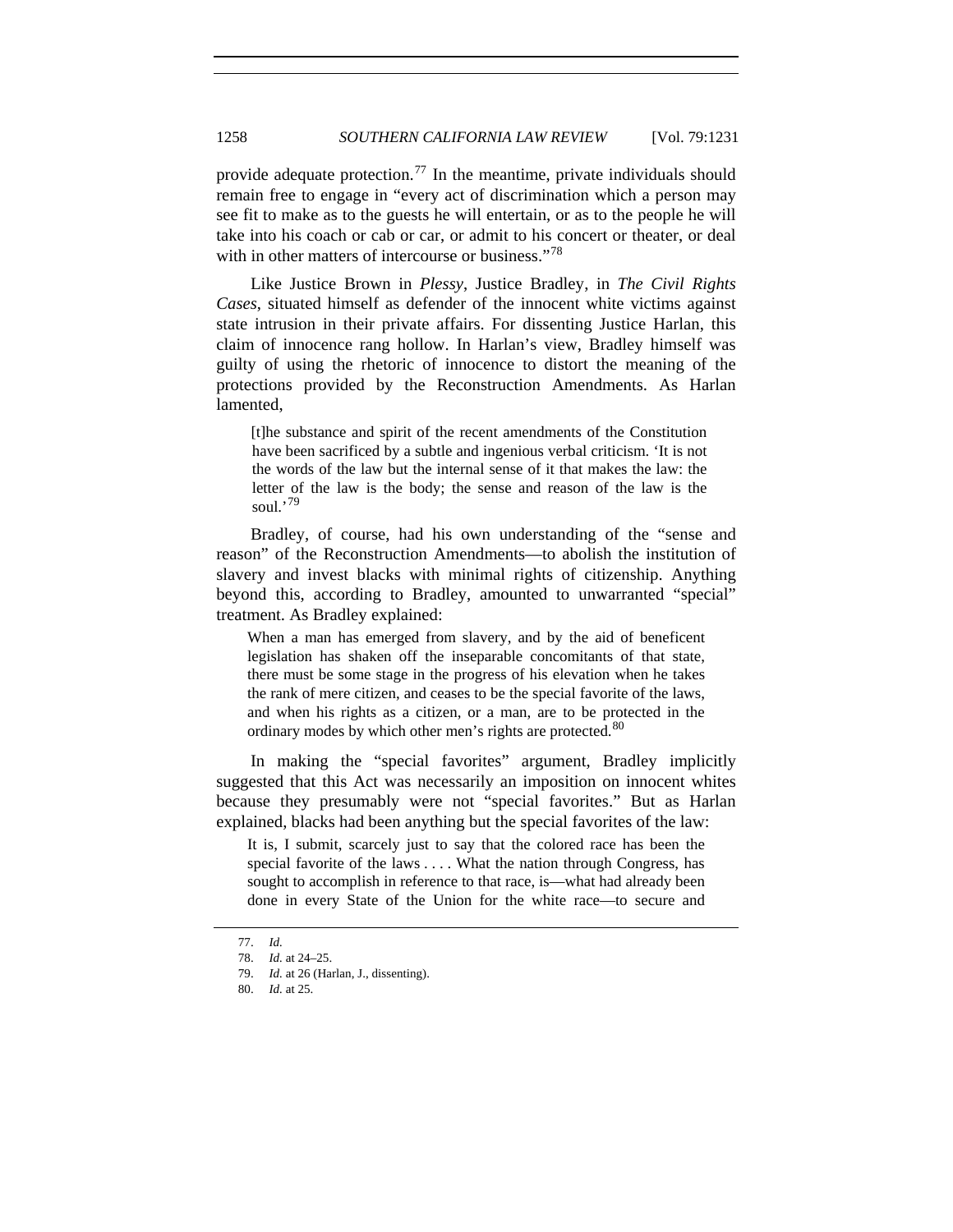provide adequate protection.<sup>[77](#page-27-0)</sup> In the meantime, private individuals should remain free to engage in "every act of discrimination which a person may see fit to make as to the guests he will entertain, or as to the people he will take into his coach or cab or car, or admit to his concert or theater, or deal with in other matters of intercourse or business."<sup>[78](#page-27-1)</sup>

Like Justice Brown in *Plessy*, Justice Bradley, in *The Civil Rights Cases*, situated himself as defender of the innocent white victims against state intrusion in their private affairs. For dissenting Justice Harlan, this claim of innocence rang hollow. In Harlan's view, Bradley himself was guilty of using the rhetoric of innocence to distort the meaning of the protections provided by the Reconstruction Amendments. As Harlan lamented,

[t]he substance and spirit of the recent amendments of the Constitution have been sacrificed by a subtle and ingenious verbal criticism. 'It is not the words of the law but the internal sense of it that makes the law: the letter of the law is the body; the sense and reason of the law is the soul.'[79](#page-27-2)

Bradley, of course, had his own understanding of the "sense and reason" of the Reconstruction Amendments—to abolish the institution of slavery and invest blacks with minimal rights of citizenship. Anything beyond this, according to Bradley, amounted to unwarranted "special" treatment. As Bradley explained:

When a man has emerged from slavery, and by the aid of beneficent legislation has shaken off the inseparable concomitants of that state, there must be some stage in the progress of his elevation when he takes the rank of mere citizen, and ceases to be the special favorite of the laws, and when his rights as a citizen, or a man, are to be protected in the ordinary modes by which other men's rights are protected.<sup>[80](#page-27-3)</sup>

In making the "special favorites" argument, Bradley implicitly suggested that this Act was necessarily an imposition on innocent whites because they presumably were not "special favorites." But as Harlan explained, blacks had been anything but the special favorites of the law:

It is, I submit, scarcely just to say that the colored race has been the special favorite of the laws . . . . What the nation through Congress, has sought to accomplish in reference to that race, is—what had already been done in every State of the Union for the white race—to secure and

<span id="page-27-0"></span><sup>77.</sup> *Id.*

<span id="page-27-2"></span><span id="page-27-1"></span><sup>78.</sup> *Id.* at 24–25.

<sup>79.</sup> *Id.* at 26 (Harlan, J., dissenting).

<span id="page-27-3"></span><sup>80.</sup> *Id.* at 25.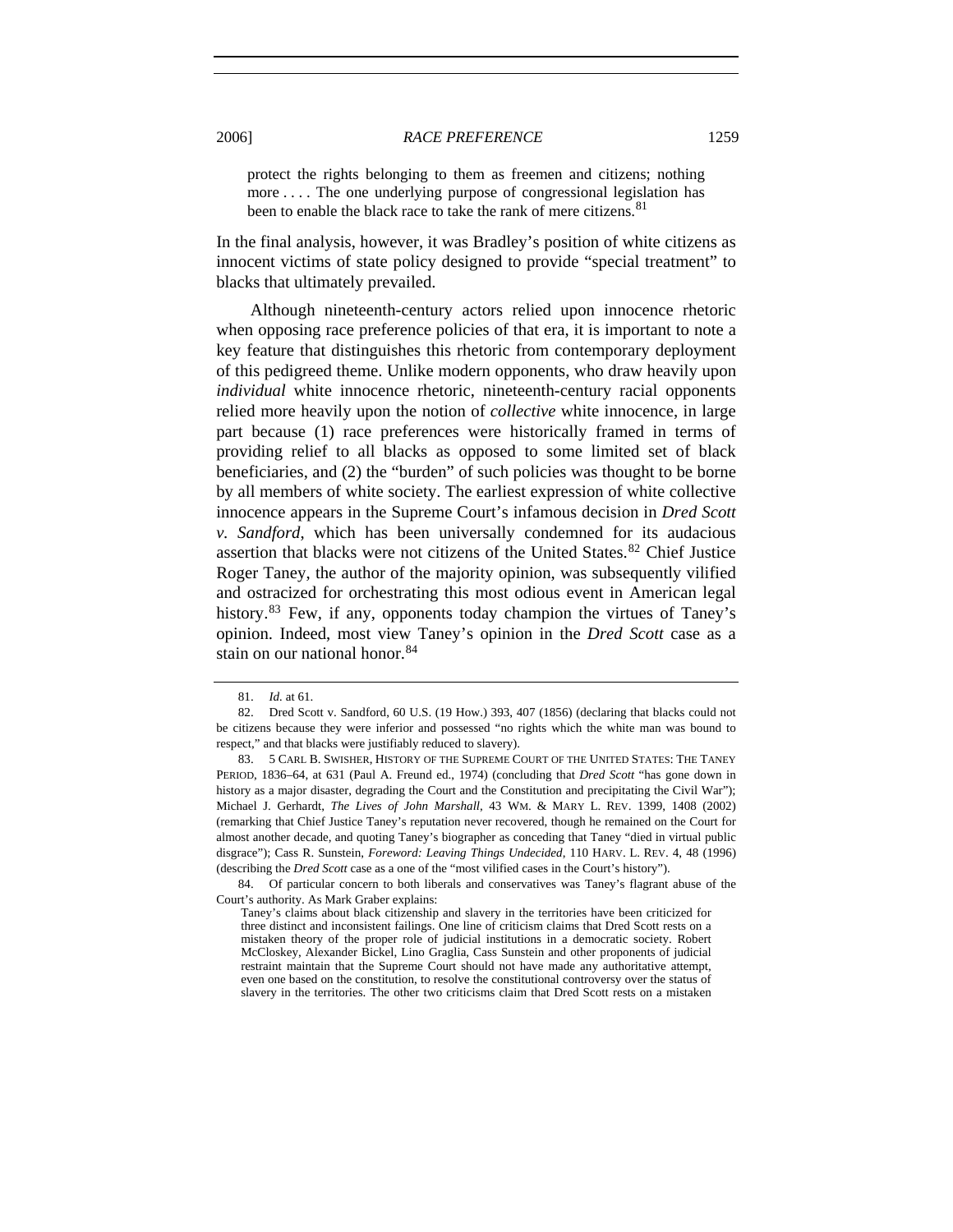protect the rights belonging to them as freemen and citizens; nothing more . . . . The one underlying purpose of congressional legislation has been to enable the black race to take the rank of mere citizens.<sup>[81](#page-28-0)</sup>

In the final analysis, however, it was Bradley's position of white citizens as innocent victims of state policy designed to provide "special treatment" to blacks that ultimately prevailed.

Although nineteenth-century actors relied upon innocence rhetoric when opposing race preference policies of that era, it is important to note a key feature that distinguishes this rhetoric from contemporary deployment of this pedigreed theme. Unlike modern opponents, who draw heavily upon *individual* white innocence rhetoric, nineteenth-century racial opponents relied more heavily upon the notion of *collective* white innocence, in large part because (1) race preferences were historically framed in terms of providing relief to all blacks as opposed to some limited set of black beneficiaries, and (2) the "burden" of such policies was thought to be borne by all members of white society. The earliest expression of white collective innocence appears in the Supreme Court's infamous decision in *Dred Scott v. Sandford*, which has been universally condemned for its audacious assertion that blacks were not citizens of the United States.<sup>[82](#page-28-1)</sup> Chief Justice Roger Taney, the author of the majority opinion, was subsequently vilified and ostracized for orchestrating this most odious event in American legal history.<sup>[83](#page-28-2)</sup> Few, if any, opponents today champion the virtues of Taney's opinion. Indeed, most view Taney's opinion in the *Dred Scott* case as a stain on our national honor.<sup>[84](#page-28-3)</sup>

<sup>81.</sup> *Id.* at 61.

<span id="page-28-1"></span><span id="page-28-0"></span><sup>82.</sup> Dred Scott v. Sandford, 60 U.S. (19 How.) 393, 407 (1856) (declaring that blacks could not be citizens because they were inferior and possessed "no rights which the white man was bound to respect," and that blacks were justifiably reduced to slavery).

<span id="page-28-2"></span><sup>83. 5</sup> CARL B. SWISHER, HISTORY OF THE SUPREME COURT OF THE UNITED STATES: THE TANEY PERIOD, 1836–64, at 631 (Paul A. Freund ed., 1974) (concluding that *Dred Scott* "has gone down in history as a major disaster, degrading the Court and the Constitution and precipitating the Civil War"); Michael J. Gerhardt, *The Lives of John Marshall*, 43 WM. & MARY L. REV. 1399, 1408 (2002) (remarking that Chief Justice Taney's reputation never recovered, though he remained on the Court for almost another decade, and quoting Taney's biographer as conceding that Taney "died in virtual public disgrace"); Cass R. Sunstein, *Foreword: Leaving Things Undecided*, 110 HARV. L. REV. 4, 48 (1996) (describing the *Dred Scott* case as a one of the "most vilified cases in the Court's history").

<span id="page-28-3"></span><sup>84.</sup> Of particular concern to both liberals and conservatives was Taney's flagrant abuse of the Court's authority. As Mark Graber explains:

Taney's claims about black citizenship and slavery in the territories have been criticized for three distinct and inconsistent failings. One line of criticism claims that Dred Scott rests on a mistaken theory of the proper role of judicial institutions in a democratic society. Robert McCloskey, Alexander Bickel, Lino Graglia, Cass Sunstein and other proponents of judicial restraint maintain that the Supreme Court should not have made any authoritative attempt, even one based on the constitution, to resolve the constitutional controversy over the status of slavery in the territories. The other two criticisms claim that Dred Scott rests on a mistaken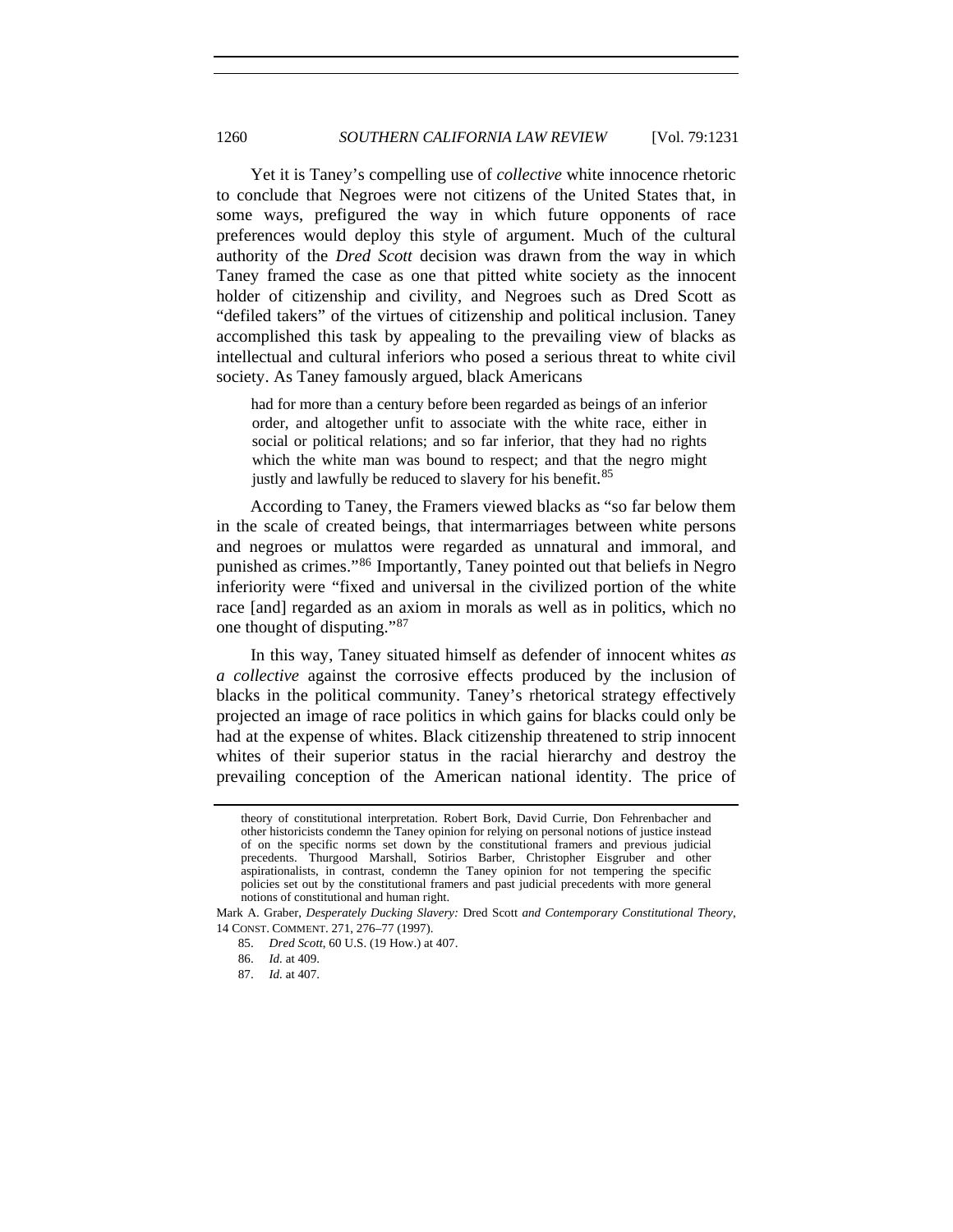Yet it is Taney's compelling use of *collective* white innocence rhetoric to conclude that Negroes were not citizens of the United States that, in some ways, prefigured the way in which future opponents of race preferences would deploy this style of argument. Much of the cultural authority of the *Dred Scott* decision was drawn from the way in which Taney framed the case as one that pitted white society as the innocent holder of citizenship and civility, and Negroes such as Dred Scott as "defiled takers" of the virtues of citizenship and political inclusion. Taney accomplished this task by appealing to the prevailing view of blacks as intellectual and cultural inferiors who posed a serious threat to white civil society. As Taney famously argued, black Americans

had for more than a century before been regarded as beings of an inferior order, and altogether unfit to associate with the white race, either in social or political relations; and so far inferior, that they had no rights which the white man was bound to respect; and that the negro might justly and lawfully be reduced to slavery for his benefit.<sup>[85](#page-29-0)</sup>

According to Taney, the Framers viewed blacks as "so far below them in the scale of created beings, that intermarriages between white persons and negroes or mulattos were regarded as unnatural and immoral, and punished as crimes."[86](#page-29-1) Importantly, Taney pointed out that beliefs in Negro inferiority were "fixed and universal in the civilized portion of the white race [and] regarded as an axiom in morals as well as in politics, which no one thought of disputing."[87](#page-29-2)

In this way, Taney situated himself as defender of innocent whites *as a collective* against the corrosive effects produced by the inclusion of blacks in the political community. Taney's rhetorical strategy effectively projected an image of race politics in which gains for blacks could only be had at the expense of whites. Black citizenship threatened to strip innocent whites of their superior status in the racial hierarchy and destroy the prevailing conception of the American national identity. The price of

theory of constitutional interpretation. Robert Bork, David Currie, Don Fehrenbacher and other historicists condemn the Taney opinion for relying on personal notions of justice instead of on the specific norms set down by the constitutional framers and previous judicial precedents. Thurgood Marshall, Sotirios Barber, Christopher Eisgruber and other aspirationalists, in contrast, condemn the Taney opinion for not tempering the specific policies set out by the constitutional framers and past judicial precedents with more general notions of constitutional and human right.

<span id="page-29-2"></span><span id="page-29-1"></span><span id="page-29-0"></span>Mark A. Graber, *Desperately Ducking Slavery:* Dred Scott *and Contemporary Constitutional Theory*, 14 CONST. COMMENT. 271, 276–77 (1997).

<sup>85.</sup> *Dred Scott*, 60 U.S. (19 How.) at 407.

<sup>86.</sup> *Id.* at 409.

<sup>87.</sup> *Id.* at 407.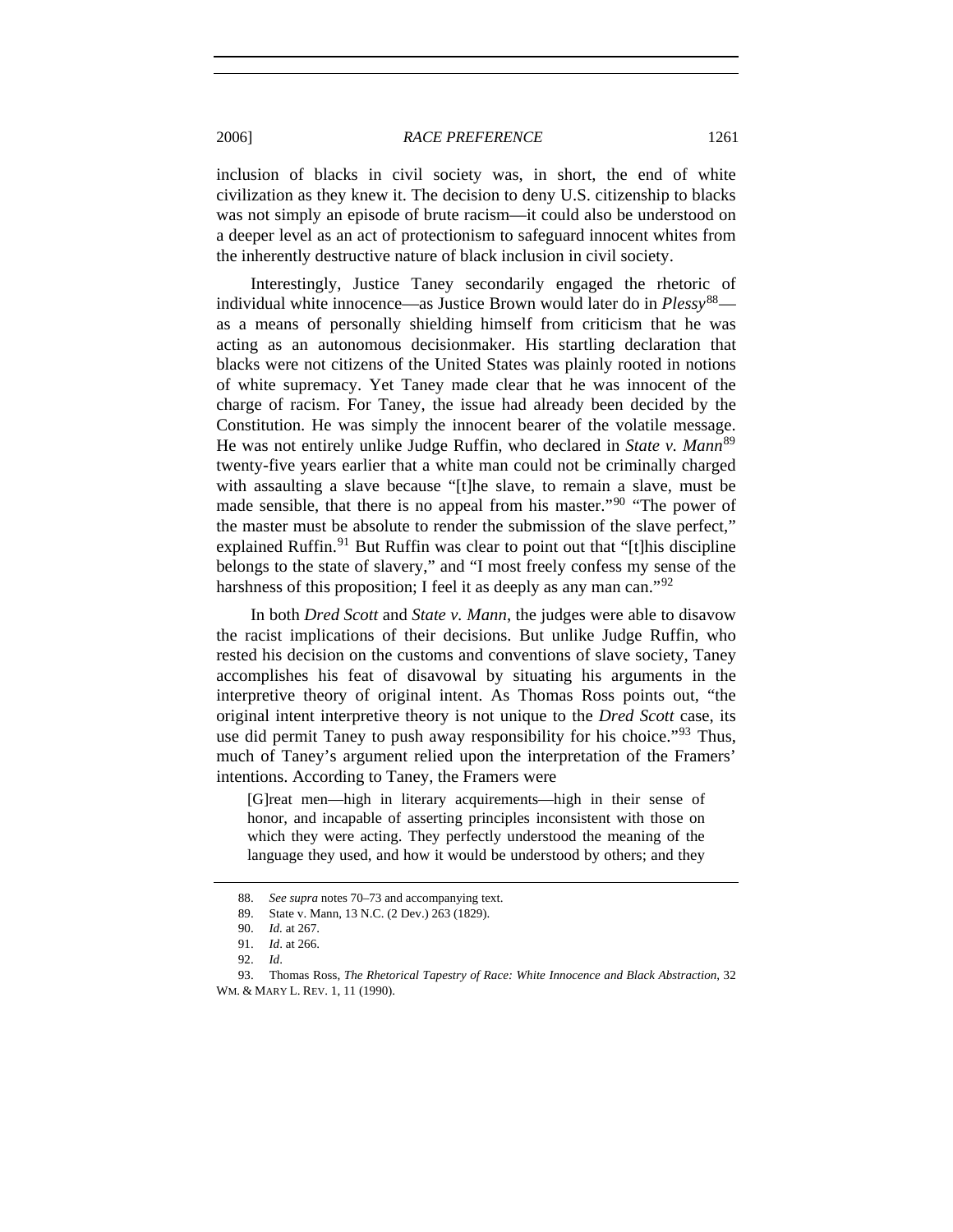inclusion of blacks in civil society was, in short, the end of white civilization as they knew it. The decision to deny U.S. citizenship to blacks was not simply an episode of brute racism—it could also be understood on a deeper level as an act of protectionism to safeguard innocent whites from the inherently destructive nature of black inclusion in civil society.

Interestingly, Justice Taney secondarily engaged the rhetoric of individual white innocence—as Justice Brown would later do in *Plessy*[88](#page-30-0) as a means of personally shielding himself from criticism that he was acting as an autonomous decisionmaker. His startling declaration that blacks were not citizens of the United States was plainly rooted in notions of white supremacy. Yet Taney made clear that he was innocent of the charge of racism. For Taney, the issue had already been decided by the Constitution. He was simply the innocent bearer of the volatile message. He was not entirely unlike Judge Ruffin, who declared in *State v. Mann*<sup>[89](#page-30-1)</sup> twenty-five years earlier that a white man could not be criminally charged with assaulting a slave because "[t]he slave, to remain a slave, must be made sensible, that there is no appeal from his master."<sup>[90](#page-30-2)</sup> "The power of the master must be absolute to render the submission of the slave perfect," explained Ruffin.<sup>[91](#page-30-3)</sup> But Ruffin was clear to point out that "[t]his discipline belongs to the state of slavery," and "I most freely confess my sense of the harshness of this proposition; I feel it as deeply as any man can."  $92$ 

In both *Dred Scott* and *State v. Mann*, the judges were able to disavow the racist implications of their decisions. But unlike Judge Ruffin, who rested his decision on the customs and conventions of slave society, Taney accomplishes his feat of disavowal by situating his arguments in the interpretive theory of original intent. As Thomas Ross points out, "the original intent interpretive theory is not unique to the *Dred Scott* case, its use did permit Taney to push away responsibility for his choice."<sup>[93](#page-30-5)</sup> Thus, much of Taney's argument relied upon the interpretation of the Framers' intentions. According to Taney, the Framers were

[G]reat men—high in literary acquirements—high in their sense of honor, and incapable of asserting principles inconsistent with those on which they were acting. They perfectly understood the meaning of the language they used, and how it would be understood by others; and they

 <sup>88.</sup> *See supra* notes 70–73 and accompanying text.

<sup>89.</sup> State v. Mann, 13 N.C. (2 Dev.) 263 (1829).

<sup>90.</sup> *Id.* at 267.

 <sup>91.</sup> *Id*. at 266.

<sup>92.</sup> *Id*.

<span id="page-30-5"></span><span id="page-30-4"></span><span id="page-30-3"></span><span id="page-30-2"></span><span id="page-30-1"></span><span id="page-30-0"></span><sup>93.</sup> Thomas Ross, *The Rhetorical Tapestry of Race: White Innocence and Black Abstraction*, 32 WM. & MARY L. REV. 1, 11 (1990).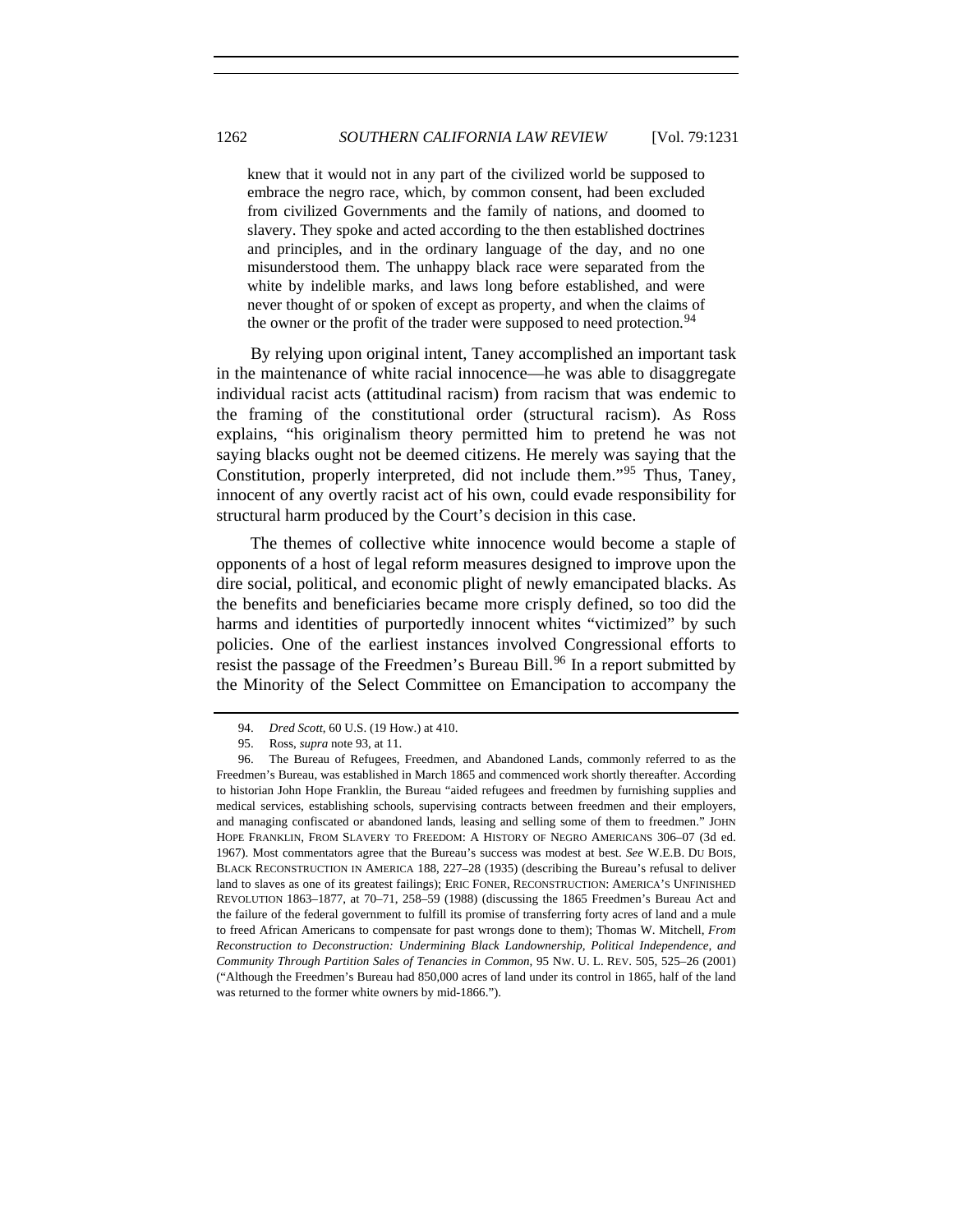knew that it would not in any part of the civilized world be supposed to embrace the negro race, which, by common consent, had been excluded from civilized Governments and the family of nations, and doomed to slavery. They spoke and acted according to the then established doctrines and principles, and in the ordinary language of the day, and no one misunderstood them. The unhappy black race were separated from the white by indelible marks, and laws long before established, and were never thought of or spoken of except as property, and when the claims of the owner or the profit of the trader were supposed to need protection.<sup>[94](#page-31-0)</sup>

By relying upon original intent, Taney accomplished an important task in the maintenance of white racial innocence—he was able to disaggregate individual racist acts (attitudinal racism) from racism that was endemic to the framing of the constitutional order (structural racism). As Ross explains, "his originalism theory permitted him to pretend he was not saying blacks ought not be deemed citizens. He merely was saying that the Constitution, properly interpreted, did not include them."[95](#page-31-1) Thus, Taney, innocent of any overtly racist act of his own, could evade responsibility for structural harm produced by the Court's decision in this case.

The themes of collective white innocence would become a staple of opponents of a host of legal reform measures designed to improve upon the dire social, political, and economic plight of newly emancipated blacks. As the benefits and beneficiaries became more crisply defined, so too did the harms and identities of purportedly innocent whites "victimized" by such policies. One of the earliest instances involved Congressional efforts to resist the passage of the Freedmen's Bureau Bill.<sup>[96](#page-31-2)</sup> In a report submitted by the Minority of the Select Committee on Emancipation to accompany the

<sup>94.</sup> *Dred Scott*, 60 U.S. (19 How.) at 410.

<sup>95.</sup> Ross, *supra* note 93, at 11.

<span id="page-31-2"></span><span id="page-31-1"></span><span id="page-31-0"></span><sup>96.</sup> The Bureau of Refugees, Freedmen, and Abandoned Lands, commonly referred to as the Freedmen's Bureau, was established in March 1865 and commenced work shortly thereafter. According to historian John Hope Franklin, the Bureau "aided refugees and freedmen by furnishing supplies and medical services, establishing schools, supervising contracts between freedmen and their employers, and managing confiscated or abandoned lands, leasing and selling some of them to freedmen." JOHN HOPE FRANKLIN, FROM SLAVERY TO FREEDOM: A HISTORY OF NEGRO AMERICANS 306–07 (3d ed. 1967). Most commentators agree that the Bureau's success was modest at best. *See* W.E.B. DU BOIS, BLACK RECONSTRUCTION IN AMERICA 188, 227–28 (1935) (describing the Bureau's refusal to deliver land to slaves as one of its greatest failings); ERIC FONER, RECONSTRUCTION: AMERICA'S UNFINISHED REVOLUTION 1863–1877, at 70–71, 258–59 (1988) (discussing the 1865 Freedmen's Bureau Act and the failure of the federal government to fulfill its promise of transferring forty acres of land and a mule to freed African Americans to compensate for past wrongs done to them); Thomas W. Mitchell, *From Reconstruction to Deconstruction: Undermining Black Landownership, Political Independence, and Community Through Partition Sales of Tenancies in Common*, 95 NW. U. L. REV. 505, 525–26 (2001) ("Although the Freedmen's Bureau had 850,000 acres of land under its control in 1865, half of the land was returned to the former white owners by mid-1866.").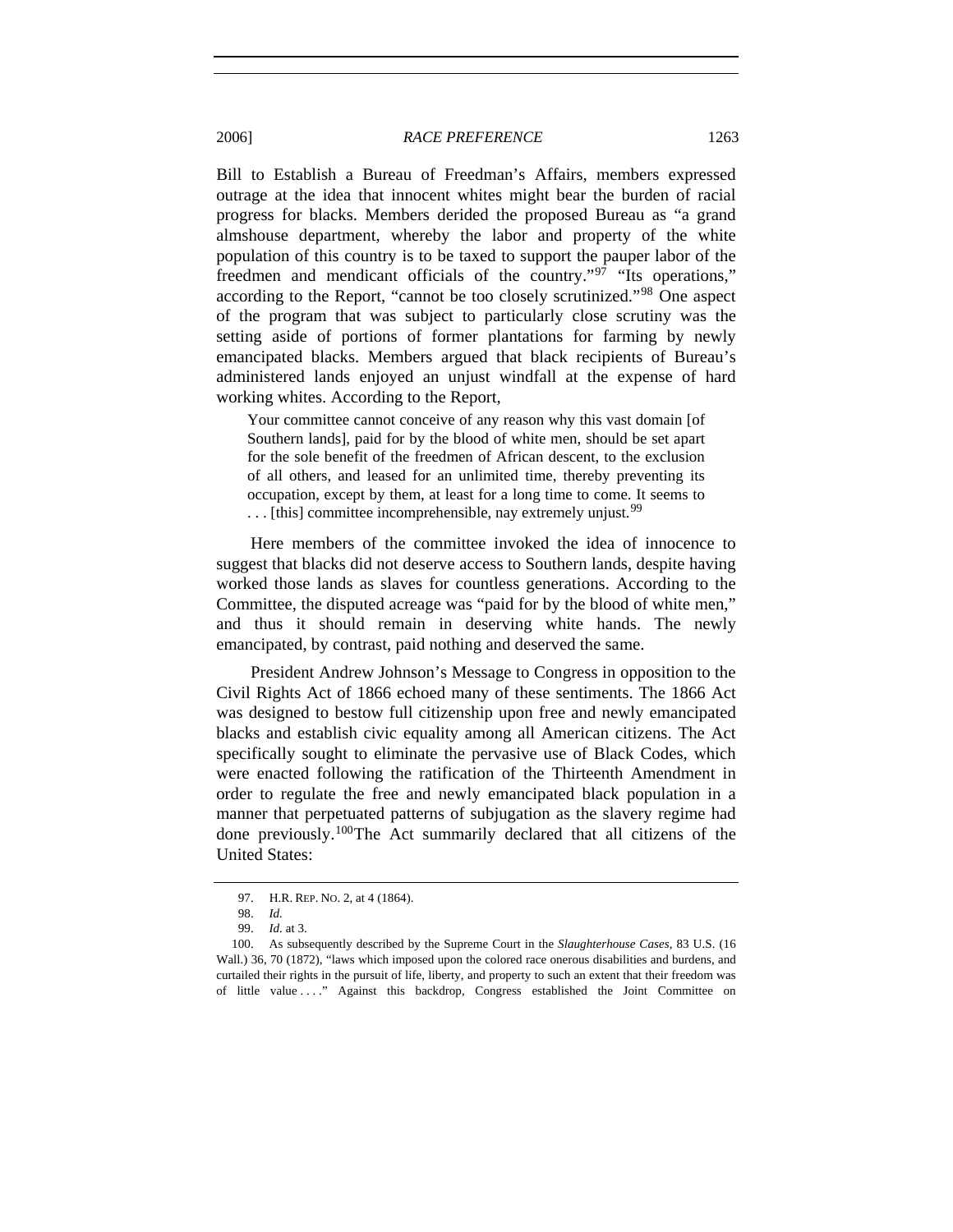Bill to Establish a Bureau of Freedman's Affairs, members expressed outrage at the idea that innocent whites might bear the burden of racial progress for blacks. Members derided the proposed Bureau as "a grand almshouse department, whereby the labor and property of the white population of this country is to be taxed to support the pauper labor of the freedmen and mendicant officials of the country."[97](#page-32-0) "Its operations," according to the Report, "cannot be too closely scrutinized."[98](#page-32-1) One aspect of the program that was subject to particularly close scrutiny was the setting aside of portions of former plantations for farming by newly emancipated blacks. Members argued that black recipients of Bureau's administered lands enjoyed an unjust windfall at the expense of hard working whites. According to the Report,

Your committee cannot conceive of any reason why this vast domain [of Southern lands], paid for by the blood of white men, should be set apart for the sole benefit of the freedmen of African descent, to the exclusion of all others, and leased for an unlimited time, thereby preventing its occupation, except by them, at least for a long time to come. It seems to ... [this] committee incomprehensible, nay extremely unjust.<sup>[99](#page-32-2)</sup>

Here members of the committee invoked the idea of innocence to suggest that blacks did not deserve access to Southern lands, despite having worked those lands as slaves for countless generations. According to the Committee, the disputed acreage was "paid for by the blood of white men," and thus it should remain in deserving white hands. The newly emancipated, by contrast, paid nothing and deserved the same.

President Andrew Johnson's Message to Congress in opposition to the Civil Rights Act of 1866 echoed many of these sentiments. The 1866 Act was designed to bestow full citizenship upon free and newly emancipated blacks and establish civic equality among all American citizens. The Act specifically sought to eliminate the pervasive use of Black Codes, which were enacted following the ratification of the Thirteenth Amendment in order to regulate the free and newly emancipated black population in a manner that perpetuated patterns of subjugation as the slavery regime had done previously.[100](#page-32-3)The Act summarily declared that all citizens of the United States:

<sup>97.</sup> H.R. REP. NO. 2, at 4 (1864).

<sup>98.</sup> *Id.*

<sup>99.</sup> *Id.* at 3.

<span id="page-32-3"></span><span id="page-32-2"></span><span id="page-32-1"></span><span id="page-32-0"></span><sup>100.</sup> As subsequently described by the Supreme Court in the *Slaughterhouse Cases*, 83 U.S. (16 Wall.) 36, 70 (1872), "laws which imposed upon the colored race onerous disabilities and burdens, and curtailed their rights in the pursuit of life, liberty, and property to such an extent that their freedom was of little value . . . ." Against this backdrop, Congress established the Joint Committee on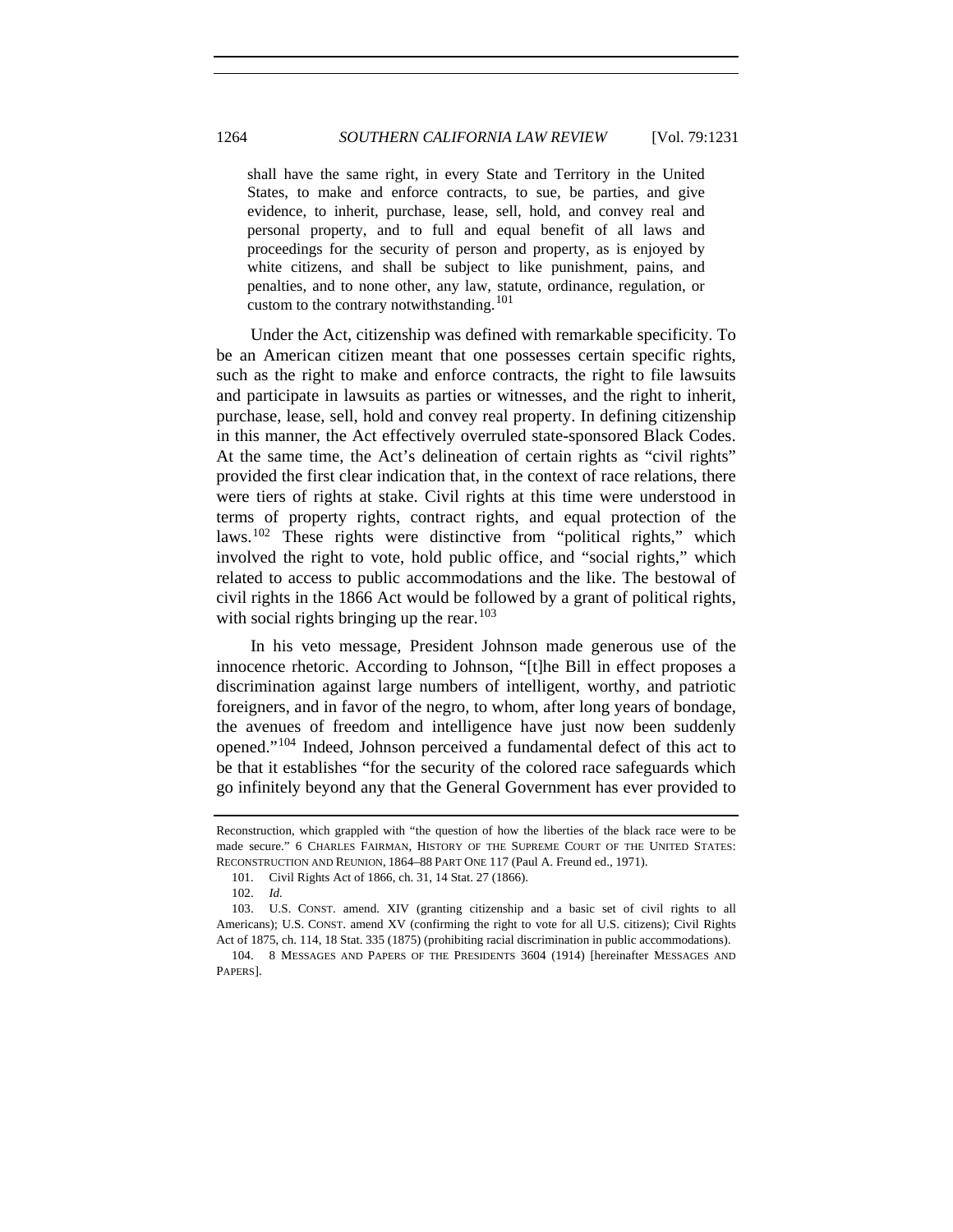shall have the same right, in every State and Territory in the United States, to make and enforce contracts, to sue, be parties, and give evidence, to inherit, purchase, lease, sell, hold, and convey real and personal property, and to full and equal benefit of all laws and proceedings for the security of person and property, as is enjoyed by white citizens, and shall be subject to like punishment, pains, and penalties, and to none other, any law, statute, ordinance, regulation, or custom to the contrary notwithstanding.<sup>[101](#page-33-0)</sup>

Under the Act, citizenship was defined with remarkable specificity. To be an American citizen meant that one possesses certain specific rights, such as the right to make and enforce contracts, the right to file lawsuits and participate in lawsuits as parties or witnesses, and the right to inherit, purchase, lease, sell, hold and convey real property. In defining citizenship in this manner, the Act effectively overruled state-sponsored Black Codes. At the same time, the Act's delineation of certain rights as "civil rights" provided the first clear indication that, in the context of race relations, there were tiers of rights at stake. Civil rights at this time were understood in terms of property rights, contract rights, and equal protection of the laws.<sup>[102](#page-33-1)</sup> These rights were distinctive from "political rights," which involved the right to vote, hold public office, and "social rights," which related to access to public accommodations and the like. The bestowal of civil rights in the 1866 Act would be followed by a grant of political rights, with social rights bringing up the rear.  $103$ 

In his veto message, President Johnson made generous use of the innocence rhetoric. According to Johnson, "[t]he Bill in effect proposes a discrimination against large numbers of intelligent, worthy, and patriotic foreigners, and in favor of the negro, to whom, after long years of bondage, the avenues of freedom and intelligence have just now been suddenly opened."[104](#page-33-3) Indeed, Johnson perceived a fundamental defect of this act to be that it establishes "for the security of the colored race safeguards which go infinitely beyond any that the General Government has ever provided to

Reconstruction, which grappled with "the question of how the liberties of the black race were to be made secure." 6 CHARLES FAIRMAN, HISTORY OF THE SUPREME COURT OF THE UNITED STATES: RECONSTRUCTION AND REUNION, 1864–88 PART ONE 117 (Paul A. Freund ed., 1971).

<sup>101.</sup> Civil Rights Act of 1866, ch. 31, 14 Stat. 27 (1866).

<sup>102.</sup> *Id.*

<span id="page-33-2"></span><span id="page-33-1"></span><span id="page-33-0"></span><sup>103.</sup> U.S. CONST. amend. XIV (granting citizenship and a basic set of civil rights to all Americans); U.S. CONST. amend XV (confirming the right to vote for all U.S. citizens); Civil Rights Act of 1875, ch. 114, 18 Stat. 335 (1875) (prohibiting racial discrimination in public accommodations).

<span id="page-33-3"></span><sup>104. 8</sup> MESSAGES AND PAPERS OF THE PRESIDENTS 3604 (1914) [hereinafter MESSAGES AND PAPERS].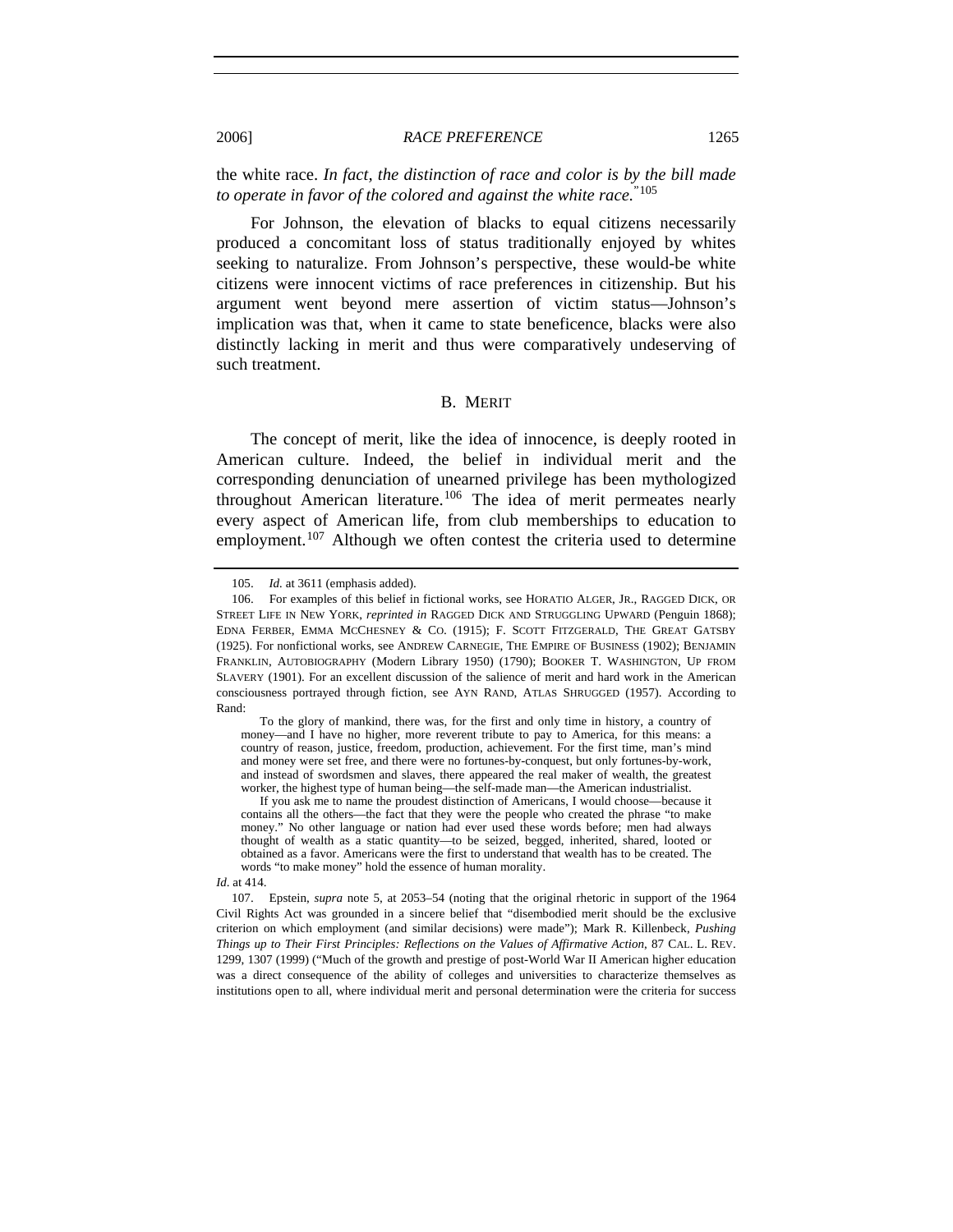the white race. *In fact, the distinction of race and color is by the bill made to operate in favor of the colored and against the white race.*"[105](#page-34-1)

For Johnson, the elevation of blacks to equal citizens necessarily produced a concomitant loss of status traditionally enjoyed by whites seeking to naturalize. From Johnson's perspective, these would-be white citizens were innocent victims of race preferences in citizenship. But his argument went beyond mere assertion of victim status—Johnson's implication was that, when it came to state beneficence, blacks were also distinctly lacking in merit and thus were comparatively undeserving of such treatment.

#### B. MERIT

The concept of merit, like the idea of innocence, is deeply rooted in American culture. Indeed, the belief in individual merit and the corresponding denunciation of unearned privilege has been mythologized throughout American literature.<sup>[106](#page-34-2)</sup> The idea of merit permeates nearly every aspect of American life, from club memberships to education to employment.<sup>[107](#page-34-3)</sup> Although we often contest the criteria used to determine

<span id="page-34-0"></span>

<sup>105.</sup> *Id.* at 3611 (emphasis added).

<span id="page-34-2"></span><span id="page-34-1"></span><sup>106.</sup> For examples of this belief in fictional works, see HORATIO ALGER, JR., RAGGED DICK, OR STREET LIFE IN NEW YORK, *reprinted in* RAGGED DICK AND STRUGGLING UPWARD (Penguin 1868); EDNA FERBER, EMMA MCCHESNEY & CO. (1915); F. SCOTT FITZGERALD, THE GREAT GATSBY (1925). For nonfictional works, see ANDREW CARNEGIE, THE EMPIRE OF BUSINESS (1902); BENJAMIN FRANKLIN, AUTOBIOGRAPHY (Modern Library 1950) (1790); BOOKER T. WASHINGTON, UP FROM SLAVERY (1901). For an excellent discussion of the salience of merit and hard work in the American consciousness portrayed through fiction, see AYN RAND, ATLAS SHRUGGED (1957). According to Rand:

To the glory of mankind, there was, for the first and only time in history, a country of money—and I have no higher, more reverent tribute to pay to America, for this means: a country of reason, justice, freedom, production, achievement. For the first time, man's mind and money were set free, and there were no fortunes-by-conquest, but only fortunes-by-work, and instead of swordsmen and slaves, there appeared the real maker of wealth, the greatest worker, the highest type of human being—the self-made man—the American industrialist.

If you ask me to name the proudest distinction of Americans, I would choose—because it contains all the others—the fact that they were the people who created the phrase "to make money." No other language or nation had ever used these words before; men had always thought of wealth as a static quantity—to be seized, begged, inherited, shared, looted or obtained as a favor. Americans were the first to understand that wealth has to be created. The words "to make money" hold the essence of human morality.

*Id*. at 414.

<span id="page-34-3"></span><sup>107.</sup> Epstein, *supra* note 5, at 2053–54 (noting that the original rhetoric in support of the 1964 Civil Rights Act was grounded in a sincere belief that "disembodied merit should be the exclusive criterion on which employment (and similar decisions) were made"); Mark R. Killenbeck, *Pushing Things up to Their First Principles: Reflections on the Values of Affirmative Action*, 87 CAL. L. REV. 1299, 1307 (1999) ("Much of the growth and prestige of post-World War II American higher education was a direct consequence of the ability of colleges and universities to characterize themselves as institutions open to all, where individual merit and personal determination were the criteria for success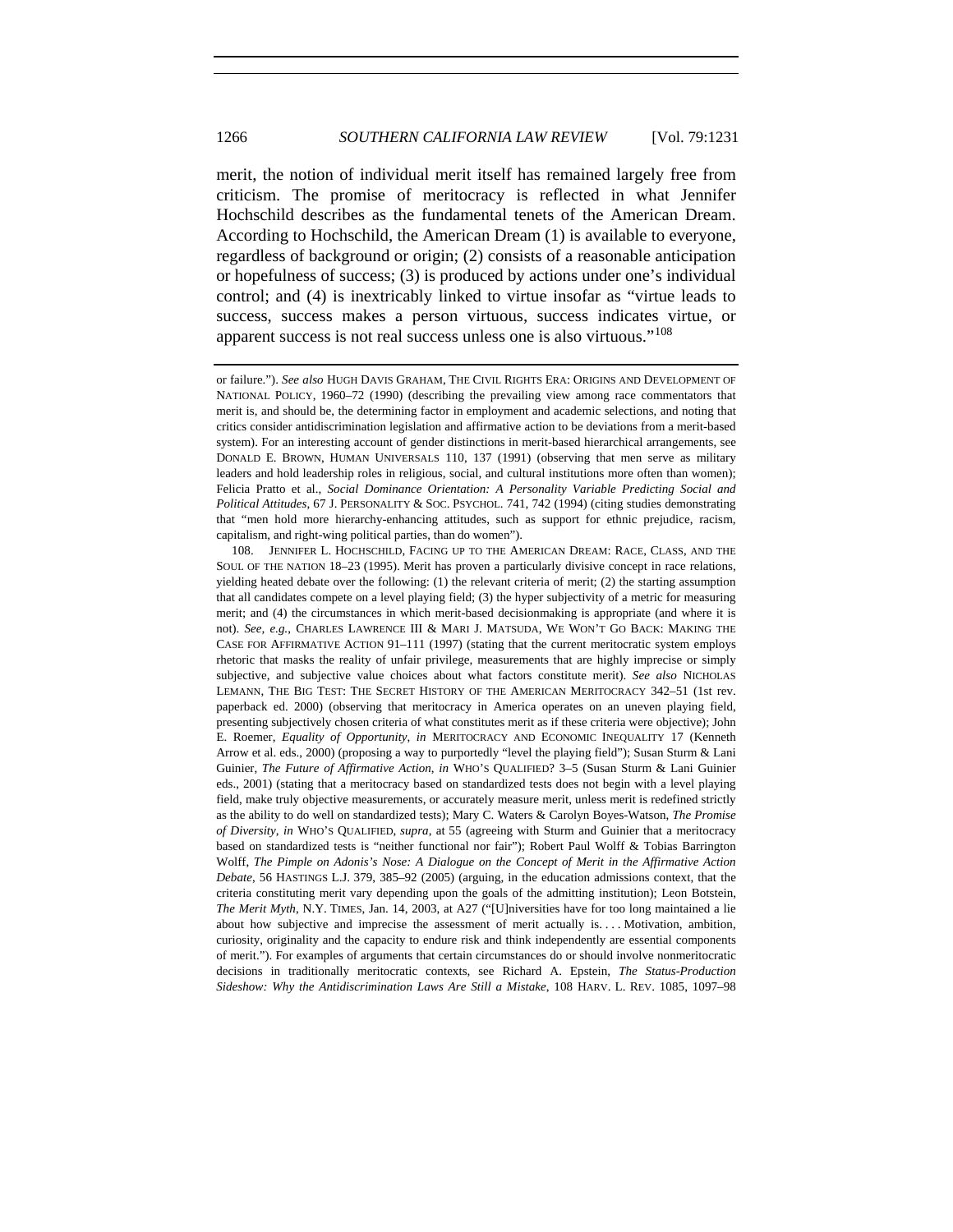merit, the notion of individual merit itself has remained largely free from criticism. The promise of meritocracy is reflected in what Jennifer Hochschild describes as the fundamental tenets of the American Dream. According to Hochschild, the American Dream (1) is available to everyone, regardless of background or origin; (2) consists of a reasonable anticipation or hopefulness of success; (3) is produced by actions under one's individual control; and (4) is inextricably linked to virtue insofar as "virtue leads to success, success makes a person virtuous, success indicates virtue, or apparent success is not real success unless one is also virtuous."[108](#page-35-0)

or failure."). *See also* HUGH DAVIS GRAHAM, THE CIVIL RIGHTS ERA: ORIGINS AND DEVELOPMENT OF NATIONAL POLICY, 1960–72 (1990) (describing the prevailing view among race commentators that merit is, and should be, the determining factor in employment and academic selections, and noting that critics consider antidiscrimination legislation and affirmative action to be deviations from a merit-based system). For an interesting account of gender distinctions in merit-based hierarchical arrangements, see DONALD E. BROWN, HUMAN UNIVERSALS 110, 137 (1991) (observing that men serve as military leaders and hold leadership roles in religious, social, and cultural institutions more often than women); Felicia Pratto et al., *Social Dominance Orientation: A Personality Variable Predicting Social and Political Attitudes*, 67 J. PERSONALITY & SOC. PSYCHOL. 741, 742 (1994) (citing studies demonstrating that "men hold more hierarchy-enhancing attitudes, such as support for ethnic prejudice, racism, capitalism, and right-wing political parties, than do women").

<span id="page-35-0"></span><sup>108.</sup> JENNIFER L. HOCHSCHILD, FACING UP TO THE AMERICAN DREAM: RACE, CLASS, AND THE SOUL OF THE NATION 18–23 (1995). Merit has proven a particularly divisive concept in race relations, yielding heated debate over the following: (1) the relevant criteria of merit; (2) the starting assumption that all candidates compete on a level playing field; (3) the hyper subjectivity of a metric for measuring merit; and (4) the circumstances in which merit-based decisionmaking is appropriate (and where it is not). *See, e.g.*, CHARLES LAWRENCE III & MARI J. MATSUDA, WE WON'T GO BACK: MAKING THE CASE FOR AFFIRMATIVE ACTION 91–111 (1997) (stating that the current meritocratic system employs rhetoric that masks the reality of unfair privilege, measurements that are highly imprecise or simply subjective, and subjective value choices about what factors constitute merit). *See also* NICHOLAS LEMANN, THE BIG TEST: THE SECRET HISTORY OF THE AMERICAN MERITOCRACY 342–51 (1st rev. paperback ed. 2000) (observing that meritocracy in America operates on an uneven playing field, presenting subjectively chosen criteria of what constitutes merit as if these criteria were objective); John E. Roemer, *Equality of Opportunity*, *in* MERITOCRACY AND ECONOMIC INEQUALITY 17 (Kenneth Arrow et al. eds., 2000) (proposing a way to purportedly "level the playing field"); Susan Sturm & Lani Guinier, *The Future of Affirmative Action*, *in* WHO'S QUALIFIED? 3–5 (Susan Sturm & Lani Guinier eds., 2001) (stating that a meritocracy based on standardized tests does not begin with a level playing field, make truly objective measurements, or accurately measure merit, unless merit is redefined strictly as the ability to do well on standardized tests); Mary C. Waters & Carolyn Boyes-Watson, *The Promise of Diversity*, *in* WHO'S QUALIFIED, *supra*, at 55 (agreeing with Sturm and Guinier that a meritocracy based on standardized tests is "neither functional nor fair"); Robert Paul Wolff & Tobias Barrington Wolff, *The Pimple on Adonis's Nose: A Dialogue on the Concept of Merit in the Affirmative Action Debate*, 56 HASTINGS L.J. 379, 385–92 (2005) (arguing, in the education admissions context, that the criteria constituting merit vary depending upon the goals of the admitting institution); Leon Botstein, *The Merit Myth*, N.Y. TIMES, Jan. 14, 2003, at A27 ("[U]niversities have for too long maintained a lie about how subjective and imprecise the assessment of merit actually is. . . . Motivation, ambition, curiosity, originality and the capacity to endure risk and think independently are essential components of merit."). For examples of arguments that certain circumstances do or should involve nonmeritocratic decisions in traditionally meritocratic contexts, see Richard A. Epstein, *The Status-Production Sideshow: Why the Antidiscrimination Laws Are Still a Mistake*, 108 HARV. L. REV. 1085, 1097–98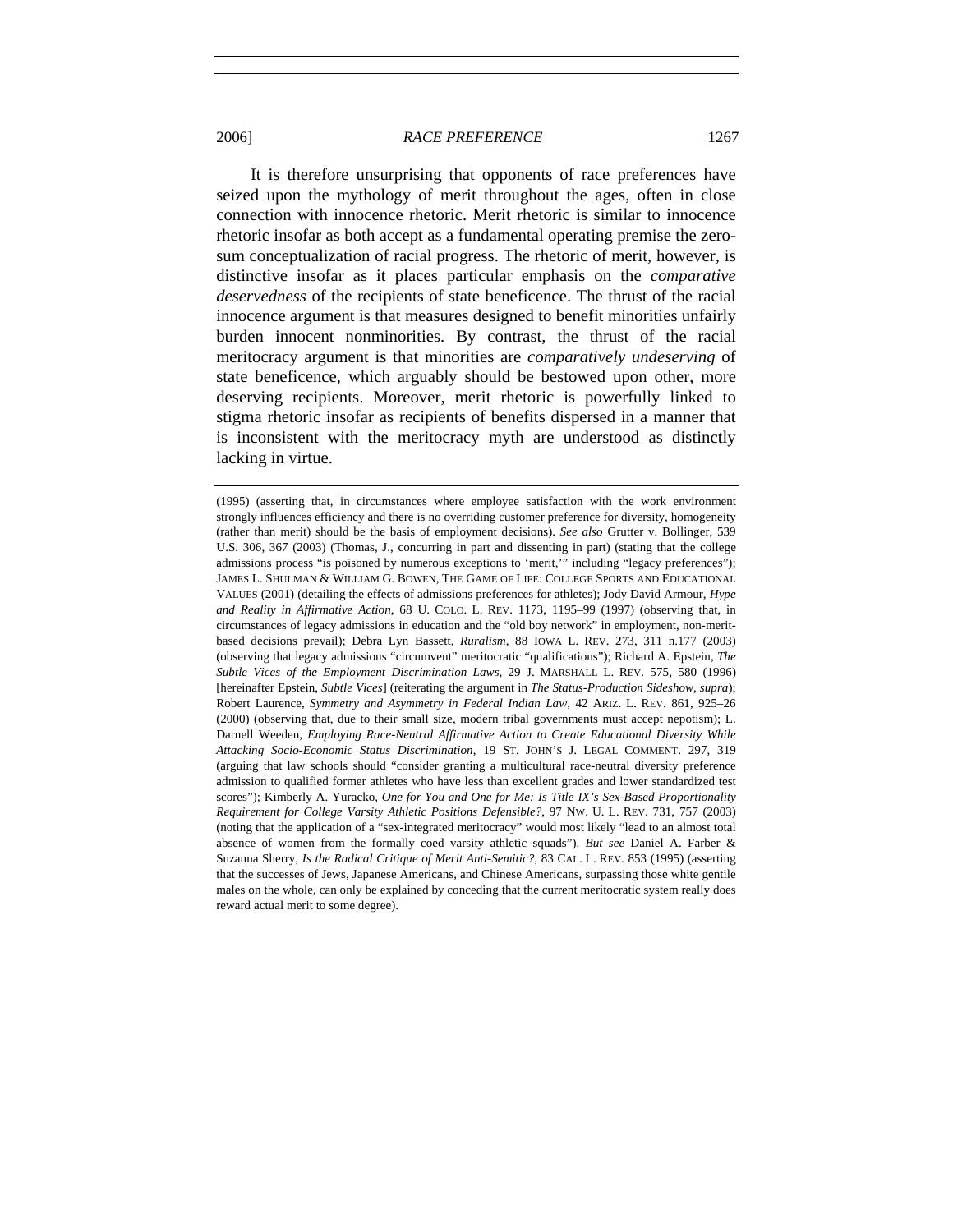It is therefore unsurprising that opponents of race preferences have seized upon the mythology of merit throughout the ages, often in close connection with innocence rhetoric. Merit rhetoric is similar to innocence rhetoric insofar as both accept as a fundamental operating premise the zerosum conceptualization of racial progress. The rhetoric of merit, however, is distinctive insofar as it places particular emphasis on the *comparative deservedness* of the recipients of state beneficence. The thrust of the racial innocence argument is that measures designed to benefit minorities unfairly burden innocent nonminorities. By contrast, the thrust of the racial meritocracy argument is that minorities are *comparatively undeserving* of state beneficence, which arguably should be bestowed upon other, more deserving recipients. Moreover, merit rhetoric is powerfully linked to stigma rhetoric insofar as recipients of benefits dispersed in a manner that is inconsistent with the meritocracy myth are understood as distinctly lacking in virtue.

<sup>(1995) (</sup>asserting that, in circumstances where employee satisfaction with the work environment strongly influences efficiency and there is no overriding customer preference for diversity, homogeneity (rather than merit) should be the basis of employment decisions). *See also* Grutter v. Bollinger, 539 U.S. 306, 367 (2003) (Thomas, J., concurring in part and dissenting in part) (stating that the college admissions process "is poisoned by numerous exceptions to 'merit,'" including "legacy preferences"); JAMES L. SHULMAN & WILLIAM G. BOWEN, THE GAME OF LIFE: COLLEGE SPORTS AND EDUCATIONAL VALUES (2001) (detailing the effects of admissions preferences for athletes); Jody David Armour, *Hype and Reality in Affirmative Action*, 68 U. COLO. L. REV. 1173, 1195–99 (1997) (observing that, in circumstances of legacy admissions in education and the "old boy network" in employment, non-meritbased decisions prevail); Debra Lyn Bassett, *Ruralism*, 88 IOWA L. REV. 273, 311 n.177 (2003) (observing that legacy admissions "circumvent" meritocratic "qualifications"); Richard A. Epstein, *The Subtle Vices of the Employment Discrimination Laws*, 29 J. MARSHALL L. REV. 575, 580 (1996) [hereinafter Epstein, *Subtle Vices*] (reiterating the argument in *The Status-Production Sideshow*, *supra*); Robert Laurence, *Symmetry and Asymmetry in Federal Indian Law*, 42 ARIZ. L. REV. 861, 925–26 (2000) (observing that, due to their small size, modern tribal governments must accept nepotism); L. Darnell Weeden, *Employing Race-Neutral Affirmative Action to Create Educational Diversity While Attacking Socio-Economic Status Discrimination*, 19 ST. JOHN'S J. LEGAL COMMENT. 297, 319 (arguing that law schools should "consider granting a multicultural race-neutral diversity preference admission to qualified former athletes who have less than excellent grades and lower standardized test scores"); Kimberly A. Yuracko, *One for You and One for Me: Is Title IX's Sex-Based Proportionality Requirement for College Varsity Athletic Positions Defensible?*, 97 NW. U. L. REV. 731, 757 (2003) (noting that the application of a "sex-integrated meritocracy" would most likely "lead to an almost total absence of women from the formally coed varsity athletic squads"). *But see* Daniel A. Farber & Suzanna Sherry, *Is the Radical Critique of Merit Anti-Semitic?*, 83 CAL. L. REV. 853 (1995) (asserting that the successes of Jews, Japanese Americans, and Chinese Americans, surpassing those white gentile males on the whole, can only be explained by conceding that the current meritocratic system really does reward actual merit to some degree).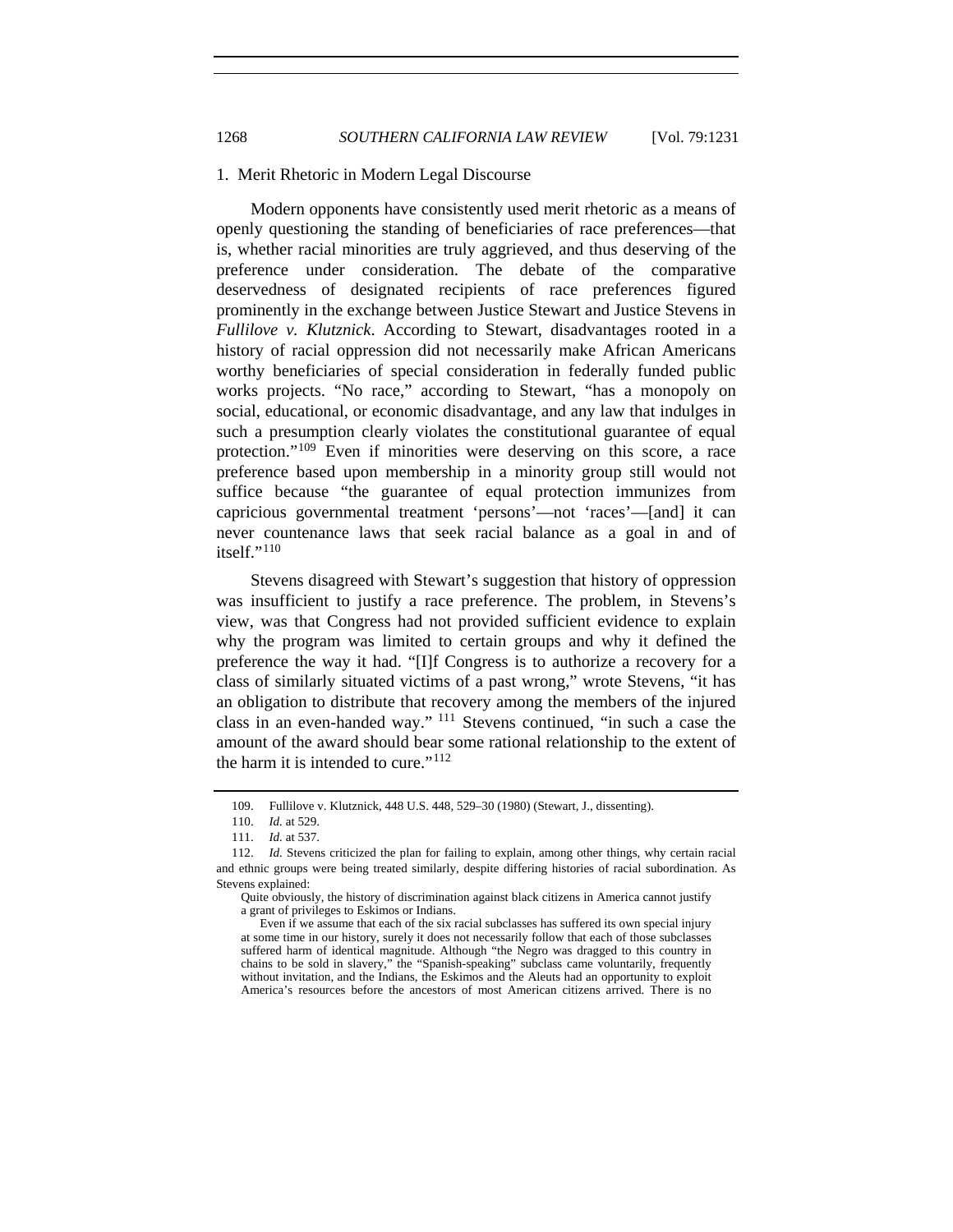#### 1. Merit Rhetoric in Modern Legal Discourse

Modern opponents have consistently used merit rhetoric as a means of openly questioning the standing of beneficiaries of race preferences—that is, whether racial minorities are truly aggrieved, and thus deserving of the preference under consideration. The debate of the comparative deservedness of designated recipients of race preferences figured prominently in the exchange between Justice Stewart and Justice Stevens in *Fullilove v. Klutznick*. According to Stewart, disadvantages rooted in a history of racial oppression did not necessarily make African Americans worthy beneficiaries of special consideration in federally funded public works projects. "No race," according to Stewart, "has a monopoly on social, educational, or economic disadvantage, and any law that indulges in such a presumption clearly violates the constitutional guarantee of equal protection."[109](#page-37-0) Even if minorities were deserving on this score, a race preference based upon membership in a minority group still would not suffice because "the guarantee of equal protection immunizes from capricious governmental treatment 'persons'—not 'races'—[and] it can never countenance laws that seek racial balance as a goal in and of itself."<sup>[110](#page-37-1)</sup>

Stevens disagreed with Stewart's suggestion that history of oppression was insufficient to justify a race preference. The problem, in Stevens's view, was that Congress had not provided sufficient evidence to explain why the program was limited to certain groups and why it defined the preference the way it had. "[I]f Congress is to authorize a recovery for a class of similarly situated victims of a past wrong," wrote Stevens, "it has an obligation to distribute that recovery among the members of the injured class in an even-handed way." [111](#page-37-2) Stevens continued, "in such a case the amount of the award should bear some rational relationship to the extent of the harm it is intended to cure." $112$ 

<sup>109.</sup> Fullilove v. Klutznick, 448 U.S. 448, 529–30 (1980) (Stewart, J., dissenting).

<sup>110.</sup> *Id.* at 529.

<sup>111.</sup> *Id.* at 537.

<span id="page-37-3"></span><span id="page-37-2"></span><span id="page-37-1"></span><span id="page-37-0"></span><sup>112.</sup> *Id.* Stevens criticized the plan for failing to explain, among other things, why certain racial and ethnic groups were being treated similarly, despite differing histories of racial subordination. As Stevens explained:

Quite obviously, the history of discrimination against black citizens in America cannot justify a grant of privileges to Eskimos or Indians.

Even if we assume that each of the six racial subclasses has suffered its own special injury at some time in our history, surely it does not necessarily follow that each of those subclasses suffered harm of identical magnitude. Although "the Negro was dragged to this country in chains to be sold in slavery," the "Spanish-speaking" subclass came voluntarily, frequently without invitation, and the Indians, the Eskimos and the Aleuts had an opportunity to exploit America's resources before the ancestors of most American citizens arrived. There is no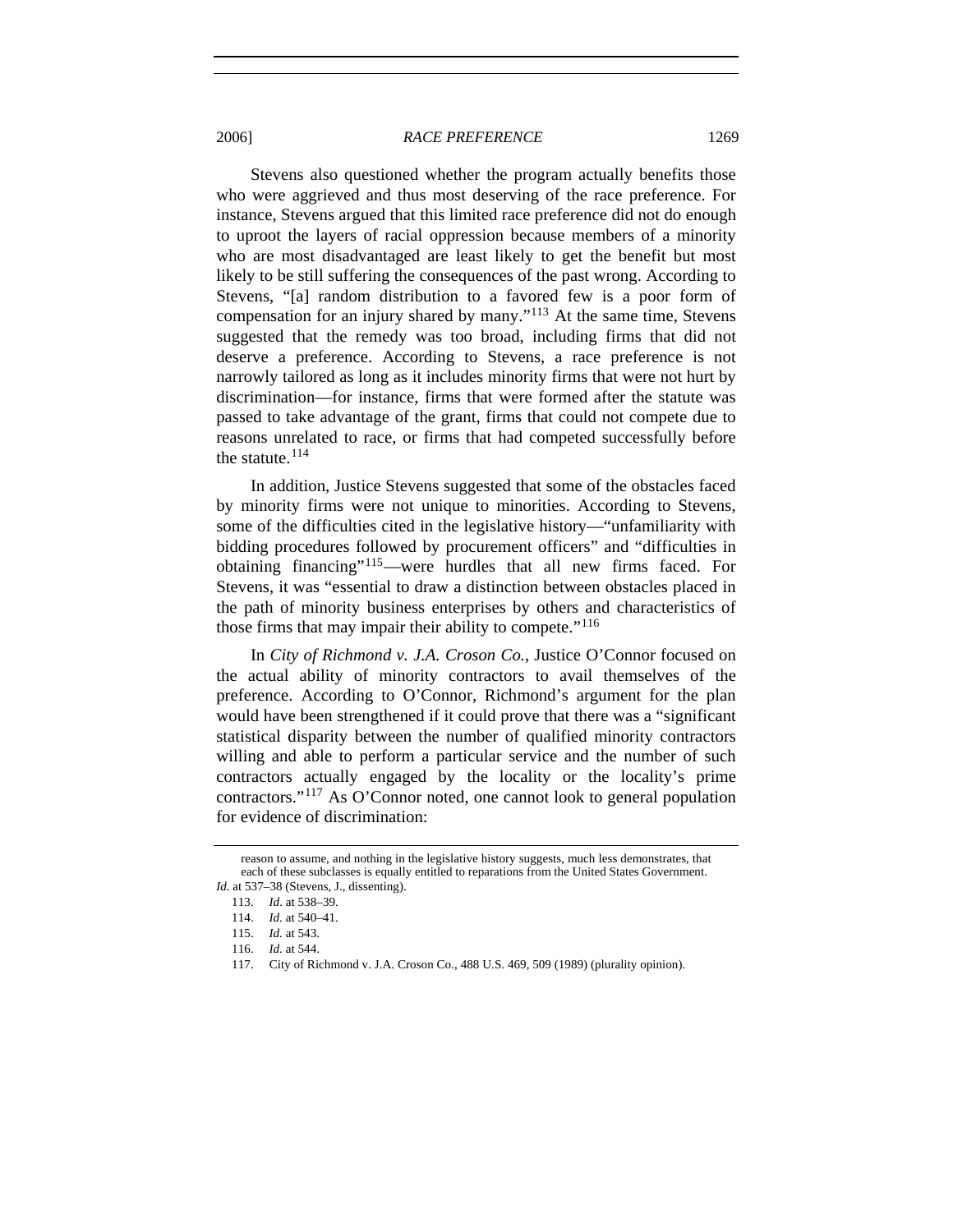Stevens also questioned whether the program actually benefits those who were aggrieved and thus most deserving of the race preference. For instance, Stevens argued that this limited race preference did not do enough to uproot the layers of racial oppression because members of a minority who are most disadvantaged are least likely to get the benefit but most likely to be still suffering the consequences of the past wrong. According to Stevens, "[a] random distribution to a favored few is a poor form of compensation for an injury shared by many."[113](#page-38-0) At the same time, Stevens suggested that the remedy was too broad, including firms that did not deserve a preference. According to Stevens, a race preference is not narrowly tailored as long as it includes minority firms that were not hurt by discrimination—for instance, firms that were formed after the statute was passed to take advantage of the grant, firms that could not compete due to reasons unrelated to race, or firms that had competed successfully before the statute.<sup>[114](#page-38-1)</sup>

In addition, Justice Stevens suggested that some of the obstacles faced by minority firms were not unique to minorities. According to Stevens, some of the difficulties cited in the legislative history—"unfamiliarity with bidding procedures followed by procurement officers" and "difficulties in obtaining financing"[115](#page-38-2)—were hurdles that all new firms faced. For Stevens, it was "essential to draw a distinction between obstacles placed in the path of minority business enterprises by others and characteristics of those firms that may impair their ability to compete."<sup>[116](#page-38-3)</sup>

In *City of Richmond v. J.A. Croson Co.*, Justice O'Connor focused on the actual ability of minority contractors to avail themselves of the preference. According to O'Connor, Richmond's argument for the plan would have been strengthened if it could prove that there was a "significant statistical disparity between the number of qualified minority contractors willing and able to perform a particular service and the number of such contractors actually engaged by the locality or the locality's prime contractors."[117](#page-38-4) As O'Connor noted, one cannot look to general population for evidence of discrimination:

<span id="page-38-2"></span><span id="page-38-1"></span><span id="page-38-0"></span>reason to assume, and nothing in the legislative history suggests, much less demonstrates, that each of these subclasses is equally entitled to reparations from the United States Government. *Id.* at 537–38 (Stevens, J., dissenting).

<sup>113.</sup> *Id*. at 538–39. 114. *Id.* at 540–41.

<sup>115.</sup> *Id.* at 543.

<span id="page-38-3"></span><sup>116.</sup> *Id.* at 544.

<span id="page-38-4"></span><sup>117.</sup> City of Richmond v. J.A. Croson Co., 488 U.S. 469, 509 (1989) (plurality opinion).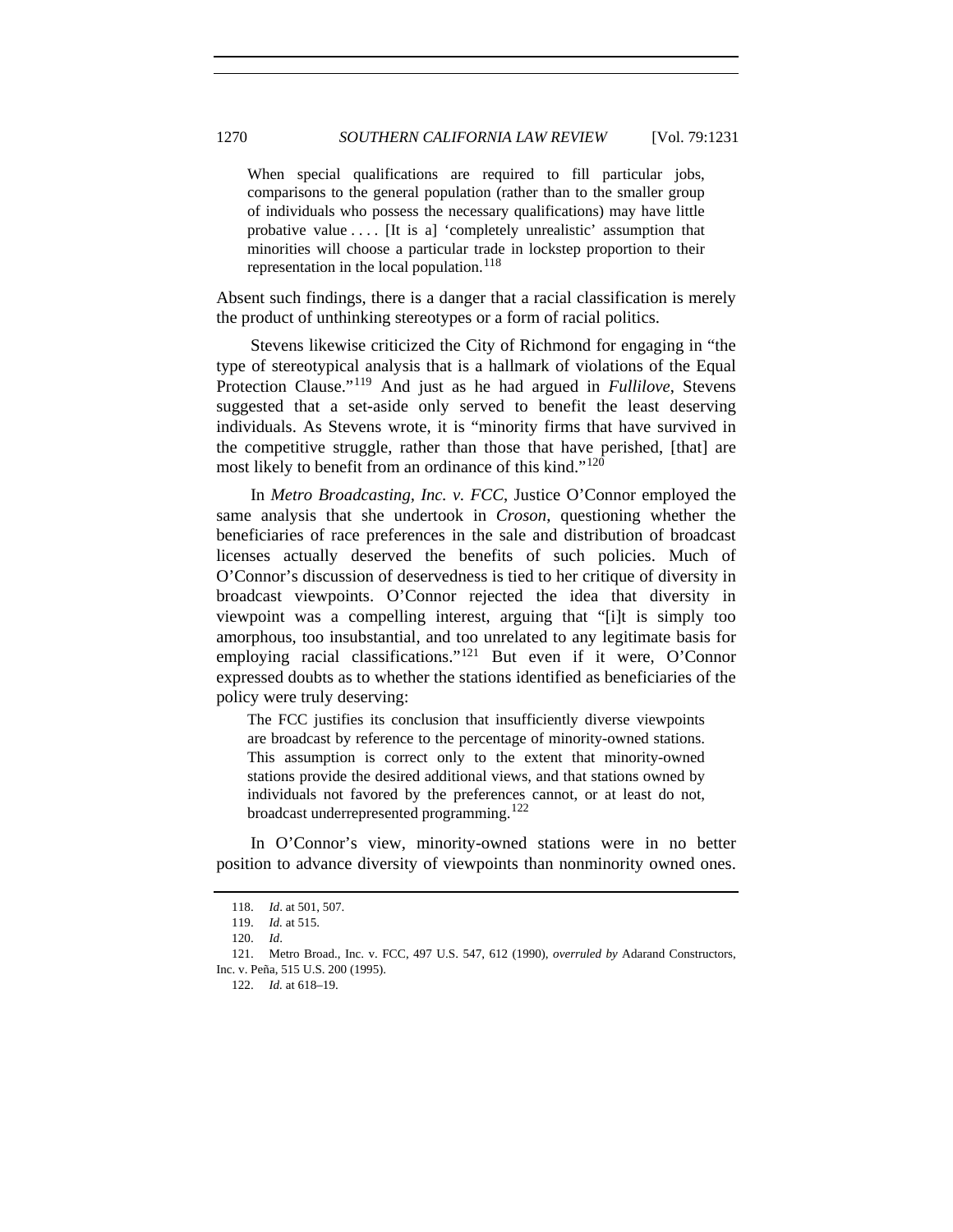When special qualifications are required to fill particular jobs, comparisons to the general population (rather than to the smaller group of individuals who possess the necessary qualifications) may have little probative value . . . . [It is a] 'completely unrealistic' assumption that minorities will choose a particular trade in lockstep proportion to their representation in the local population.<sup>[118](#page-39-0)</sup>

Absent such findings, there is a danger that a racial classification is merely the product of unthinking stereotypes or a form of racial politics.

Stevens likewise criticized the City of Richmond for engaging in "the type of stereotypical analysis that is a hallmark of violations of the Equal Protection Clause."[119](#page-39-1) And just as he had argued in *Fullilove*, Stevens suggested that a set-aside only served to benefit the least deserving individuals. As Stevens wrote, it is "minority firms that have survived in the competitive struggle, rather than those that have perished, [that] are most likely to benefit from an ordinance of this kind."[120](#page-39-2)

In *Metro Broadcasting, Inc. v. FCC*, Justice O'Connor employed the same analysis that she undertook in *Croson*, questioning whether the beneficiaries of race preferences in the sale and distribution of broadcast licenses actually deserved the benefits of such policies. Much of O'Connor's discussion of deservedness is tied to her critique of diversity in broadcast viewpoints. O'Connor rejected the idea that diversity in viewpoint was a compelling interest, arguing that "[i]t is simply too amorphous, too insubstantial, and too unrelated to any legitimate basis for employing racial classifications."<sup>[121](#page-39-3)</sup> But even if it were, O'Connor expressed doubts as to whether the stations identified as beneficiaries of the policy were truly deserving:

The FCC justifies its conclusion that insufficiently diverse viewpoints are broadcast by reference to the percentage of minority-owned stations. This assumption is correct only to the extent that minority-owned stations provide the desired additional views, and that stations owned by individuals not favored by the preferences cannot, or at least do not, broadcast underrepresented programming.[122](#page-39-4)

In O'Connor's view, minority-owned stations were in no better position to advance diversity of viewpoints than nonminority owned ones.

<sup>118.</sup> *Id*. at 501, 507.

<sup>119.</sup> *Id.* at 515.

<sup>120.</sup> *Id*.

<span id="page-39-4"></span><span id="page-39-3"></span><span id="page-39-2"></span><span id="page-39-1"></span><span id="page-39-0"></span><sup>121.</sup> Metro Broad., Inc. v. FCC, 497 U.S. 547, 612 (1990), *overruled by* Adarand Constructors, Inc. v. Peña, 515 U.S. 200 (1995).

<sup>122.</sup> *Id.* at 618–19.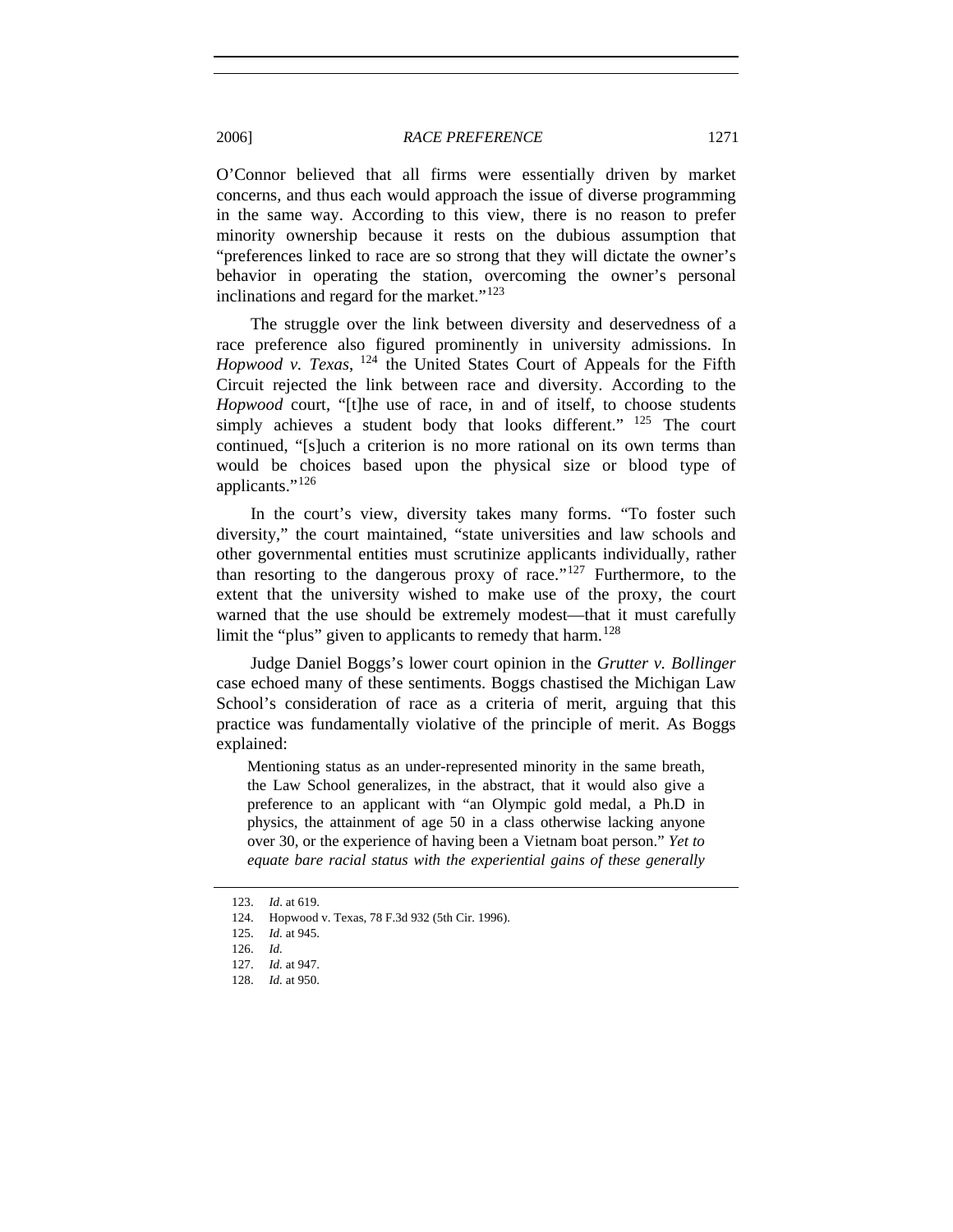O'Connor believed that all firms were essentially driven by market concerns, and thus each would approach the issue of diverse programming in the same way. According to this view, there is no reason to prefer minority ownership because it rests on the dubious assumption that "preferences linked to race are so strong that they will dictate the owner's behavior in operating the station, overcoming the owner's personal inclinations and regard for the market."<sup>[123](#page-40-0)</sup>

The struggle over the link between diversity and deservedness of a race preference also figured prominently in university admissions. In *Hopwood v. Texas*, [124](#page-40-1) the United States Court of Appeals for the Fifth Circuit rejected the link between race and diversity. According to the *Hopwood* court, "[t]he use of race, in and of itself, to choose students simply achieves a student body that looks different." <sup>[125](#page-40-2)</sup> The court continued, "[s]uch a criterion is no more rational on its own terms than would be choices based upon the physical size or blood type of applicants."[126](#page-40-3)

In the court's view, diversity takes many forms. "To foster such diversity," the court maintained, "state universities and law schools and other governmental entities must scrutinize applicants individually, rather than resorting to the dangerous proxy of race." $127$  Furthermore, to the extent that the university wished to make use of the proxy, the court warned that the use should be extremely modest—that it must carefully limit the "plus" given to applicants to remedy that harm.<sup>[128](#page-40-5)</sup>

Judge Daniel Boggs's lower court opinion in the *Grutter v. Bollinger* case echoed many of these sentiments. Boggs chastised the Michigan Law School's consideration of race as a criteria of merit, arguing that this practice was fundamentally violative of the principle of merit. As Boggs explained:

Mentioning status as an under-represented minority in the same breath, the Law School generalizes, in the abstract, that it would also give a preference to an applicant with "an Olympic gold medal, a Ph.D in physics, the attainment of age 50 in a class otherwise lacking anyone over 30, or the experience of having been a Vietnam boat person." *Yet to equate bare racial status with the experiential gains of these generally* 

<span id="page-40-0"></span><sup>123.</sup> *Id*. at 619.

<span id="page-40-1"></span><sup>124.</sup> Hopwood v. Texas, 78 F.3d 932 (5th Cir. 1996).

<span id="page-40-2"></span><sup>125.</sup> *Id.* at 945.

<span id="page-40-3"></span><sup>126.</sup> *Id.*

<span id="page-40-4"></span><sup>127.</sup> *Id.* at 947.

<span id="page-40-5"></span><sup>128.</sup> *Id.* at 950.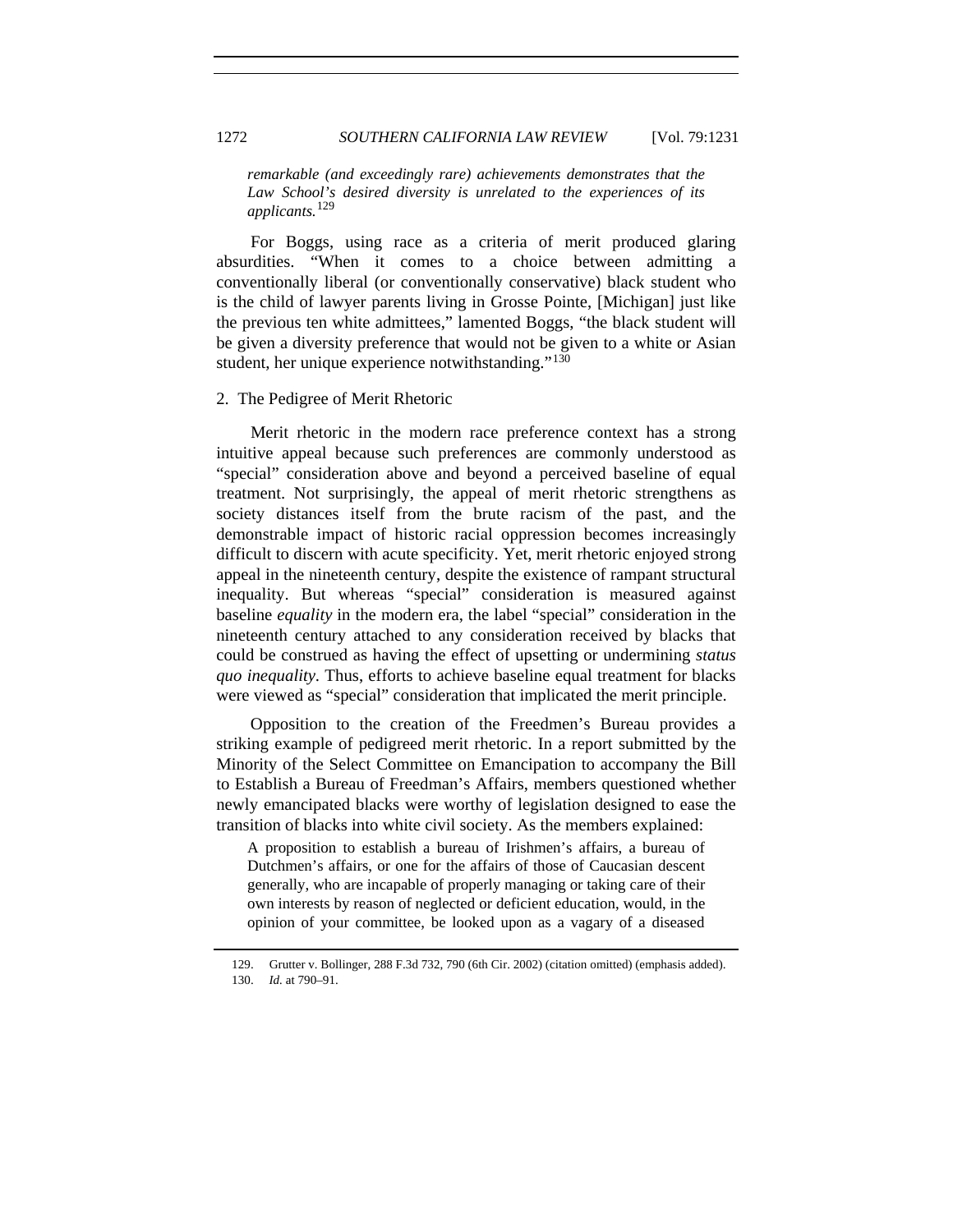*remarkable (and exceedingly rare) achievements demonstrates that the Law School's desired diversity is unrelated to the experiences of its applicants.*[129](#page-41-0)

For Boggs, using race as a criteria of merit produced glaring absurdities. "When it comes to a choice between admitting a conventionally liberal (or conventionally conservative) black student who is the child of lawyer parents living in Grosse Pointe, [Michigan] just like the previous ten white admittees," lamented Boggs, "the black student will be given a diversity preference that would not be given to a white or Asian student, her unique experience notwithstanding."<sup>[130](#page-41-1)</sup>

### 2. The Pedigree of Merit Rhetoric

Merit rhetoric in the modern race preference context has a strong intuitive appeal because such preferences are commonly understood as "special" consideration above and beyond a perceived baseline of equal treatment. Not surprisingly, the appeal of merit rhetoric strengthens as society distances itself from the brute racism of the past, and the demonstrable impact of historic racial oppression becomes increasingly difficult to discern with acute specificity. Yet, merit rhetoric enjoyed strong appeal in the nineteenth century, despite the existence of rampant structural inequality. But whereas "special" consideration is measured against baseline *equality* in the modern era, the label "special" consideration in the nineteenth century attached to any consideration received by blacks that could be construed as having the effect of upsetting or undermining *status quo inequality*. Thus, efforts to achieve baseline equal treatment for blacks were viewed as "special" consideration that implicated the merit principle.

Opposition to the creation of the Freedmen's Bureau provides a striking example of pedigreed merit rhetoric. In a report submitted by the Minority of the Select Committee on Emancipation to accompany the Bill to Establish a Bureau of Freedman's Affairs, members questioned whether newly emancipated blacks were worthy of legislation designed to ease the transition of blacks into white civil society. As the members explained:

A proposition to establish a bureau of Irishmen's affairs, a bureau of Dutchmen's affairs, or one for the affairs of those of Caucasian descent generally, who are incapable of properly managing or taking care of their own interests by reason of neglected or deficient education, would, in the opinion of your committee, be looked upon as a vagary of a diseased

<span id="page-41-1"></span><span id="page-41-0"></span><sup>129.</sup> Grutter v. Bollinger, 288 F.3d 732, 790 (6th Cir. 2002) (citation omitted) (emphasis added). 130. *Id.* at 790–91.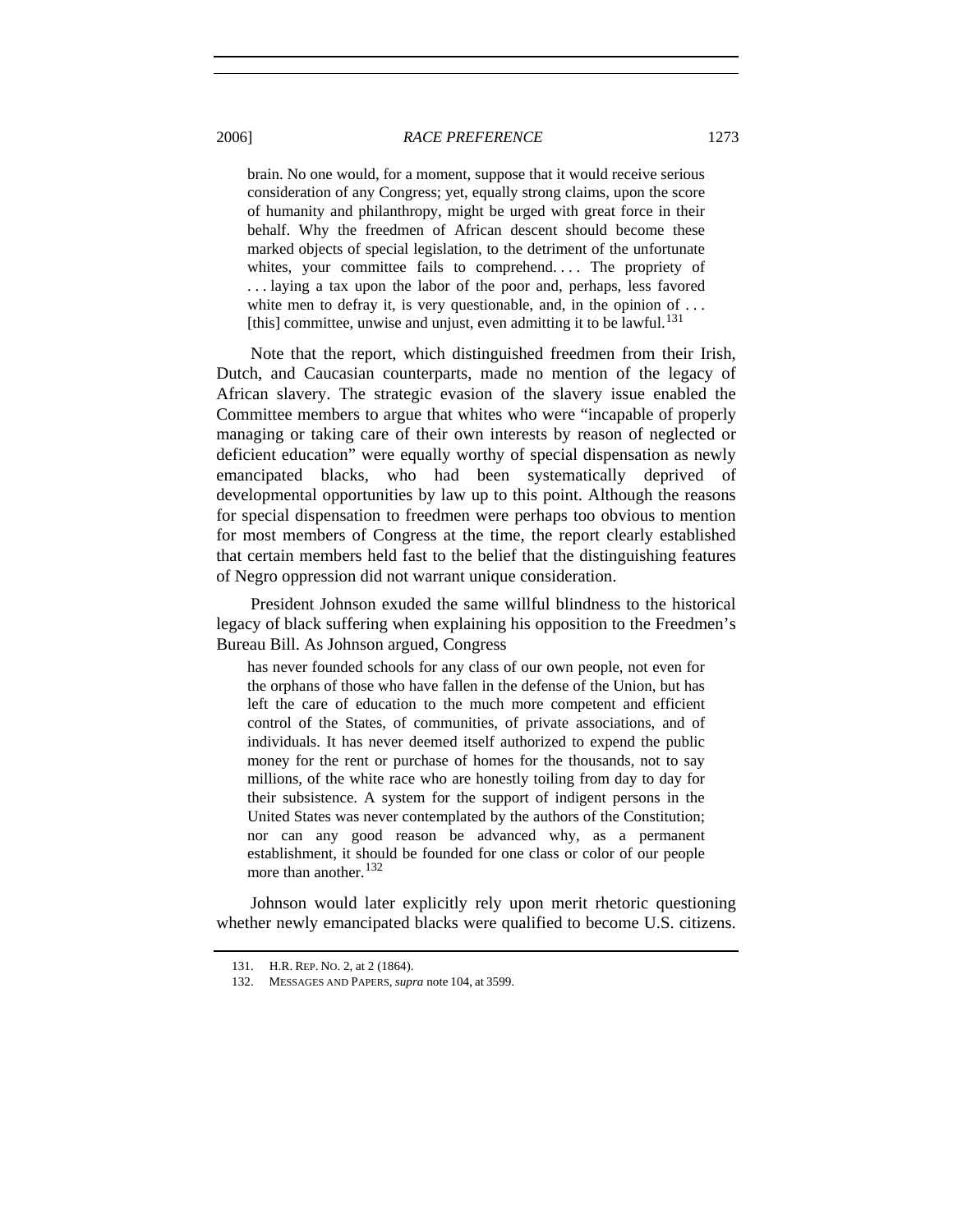brain. No one would, for a moment, suppose that it would receive serious consideration of any Congress; yet, equally strong claims, upon the score of humanity and philanthropy, might be urged with great force in their behalf. Why the freedmen of African descent should become these marked objects of special legislation, to the detriment of the unfortunate whites, your committee fails to comprehend.... The propriety of . . . laying a tax upon the labor of the poor and, perhaps, less favored white men to defray it, is very questionable, and, in the opinion of ... [this] committee, unwise and unjust, even admitting it to be lawful.<sup>[131](#page-42-0)</sup>

Note that the report, which distinguished freedmen from their Irish, Dutch, and Caucasian counterparts, made no mention of the legacy of African slavery. The strategic evasion of the slavery issue enabled the Committee members to argue that whites who were "incapable of properly managing or taking care of their own interests by reason of neglected or deficient education" were equally worthy of special dispensation as newly emancipated blacks, who had been systematically deprived of developmental opportunities by law up to this point. Although the reasons for special dispensation to freedmen were perhaps too obvious to mention for most members of Congress at the time, the report clearly established that certain members held fast to the belief that the distinguishing features of Negro oppression did not warrant unique consideration.

President Johnson exuded the same willful blindness to the historical legacy of black suffering when explaining his opposition to the Freedmen's Bureau Bill. As Johnson argued, Congress

has never founded schools for any class of our own people, not even for the orphans of those who have fallen in the defense of the Union, but has left the care of education to the much more competent and efficient control of the States, of communities, of private associations, and of individuals. It has never deemed itself authorized to expend the public money for the rent or purchase of homes for the thousands, not to say millions, of the white race who are honestly toiling from day to day for their subsistence. A system for the support of indigent persons in the United States was never contemplated by the authors of the Constitution; nor can any good reason be advanced why, as a permanent establishment, it should be founded for one class or color of our people more than another.<sup>[132](#page-42-1)</sup>

<span id="page-42-1"></span><span id="page-42-0"></span>Johnson would later explicitly rely upon merit rhetoric questioning whether newly emancipated blacks were qualified to become U.S. citizens.

<sup>131.</sup> H.R. REP. NO. 2, at 2 (1864).

<sup>132.</sup> MESSAGES AND PAPERS, *supra* note 104, at 3599.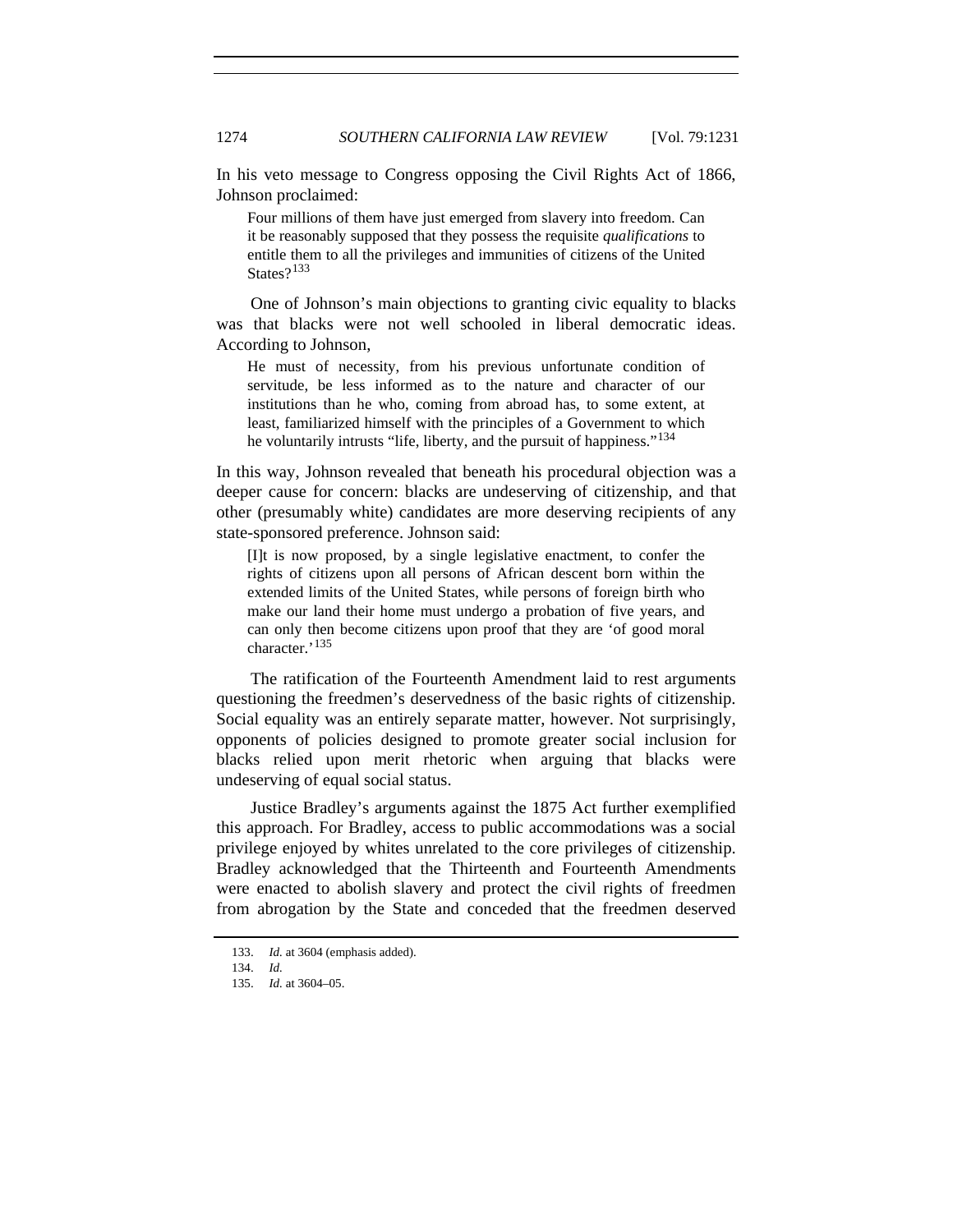In his veto message to Congress opposing the Civil Rights Act of 1866, Johnson proclaimed:

Four millions of them have just emerged from slavery into freedom. Can it be reasonably supposed that they possess the requisite *qualifications* to entitle them to all the privileges and immunities of citizens of the United States?<sup>[133](#page-43-0)</sup>

One of Johnson's main objections to granting civic equality to blacks was that blacks were not well schooled in liberal democratic ideas. According to Johnson,

He must of necessity, from his previous unfortunate condition of servitude, be less informed as to the nature and character of our institutions than he who, coming from abroad has, to some extent, at least, familiarized himself with the principles of a Government to which he voluntarily intrusts "life, liberty, and the pursuit of happiness."<sup>[134](#page-43-1)</sup>

In this way, Johnson revealed that beneath his procedural objection was a deeper cause for concern: blacks are undeserving of citizenship, and that other (presumably white) candidates are more deserving recipients of any state-sponsored preference. Johnson said:

[I]t is now proposed, by a single legislative enactment, to confer the rights of citizens upon all persons of African descent born within the extended limits of the United States, while persons of foreign birth who make our land their home must undergo a probation of five years, and can only then become citizens upon proof that they are 'of good moral character.'[135](#page-43-2)

The ratification of the Fourteenth Amendment laid to rest arguments questioning the freedmen's deservedness of the basic rights of citizenship. Social equality was an entirely separate matter, however. Not surprisingly, opponents of policies designed to promote greater social inclusion for blacks relied upon merit rhetoric when arguing that blacks were undeserving of equal social status.

Justice Bradley's arguments against the 1875 Act further exemplified this approach. For Bradley, access to public accommodations was a social privilege enjoyed by whites unrelated to the core privileges of citizenship. Bradley acknowledged that the Thirteenth and Fourteenth Amendments were enacted to abolish slavery and protect the civil rights of freedmen from abrogation by the State and conceded that the freedmen deserved

<span id="page-43-0"></span><sup>133.</sup> *Id.* at 3604 (emphasis added).

<span id="page-43-1"></span><sup>134.</sup> *Id.*

<span id="page-43-2"></span><sup>135.</sup> *Id.* at 3604–05.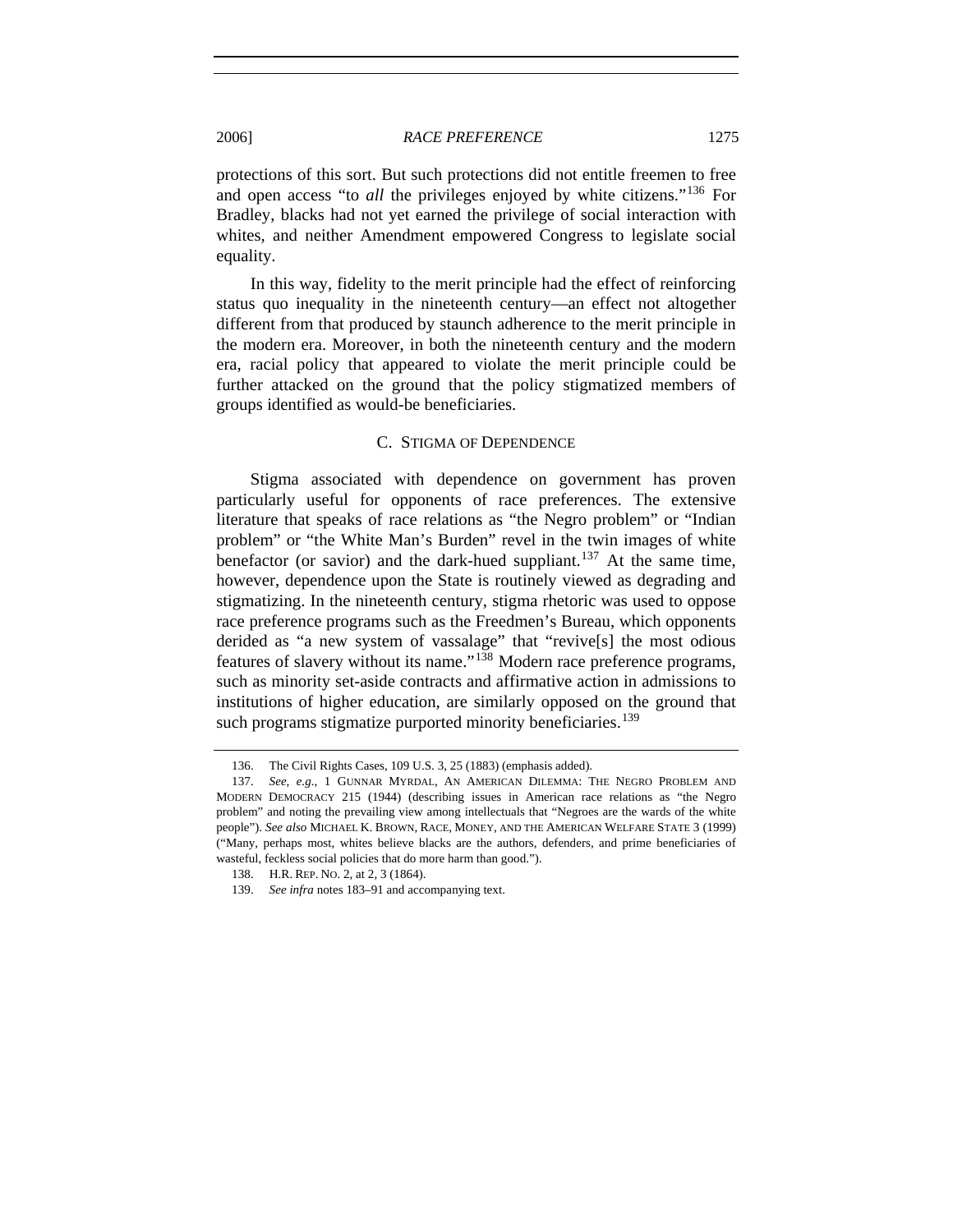protections of this sort. But such protections did not entitle freemen to free and open access "to *all* the privileges enjoyed by white citizens."[136](#page-44-0) For Bradley, blacks had not yet earned the privilege of social interaction with whites, and neither Amendment empowered Congress to legislate social equality.

In this way, fidelity to the merit principle had the effect of reinforcing status quo inequality in the nineteenth century—an effect not altogether different from that produced by staunch adherence to the merit principle in the modern era. Moreover, in both the nineteenth century and the modern era, racial policy that appeared to violate the merit principle could be further attacked on the ground that the policy stigmatized members of groups identified as would-be beneficiaries.

#### C. STIGMA OF DEPENDENCE

Stigma associated with dependence on government has proven particularly useful for opponents of race preferences. The extensive literature that speaks of race relations as "the Negro problem" or "Indian problem" or "the White Man's Burden" revel in the twin images of white benefactor (or savior) and the dark-hued suppliant.<sup>[137](#page-44-1)</sup> At the same time, however, dependence upon the State is routinely viewed as degrading and stigmatizing. In the nineteenth century, stigma rhetoric was used to oppose race preference programs such as the Freedmen's Bureau, which opponents derided as "a new system of vassalage" that "revive[s] the most odious features of slavery without its name."[138](#page-44-2) Modern race preference programs, such as minority set-aside contracts and affirmative action in admissions to institutions of higher education, are similarly opposed on the ground that such programs stigmatize purported minority beneficiaries.<sup>[139](#page-44-3)</sup>

<sup>136.</sup> The Civil Rights Cases, 109 U.S. 3, 25 (1883) (emphasis added).

<span id="page-44-1"></span><span id="page-44-0"></span><sup>137.</sup> *See, e.g.*, 1 GUNNAR MYRDAL, AN AMERICAN DILEMMA: THE NEGRO PROBLEM AND MODERN DEMOCRACY 215 (1944) (describing issues in American race relations as "the Negro problem" and noting the prevailing view among intellectuals that "Negroes are the wards of the white people"). *See also* MICHAEL K. BROWN, RACE, MONEY, AND THE AMERICAN WELFARE STATE 3 (1999) ("Many, perhaps most, whites believe blacks are the authors, defenders, and prime beneficiaries of wasteful, feckless social policies that do more harm than good.").

<span id="page-44-2"></span><sup>138.</sup> H.R. REP. NO. 2, at 2, 3 (1864).

<span id="page-44-3"></span><sup>139.</sup> *See infra* notes 183–91 and accompanying text.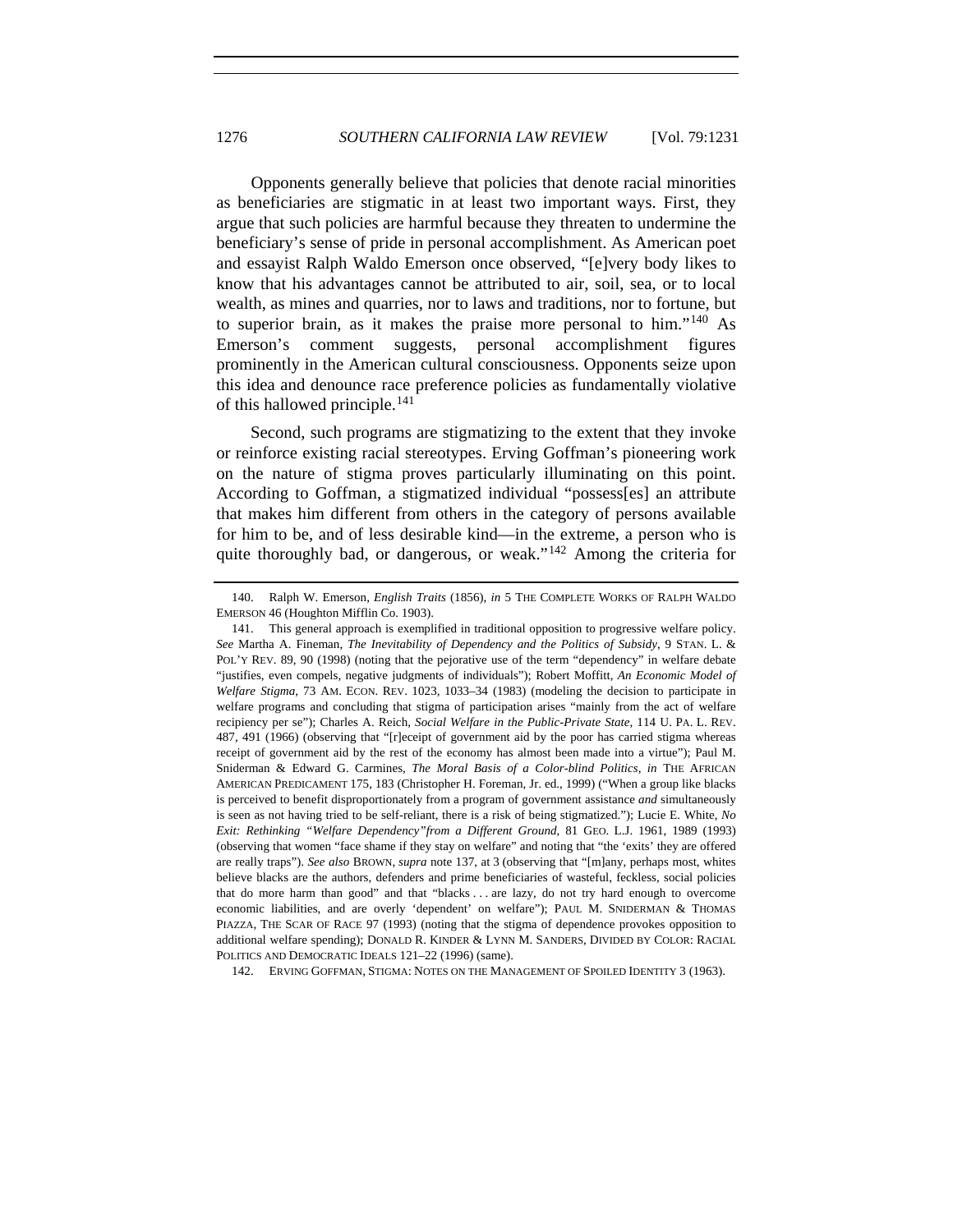Opponents generally believe that policies that denote racial minorities as beneficiaries are stigmatic in at least two important ways. First, they argue that such policies are harmful because they threaten to undermine the beneficiary's sense of pride in personal accomplishment. As American poet and essayist Ralph Waldo Emerson once observed, "[e]very body likes to know that his advantages cannot be attributed to air, soil, sea, or to local wealth, as mines and quarries, nor to laws and traditions, nor to fortune, but to superior brain, as it makes the praise more personal to him."<sup>[140](#page-45-0)</sup> As Emerson's comment suggests, personal accomplishment figures prominently in the American cultural consciousness. Opponents seize upon this idea and denounce race preference policies as fundamentally violative of this hallowed principle.<sup>[141](#page-45-1)</sup>

Second, such programs are stigmatizing to the extent that they invoke or reinforce existing racial stereotypes. Erving Goffman's pioneering work on the nature of stigma proves particularly illuminating on this point. According to Goffman, a stigmatized individual "possess[es] an attribute that makes him different from others in the category of persons available for him to be, and of less desirable kind—in the extreme, a person who is quite thoroughly bad, or dangerous, or weak."<sup>[142](#page-45-2)</sup> Among the criteria for

<span id="page-45-2"></span>142. ERVING GOFFMAN, STIGMA: NOTES ON THE MANAGEMENT OF SPOILED IDENTITY 3 (1963).

<span id="page-45-0"></span><sup>140.</sup> Ralph W. Emerson, *English Traits* (1856), *in* 5 THE COMPLETE WORKS OF RALPH WALDO EMERSON 46 (Houghton Mifflin Co. 1903).

<span id="page-45-1"></span><sup>141.</sup> This general approach is exemplified in traditional opposition to progressive welfare policy. *See* Martha A. Fineman, *The Inevitability of Dependency and the Politics of Subsidy*, 9 STAN. L. & POL'Y REV. 89, 90 (1998) (noting that the pejorative use of the term "dependency" in welfare debate "justifies, even compels, negative judgments of individuals"); Robert Moffitt, *An Economic Model of Welfare Stigma*, 73 AM. ECON. REV. 1023, 1033–34 (1983) (modeling the decision to participate in welfare programs and concluding that stigma of participation arises "mainly from the act of welfare recipiency per se"); Charles A. Reich, *Social Welfare in the Public-Private State*, 114 U. PA. L. REV. 487, 491 (1966) (observing that "[r]eceipt of government aid by the poor has carried stigma whereas receipt of government aid by the rest of the economy has almost been made into a virtue"); Paul M. Sniderman & Edward G. Carmines, *The Moral Basis of a Color-blind Politics*, *in* THE AFRICAN AMERICAN PREDICAMENT 175, 183 (Christopher H. Foreman, Jr. ed., 1999) ("When a group like blacks is perceived to benefit disproportionately from a program of government assistance *and* simultaneously is seen as not having tried to be self-reliant, there is a risk of being stigmatized."); Lucie E. White, *No Exit: Rethinking "Welfare Dependency"from a Different Ground*, 81 GEO. L.J. 1961, 1989 (1993) (observing that women "face shame if they stay on welfare" and noting that "the 'exits' they are offered are really traps"). *See also* BROWN, *supra* note 137, at 3 (observing that "[m]any, perhaps most, whites believe blacks are the authors, defenders and prime beneficiaries of wasteful, feckless, social policies that do more harm than good" and that "blacks . . . are lazy, do not try hard enough to overcome economic liabilities, and are overly 'dependent' on welfare"); PAUL M. SNIDERMAN & THOMAS PIAZZA, THE SCAR OF RACE 97 (1993) (noting that the stigma of dependence provokes opposition to additional welfare spending); DONALD R. KINDER & LYNN M. SANDERS, DIVIDED BY COLOR: RACIAL POLITICS AND DEMOCRATIC IDEALS 121–22 (1996) (same).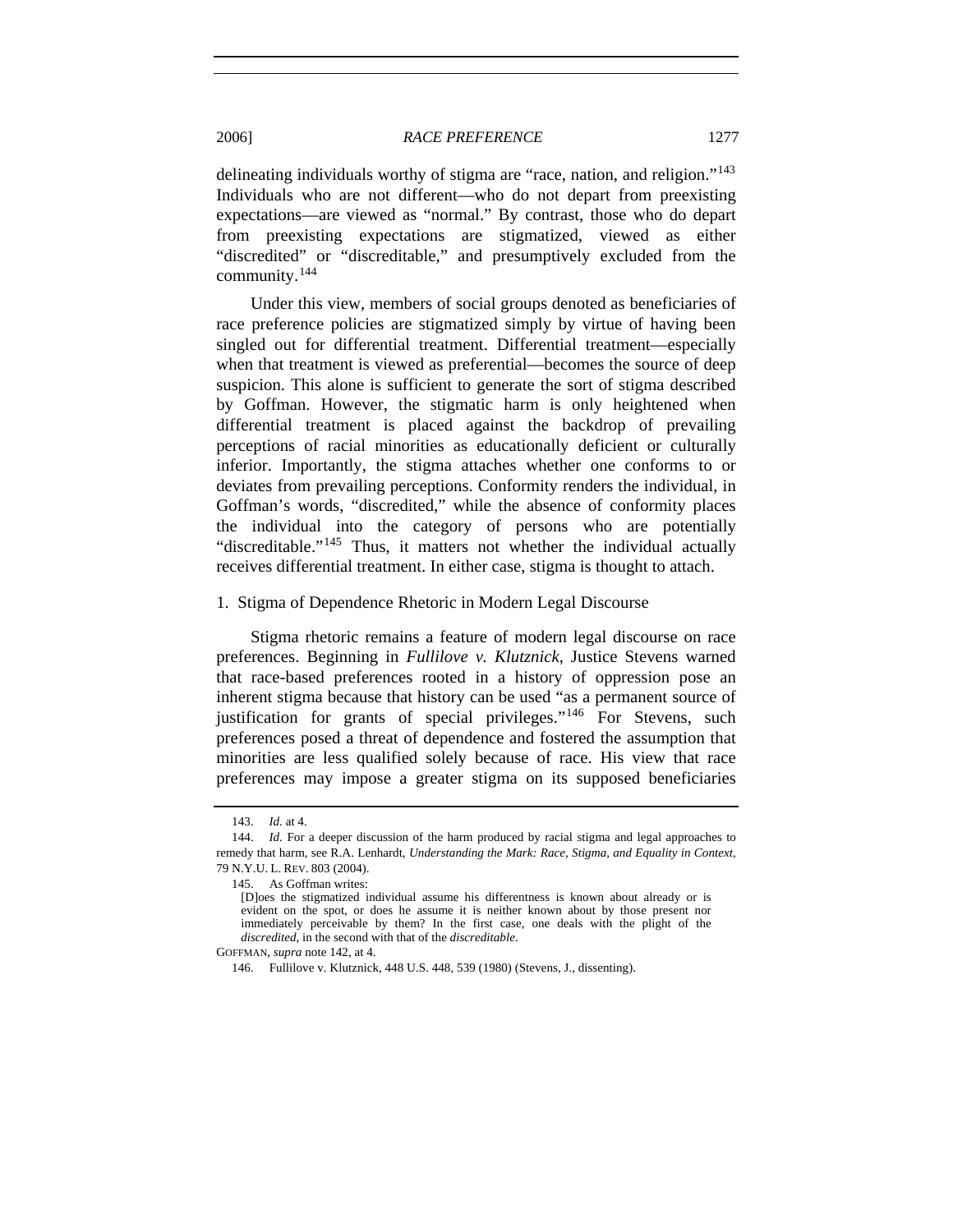delineating individuals worthy of stigma are "race, nation, and religion."<sup>[143](#page-46-0)</sup> Individuals who are not different—who do not depart from preexisting expectations—are viewed as "normal." By contrast, those who do depart from preexisting expectations are stigmatized, viewed as either "discredited" or "discreditable," and presumptively excluded from the community.[144](#page-46-1)

Under this view, members of social groups denoted as beneficiaries of race preference policies are stigmatized simply by virtue of having been singled out for differential treatment. Differential treatment—especially when that treatment is viewed as preferential—becomes the source of deep suspicion. This alone is sufficient to generate the sort of stigma described by Goffman. However, the stigmatic harm is only heightened when differential treatment is placed against the backdrop of prevailing perceptions of racial minorities as educationally deficient or culturally inferior. Importantly, the stigma attaches whether one conforms to or deviates from prevailing perceptions. Conformity renders the individual, in Goffman's words, "discredited," while the absence of conformity places the individual into the category of persons who are potentially "discreditable."<sup>[145](#page-46-2)</sup> Thus, it matters not whether the individual actually receives differential treatment. In either case, stigma is thought to attach.

#### 1. Stigma of Dependence Rhetoric in Modern Legal Discourse

Stigma rhetoric remains a feature of modern legal discourse on race preferences. Beginning in *Fullilove v. Klutznick*, Justice Stevens warned that race-based preferences rooted in a history of oppression pose an inherent stigma because that history can be used "as a permanent source of justification for grants of special privileges."<sup>[146](#page-46-3)</sup> For Stevens, such preferences posed a threat of dependence and fostered the assumption that minorities are less qualified solely because of race. His view that race preferences may impose a greater stigma on its supposed beneficiaries

<sup>143.</sup> *Id.* at 4.

<span id="page-46-2"></span><span id="page-46-1"></span><span id="page-46-0"></span><sup>144.</sup> *Id.* For a deeper discussion of the harm produced by racial stigma and legal approaches to remedy that harm, see R.A. Lenhardt, *Understanding the Mark: Race, Stigma, and Equality in Context*, 79 N.Y.U. L. REV. 803 (2004).

<sup>145.</sup> As Goffman writes:

<sup>[</sup>D]oes the stigmatized individual assume his differentness is known about already or is evident on the spot, or does he assume it is neither known about by those present nor immediately perceivable by them? In the first case, one deals with the plight of the *discredited*, in the second with that of the *discreditable*.

<span id="page-46-3"></span>GOFFMAN, *supra* note 142, at 4.

<sup>146.</sup> Fullilove v. Klutznick, 448 U.S. 448, 539 (1980) (Stevens, J., dissenting).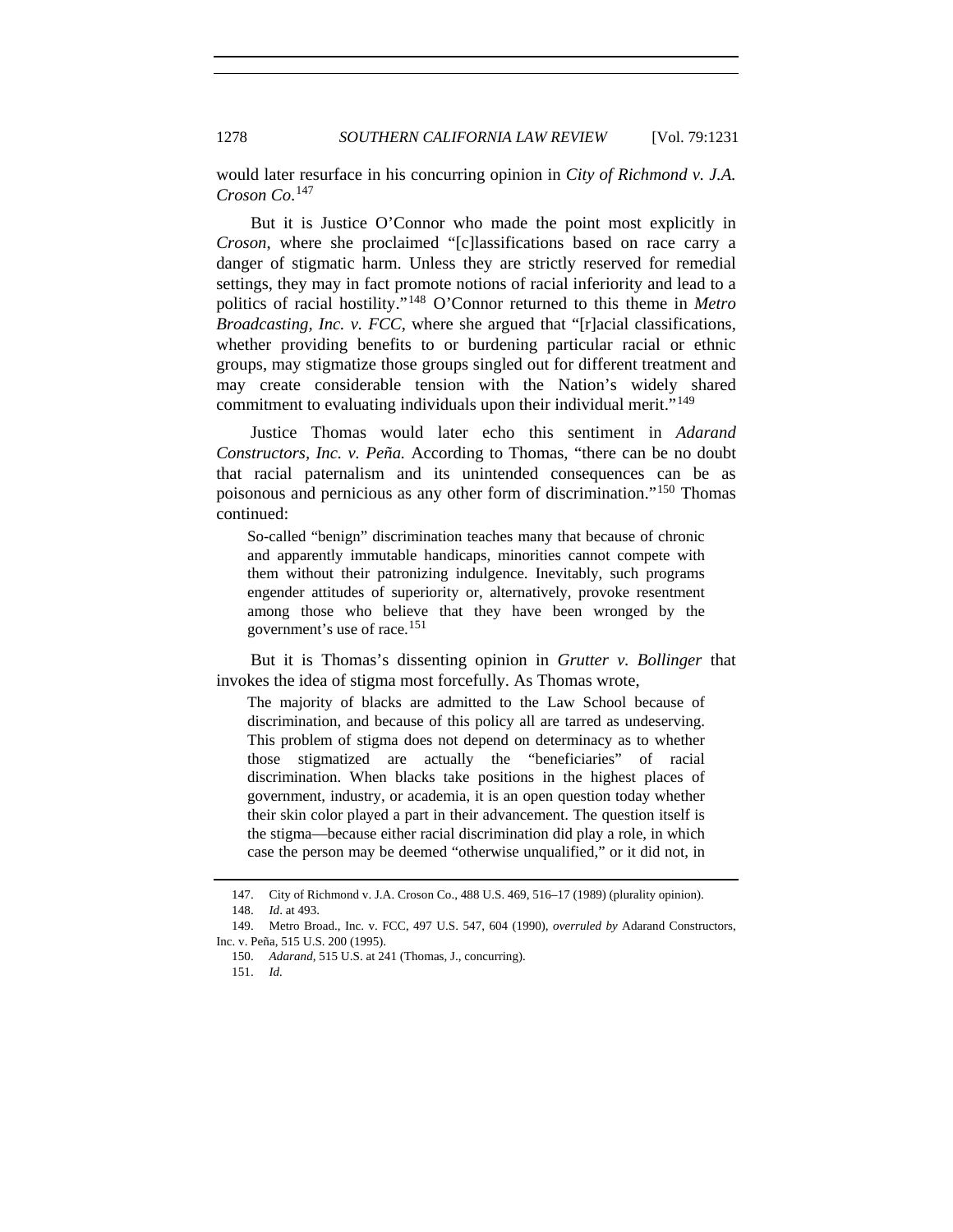would later resurface in his concurring opinion in *City of Richmond v. J.A. Croson Co*. [147](#page-47-0)

But it is Justice O'Connor who made the point most explicitly in *Croson*, where she proclaimed "[c]lassifications based on race carry a danger of stigmatic harm. Unless they are strictly reserved for remedial settings, they may in fact promote notions of racial inferiority and lead to a politics of racial hostility."[148](#page-47-1) O'Connor returned to this theme in *Metro Broadcasting, Inc. v. FCC*, where she argued that "[r]acial classifications, whether providing benefits to or burdening particular racial or ethnic groups, may stigmatize those groups singled out for different treatment and may create considerable tension with the Nation's widely shared commitment to evaluating individuals upon their individual merit."<sup>[149](#page-47-2)</sup>

Justice Thomas would later echo this sentiment in *Adarand Constructors, Inc. v. Peña.* According to Thomas, "there can be no doubt that racial paternalism and its unintended consequences can be as poisonous and pernicious as any other form of discrimination."[150](#page-47-3) Thomas continued:

So-called "benign" discrimination teaches many that because of chronic and apparently immutable handicaps, minorities cannot compete with them without their patronizing indulgence. Inevitably, such programs engender attitudes of superiority or, alternatively, provoke resentment among those who believe that they have been wronged by the government's use of race.[151](#page-47-4)

But it is Thomas's dissenting opinion in *Grutter v. Bollinger* that invokes the idea of stigma most forcefully. As Thomas wrote,

The majority of blacks are admitted to the Law School because of discrimination, and because of this policy all are tarred as undeserving. This problem of stigma does not depend on determinacy as to whether those stigmatized are actually the "beneficiaries" of racial discrimination. When blacks take positions in the highest places of government, industry, or academia, it is an open question today whether their skin color played a part in their advancement. The question itself is the stigma—because either racial discrimination did play a role, in which case the person may be deemed "otherwise unqualified," or it did not, in

- 150. *Adarand*, 515 U.S. at 241 (Thomas, J., concurring).
- 151. *Id.*

<sup>147.</sup> City of Richmond v. J.A. Croson Co., 488 U.S. 469, 516–17 (1989) (plurality opinion).

<sup>148.</sup> *Id*. at 493.

<span id="page-47-4"></span><span id="page-47-3"></span><span id="page-47-2"></span><span id="page-47-1"></span><span id="page-47-0"></span><sup>149.</sup> Metro Broad., Inc. v. FCC, 497 U.S. 547, 604 (1990), *overruled by* Adarand Constructors, Inc. v. Peña, 515 U.S. 200 (1995).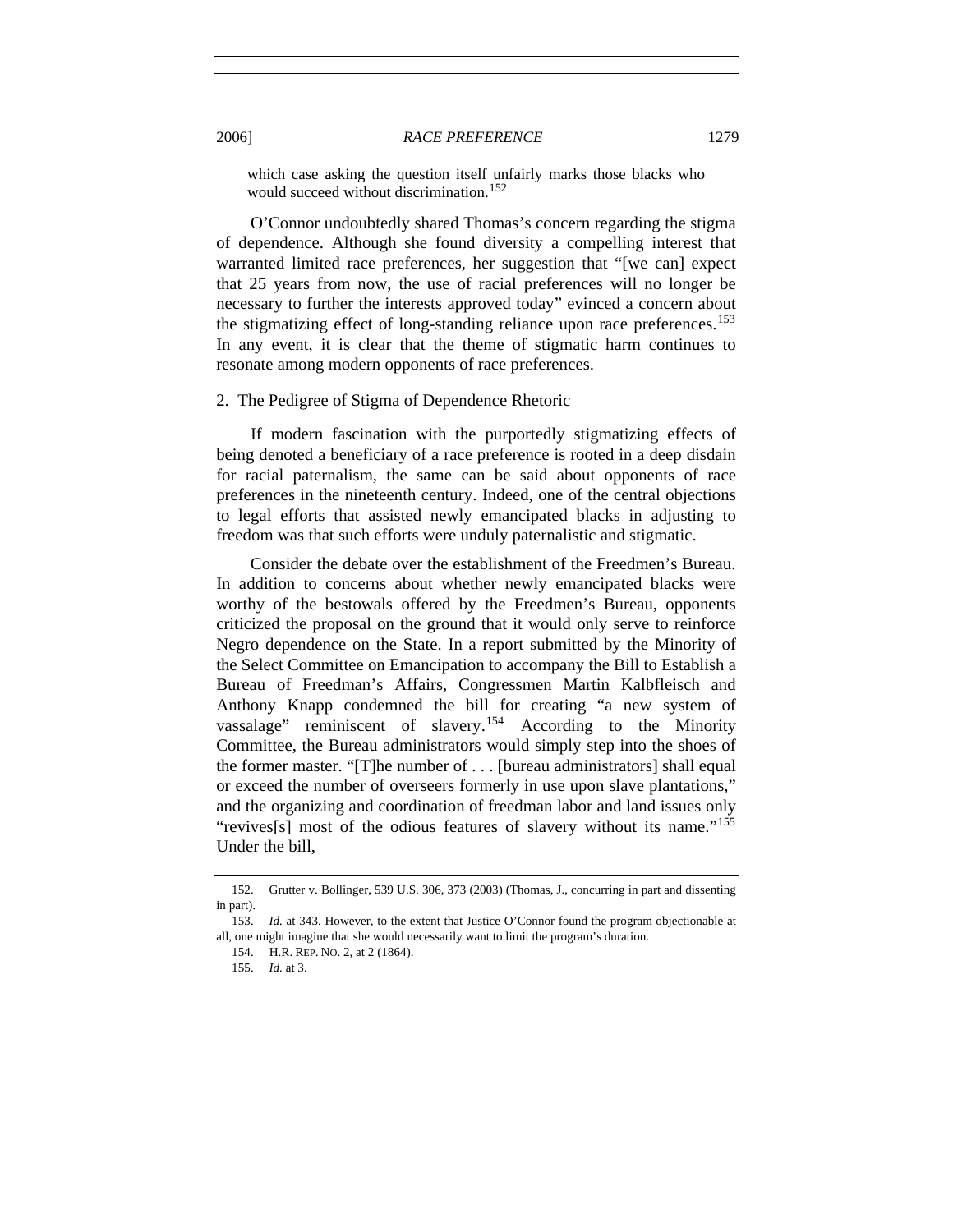which case asking the question itself unfairly marks those blacks who would succeed without discrimination.<sup>[152](#page-48-0)</sup>

O'Connor undoubtedly shared Thomas's concern regarding the stigma of dependence. Although she found diversity a compelling interest that warranted limited race preferences, her suggestion that "[we can] expect that 25 years from now, the use of racial preferences will no longer be necessary to further the interests approved today" evinced a concern about the stigmatizing effect of long-standing reliance upon race preferences.<sup>[153](#page-48-1)</sup> In any event, it is clear that the theme of stigmatic harm continues to resonate among modern opponents of race preferences.

#### 2. The Pedigree of Stigma of Dependence Rhetoric

If modern fascination with the purportedly stigmatizing effects of being denoted a beneficiary of a race preference is rooted in a deep disdain for racial paternalism, the same can be said about opponents of race preferences in the nineteenth century. Indeed, one of the central objections to legal efforts that assisted newly emancipated blacks in adjusting to freedom was that such efforts were unduly paternalistic and stigmatic.

Consider the debate over the establishment of the Freedmen's Bureau. In addition to concerns about whether newly emancipated blacks were worthy of the bestowals offered by the Freedmen's Bureau, opponents criticized the proposal on the ground that it would only serve to reinforce Negro dependence on the State. In a report submitted by the Minority of the Select Committee on Emancipation to accompany the Bill to Establish a Bureau of Freedman's Affairs, Congressmen Martin Kalbfleisch and Anthony Knapp condemned the bill for creating "a new system of vassalage" reminiscent of slavery.<sup>[154](#page-48-2)</sup> According to the Minority Committee, the Bureau administrators would simply step into the shoes of the former master. "[T]he number of . . . [bureau administrators] shall equal or exceed the number of overseers formerly in use upon slave plantations," and the organizing and coordination of freedman labor and land issues only "revives[s] most of the odious features of slavery without its name."<sup>[155](#page-48-3)</sup> Under the bill,

<span id="page-48-0"></span><sup>152.</sup> Grutter v. Bollinger, 539 U.S. 306, 373 (2003) (Thomas, J., concurring in part and dissenting in part).

<span id="page-48-3"></span><span id="page-48-2"></span><span id="page-48-1"></span><sup>153.</sup> *Id.* at 343. However, to the extent that Justice O'Connor found the program objectionable at all, one might imagine that she would necessarily want to limit the program's duration.

<sup>154.</sup> H.R. REP. NO. 2, at 2 (1864).

<sup>155.</sup> *Id.* at 3.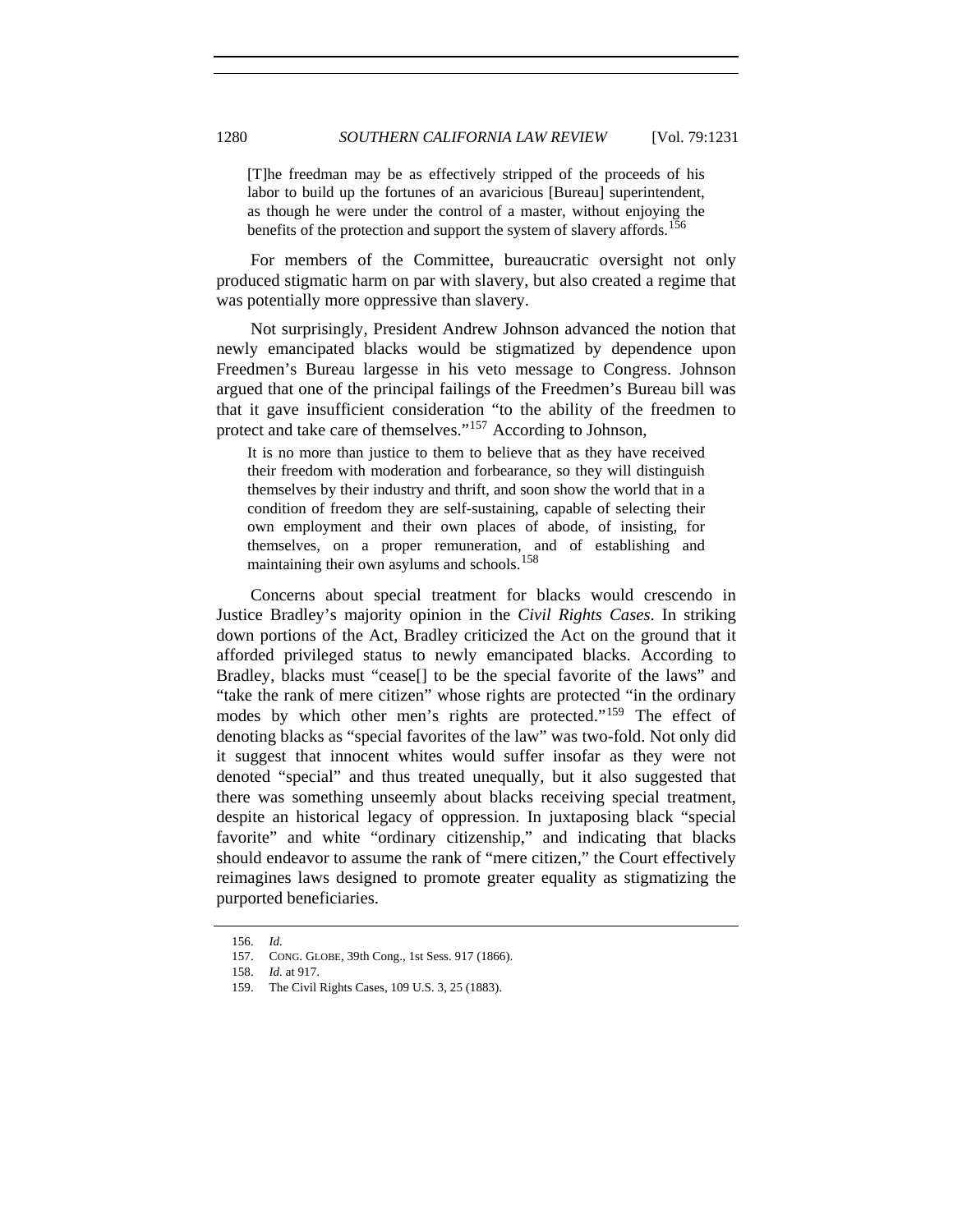[T]he freedman may be as effectively stripped of the proceeds of his labor to build up the fortunes of an avaricious [Bureau] superintendent, as though he were under the control of a master, without enjoying the benefits of the protection and support the system of slavery affords.<sup>[156](#page-49-0)</sup>

For members of the Committee, bureaucratic oversight not only produced stigmatic harm on par with slavery, but also created a regime that was potentially more oppressive than slavery.

Not surprisingly, President Andrew Johnson advanced the notion that newly emancipated blacks would be stigmatized by dependence upon Freedmen's Bureau largesse in his veto message to Congress. Johnson argued that one of the principal failings of the Freedmen's Bureau bill was that it gave insufficient consideration "to the ability of the freedmen to protect and take care of themselves."[157](#page-49-1) According to Johnson,

It is no more than justice to them to believe that as they have received their freedom with moderation and forbearance, so they will distinguish themselves by their industry and thrift, and soon show the world that in a condition of freedom they are self-sustaining, capable of selecting their own employment and their own places of abode, of insisting, for themselves, on a proper remuneration, and of establishing and maintaining their own asylums and schools.<sup>[158](#page-49-2)</sup>

Concerns about special treatment for blacks would crescendo in Justice Bradley's majority opinion in the *Civil Rights Cases*. In striking down portions of the Act, Bradley criticized the Act on the ground that it afforded privileged status to newly emancipated blacks. According to Bradley, blacks must "cease[] to be the special favorite of the laws" and "take the rank of mere citizen" whose rights are protected "in the ordinary modes by which other men's rights are protected."<sup>[159](#page-49-3)</sup> The effect of denoting blacks as "special favorites of the law" was two-fold. Not only did it suggest that innocent whites would suffer insofar as they were not denoted "special" and thus treated unequally, but it also suggested that there was something unseemly about blacks receiving special treatment, despite an historical legacy of oppression. In juxtaposing black "special favorite" and white "ordinary citizenship," and indicating that blacks should endeavor to assume the rank of "mere citizen," the Court effectively reimagines laws designed to promote greater equality as stigmatizing the purported beneficiaries.

<span id="page-49-0"></span><sup>156.</sup> *Id.*

<span id="page-49-1"></span><sup>157.</sup> CONG. GLOBE, 39th Cong., 1st Sess. 917 (1866).

<span id="page-49-2"></span><sup>158.</sup> *Id.* at 917.

<span id="page-49-3"></span><sup>159.</sup> The Civil Rights Cases, 109 U.S. 3, 25 (1883).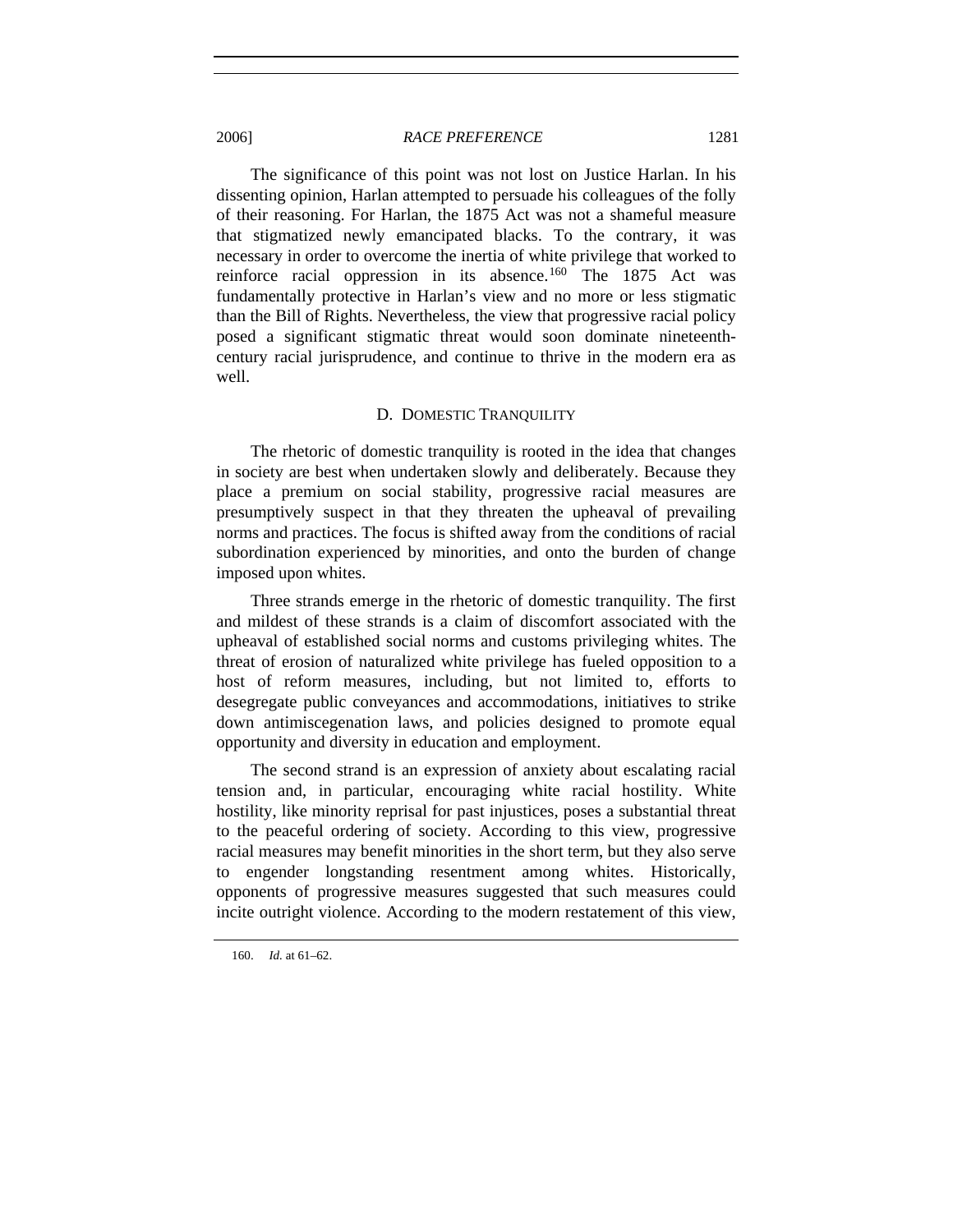The significance of this point was not lost on Justice Harlan. In his dissenting opinion, Harlan attempted to persuade his colleagues of the folly of their reasoning. For Harlan, the 1875 Act was not a shameful measure that stigmatized newly emancipated blacks. To the contrary, it was necessary in order to overcome the inertia of white privilege that worked to reinforce racial oppression in its absence.<sup>[160](#page-50-0)</sup> The 1875 Act was fundamentally protective in Harlan's view and no more or less stigmatic than the Bill of Rights. Nevertheless, the view that progressive racial policy posed a significant stigmatic threat would soon dominate nineteenthcentury racial jurisprudence, and continue to thrive in the modern era as well.

#### D. DOMESTIC TRANQUILITY

The rhetoric of domestic tranquility is rooted in the idea that changes in society are best when undertaken slowly and deliberately. Because they place a premium on social stability, progressive racial measures are presumptively suspect in that they threaten the upheaval of prevailing norms and practices. The focus is shifted away from the conditions of racial subordination experienced by minorities, and onto the burden of change imposed upon whites.

Three strands emerge in the rhetoric of domestic tranquility. The first and mildest of these strands is a claim of discomfort associated with the upheaval of established social norms and customs privileging whites. The threat of erosion of naturalized white privilege has fueled opposition to a host of reform measures, including, but not limited to, efforts to desegregate public conveyances and accommodations, initiatives to strike down antimiscegenation laws, and policies designed to promote equal opportunity and diversity in education and employment.

The second strand is an expression of anxiety about escalating racial tension and, in particular, encouraging white racial hostility. White hostility, like minority reprisal for past injustices, poses a substantial threat to the peaceful ordering of society. According to this view, progressive racial measures may benefit minorities in the short term, but they also serve to engender longstanding resentment among whites. Historically, opponents of progressive measures suggested that such measures could incite outright violence. According to the modern restatement of this view,

<span id="page-50-0"></span><sup>160.</sup> *Id.* at 61–62.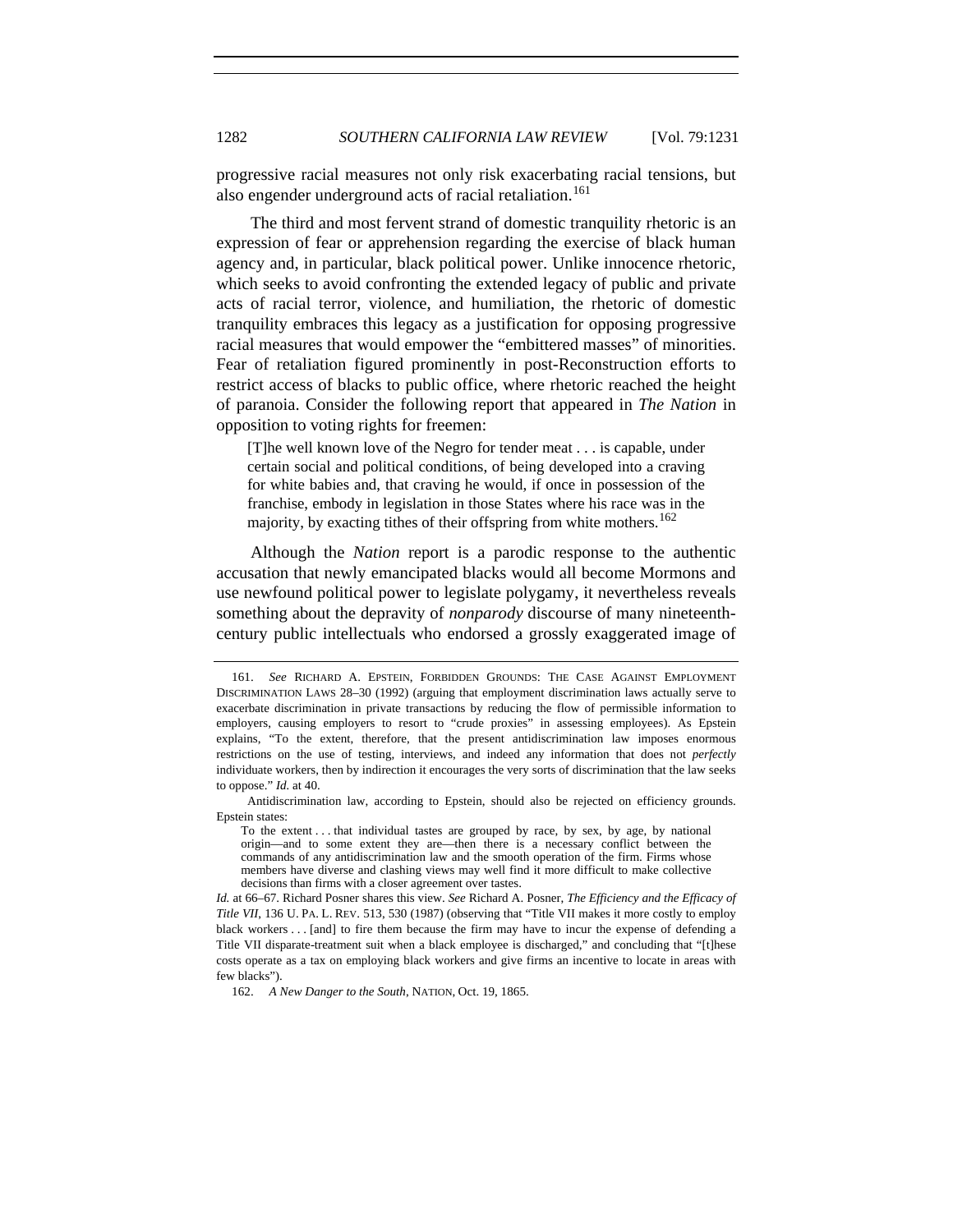progressive racial measures not only risk exacerbating racial tensions, but also engender underground acts of racial retaliation.<sup>[161](#page-51-0)</sup>

The third and most fervent strand of domestic tranquility rhetoric is an expression of fear or apprehension regarding the exercise of black human agency and, in particular, black political power. Unlike innocence rhetoric, which seeks to avoid confronting the extended legacy of public and private acts of racial terror, violence, and humiliation, the rhetoric of domestic tranquility embraces this legacy as a justification for opposing progressive racial measures that would empower the "embittered masses" of minorities. Fear of retaliation figured prominently in post-Reconstruction efforts to restrict access of blacks to public office, where rhetoric reached the height of paranoia. Consider the following report that appeared in *The Nation* in opposition to voting rights for freemen:

[T]he well known love of the Negro for tender meat . . . is capable, under certain social and political conditions, of being developed into a craving for white babies and, that craving he would, if once in possession of the franchise, embody in legislation in those States where his race was in the majority, by exacting tithes of their offspring from white mothers.<sup>[162](#page-51-1)</sup>

Although the *Nation* report is a parodic response to the authentic accusation that newly emancipated blacks would all become Mormons and use newfound political power to legislate polygamy, it nevertheless reveals something about the depravity of *nonparody* discourse of many nineteenthcentury public intellectuals who endorsed a grossly exaggerated image of

<span id="page-51-0"></span><sup>161.</sup> *See* RICHARD A. EPSTEIN, FORBIDDEN GROUNDS: THE CASE AGAINST EMPLOYMENT DISCRIMINATION LAWS 28–30 (1992) (arguing that employment discrimination laws actually serve to exacerbate discrimination in private transactions by reducing the flow of permissible information to employers, causing employers to resort to "crude proxies" in assessing employees). As Epstein explains, "To the extent, therefore, that the present antidiscrimination law imposes enormous restrictions on the use of testing, interviews, and indeed any information that does not *perfectly* individuate workers, then by indirection it encourages the very sorts of discrimination that the law seeks to oppose." *Id.* at 40.

Antidiscrimination law, according to Epstein, should also be rejected on efficiency grounds. Epstein states:

To the extent . . . that individual tastes are grouped by race, by sex, by age, by national origin—and to some extent they are—then there is a necessary conflict between the commands of any antidiscrimination law and the smooth operation of the firm. Firms whose members have diverse and clashing views may well find it more difficult to make collective decisions than firms with a closer agreement over tastes.

*Id.* at 66–67. Richard Posner shares this view. *See* Richard A. Posner, *The Efficiency and the Efficacy of Title VII*, 136 U. PA. L. REV. 513, 530 (1987) (observing that "Title VII makes it more costly to employ black workers . . . [and] to fire them because the firm may have to incur the expense of defending a Title VII disparate-treatment suit when a black employee is discharged," and concluding that "[t]hese costs operate as a tax on employing black workers and give firms an incentive to locate in areas with few blacks").

<span id="page-51-1"></span><sup>162.</sup> *A New Danger to the South*, NATION, Oct. 19, 1865.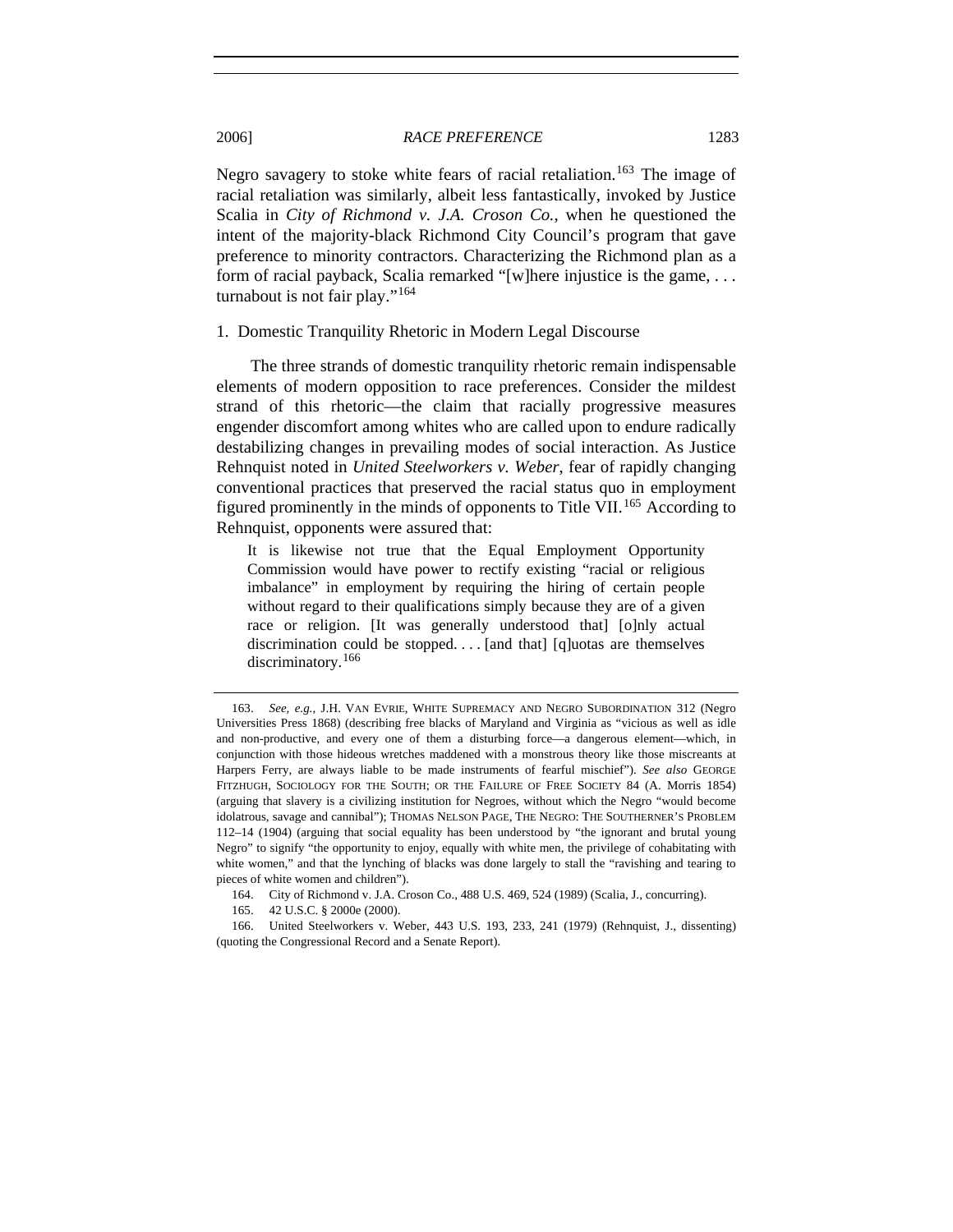Negro savagery to stoke white fears of racial retaliation.<sup>[163](#page-52-0)</sup> The image of racial retaliation was similarly, albeit less fantastically, invoked by Justice Scalia in *City of Richmond v. J.A. Croson Co.*, when he questioned the intent of the majority-black Richmond City Council's program that gave preference to minority contractors. Characterizing the Richmond plan as a form of racial payback, Scalia remarked "[w]here injustice is the game, . . . turnabout is not fair play."[164](#page-52-1)

#### 1. Domestic Tranquility Rhetoric in Modern Legal Discourse

The three strands of domestic tranquility rhetoric remain indispensable elements of modern opposition to race preferences. Consider the mildest strand of this rhetoric—the claim that racially progressive measures engender discomfort among whites who are called upon to endure radically destabilizing changes in prevailing modes of social interaction. As Justice Rehnquist noted in *United Steelworkers v. Weber*, fear of rapidly changing conventional practices that preserved the racial status quo in employment figured prominently in the minds of opponents to Title VII.<sup>[165](#page-52-2)</sup> According to Rehnquist, opponents were assured that:

It is likewise not true that the Equal Employment Opportunity Commission would have power to rectify existing "racial or religious imbalance" in employment by requiring the hiring of certain people without regard to their qualifications simply because they are of a given race or religion. [It was generally understood that] [o]nly actual discrimination could be stopped. . . . [and that] [q]uotas are themselves discriminatory.<sup>[166](#page-52-3)</sup>

<span id="page-52-0"></span><sup>163.</sup> *See, e.g.*, J.H. VAN EVRIE, WHITE SUPREMACY AND NEGRO SUBORDINATION 312 (Negro Universities Press 1868) (describing free blacks of Maryland and Virginia as "vicious as well as idle and non-productive, and every one of them a disturbing force—a dangerous element—which, in conjunction with those hideous wretches maddened with a monstrous theory like those miscreants at Harpers Ferry, are always liable to be made instruments of fearful mischief"). *See also* GEORGE FITZHUGH, SOCIOLOGY FOR THE SOUTH; OR THE FAILURE OF FREE SOCIETY 84 (A. Morris 1854) (arguing that slavery is a civilizing institution for Negroes, without which the Negro "would become idolatrous, savage and cannibal"); THOMAS NELSON PAGE, THE NEGRO: THE SOUTHERNER'S PROBLEM 112–14 (1904) (arguing that social equality has been understood by "the ignorant and brutal young Negro" to signify "the opportunity to enjoy, equally with white men, the privilege of cohabitating with white women," and that the lynching of blacks was done largely to stall the "ravishing and tearing to pieces of white women and children").

<sup>164.</sup> City of Richmond v. J.A. Croson Co., 488 U.S. 469, 524 (1989) (Scalia, J., concurring).

<sup>165. 42</sup> U.S.C. § 2000e (2000).

<span id="page-52-3"></span><span id="page-52-2"></span><span id="page-52-1"></span><sup>166.</sup> United Steelworkers v. Weber, 443 U.S. 193, 233, 241 (1979) (Rehnquist, J., dissenting) (quoting the Congressional Record and a Senate Report).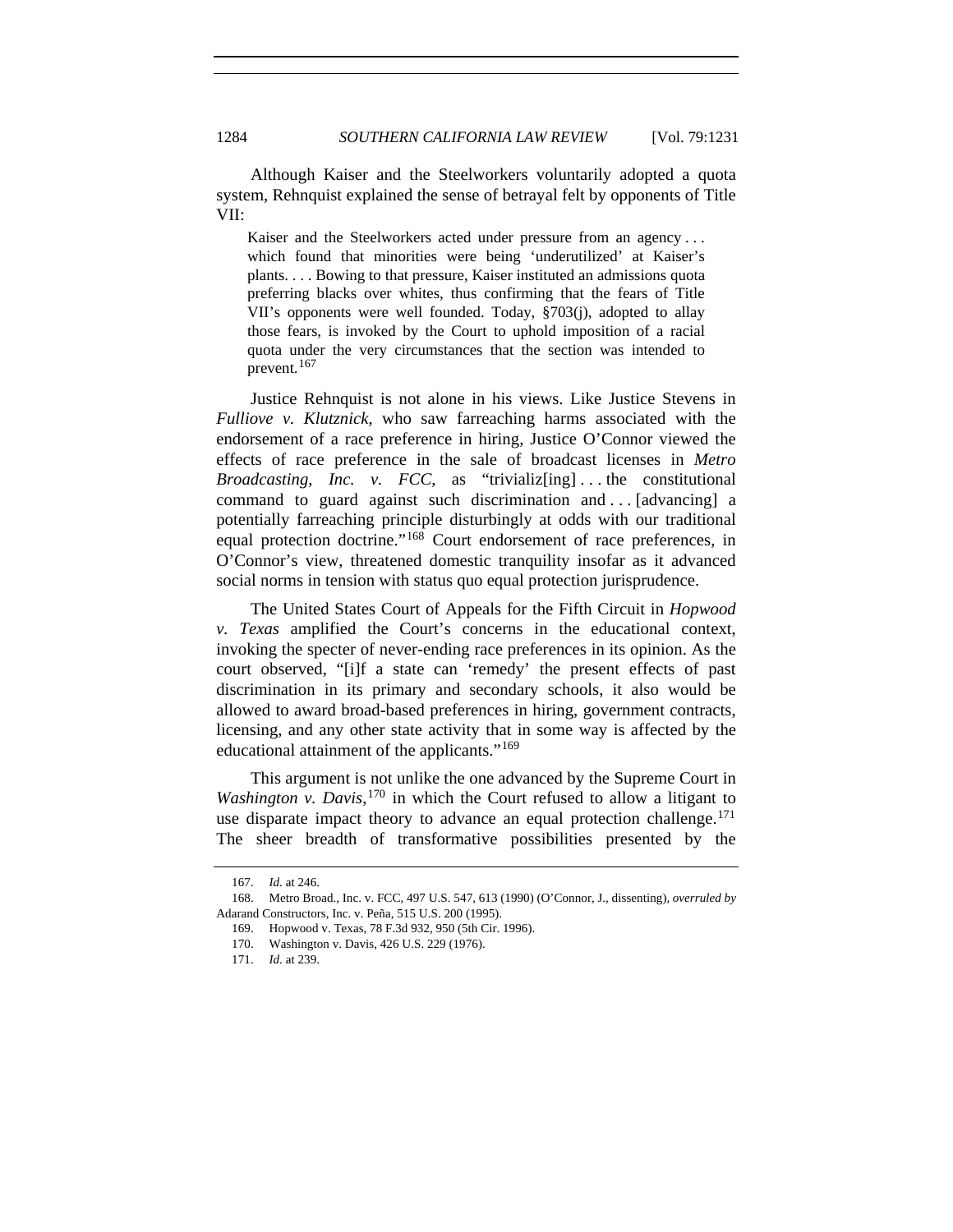Although Kaiser and the Steelworkers voluntarily adopted a quota system, Rehnquist explained the sense of betrayal felt by opponents of Title VII:

Kaiser and the Steelworkers acted under pressure from an agency ... which found that minorities were being 'underutilized' at Kaiser's plants. . . . Bowing to that pressure, Kaiser instituted an admissions quota preferring blacks over whites, thus confirming that the fears of Title VII's opponents were well founded. Today, §703(j), adopted to allay those fears, is invoked by the Court to uphold imposition of a racial quota under the very circumstances that the section was intended to prevent.<sup>[167](#page-53-0)</sup>

Justice Rehnquist is not alone in his views. Like Justice Stevens in *Fulliove v. Klutznick*, who saw farreaching harms associated with the endorsement of a race preference in hiring, Justice O'Connor viewed the effects of race preference in the sale of broadcast licenses in *Metro Broadcasting, Inc. v. FCC*, as "trivializ[ing] . . . the constitutional command to guard against such discrimination and . . . [advancing] a potentially farreaching principle disturbingly at odds with our traditional equal protection doctrine."[168](#page-53-1) Court endorsement of race preferences, in O'Connor's view, threatened domestic tranquility insofar as it advanced social norms in tension with status quo equal protection jurisprudence.

The United States Court of Appeals for the Fifth Circuit in *Hopwood v. Texas* amplified the Court's concerns in the educational context, invoking the specter of never-ending race preferences in its opinion. As the court observed, "[i]f a state can 'remedy' the present effects of past discrimination in its primary and secondary schools, it also would be allowed to award broad-based preferences in hiring, government contracts, licensing, and any other state activity that in some way is affected by the educational attainment of the applicants."<sup>[169](#page-53-2)</sup>

This argument is not unlike the one advanced by the Supreme Court in Washington v. Davis,<sup>[170](#page-53-3)</sup> in which the Court refused to allow a litigant to use disparate impact theory to advance an equal protection challenge.<sup>[171](#page-53-4)</sup> The sheer breadth of transformative possibilities presented by the

<sup>167.</sup> *Id.* at 246.

<span id="page-53-4"></span><span id="page-53-3"></span><span id="page-53-2"></span><span id="page-53-1"></span><span id="page-53-0"></span><sup>168.</sup> Metro Broad., Inc. v. FCC, 497 U.S. 547, 613 (1990) (O'Connor, J., dissenting), *overruled by* Adarand Constructors, Inc. v. Peña, 515 U.S. 200 (1995).

<sup>169.</sup> Hopwood v. Texas, 78 F.3d 932, 950 (5th Cir. 1996).

<sup>170.</sup> Washington v. Davis, 426 U.S. 229 (1976).

<sup>171.</sup> *Id.* at 239.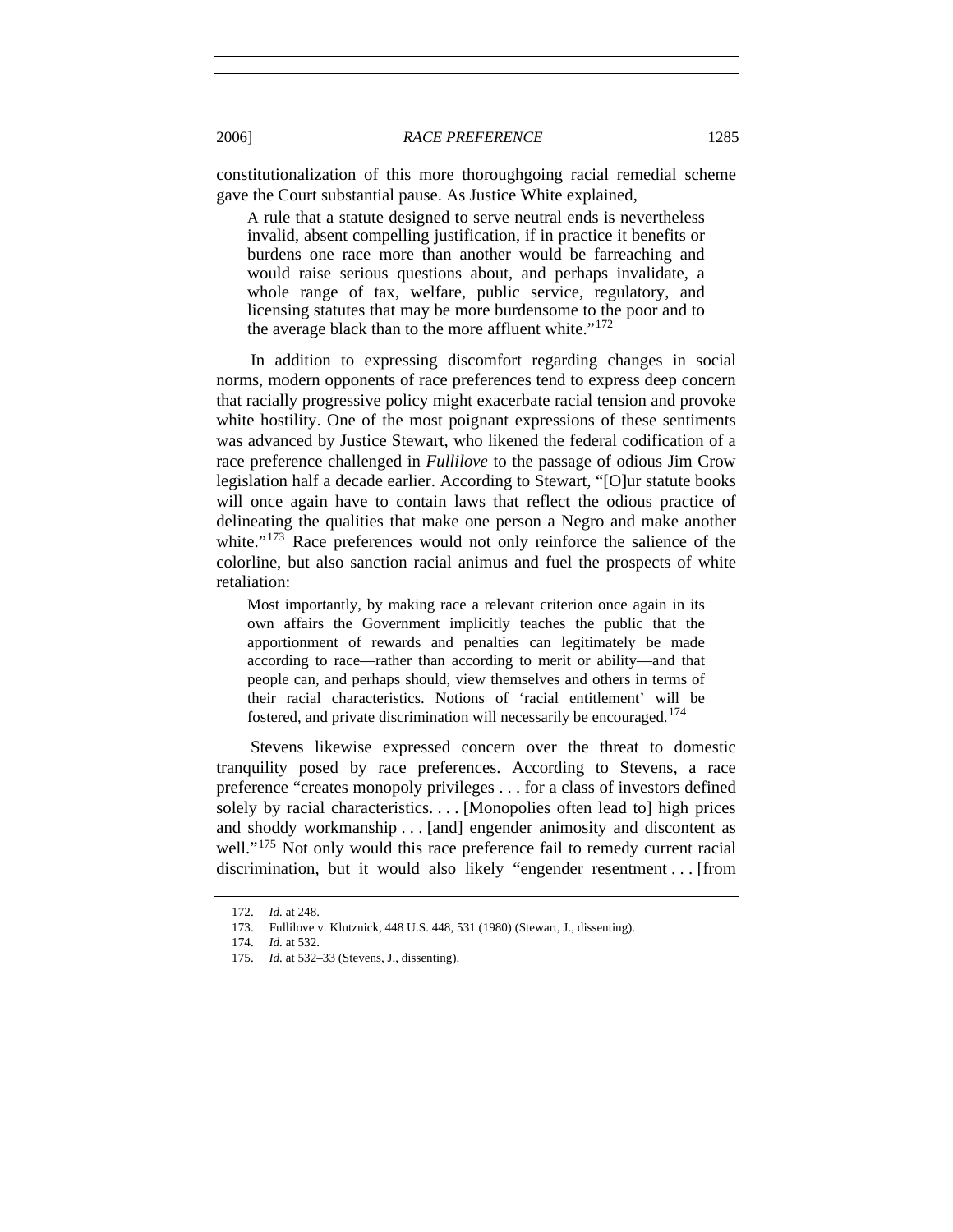constitutionalization of this more thoroughgoing racial remedial scheme gave the Court substantial pause. As Justice White explained,

A rule that a statute designed to serve neutral ends is nevertheless invalid, absent compelling justification, if in practice it benefits or burdens one race more than another would be farreaching and would raise serious questions about, and perhaps invalidate, a whole range of tax, welfare, public service, regulatory, and licensing statutes that may be more burdensome to the poor and to the average black than to the more affluent white."<sup>[172](#page-54-0)</sup>

In addition to expressing discomfort regarding changes in social norms, modern opponents of race preferences tend to express deep concern that racially progressive policy might exacerbate racial tension and provoke white hostility. One of the most poignant expressions of these sentiments was advanced by Justice Stewart, who likened the federal codification of a race preference challenged in *Fullilove* to the passage of odious Jim Crow legislation half a decade earlier. According to Stewart, "[O]ur statute books will once again have to contain laws that reflect the odious practice of delineating the qualities that make one person a Negro and make another white."<sup>[173](#page-54-1)</sup> Race preferences would not only reinforce the salience of the colorline, but also sanction racial animus and fuel the prospects of white retaliation:

Most importantly, by making race a relevant criterion once again in its own affairs the Government implicitly teaches the public that the apportionment of rewards and penalties can legitimately be made according to race—rather than according to merit or ability—and that people can, and perhaps should, view themselves and others in terms of their racial characteristics. Notions of 'racial entitlement' will be fostered, and private discrimination will necessarily be encouraged.<sup>[174](#page-54-2)</sup>

Stevens likewise expressed concern over the threat to domestic tranquility posed by race preferences. According to Stevens, a race preference "creates monopoly privileges . . . for a class of investors defined solely by racial characteristics. . . . [Monopolies often lead to] high prices and shoddy workmanship . . . [and] engender animosity and discontent as well."<sup>[175](#page-54-3)</sup> Not only would this race preference fail to remedy current racial discrimination, but it would also likely "engender resentment . . . [from

<span id="page-54-0"></span><sup>172.</sup> *Id.* at 248.

<span id="page-54-1"></span><sup>173.</sup> Fullilove v. Klutznick, 448 U.S. 448, 531 (1980) (Stewart, J., dissenting).

<span id="page-54-2"></span><sup>174.</sup> *Id.* at 532.

<span id="page-54-3"></span><sup>175.</sup> *Id.* at 532–33 (Stevens, J., dissenting).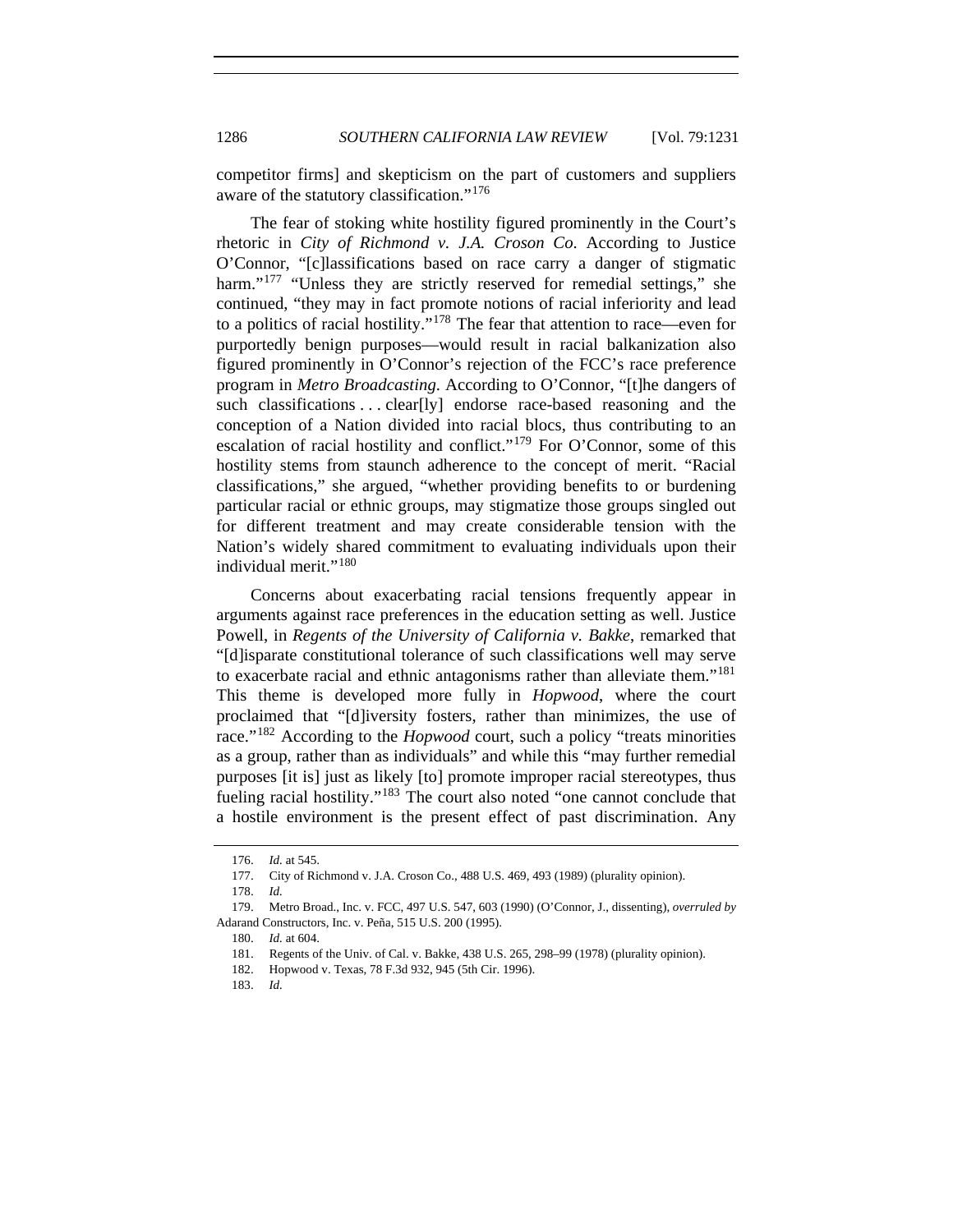competitor firms] and skepticism on the part of customers and suppliers aware of the statutory classification."<sup>[176](#page-55-0)</sup>

The fear of stoking white hostility figured prominently in the Court's rhetoric in *City of Richmond v. J.A. Croson Co*. According to Justice O'Connor, "[c]lassifications based on race carry a danger of stigmatic harm."<sup>[177](#page-55-1)</sup> "Unless they are strictly reserved for remedial settings," she continued, "they may in fact promote notions of racial inferiority and lead to a politics of racial hostility."[178](#page-55-2) The fear that attention to race—even for purportedly benign purposes—would result in racial balkanization also figured prominently in O'Connor's rejection of the FCC's race preference program in *Metro Broadcasting*. According to O'Connor, "[t]he dangers of such classifications . . . clear[ly] endorse race-based reasoning and the conception of a Nation divided into racial blocs, thus contributing to an escalation of racial hostility and conflict."<sup>[179](#page-55-3)</sup> For O'Connor, some of this hostility stems from staunch adherence to the concept of merit. "Racial classifications," she argued, "whether providing benefits to or burdening particular racial or ethnic groups, may stigmatize those groups singled out for different treatment and may create considerable tension with the Nation's widely shared commitment to evaluating individuals upon their individual merit."<sup>[180](#page-55-4)</sup>

Concerns about exacerbating racial tensions frequently appear in arguments against race preferences in the education setting as well. Justice Powell, in *Regents of the University of California v. Bakke*, remarked that "[d]isparate constitutional tolerance of such classifications well may serve to exacerbate racial and ethnic antagonisms rather than alleviate them."<sup>[181](#page-55-5)</sup> This theme is developed more fully in *Hopwood*, where the court proclaimed that "[d]iversity fosters, rather than minimizes, the use of race."[182](#page-55-6) According to the *Hopwood* court, such a policy "treats minorities as a group, rather than as individuals" and while this "may further remedial purposes [it is] just as likely [to] promote improper racial stereotypes, thus fueling racial hostility."<sup>[183](#page-55-7)</sup> The court also noted "one cannot conclude that a hostile environment is the present effect of past discrimination. Any

<sup>176.</sup> *Id.* at 545.

<sup>177.</sup> City of Richmond v. J.A. Croson Co., 488 U.S. 469, 493 (1989) (plurality opinion).

<sup>178.</sup> *Id.*

<span id="page-55-7"></span><span id="page-55-6"></span><span id="page-55-5"></span><span id="page-55-4"></span><span id="page-55-3"></span><span id="page-55-2"></span><span id="page-55-1"></span><span id="page-55-0"></span><sup>179.</sup> Metro Broad., Inc. v. FCC, 497 U.S. 547, 603 (1990) (O'Connor, J., dissenting), *overruled by* Adarand Constructors, Inc. v. Peña, 515 U.S. 200 (1995).

<sup>180.</sup> *Id.* at 604.

<sup>181.</sup> Regents of the Univ. of Cal. v. Bakke, 438 U.S. 265, 298–99 (1978) (plurality opinion).

<sup>182.</sup> Hopwood v. Texas, 78 F.3d 932, 945 (5th Cir. 1996).

<sup>183.</sup> *Id.*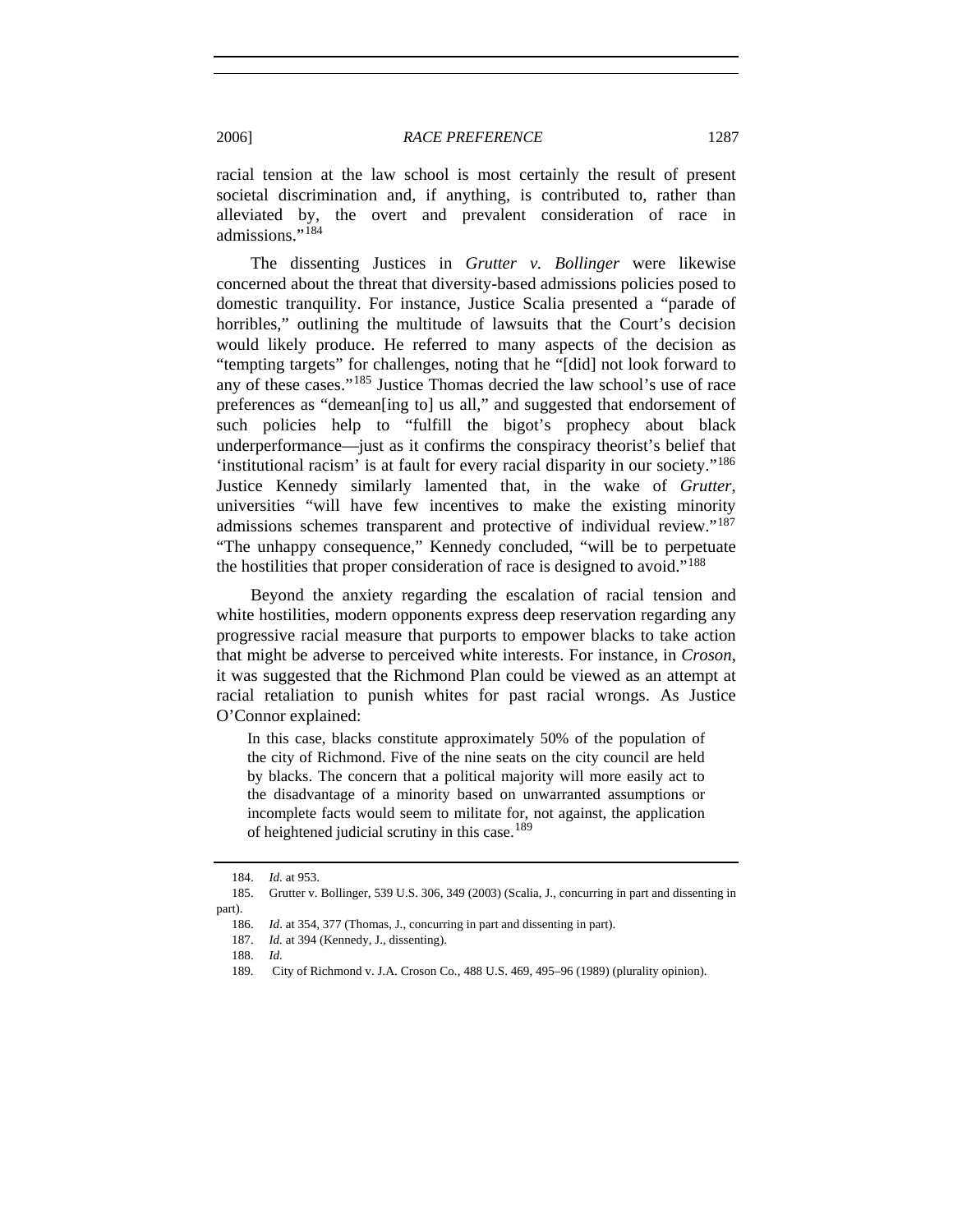racial tension at the law school is most certainly the result of present societal discrimination and, if anything, is contributed to, rather than alleviated by, the overt and prevalent consideration of race in admissions."[184](#page-56-0)

The dissenting Justices in *Grutter v. Bollinger* were likewise concerned about the threat that diversity-based admissions policies posed to domestic tranquility. For instance, Justice Scalia presented a "parade of horribles," outlining the multitude of lawsuits that the Court's decision would likely produce. He referred to many aspects of the decision as "tempting targets" for challenges, noting that he "[did] not look forward to any of these cases."[185](#page-56-1) Justice Thomas decried the law school's use of race preferences as "demean[ing to] us all," and suggested that endorsement of such policies help to "fulfill the bigot's prophecy about black underperformance—just as it confirms the conspiracy theorist's belief that 'institutional racism' is at fault for every racial disparity in our society."[186](#page-56-2) Justice Kennedy similarly lamented that, in the wake of *Grutter*, universities "will have few incentives to make the existing minority admissions schemes transparent and protective of individual review."[187](#page-56-3) "The unhappy consequence," Kennedy concluded, "will be to perpetuate the hostilities that proper consideration of race is designed to avoid."[188](#page-56-4)

Beyond the anxiety regarding the escalation of racial tension and white hostilities, modern opponents express deep reservation regarding any progressive racial measure that purports to empower blacks to take action that might be adverse to perceived white interests. For instance, in *Croson*, it was suggested that the Richmond Plan could be viewed as an attempt at racial retaliation to punish whites for past racial wrongs. As Justice O'Connor explained:

In this case, blacks constitute approximately 50% of the population of the city of Richmond. Five of the nine seats on the city council are held by blacks. The concern that a political majority will more easily act to the disadvantage of a minority based on unwarranted assumptions or incomplete facts would seem to militate for, not against, the application of heightened judicial scrutiny in this case.<sup>[189](#page-56-5)</sup>

<sup>184.</sup> *Id.* at 953.

<span id="page-56-5"></span><span id="page-56-4"></span><span id="page-56-3"></span><span id="page-56-2"></span><span id="page-56-1"></span><span id="page-56-0"></span> <sup>185.</sup> Grutter v. Bollinger, 539 U.S. 306, 349 (2003) (Scalia, J., concurring in part and dissenting in part).

 <sup>186.</sup> *Id*. at 354, 377 (Thomas, J., concurring in part and dissenting in part).

<sup>187.</sup> *Id.* at 394 (Kennedy, J., dissenting).

<sup>188.</sup> *Id.*

<sup>189.</sup> City of Richmond v. J.A. Croson Co., 488 U.S. 469, 495–96 (1989) (plurality opinion).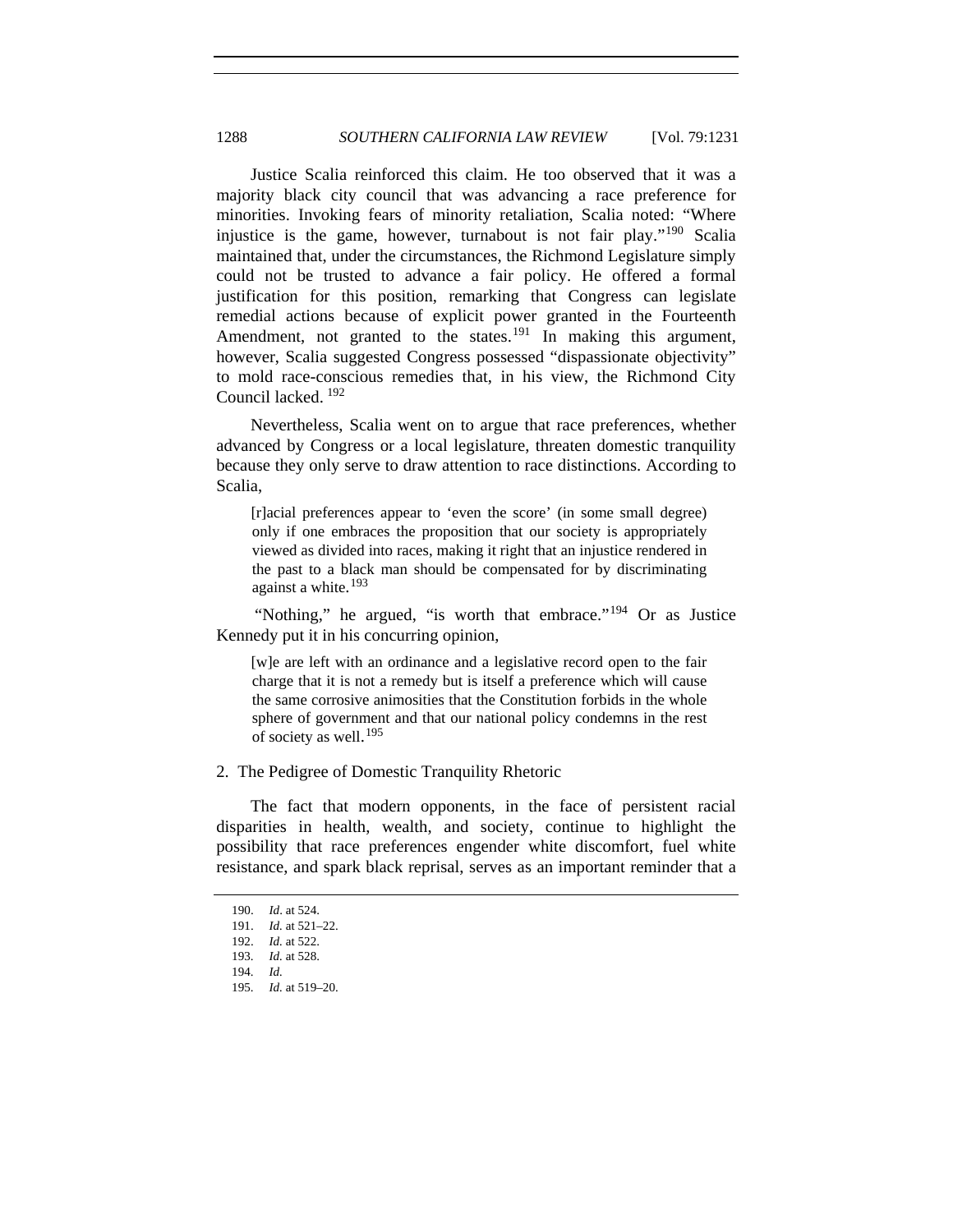Justice Scalia reinforced this claim. He too observed that it was a majority black city council that was advancing a race preference for minorities. Invoking fears of minority retaliation, Scalia noted: "Where injustice is the game, however, turnabout is not fair play."[190](#page-57-0) Scalia maintained that, under the circumstances, the Richmond Legislature simply could not be trusted to advance a fair policy. He offered a formal justification for this position, remarking that Congress can legislate remedial actions because of explicit power granted in the Fourteenth Amendment, not granted to the states.<sup>[191](#page-57-1)</sup> In making this argument, however, Scalia suggested Congress possessed "dispassionate objectivity" to mold race-conscious remedies that, in his view, the Richmond City Council lacked. [192](#page-57-2)

Nevertheless, Scalia went on to argue that race preferences, whether advanced by Congress or a local legislature, threaten domestic tranquility because they only serve to draw attention to race distinctions. According to Scalia,

[r]acial preferences appear to 'even the score' (in some small degree) only if one embraces the proposition that our society is appropriately viewed as divided into races, making it right that an injustice rendered in the past to a black man should be compensated for by discriminating against a white. [193](#page-57-3)

"Nothing," he argued, "is worth that embrace."<sup>[194](#page-57-4)</sup> Or as Justice Kennedy put it in his concurring opinion,

[w]e are left with an ordinance and a legislative record open to the fair charge that it is not a remedy but is itself a preference which will cause the same corrosive animosities that the Constitution forbids in the whole sphere of government and that our national policy condemns in the rest of society as well. [195](#page-57-5)

2. The Pedigree of Domestic Tranquility Rhetoric

The fact that modern opponents, in the face of persistent racial disparities in health, wealth, and society, continue to highlight the possibility that race preferences engender white discomfort, fuel white resistance, and spark black reprisal, serves as an important reminder that a

<span id="page-57-0"></span><sup>190.</sup> *Id*. at 524.

<span id="page-57-1"></span><sup>191.</sup> *Id.* at 521–22.

 <sup>192.</sup> *Id.* at 522.

<span id="page-57-4"></span><span id="page-57-3"></span><span id="page-57-2"></span><sup>193.</sup> *Id.* at 528.

<sup>194.</sup> *Id.*

<span id="page-57-5"></span><sup>195.</sup> *Id.* at 519–20.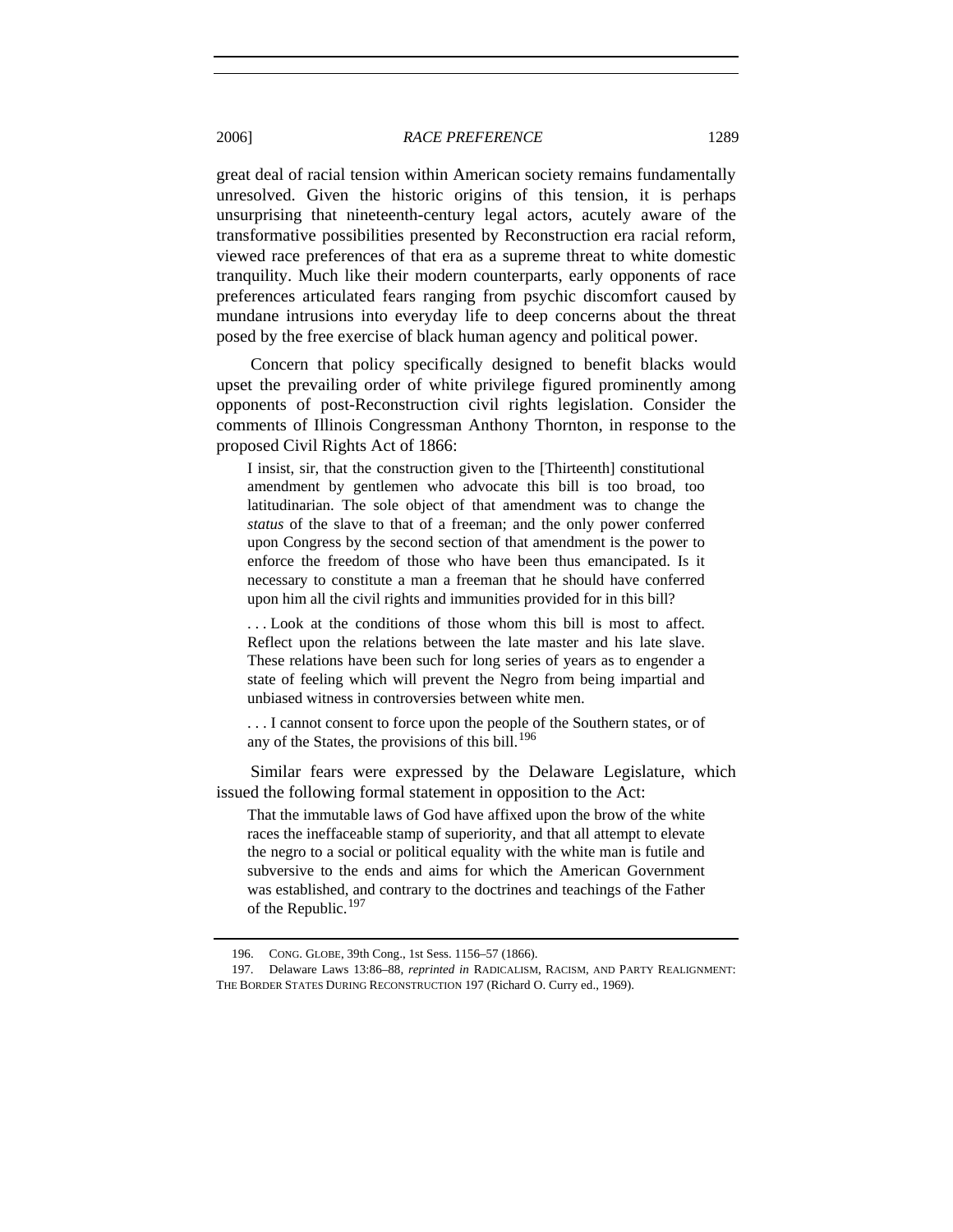great deal of racial tension within American society remains fundamentally unresolved. Given the historic origins of this tension, it is perhaps unsurprising that nineteenth-century legal actors, acutely aware of the transformative possibilities presented by Reconstruction era racial reform, viewed race preferences of that era as a supreme threat to white domestic tranquility. Much like their modern counterparts, early opponents of race preferences articulated fears ranging from psychic discomfort caused by mundane intrusions into everyday life to deep concerns about the threat posed by the free exercise of black human agency and political power.

Concern that policy specifically designed to benefit blacks would upset the prevailing order of white privilege figured prominently among opponents of post-Reconstruction civil rights legislation. Consider the comments of Illinois Congressman Anthony Thornton, in response to the proposed Civil Rights Act of 1866:

I insist, sir, that the construction given to the [Thirteenth] constitutional amendment by gentlemen who advocate this bill is too broad, too latitudinarian. The sole object of that amendment was to change the *status* of the slave to that of a freeman; and the only power conferred upon Congress by the second section of that amendment is the power to enforce the freedom of those who have been thus emancipated. Is it necessary to constitute a man a freeman that he should have conferred upon him all the civil rights and immunities provided for in this bill?

. . . Look at the conditions of those whom this bill is most to affect. Reflect upon the relations between the late master and his late slave. These relations have been such for long series of years as to engender a state of feeling which will prevent the Negro from being impartial and unbiased witness in controversies between white men.

. . . I cannot consent to force upon the people of the Southern states, or of any of the States, the provisions of this bill.<sup>[196](#page-58-0)</sup>

Similar fears were expressed by the Delaware Legislature, which issued the following formal statement in opposition to the Act:

That the immutable laws of God have affixed upon the brow of the white races the ineffaceable stamp of superiority, and that all attempt to elevate the negro to a social or political equality with the white man is futile and subversive to the ends and aims for which the American Government was established, and contrary to the doctrines and teachings of the Father of the Republic.<sup>[197](#page-58-1)</sup>

 <sup>196.</sup> CONG. GLOBE, 39th Cong., 1st Sess. 1156–57 (1866).

<span id="page-58-1"></span><span id="page-58-0"></span> <sup>197.</sup> Delaware Laws 13:86–88, *reprinted in* RADICALISM, RACISM, AND PARTY REALIGNMENT: THE BORDER STATES DURING RECONSTRUCTION 197 (Richard O. Curry ed., 1969).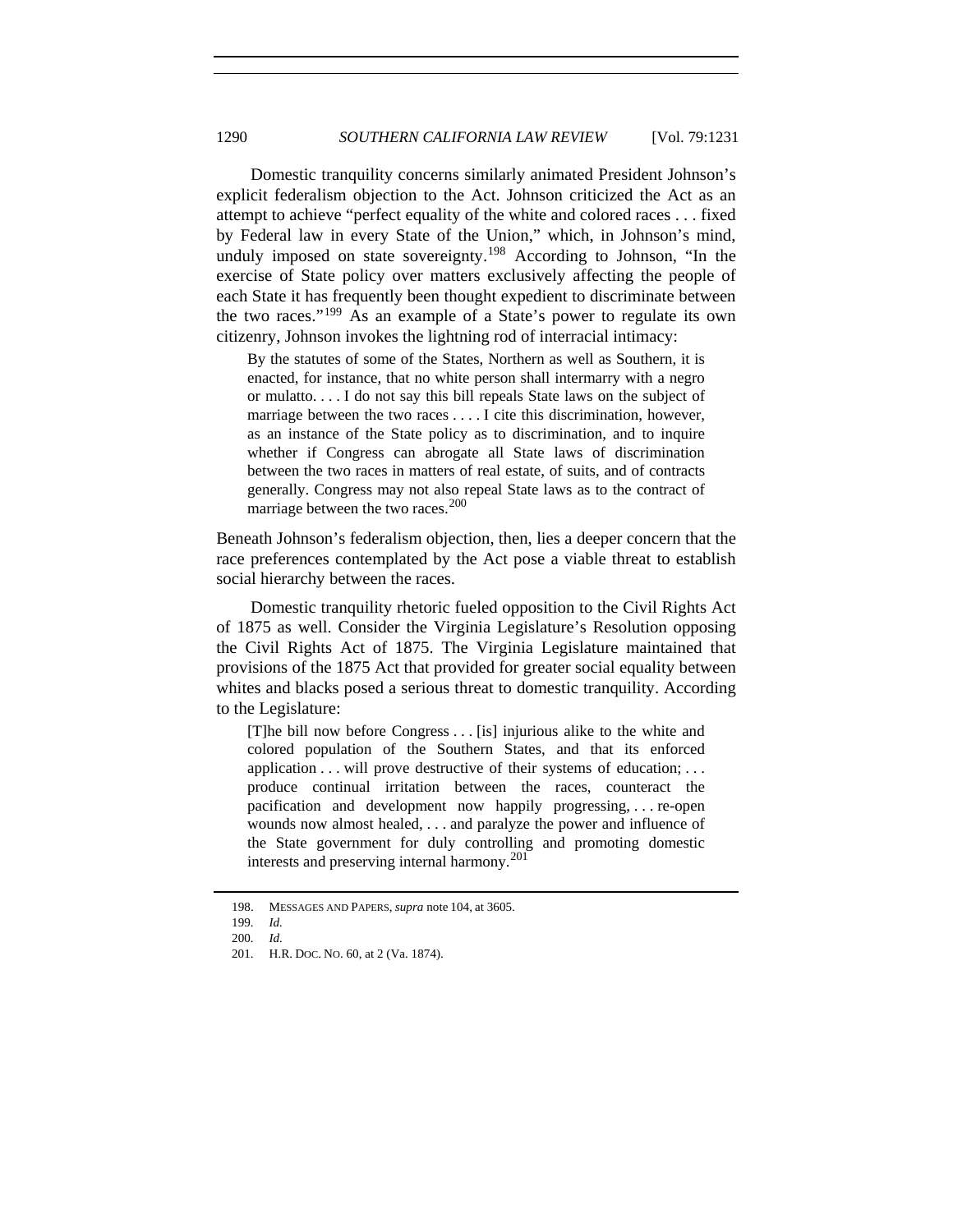Domestic tranquility concerns similarly animated President Johnson's explicit federalism objection to the Act. Johnson criticized the Act as an attempt to achieve "perfect equality of the white and colored races . . . fixed by Federal law in every State of the Union," which, in Johnson's mind, unduly imposed on state sovereignty.<sup>[198](#page-59-0)</sup> According to Johnson, "In the exercise of State policy over matters exclusively affecting the people of each State it has frequently been thought expedient to discriminate between the two races."[199](#page-59-1) As an example of a State's power to regulate its own citizenry, Johnson invokes the lightning rod of interracial intimacy:

By the statutes of some of the States, Northern as well as Southern, it is enacted, for instance, that no white person shall intermarry with a negro or mulatto. . . . I do not say this bill repeals State laws on the subject of marriage between the two races . . . . I cite this discrimination, however, as an instance of the State policy as to discrimination, and to inquire whether if Congress can abrogate all State laws of discrimination between the two races in matters of real estate, of suits, and of contracts generally. Congress may not also repeal State laws as to the contract of marriage between the two races.<sup>[200](#page-59-2)</sup>

Beneath Johnson's federalism objection, then, lies a deeper concern that the race preferences contemplated by the Act pose a viable threat to establish social hierarchy between the races.

Domestic tranquility rhetoric fueled opposition to the Civil Rights Act of 1875 as well. Consider the Virginia Legislature's Resolution opposing the Civil Rights Act of 1875. The Virginia Legislature maintained that provisions of the 1875 Act that provided for greater social equality between whites and blacks posed a serious threat to domestic tranquility. According to the Legislature:

[T]he bill now before Congress . . . [is] injurious alike to the white and colored population of the Southern States, and that its enforced application . . . will prove destructive of their systems of education; . . . produce continual irritation between the races, counteract the pacification and development now happily progressing, . . . re-open wounds now almost healed, . . . and paralyze the power and influence of the State government for duly controlling and promoting domestic interests and preserving internal harmony.[201](#page-59-3)

<span id="page-59-0"></span> <sup>198.</sup> MESSAGES AND PAPERS, *supra* note 104, at 3605.

<span id="page-59-1"></span><sup>199.</sup> *Id.*

<span id="page-59-3"></span><span id="page-59-2"></span><sup>200.</sup> *Id.*

 <sup>201.</sup> H.R. DOC. NO. 60, at 2 (Va. 1874).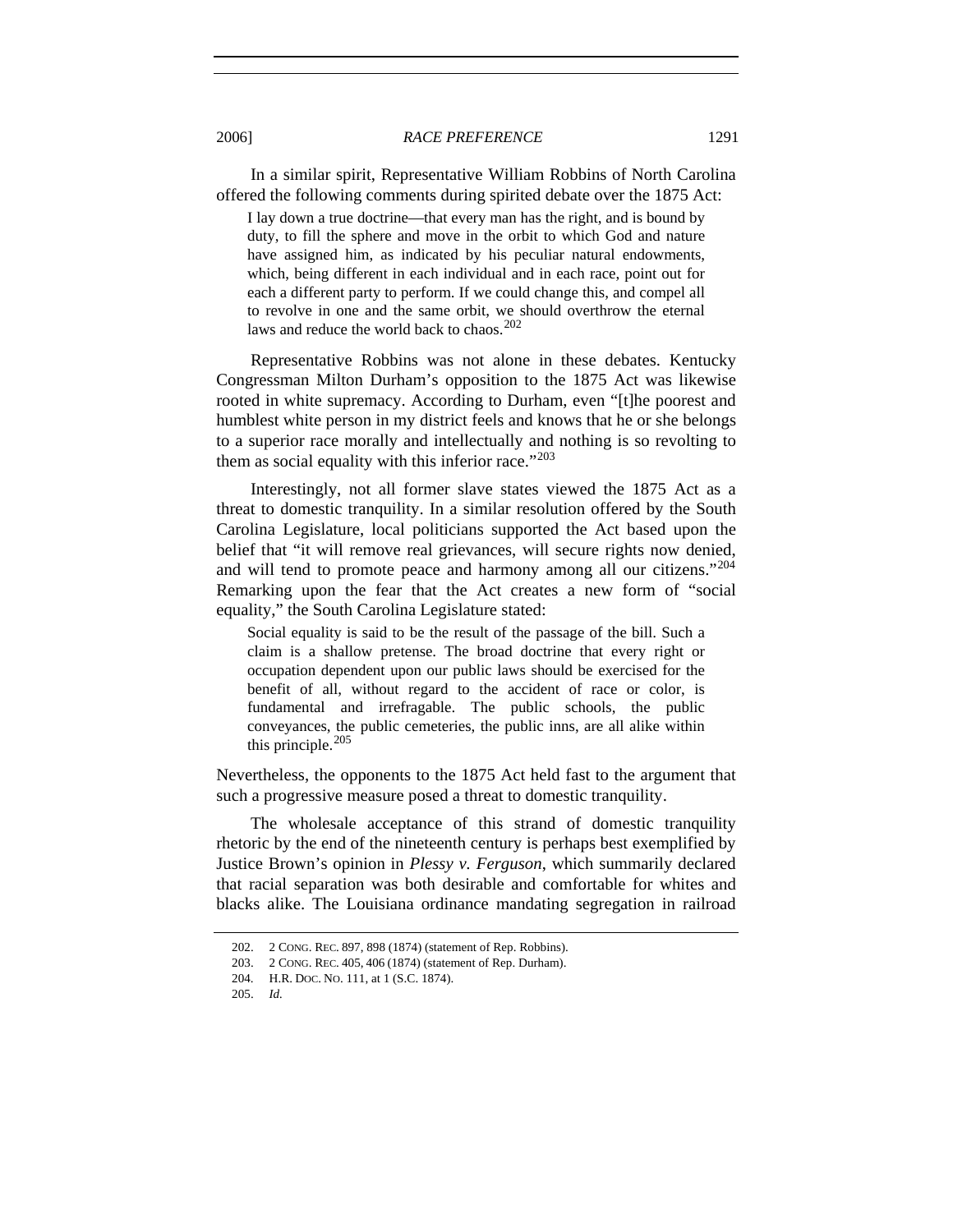In a similar spirit, Representative William Robbins of North Carolina offered the following comments during spirited debate over the 1875 Act:

I lay down a true doctrine—that every man has the right, and is bound by duty, to fill the sphere and move in the orbit to which God and nature have assigned him, as indicated by his peculiar natural endowments, which, being different in each individual and in each race, point out for each a different party to perform. If we could change this, and compel all to revolve in one and the same orbit, we should overthrow the eternal laws and reduce the world back to chaos.<sup>[202](#page-60-0)</sup>

Representative Robbins was not alone in these debates. Kentucky Congressman Milton Durham's opposition to the 1875 Act was likewise rooted in white supremacy. According to Durham, even "[t]he poorest and humblest white person in my district feels and knows that he or she belongs to a superior race morally and intellectually and nothing is so revolting to them as social equality with this inferior race."<sup>[203](#page-60-1)</sup>

Interestingly, not all former slave states viewed the 1875 Act as a threat to domestic tranquility. In a similar resolution offered by the South Carolina Legislature, local politicians supported the Act based upon the belief that "it will remove real grievances, will secure rights now denied, and will tend to promote peace and harmony among all our citizens."[204](#page-60-2) Remarking upon the fear that the Act creates a new form of "social equality," the South Carolina Legislature stated:

Social equality is said to be the result of the passage of the bill. Such a claim is a shallow pretense. The broad doctrine that every right or occupation dependent upon our public laws should be exercised for the benefit of all, without regard to the accident of race or color, is fundamental and irrefragable. The public schools, the public conveyances, the public cemeteries, the public inns, are all alike within this principle.<sup>[205](#page-60-3)</sup>

Nevertheless, the opponents to the 1875 Act held fast to the argument that such a progressive measure posed a threat to domestic tranquility.

The wholesale acceptance of this strand of domestic tranquility rhetoric by the end of the nineteenth century is perhaps best exemplified by Justice Brown's opinion in *Plessy v. Ferguson*, which summarily declared that racial separation was both desirable and comfortable for whites and blacks alike. The Louisiana ordinance mandating segregation in railroad

<span id="page-60-1"></span><span id="page-60-0"></span> <sup>202. 2</sup> CONG. REC. 897, 898 (1874) (statement of Rep. Robbins).

 <sup>203. 2</sup> CONG. REC. 405, 406 (1874) (statement of Rep. Durham).

 <sup>204.</sup> H.R. DOC. NO. 111, at 1 (S.C. 1874).

<span id="page-60-3"></span><span id="page-60-2"></span><sup>205.</sup> *Id.*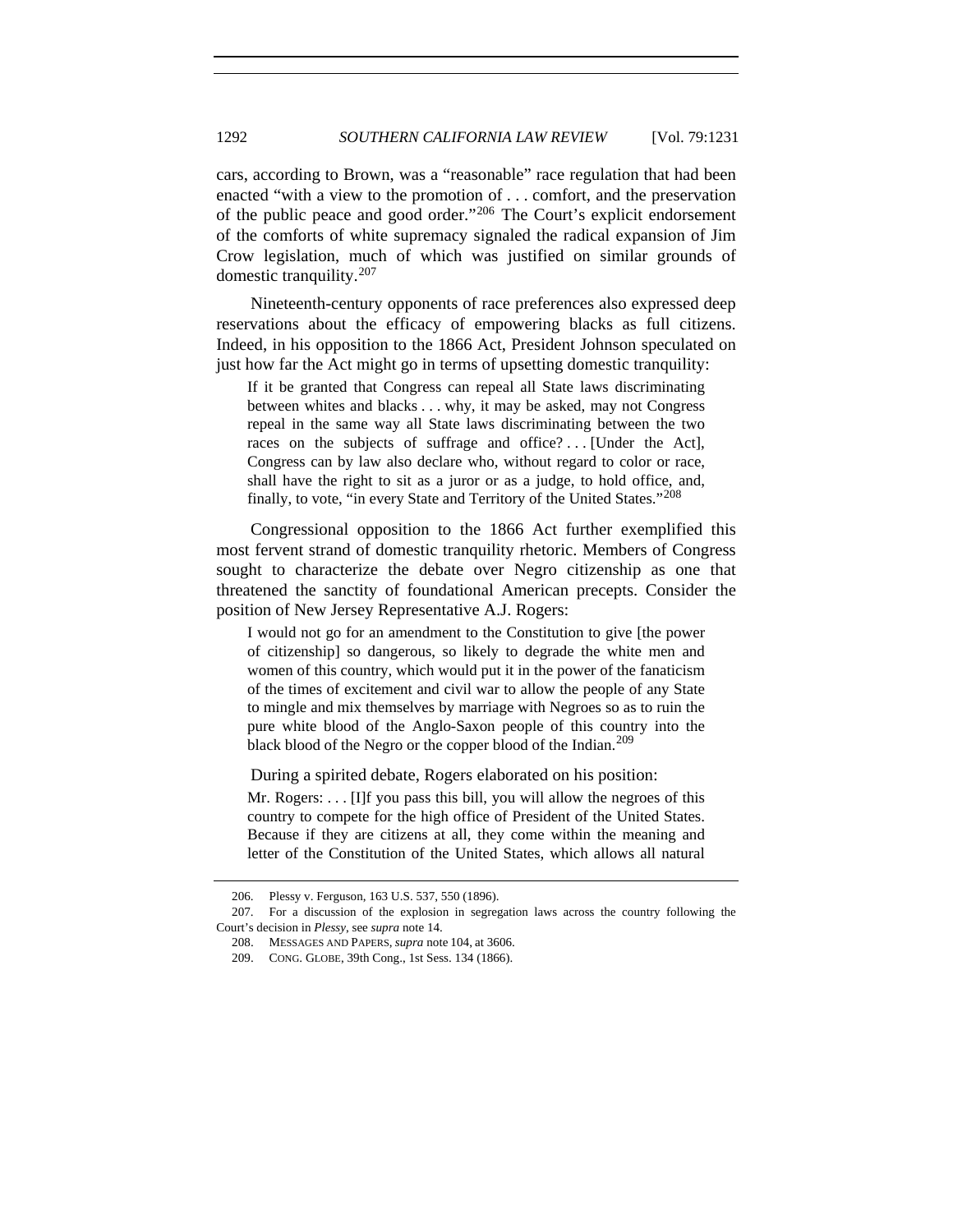cars, according to Brown, was a "reasonable" race regulation that had been enacted "with a view to the promotion of . . . comfort, and the preservation of the public peace and good order."[206](#page-61-0) The Court's explicit endorsement of the comforts of white supremacy signaled the radical expansion of Jim Crow legislation, much of which was justified on similar grounds of domestic tranquility.[207](#page-61-1)

Nineteenth-century opponents of race preferences also expressed deep reservations about the efficacy of empowering blacks as full citizens. Indeed, in his opposition to the 1866 Act, President Johnson speculated on just how far the Act might go in terms of upsetting domestic tranquility:

If it be granted that Congress can repeal all State laws discriminating between whites and blacks . . . why, it may be asked, may not Congress repeal in the same way all State laws discriminating between the two races on the subjects of suffrage and office?... [Under the Act], Congress can by law also declare who, without regard to color or race, shall have the right to sit as a juror or as a judge, to hold office, and, finally, to vote, "in every State and Territory of the United States."<sup>[208](#page-61-2)</sup>

Congressional opposition to the 1866 Act further exemplified this most fervent strand of domestic tranquility rhetoric. Members of Congress sought to characterize the debate over Negro citizenship as one that threatened the sanctity of foundational American precepts. Consider the position of New Jersey Representative A.J. Rogers:

I would not go for an amendment to the Constitution to give [the power of citizenship] so dangerous, so likely to degrade the white men and women of this country, which would put it in the power of the fanaticism of the times of excitement and civil war to allow the people of any State to mingle and mix themselves by marriage with Negroes so as to ruin the pure white blood of the Anglo-Saxon people of this country into the black blood of the Negro or the copper blood of the Indian.<sup>[209](#page-61-3)</sup>

During a spirited debate, Rogers elaborated on his position:

Mr. Rogers: . . . [I]f you pass this bill, you will allow the negroes of this country to compete for the high office of President of the United States. Because if they are citizens at all, they come within the meaning and letter of the Constitution of the United States, which allows all natural

 <sup>206.</sup> Plessy v. Ferguson, 163 U.S. 537, 550 (1896).

<span id="page-61-3"></span><span id="page-61-2"></span><span id="page-61-1"></span><span id="page-61-0"></span> <sup>207.</sup> For a discussion of the explosion in segregation laws across the country following the Court's decision in *Plessy*, see *supra* note 14.

 <sup>208.</sup> MESSAGES AND PAPERS, *supra* note 104, at 3606.

 <sup>209.</sup> CONG. GLOBE, 39th Cong., 1st Sess. 134 (1866).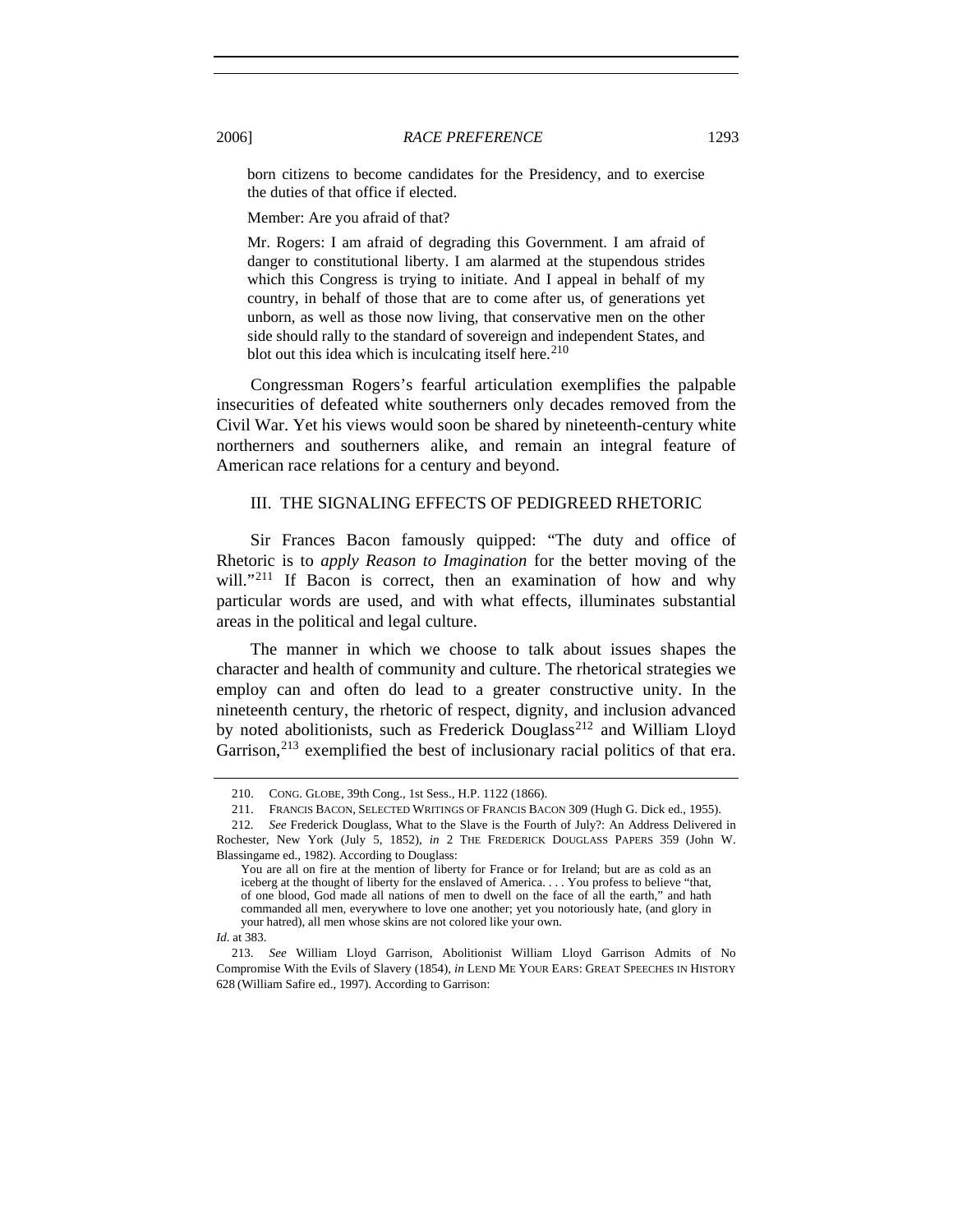born citizens to become candidates for the Presidency, and to exercise the duties of that office if elected.

Member: Are you afraid of that?

Mr. Rogers: I am afraid of degrading this Government. I am afraid of danger to constitutional liberty. I am alarmed at the stupendous strides which this Congress is trying to initiate. And I appeal in behalf of my country, in behalf of those that are to come after us, of generations yet unborn, as well as those now living, that conservative men on the other side should rally to the standard of sovereign and independent States, and blot out this idea which is inculcating itself here. $210$ 

Congressman Rogers's fearful articulation exemplifies the palpable insecurities of defeated white southerners only decades removed from the Civil War. Yet his views would soon be shared by nineteenth-century white northerners and southerners alike, and remain an integral feature of American race relations for a century and beyond.

#### III. THE SIGNALING EFFECTS OF PEDIGREED RHETORIC

Sir Frances Bacon famously quipped: "The duty and office of Rhetoric is to *apply Reason to Imagination* for the better moving of the will."<sup>[211](#page-62-1)</sup> If Bacon is correct, then an examination of how and why particular words are used, and with what effects, illuminates substantial areas in the political and legal culture.

The manner in which we choose to talk about issues shapes the character and health of community and culture. The rhetorical strategies we employ can and often do lead to a greater constructive unity. In the nineteenth century, the rhetoric of respect, dignity, and inclusion advanced by noted abolitionists, such as Frederick Douglass<sup>[212](#page-62-2)</sup> and William Lloyd Garrison,  $2^{13}$  exemplified the best of inclusionary racial politics of that era.

 <sup>210.</sup> CONG. GLOBE, 39th Cong., 1st Sess., H.P. 1122 (1866).

 <sup>211.</sup> FRANCIS BACON, SELECTED WRITINGS OF FRANCIS BACON 309 (Hugh G. Dick ed., 1955).

<span id="page-62-2"></span><span id="page-62-1"></span><span id="page-62-0"></span><sup>212.</sup> *See* Frederick Douglass, What to the Slave is the Fourth of July?: An Address Delivered in Rochester, New York (July 5, 1852), *in* 2 THE FREDERICK DOUGLASS PAPERS 359 (John W. Blassingame ed., 1982). According to Douglass:

You are all on fire at the mention of liberty for France or for Ireland; but are as cold as an iceberg at the thought of liberty for the enslaved of America. . . . You profess to believe "that, of one blood, God made all nations of men to dwell on the face of all the earth," and hath commanded all men, everywhere to love one another; yet you notoriously hate, (and glory in your hatred), all men whose skins are not colored like your own.

*Id*. at 383.

<span id="page-62-3"></span><sup>213.</sup> *See* William Lloyd Garrison, Abolitionist William Lloyd Garrison Admits of No Compromise With the Evils of Slavery (1854), *in* LEND ME YOUR EARS: GREAT SPEECHES IN HISTORY 628 (William Safire ed., 1997). According to Garrison: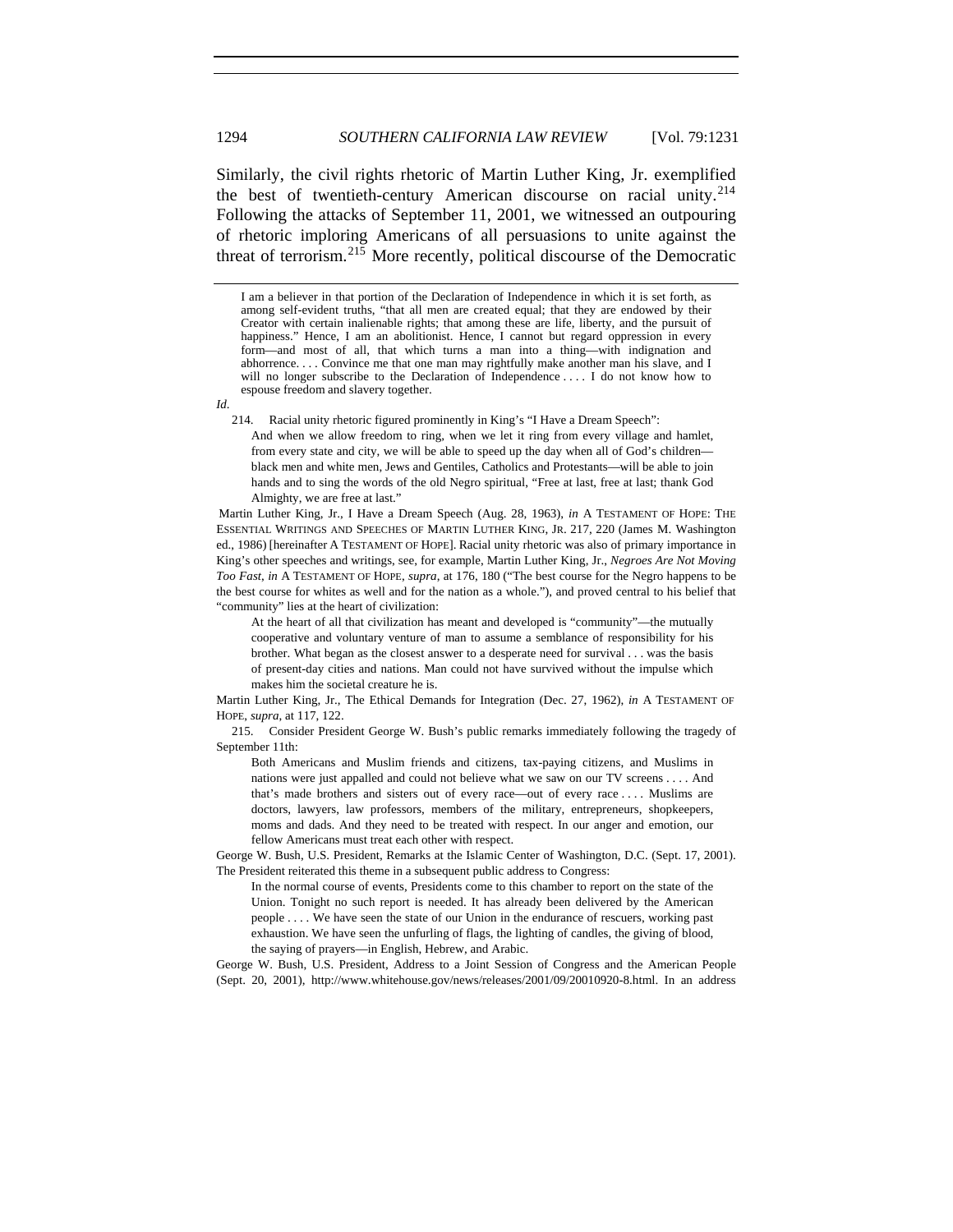Similarly, the civil rights rhetoric of Martin Luther King, Jr. exemplified the best of twentieth-century American discourse on racial unity.<sup>[214](#page-63-0)</sup> Following the attacks of September 11, 2001, we witnessed an outpouring of rhetoric imploring Americans of all persuasions to unite against the threat of terrorism.<sup>[215](#page-63-1)</sup> More recently, political discourse of the Democratic

<span id="page-63-0"></span>*Id*.

214. Racial unity rhetoric figured prominently in King's "I Have a Dream Speech":

And when we allow freedom to ring, when we let it ring from every village and hamlet, from every state and city, we will be able to speed up the day when all of God's children black men and white men, Jews and Gentiles, Catholics and Protestants—will be able to join hands and to sing the words of the old Negro spiritual, "Free at last, free at last; thank God Almighty, we are free at last."

Martin Luther King, Jr., I Have a Dream Speech (Aug. 28, 1963), *in* A TESTAMENT OF HOPE: THE ESSENTIAL WRITINGS AND SPEECHES OF MARTIN LUTHER KING, JR. 217, 220 (James M. Washington ed., 1986) [hereinafter A TESTAMENT OF HOPE]. Racial unity rhetoric was also of primary importance in King's other speeches and writings, see, for example, Martin Luther King, Jr., *Negroes Are Not Moving Too Fast*, *in* A TESTAMENT OF HOPE, *supra*, at 176, 180 ("The best course for the Negro happens to be the best course for whites as well and for the nation as a whole."), and proved central to his belief that "community" lies at the heart of civilization:

At the heart of all that civilization has meant and developed is "community"—the mutually cooperative and voluntary venture of man to assume a semblance of responsibility for his brother. What began as the closest answer to a desperate need for survival . . . was the basis of present-day cities and nations. Man could not have survived without the impulse which makes him the societal creature he is.

Martin Luther King, Jr., The Ethical Demands for Integration (Dec. 27, 1962), *in* A TESTAMENT OF HOPE, *supra*, at 117, 122.

<span id="page-63-1"></span>215. Consider President George W. Bush's public remarks immediately following the tragedy of September 11th:

Both Americans and Muslim friends and citizens, tax-paying citizens, and Muslims in nations were just appalled and could not believe what we saw on our TV screens . . . . And that's made brothers and sisters out of every race—out of every race . . . . Muslims are doctors, lawyers, law professors, members of the military, entrepreneurs, shopkeepers, moms and dads. And they need to be treated with respect. In our anger and emotion, our fellow Americans must treat each other with respect.

George W. Bush, U.S. President, Remarks at the Islamic Center of Washington, D.C. (Sept. 17, 2001). The President reiterated this theme in a subsequent public address to Congress:

In the normal course of events, Presidents come to this chamber to report on the state of the Union. Tonight no such report is needed. It has already been delivered by the American people . . . . We have seen the state of our Union in the endurance of rescuers, working past exhaustion. We have seen the unfurling of flags, the lighting of candles, the giving of blood, the saying of prayers—in English, Hebrew, and Arabic.

George W. Bush, U.S. President, Address to a Joint Session of Congress and the American People (Sept. 20, 2001), http://www.whitehouse.gov/news/releases/2001/09/20010920-8.html. In an address

I am a believer in that portion of the Declaration of Independence in which it is set forth, as among self-evident truths, "that all men are created equal; that they are endowed by their Creator with certain inalienable rights; that among these are life, liberty, and the pursuit of happiness." Hence, I am an abolitionist. Hence, I cannot but regard oppression in every form—and most of all, that which turns a man into a thing—with indignation and abhorrence. . . . Convince me that one man may rightfully make another man his slave, and I will no longer subscribe to the Declaration of Independence . . . . I do not know how to espouse freedom and slavery together.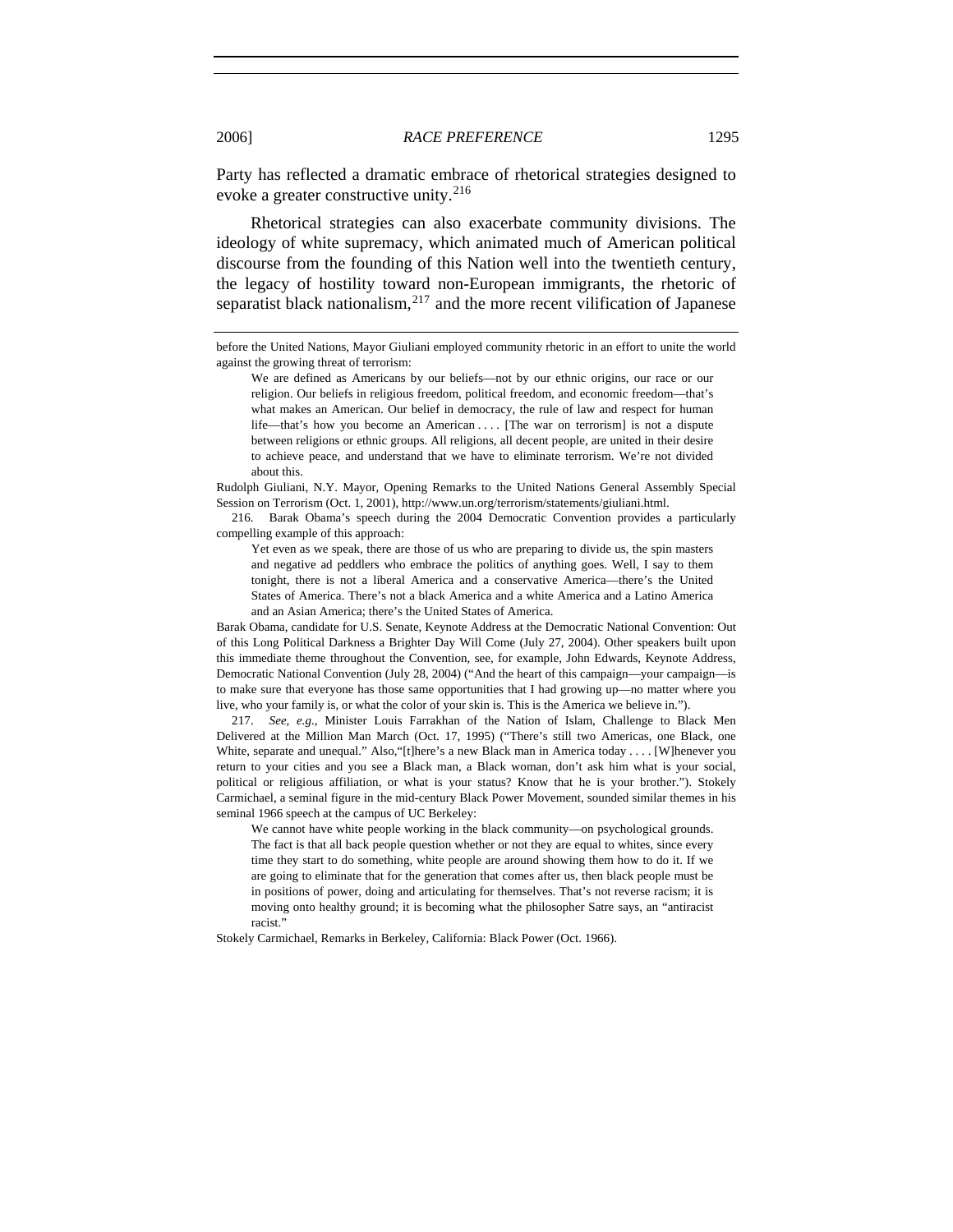Party has reflected a dramatic embrace of rhetorical strategies designed to evoke a greater constructive unity.<sup>[216](#page-64-0)</sup>

Rhetorical strategies can also exacerbate community divisions. The ideology of white supremacy, which animated much of American political discourse from the founding of this Nation well into the twentieth century, the legacy of hostility toward non-European immigrants, the rhetoric of separatist black nationalism, $2^{17}$  and the more recent vilification of Japanese

Rudolph Giuliani, N.Y. Mayor, Opening Remarks to the United Nations General Assembly Special Session on Terrorism (Oct. 1, 2001), http://www.un.org/terrorism/statements/giuliani.html.

<span id="page-64-0"></span>216. Barak Obama's speech during the 2004 Democratic Convention provides a particularly compelling example of this approach:

Yet even as we speak, there are those of us who are preparing to divide us, the spin masters and negative ad peddlers who embrace the politics of anything goes. Well, I say to them tonight, there is not a liberal America and a conservative America—there's the United States of America. There's not a black America and a white America and a Latino America and an Asian America; there's the United States of America.

Barak Obama, candidate for U.S. Senate, Keynote Address at the Democratic National Convention: Out of this Long Political Darkness a Brighter Day Will Come (July 27, 2004). Other speakers built upon this immediate theme throughout the Convention, see, for example, John Edwards, Keynote Address, Democratic National Convention (July 28, 2004) ("And the heart of this campaign—your campaign—is to make sure that everyone has those same opportunities that I had growing up—no matter where you live, who your family is, or what the color of your skin is. This is the America we believe in.").

<span id="page-64-1"></span>217. *See, e.g.*, Minister Louis Farrakhan of the Nation of Islam, Challenge to Black Men Delivered at the Million Man March (Oct. 17, 1995) ("There's still two Americas, one Black, one White, separate and unequal." Also, "[t]here's a new Black man in America today . . . . [W]henever you return to your cities and you see a Black man, a Black woman, don't ask him what is your social, political or religious affiliation, or what is your status? Know that he is your brother."). Stokely Carmichael, a seminal figure in the mid-century Black Power Movement, sounded similar themes in his seminal 1966 speech at the campus of UC Berkeley:

We cannot have white people working in the black community—on psychological grounds. The fact is that all back people question whether or not they are equal to whites, since every time they start to do something, white people are around showing them how to do it. If we are going to eliminate that for the generation that comes after us, then black people must be in positions of power, doing and articulating for themselves. That's not reverse racism; it is moving onto healthy ground; it is becoming what the philosopher Satre says, an "antiracist racist."

Stokely Carmichael, Remarks in Berkeley, California: Black Power (Oct. 1966).

before the United Nations, Mayor Giuliani employed community rhetoric in an effort to unite the world against the growing threat of terrorism:

We are defined as Americans by our beliefs—not by our ethnic origins, our race or our religion. Our beliefs in religious freedom, political freedom, and economic freedom—that's what makes an American. Our belief in democracy, the rule of law and respect for human life—that's how you become an American . . . . [The war on terrorism] is not a dispute between religions or ethnic groups. All religions, all decent people, are united in their desire to achieve peace, and understand that we have to eliminate terrorism. We're not divided about this.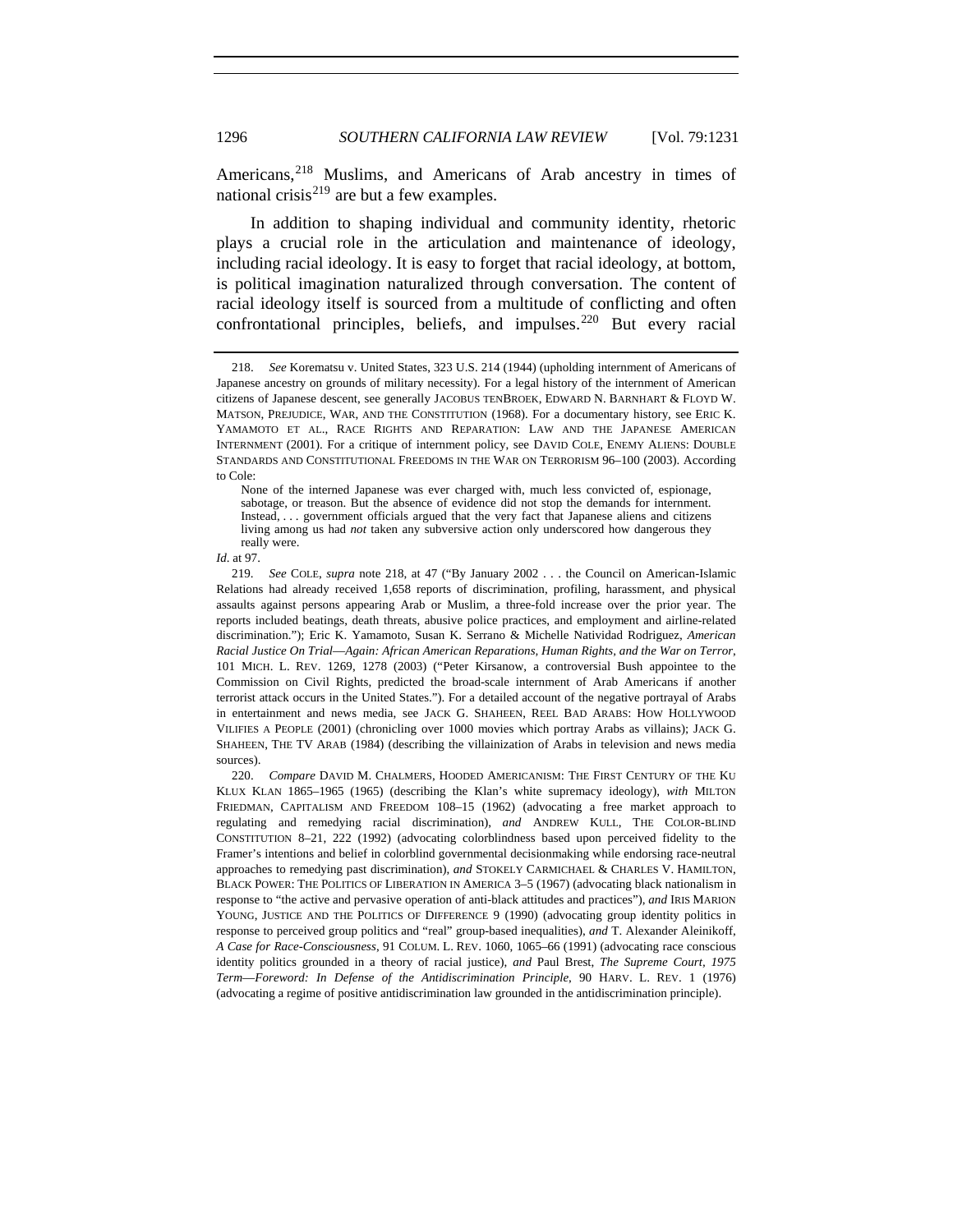Americans,<sup>[218](#page-65-0)</sup> Muslims, and Americans of Arab ancestry in times of national crisis<sup>[219](#page-65-1)</sup> are but a few examples.

In addition to shaping individual and community identity, rhetoric plays a crucial role in the articulation and maintenance of ideology, including racial ideology. It is easy to forget that racial ideology, at bottom, is political imagination naturalized through conversation. The content of racial ideology itself is sourced from a multitude of conflicting and often confrontational principles, beliefs, and impulses.<sup>[220](#page-65-2)</sup> But every racial

None of the interned Japanese was ever charged with, much less convicted of, espionage, sabotage, or treason. But the absence of evidence did not stop the demands for internment. Instead, . . . government officials argued that the very fact that Japanese aliens and citizens living among us had *not* taken any subversive action only underscored how dangerous they really were.

*Id*. at 97.

<span id="page-65-1"></span>219. *See* COLE, *supra* note 218, at 47 ("By January 2002 . . . the Council on American-Islamic Relations had already received 1,658 reports of discrimination, profiling, harassment, and physical assaults against persons appearing Arab or Muslim, a three-fold increase over the prior year. The reports included beatings, death threats, abusive police practices, and employment and airline-related discrimination."); Eric K. Yamamoto, Susan K. Serrano & Michelle Natividad Rodriguez, *American Racial Justice On Trial*—*Again: African American Reparations, Human Rights, and the War on Terror*, 101 MICH. L. REV. 1269, 1278 (2003) ("Peter Kirsanow, a controversial Bush appointee to the Commission on Civil Rights, predicted the broad-scale internment of Arab Americans if another terrorist attack occurs in the United States."). For a detailed account of the negative portrayal of Arabs in entertainment and news media, see JACK G. SHAHEEN, REEL BAD ARABS: HOW HOLLYWOOD VILIFIES A PEOPLE (2001) (chronicling over 1000 movies which portray Arabs as villains); JACK G. SHAHEEN, THE TV ARAB (1984) (describing the villainization of Arabs in television and news media sources).

<span id="page-65-2"></span>220. *Compare* DAVID M. CHALMERS, HOODED AMERICANISM: THE FIRST CENTURY OF THE KU KLUX KLAN 1865–1965 (1965) (describing the Klan's white supremacy ideology), *with* MILTON FRIEDMAN, CAPITALISM AND FREEDOM 108–15 (1962) (advocating a free market approach to regulating and remedying racial discrimination), *and* ANDREW KULL, THE COLOR-BLIND CONSTITUTION 8–21, 222 (1992) (advocating colorblindness based upon perceived fidelity to the Framer's intentions and belief in colorblind governmental decisionmaking while endorsing race-neutral approaches to remedying past discrimination), *and* STOKELY CARMICHAEL & CHARLES V. HAMILTON, BLACK POWER: THE POLITICS OF LIBERATION IN AMERICA 3–5 (1967) (advocating black nationalism in response to "the active and pervasive operation of anti-black attitudes and practices"), *and* IRIS MARION YOUNG, JUSTICE AND THE POLITICS OF DIFFERENCE 9 (1990) (advocating group identity politics in response to perceived group politics and "real" group-based inequalities), *and* T. Alexander Aleinikoff, *A Case for Race-Consciousness*, 91 COLUM. L. REV. 1060, 1065–66 (1991) (advocating race conscious identity politics grounded in a theory of racial justice), *and* Paul Brest, *The Supreme Court, 1975 Term*—*Foreword: In Defense of the Antidiscrimination Principle*, 90 HARV. L. REV. 1 (1976) (advocating a regime of positive antidiscrimination law grounded in the antidiscrimination principle).

<span id="page-65-0"></span><sup>218.</sup> *See* Korematsu v. United States, 323 U.S. 214 (1944) (upholding internment of Americans of Japanese ancestry on grounds of military necessity). For a legal history of the internment of American citizens of Japanese descent, see generally JACOBUS TENBROEK, EDWARD N. BARNHART & FLOYD W. MATSON, PREJUDICE, WAR, AND THE CONSTITUTION (1968). For a documentary history, see ERIC K. YAMAMOTO ET AL., RACE RIGHTS AND REPARATION: LAW AND THE JAPANESE AMERICAN INTERNMENT (2001). For a critique of internment policy, see DAVID COLE, ENEMY ALIENS: DOUBLE STANDARDS AND CONSTITUTIONAL FREEDOMS IN THE WAR ON TERRORISM 96–100 (2003). According to Cole: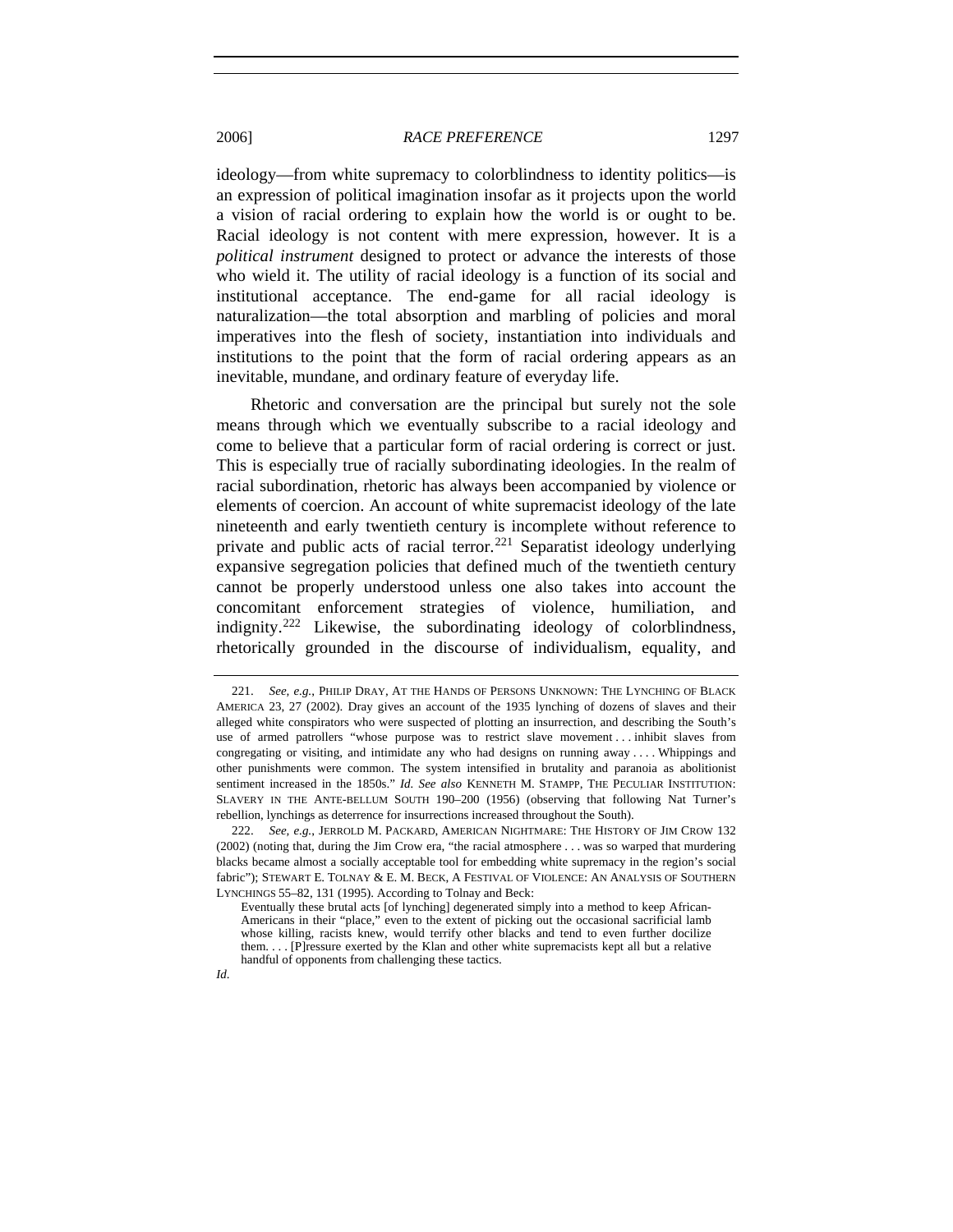ideology—from white supremacy to colorblindness to identity politics—is an expression of political imagination insofar as it projects upon the world a vision of racial ordering to explain how the world is or ought to be. Racial ideology is not content with mere expression, however. It is a *political instrument* designed to protect or advance the interests of those who wield it. The utility of racial ideology is a function of its social and institutional acceptance. The end-game for all racial ideology is naturalization—the total absorption and marbling of policies and moral imperatives into the flesh of society, instantiation into individuals and institutions to the point that the form of racial ordering appears as an inevitable, mundane, and ordinary feature of everyday life.

Rhetoric and conversation are the principal but surely not the sole means through which we eventually subscribe to a racial ideology and come to believe that a particular form of racial ordering is correct or just. This is especially true of racially subordinating ideologies. In the realm of racial subordination, rhetoric has always been accompanied by violence or elements of coercion. An account of white supremacist ideology of the late nineteenth and early twentieth century is incomplete without reference to private and public acts of racial terror.<sup>[221](#page-66-0)</sup> Separatist ideology underlying expansive segregation policies that defined much of the twentieth century cannot be properly understood unless one also takes into account the concomitant enforcement strategies of violence, humiliation, and indignity.<sup>[222](#page-66-1)</sup> Likewise, the subordinating ideology of colorblindness, rhetorically grounded in the discourse of individualism, equality, and

*Id*.

<span id="page-66-0"></span><sup>221.</sup> *See, e.g.*, PHILIP DRAY, AT THE HANDS OF PERSONS UNKNOWN: THE LYNCHING OF BLACK AMERICA 23, 27 (2002). Dray gives an account of the 1935 lynching of dozens of slaves and their alleged white conspirators who were suspected of plotting an insurrection, and describing the South's use of armed patrollers "whose purpose was to restrict slave movement . . . inhibit slaves from congregating or visiting, and intimidate any who had designs on running away . . . . Whippings and other punishments were common. The system intensified in brutality and paranoia as abolitionist sentiment increased in the 1850s." *Id. See also* KENNETH M. STAMPP, THE PECULIAR INSTITUTION: SLAVERY IN THE ANTE-BELLUM SOUTH 190–200 (1956) (observing that following Nat Turner's rebellion, lynchings as deterrence for insurrections increased throughout the South).

<span id="page-66-1"></span><sup>222.</sup> *See, e.g.*, JERROLD M. PACKARD, AMERICAN NIGHTMARE: THE HISTORY OF JIM CROW 132 (2002) (noting that, during the Jim Crow era, "the racial atmosphere . . . was so warped that murdering blacks became almost a socially acceptable tool for embedding white supremacy in the region's social fabric"); STEWART E. TOLNAY & E. M. BECK, A FESTIVAL OF VIOLENCE: AN ANALYSIS OF SOUTHERN LYNCHINGS 55–82, 131 (1995). According to Tolnay and Beck:

Eventually these brutal acts [of lynching] degenerated simply into a method to keep African-Americans in their "place," even to the extent of picking out the occasional sacrificial lamb whose killing, racists knew, would terrify other blacks and tend to even further docilize them. . . . [P]ressure exerted by the Klan and other white supremacists kept all but a relative handful of opponents from challenging these tactics.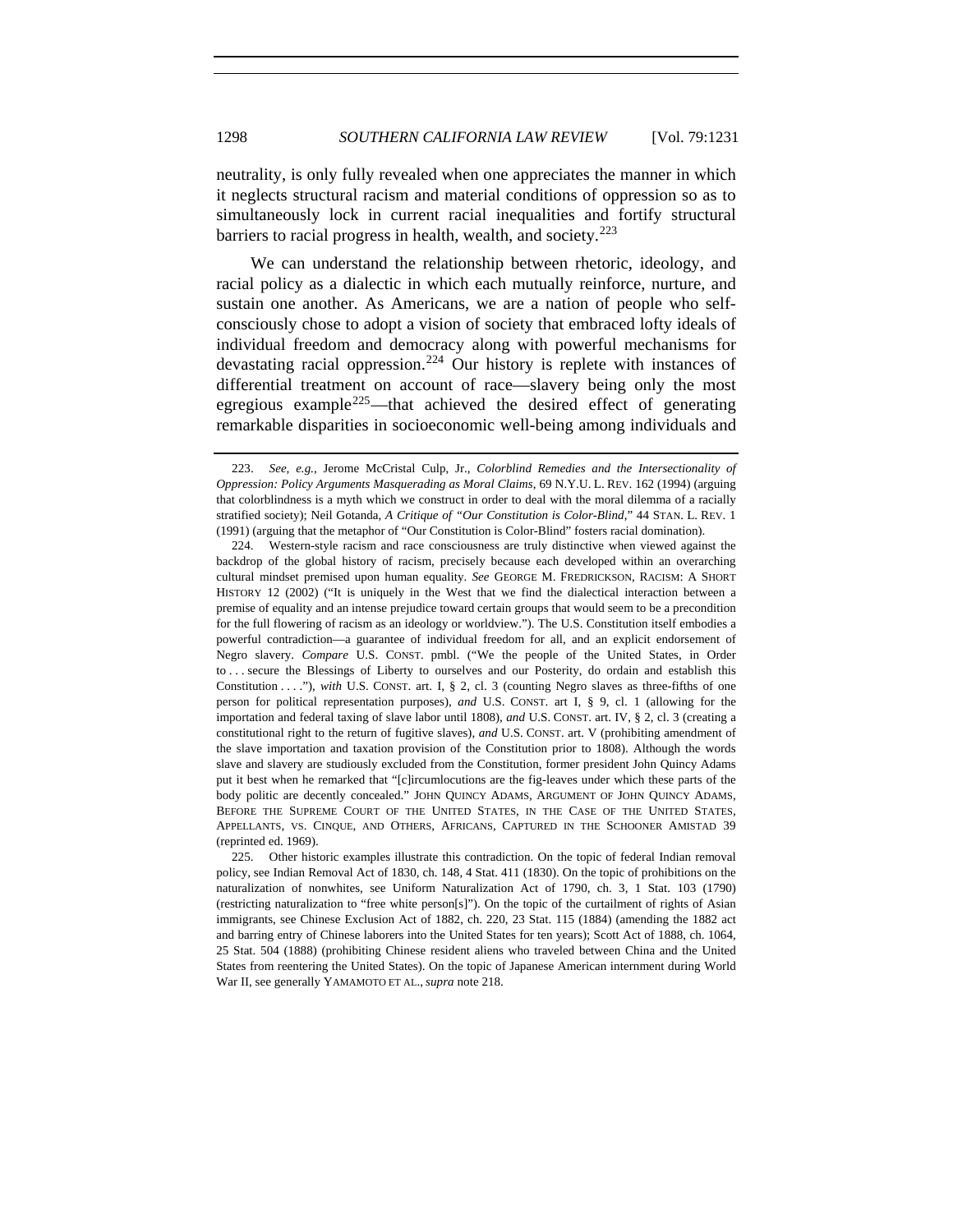neutrality, is only fully revealed when one appreciates the manner in which it neglects structural racism and material conditions of oppression so as to simultaneously lock in current racial inequalities and fortify structural barriers to racial progress in health, wealth, and society.<sup>[223](#page-67-0)</sup>

We can understand the relationship between rhetoric, ideology, and racial policy as a dialectic in which each mutually reinforce, nurture, and sustain one another. As Americans, we are a nation of people who selfconsciously chose to adopt a vision of society that embraced lofty ideals of individual freedom and democracy along with powerful mechanisms for devastating racial oppression.[224](#page-67-1) Our history is replete with instances of differential treatment on account of race—slavery being only the most egregious example<sup>[225](#page-67-2)</sup>—that achieved the desired effect of generating remarkable disparities in socioeconomic well-being among individuals and

<span id="page-67-0"></span><sup>223.</sup> *See, e.g.*, Jerome McCristal Culp, Jr., *Colorblind Remedies and the Intersectionality of Oppression: Policy Arguments Masquerading as Moral Claims*, 69 N.Y.U. L. REV. 162 (1994) (arguing that colorblindness is a myth which we construct in order to deal with the moral dilemma of a racially stratified society); Neil Gotanda, *A Critique of "Our Constitution is Color-Blind*," 44 STAN. L. REV. 1 (1991) (arguing that the metaphor of "Our Constitution is Color-Blind" fosters racial domination).

<span id="page-67-1"></span> <sup>224.</sup> Western-style racism and race consciousness are truly distinctive when viewed against the backdrop of the global history of racism, precisely because each developed within an overarching cultural mindset premised upon human equality. *See* GEORGE M. FREDRICKSON, RACISM: A SHORT HISTORY 12 (2002) ("It is uniquely in the West that we find the dialectical interaction between a premise of equality and an intense prejudice toward certain groups that would seem to be a precondition for the full flowering of racism as an ideology or worldview."). The U.S. Constitution itself embodies a powerful contradiction—a guarantee of individual freedom for all, and an explicit endorsement of Negro slavery. *Compare* U.S. CONST. pmbl. ("We the people of the United States, in Order to . . . secure the Blessings of Liberty to ourselves and our Posterity, do ordain and establish this Constitution . . . ."), *with* U.S. CONST. art. I, § 2, cl. 3 (counting Negro slaves as three-fifths of one person for political representation purposes), *and* U.S. CONST. art I, § 9, cl. 1 (allowing for the importation and federal taxing of slave labor until 1808), *and* U.S. CONST. art. IV, § 2, cl. 3 (creating a constitutional right to the return of fugitive slaves), *and* U.S. CONST. art. V (prohibiting amendment of the slave importation and taxation provision of the Constitution prior to 1808). Although the words slave and slavery are studiously excluded from the Constitution, former president John Quincy Adams put it best when he remarked that "[c]ircumlocutions are the fig-leaves under which these parts of the body politic are decently concealed." JOHN QUINCY ADAMS, ARGUMENT OF JOHN QUINCY ADAMS, BEFORE THE SUPREME COURT OF THE UNITED STATES, IN THE CASE OF THE UNITED STATES, APPELLANTS, VS. CINQUE, AND OTHERS, AFRICANS, CAPTURED IN THE SCHOONER AMISTAD 39 (reprinted ed. 1969).

<span id="page-67-2"></span> <sup>225.</sup> Other historic examples illustrate this contradiction. On the topic of federal Indian removal policy, see Indian Removal Act of 1830, ch. 148, 4 Stat. 411 (1830). On the topic of prohibitions on the naturalization of nonwhites, see Uniform Naturalization Act of 1790, ch. 3, 1 Stat. 103 (1790) (restricting naturalization to "free white person[s]"). On the topic of the curtailment of rights of Asian immigrants, see Chinese Exclusion Act of 1882, ch. 220, 23 Stat. 115 (1884) (amending the 1882 act and barring entry of Chinese laborers into the United States for ten years); Scott Act of 1888, ch. 1064, 25 Stat. 504 (1888) (prohibiting Chinese resident aliens who traveled between China and the United States from reentering the United States). On the topic of Japanese American internment during World War II, see generally YAMAMOTO ET AL., *supra* note 218.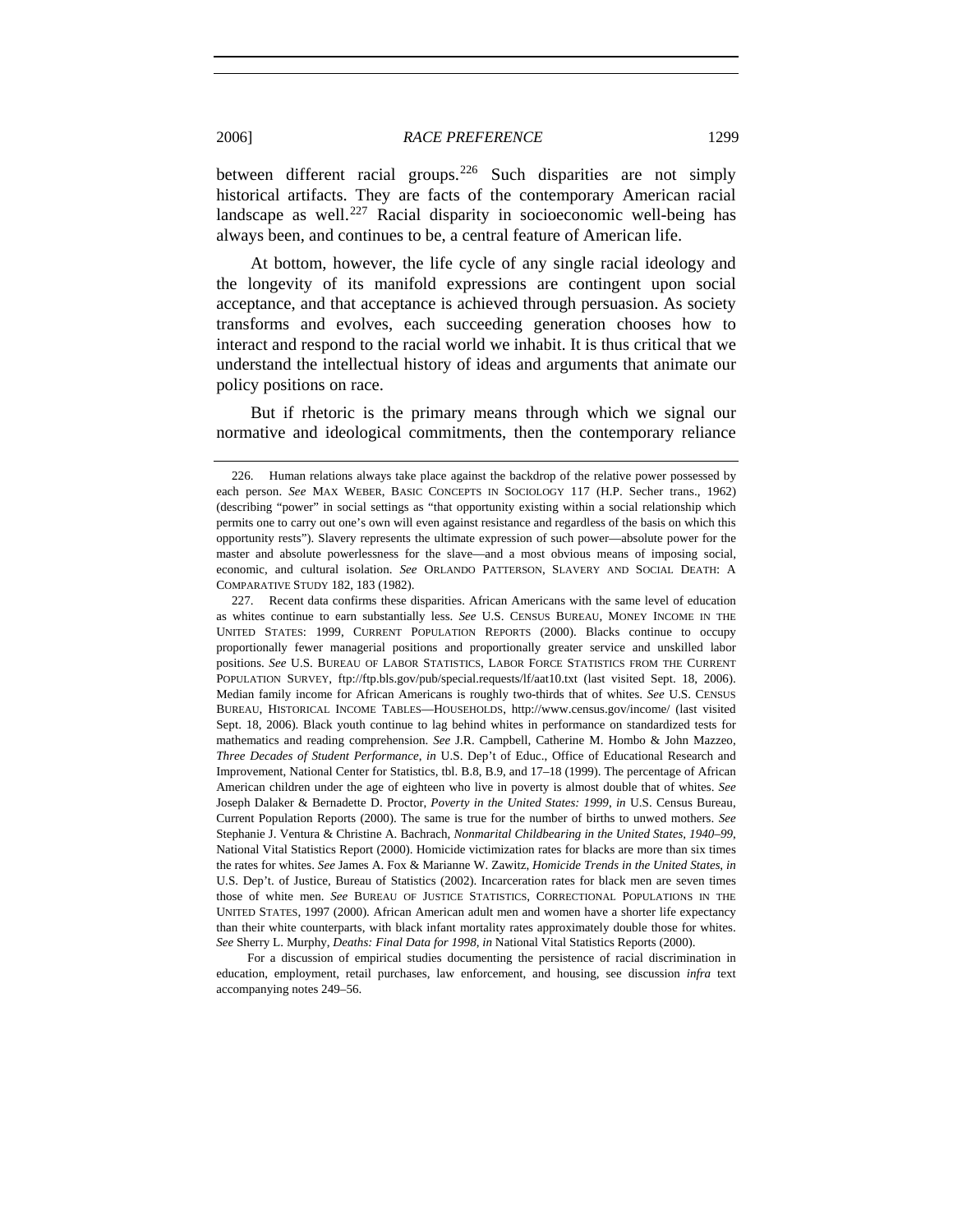between different racial groups.<sup>[226](#page-68-0)</sup> Such disparities are not simply historical artifacts. They are facts of the contemporary American racial landscape as well.<sup>[227](#page-68-1)</sup> Racial disparity in socioeconomic well-being has always been, and continues to be, a central feature of American life.

At bottom, however, the life cycle of any single racial ideology and the longevity of its manifold expressions are contingent upon social acceptance, and that acceptance is achieved through persuasion. As society transforms and evolves, each succeeding generation chooses how to interact and respond to the racial world we inhabit. It is thus critical that we understand the intellectual history of ideas and arguments that animate our policy positions on race.

But if rhetoric is the primary means through which we signal our normative and ideological commitments, then the contemporary reliance

For a discussion of empirical studies documenting the persistence of racial discrimination in education, employment, retail purchases, law enforcement, and housing, see discussion *infra* text accompanying notes 249–56.

<span id="page-68-0"></span> <sup>226.</sup> Human relations always take place against the backdrop of the relative power possessed by each person. *See* MAX WEBER, BASIC CONCEPTS IN SOCIOLOGY 117 (H.P. Secher trans., 1962) (describing "power" in social settings as "that opportunity existing within a social relationship which permits one to carry out one's own will even against resistance and regardless of the basis on which this opportunity rests"). Slavery represents the ultimate expression of such power—absolute power for the master and absolute powerlessness for the slave—and a most obvious means of imposing social, economic, and cultural isolation. *See* ORLANDO PATTERSON, SLAVERY AND SOCIAL DEATH: A COMPARATIVE STUDY 182, 183 (1982).

<span id="page-68-1"></span> <sup>227.</sup> Recent data confirms these disparities. African Americans with the same level of education as whites continue to earn substantially less. *See* U.S. CENSUS BUREAU, MONEY INCOME IN THE UNITED STATES: 1999, CURRENT POPULATION REPORTS (2000). Blacks continue to occupy proportionally fewer managerial positions and proportionally greater service and unskilled labor positions. *See* U.S. BUREAU OF LABOR STATISTICS, LABOR FORCE STATISTICS FROM THE CURRENT POPULATION SURVEY, ftp://ftp.bls.gov/pub/special.requests/lf/aat10.txt (last visited Sept. 18, 2006). Median family income for African Americans is roughly two-thirds that of whites. *See* U.S. CENSUS BUREAU, HISTORICAL INCOME TABLES—HOUSEHOLDS, http://www.census.gov/income/ (last visited Sept. 18, 2006). Black youth continue to lag behind whites in performance on standardized tests for mathematics and reading comprehension. *See* J.R. Campbell, Catherine M. Hombo & John Mazzeo, *Three Decades of Student Performance*, *in* U.S. Dep't of Educ., Office of Educational Research and Improvement, National Center for Statistics, tbl. B.8, B.9, and 17–18 (1999). The percentage of African American children under the age of eighteen who live in poverty is almost double that of whites. *See* Joseph Dalaker & Bernadette D. Proctor, *Poverty in the United States: 1999*, *in* U.S. Census Bureau, Current Population Reports (2000). The same is true for the number of births to unwed mothers. *See* Stephanie J. Ventura & Christine A. Bachrach, *Nonmarital Childbearing in the United States, 1940–99*, National Vital Statistics Report (2000). Homicide victimization rates for blacks are more than six times the rates for whites. *See* James A. Fox & Marianne W. Zawitz, *Homicide Trends in the United States*, *in* U.S. Dep't. of Justice, Bureau of Statistics (2002). Incarceration rates for black men are seven times those of white men. *See* BUREAU OF JUSTICE STATISTICS, CORRECTIONAL POPULATIONS IN THE UNITED STATES, 1997 (2000). African American adult men and women have a shorter life expectancy than their white counterparts, with black infant mortality rates approximately double those for whites. *See* Sherry L. Murphy, *Deaths: Final Data for 1998*, *in* National Vital Statistics Reports (2000).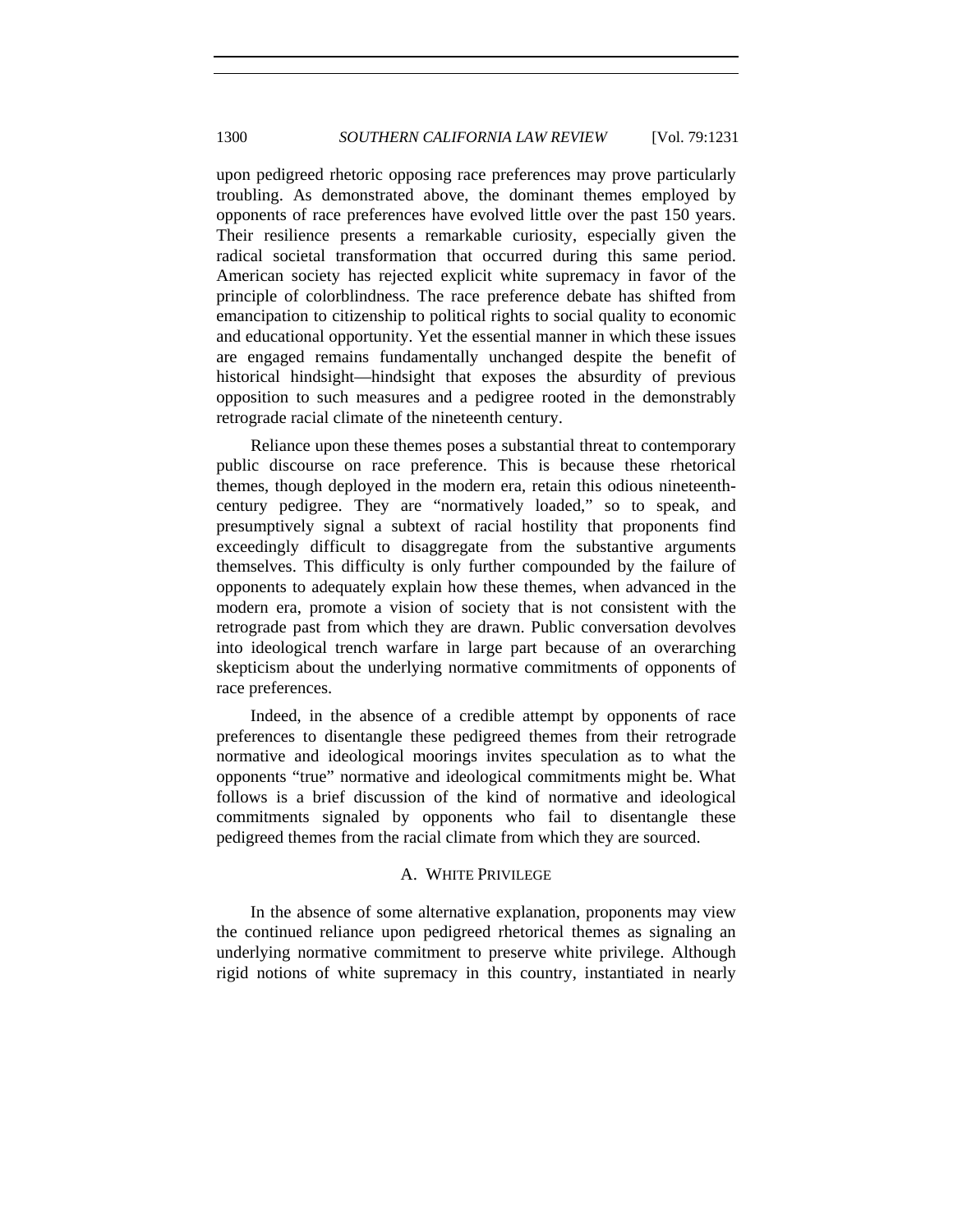upon pedigreed rhetoric opposing race preferences may prove particularly troubling. As demonstrated above, the dominant themes employed by opponents of race preferences have evolved little over the past 150 years. Their resilience presents a remarkable curiosity, especially given the radical societal transformation that occurred during this same period. American society has rejected explicit white supremacy in favor of the principle of colorblindness. The race preference debate has shifted from emancipation to citizenship to political rights to social quality to economic and educational opportunity. Yet the essential manner in which these issues are engaged remains fundamentally unchanged despite the benefit of historical hindsight—hindsight that exposes the absurdity of previous opposition to such measures and a pedigree rooted in the demonstrably retrograde racial climate of the nineteenth century.

Reliance upon these themes poses a substantial threat to contemporary public discourse on race preference. This is because these rhetorical themes, though deployed in the modern era, retain this odious nineteenthcentury pedigree. They are "normatively loaded," so to speak, and presumptively signal a subtext of racial hostility that proponents find exceedingly difficult to disaggregate from the substantive arguments themselves. This difficulty is only further compounded by the failure of opponents to adequately explain how these themes, when advanced in the modern era, promote a vision of society that is not consistent with the retrograde past from which they are drawn. Public conversation devolves into ideological trench warfare in large part because of an overarching skepticism about the underlying normative commitments of opponents of race preferences.

Indeed, in the absence of a credible attempt by opponents of race preferences to disentangle these pedigreed themes from their retrograde normative and ideological moorings invites speculation as to what the opponents "true" normative and ideological commitments might be. What follows is a brief discussion of the kind of normative and ideological commitments signaled by opponents who fail to disentangle these pedigreed themes from the racial climate from which they are sourced.

## A. WHITE PRIVILEGE

In the absence of some alternative explanation, proponents may view the continued reliance upon pedigreed rhetorical themes as signaling an underlying normative commitment to preserve white privilege. Although rigid notions of white supremacy in this country, instantiated in nearly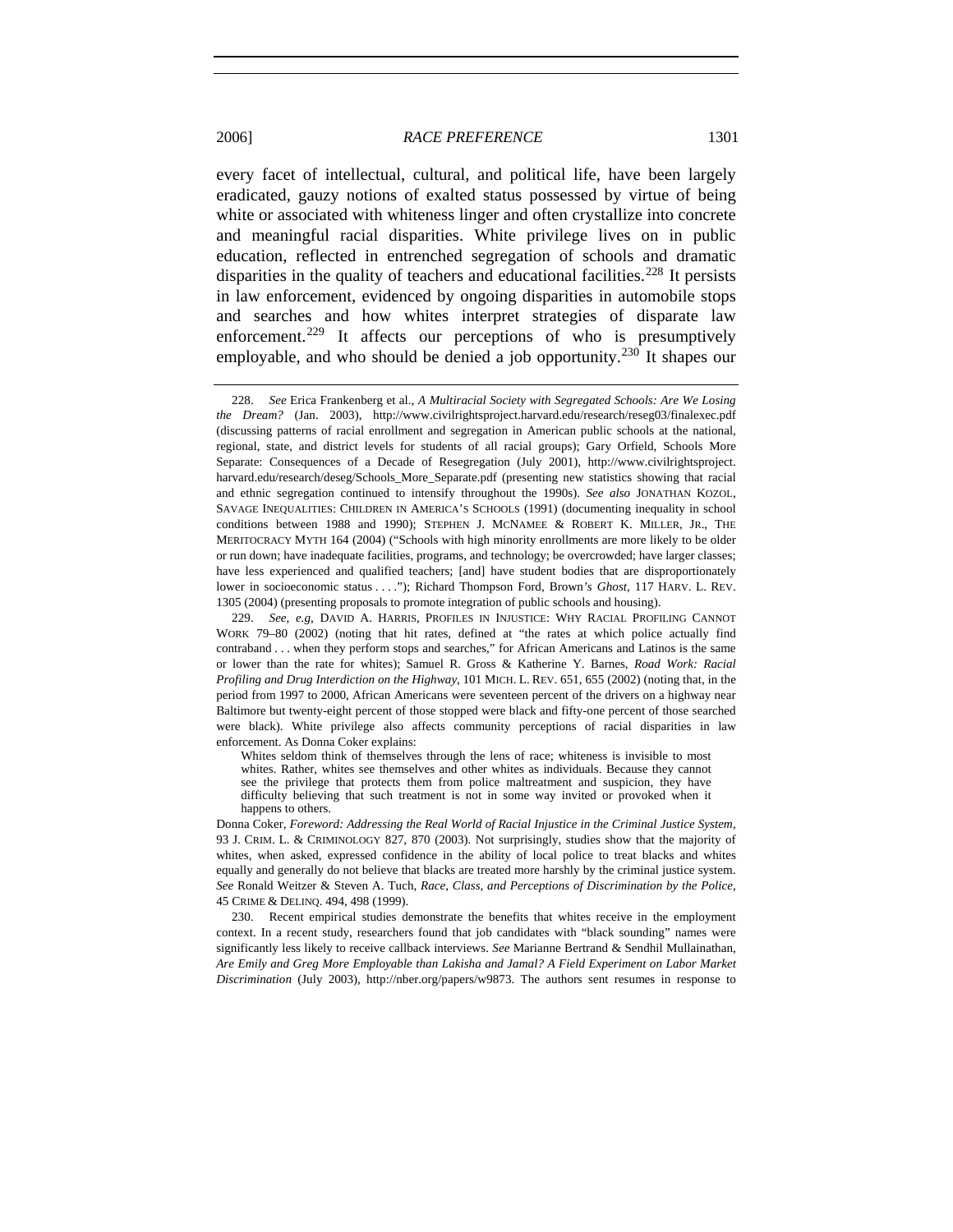every facet of intellectual, cultural, and political life, have been largely eradicated, gauzy notions of exalted status possessed by virtue of being white or associated with whiteness linger and often crystallize into concrete and meaningful racial disparities. White privilege lives on in public education, reflected in entrenched segregation of schools and dramatic disparities in the quality of teachers and educational facilities.<sup>[228](#page-70-0)</sup> It persists in law enforcement, evidenced by ongoing disparities in automobile stops and searches and how whites interpret strategies of disparate law enforcement.<sup>[229](#page-70-1)</sup> It affects our perceptions of who is presumptively employable, and who should be denied a job opportunity.<sup>[230](#page-70-2)</sup> It shapes our

<span id="page-70-2"></span> 230. Recent empirical studies demonstrate the benefits that whites receive in the employment context. In a recent study, researchers found that job candidates with "black sounding" names were significantly less likely to receive callback interviews. *See* Marianne Bertrand & Sendhil Mullainathan, *Are Emily and Greg More Employable than Lakisha and Jamal? A Field Experiment on Labor Market Discrimination* (July 2003), http://nber.org/papers/w9873. The authors sent resumes in response to

<span id="page-70-0"></span><sup>228.</sup> *See* Erica Frankenberg et al., *A Multiracial Society with Segregated Schools: Are We Losing the Dream?* (Jan. 2003), http://www.civilrightsproject.harvard.edu/research/reseg03/finalexec.pdf (discussing patterns of racial enrollment and segregation in American public schools at the national, regional, state, and district levels for students of all racial groups); Gary Orfield, Schools More Separate: Consequences of a Decade of Resegregation (July 2001), http://www.civilrightsproject. harvard.edu/research/deseg/Schools\_More\_Separate.pdf (presenting new statistics showing that racial and ethnic segregation continued to intensify throughout the 1990s). *See also* JONATHAN KOZOL, SAVAGE INEQUALITIES: CHILDREN IN AMERICA'S SCHOOLS (1991) (documenting inequality in school conditions between 1988 and 1990); STEPHEN J. MCNAMEE & ROBERT K. MILLER, JR., THE MERITOCRACY MYTH 164 (2004) ("Schools with high minority enrollments are more likely to be older or run down; have inadequate facilities, programs, and technology; be overcrowded; have larger classes; have less experienced and qualified teachers; [and] have student bodies that are disproportionately lower in socioeconomic status . . . ."); Richard Thompson Ford, Brown*'s Ghost*, 117 HARV. L. REV. 1305 (2004) (presenting proposals to promote integration of public schools and housing).

<span id="page-70-1"></span><sup>229.</sup> *See, e.g*, DAVID A. HARRIS, PROFILES IN INJUSTICE: WHY RACIAL PROFILING CANNOT WORK 79–80 (2002) (noting that hit rates, defined at "the rates at which police actually find contraband . . . when they perform stops and searches," for African Americans and Latinos is the same or lower than the rate for whites); Samuel R. Gross & Katherine Y. Barnes, *Road Work: Racial Profiling and Drug Interdiction on the Highway*, 101 MICH. L. REV. 651, 655 (2002) (noting that, in the period from 1997 to 2000, African Americans were seventeen percent of the drivers on a highway near Baltimore but twenty-eight percent of those stopped were black and fifty-one percent of those searched were black). White privilege also affects community perceptions of racial disparities in law enforcement. As Donna Coker explains:

Whites seldom think of themselves through the lens of race; whiteness is invisible to most whites. Rather, whites see themselves and other whites as individuals. Because they cannot see the privilege that protects them from police maltreatment and suspicion, they have difficulty believing that such treatment is not in some way invited or provoked when it happens to others.

Donna Coker, *Foreword: Addressing the Real World of Racial Injustice in the Criminal Justice System*, 93 J. CRIM. L. & CRIMINOLOGY 827, 870 (2003). Not surprisingly, studies show that the majority of whites, when asked, expressed confidence in the ability of local police to treat blacks and whites equally and generally do not believe that blacks are treated more harshly by the criminal justice system. *See* Ronald Weitzer & Steven A. Tuch, *Race, Class, and Perceptions of Discrimination by the Police*, 45 CRIME & DELINQ. 494, 498 (1999).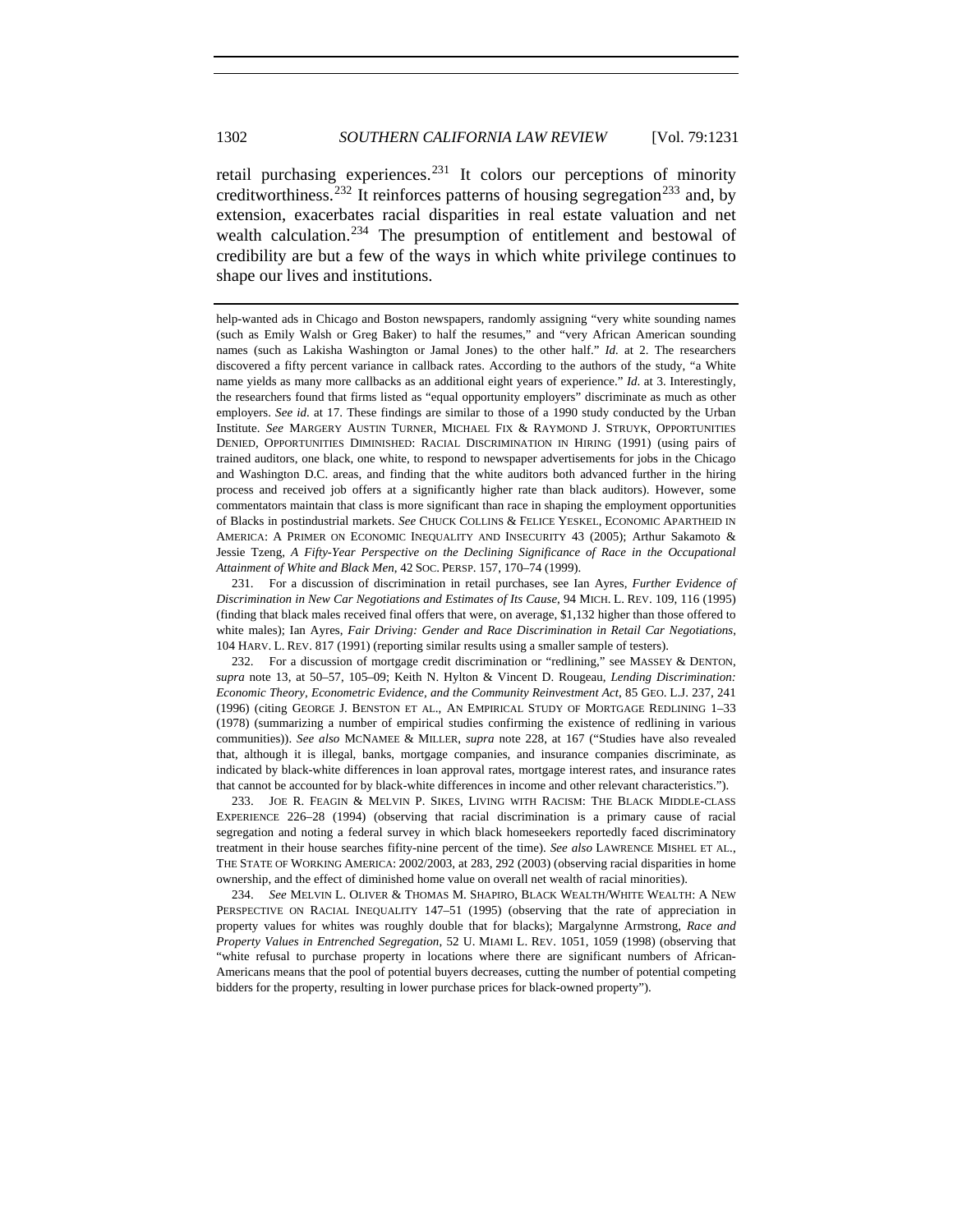retail purchasing experiences.<sup>[231](#page-71-0)</sup> It colors our perceptions of minority creditworthiness.<sup>[232](#page-71-1)</sup> It reinforces patterns of housing segregation<sup>[233](#page-71-2)</sup> and, by extension, exacerbates racial disparities in real estate valuation and net wealth calculation.<sup>[234](#page-71-3)</sup> The presumption of entitlement and bestowal of credibility are but a few of the ways in which white privilege continues to shape our lives and institutions.

help-wanted ads in Chicago and Boston newspapers, randomly assigning "very white sounding names (such as Emily Walsh or Greg Baker) to half the resumes," and "very African American sounding names (such as Lakisha Washington or Jamal Jones) to the other half." *Id.* at 2. The researchers discovered a fifty percent variance in callback rates. According to the authors of the study, "a White name yields as many more callbacks as an additional eight years of experience." *Id*. at 3. Interestingly, the researchers found that firms listed as "equal opportunity employers" discriminate as much as other employers. *See id*. at 17. These findings are similar to those of a 1990 study conducted by the Urban Institute. *See* MARGERY AUSTIN TURNER, MICHAEL FIX & RAYMOND J. STRUYK, OPPORTUNITIES DENIED, OPPORTUNITIES DIMINISHED: RACIAL DISCRIMINATION IN HIRING (1991) (using pairs of trained auditors, one black, one white, to respond to newspaper advertisements for jobs in the Chicago and Washington D.C. areas, and finding that the white auditors both advanced further in the hiring process and received job offers at a significantly higher rate than black auditors). However, some commentators maintain that class is more significant than race in shaping the employment opportunities of Blacks in postindustrial markets. *See* CHUCK COLLINS & FELICE YESKEL, ECONOMIC APARTHEID IN AMERICA: A PRIMER ON ECONOMIC INEQUALITY AND INSECURITY 43 (2005); Arthur Sakamoto & Jessie Tzeng, *A Fifty-Year Perspective on the Declining Significance of Race in the Occupational Attainment of White and Black Men*, 42 SOC. PERSP. 157, 170–74 (1999).

<span id="page-71-0"></span> 231. For a discussion of discrimination in retail purchases, see Ian Ayres, *Further Evidence of Discrimination in New Car Negotiations and Estimates of Its Cause*, 94 MICH. L. REV. 109, 116 (1995) (finding that black males received final offers that were, on average, \$1,132 higher than those offered to white males); Ian Ayres, *Fair Driving: Gender and Race Discrimination in Retail Car Negotiations*, 104 HARV. L. REV. 817 (1991) (reporting similar results using a smaller sample of testers).

<span id="page-71-1"></span> 232. For a discussion of mortgage credit discrimination or "redlining," see MASSEY & DENTON, *supra* note 13, at 50–57, 105–09; Keith N. Hylton & Vincent D. Rougeau, *Lending Discrimination: Economic Theory, Econometric Evidence, and the Community Reinvestment Act*, 85 GEO. L.J. 237, 241 (1996) (citing GEORGE J. BENSTON ET AL., AN EMPIRICAL STUDY OF MORTGAGE REDLINING 1–33 (1978) (summarizing a number of empirical studies confirming the existence of redlining in various communities)). *See also* MCNAMEE & MILLER, *supra* note 228, at 167 ("Studies have also revealed that, although it is illegal, banks, mortgage companies, and insurance companies discriminate, as indicated by black-white differences in loan approval rates, mortgage interest rates, and insurance rates that cannot be accounted for by black-white differences in income and other relevant characteristics.").

<span id="page-71-2"></span> 233. JOE R. FEAGIN & MELVIN P. SIKES, LIVING WITH RACISM: THE BLACK MIDDLE-CLASS EXPERIENCE 226–28 (1994) (observing that racial discrimination is a primary cause of racial segregation and noting a federal survey in which black homeseekers reportedly faced discriminatory treatment in their house searches fifity-nine percent of the time). *See also* LAWRENCE MISHEL ET AL., THE STATE OF WORKING AMERICA: 2002/2003, at 283, 292 (2003) (observing racial disparities in home ownership, and the effect of diminished home value on overall net wealth of racial minorities).

<span id="page-71-3"></span>234. *See* MELVIN L. OLIVER & THOMAS M. SHAPIRO, BLACK WEALTH/WHITE WEALTH: A NEW PERSPECTIVE ON RACIAL INEQUALITY 147–51 (1995) (observing that the rate of appreciation in property values for whites was roughly double that for blacks); Margalynne Armstrong, *Race and Property Values in Entrenched Segregation*, 52 U. MIAMI L. REV. 1051, 1059 (1998) (observing that "white refusal to purchase property in locations where there are significant numbers of African-Americans means that the pool of potential buyers decreases, cutting the number of potential competing bidders for the property, resulting in lower purchase prices for black-owned property").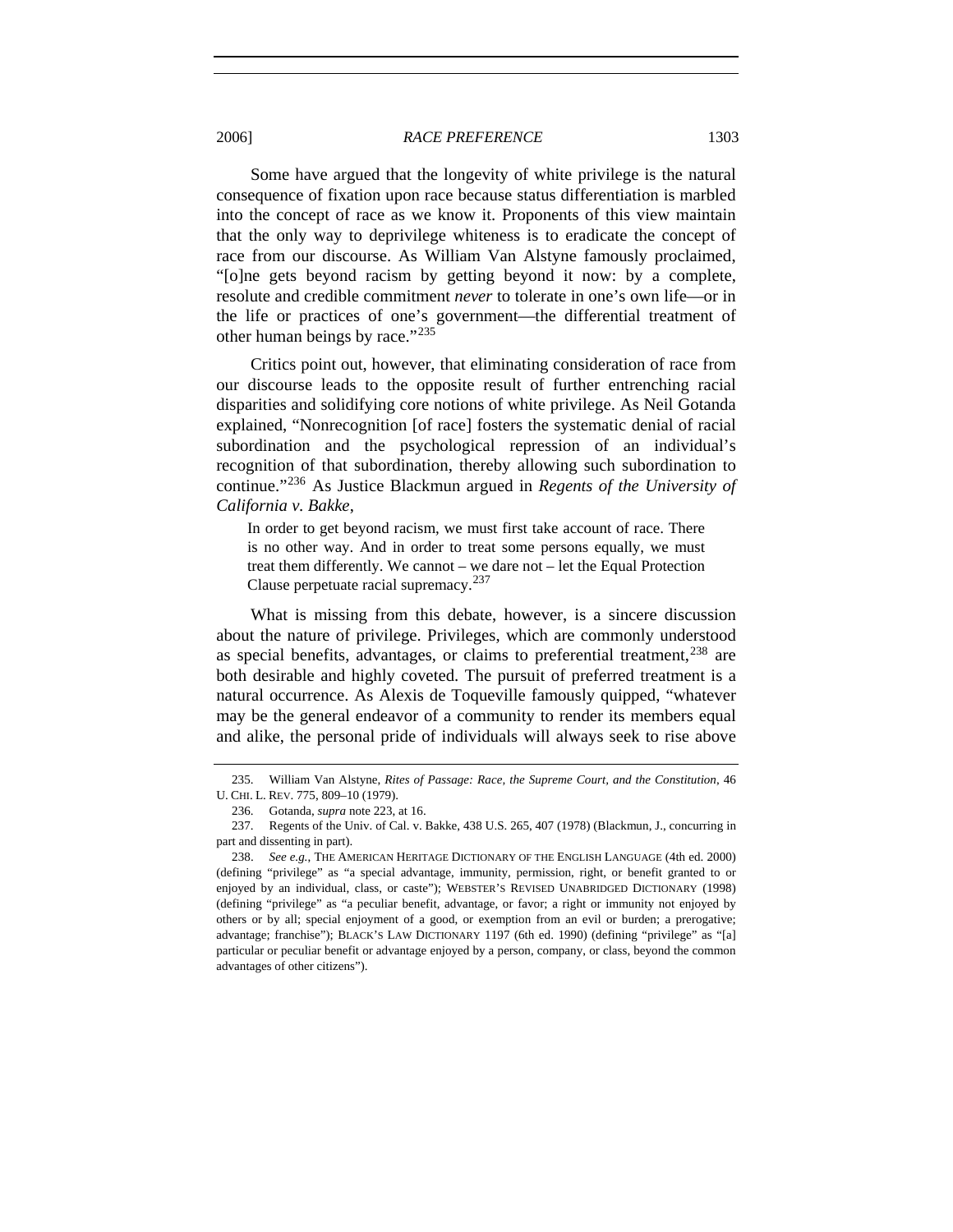Some have argued that the longevity of white privilege is the natural consequence of fixation upon race because status differentiation is marbled into the concept of race as we know it. Proponents of this view maintain that the only way to deprivilege whiteness is to eradicate the concept of race from our discourse. As William Van Alstyne famously proclaimed, "[o]ne gets beyond racism by getting beyond it now: by a complete, resolute and credible commitment *never* to tolerate in one's own life—or in the life or practices of one's government—the differential treatment of other human beings by race."[235](#page-72-0)

Critics point out, however, that eliminating consideration of race from our discourse leads to the opposite result of further entrenching racial disparities and solidifying core notions of white privilege. As Neil Gotanda explained, "Nonrecognition [of race] fosters the systematic denial of racial subordination and the psychological repression of an individual's recognition of that subordination, thereby allowing such subordination to continue."[236](#page-72-1) As Justice Blackmun argued in *Regents of the University of California v. Bakke*,

In order to get beyond racism, we must first take account of race. There is no other way. And in order to treat some persons equally, we must treat them differently. We cannot – we dare not – let the Equal Protection Clause perpetuate racial supremacy.<sup>[237](#page-72-2)</sup>

What is missing from this debate, however, is a sincere discussion about the nature of privilege. Privileges, which are commonly understood as special benefits, advantages, or claims to preferential treatment,  $238$  are both desirable and highly coveted. The pursuit of preferred treatment is a natural occurrence. As Alexis de Toqueville famously quipped, "whatever may be the general endeavor of a community to render its members equal and alike, the personal pride of individuals will always seek to rise above

<span id="page-72-0"></span> <sup>235.</sup> William Van Alstyne, *Rites of Passage: Race, the Supreme Court, and the Constitution*, 46 U. CHI. L. REV. 775, 809–10 (1979).

 <sup>236.</sup> Gotanda, *supra* note 223, at 16.

<span id="page-72-2"></span><span id="page-72-1"></span> <sup>237.</sup> Regents of the Univ. of Cal. v. Bakke, 438 U.S. 265, 407 (1978) (Blackmun, J., concurring in part and dissenting in part).

<span id="page-72-3"></span><sup>238.</sup> *See e.g.*, THE AMERICAN HERITAGE DICTIONARY OF THE ENGLISH LANGUAGE (4th ed. 2000) (defining "privilege" as "a special advantage, immunity, permission, right, or benefit granted to or enjoyed by an individual, class, or caste"); WEBSTER'S REVISED UNABRIDGED DICTIONARY (1998) (defining "privilege" as "a peculiar benefit, advantage, or favor; a right or immunity not enjoyed by others or by all; special enjoyment of a good, or exemption from an evil or burden; a prerogative; advantage; franchise"); BLACK'S LAW DICTIONARY 1197 (6th ed. 1990) (defining "privilege" as "[a] particular or peculiar benefit or advantage enjoyed by a person, company, or class, beyond the common advantages of other citizens").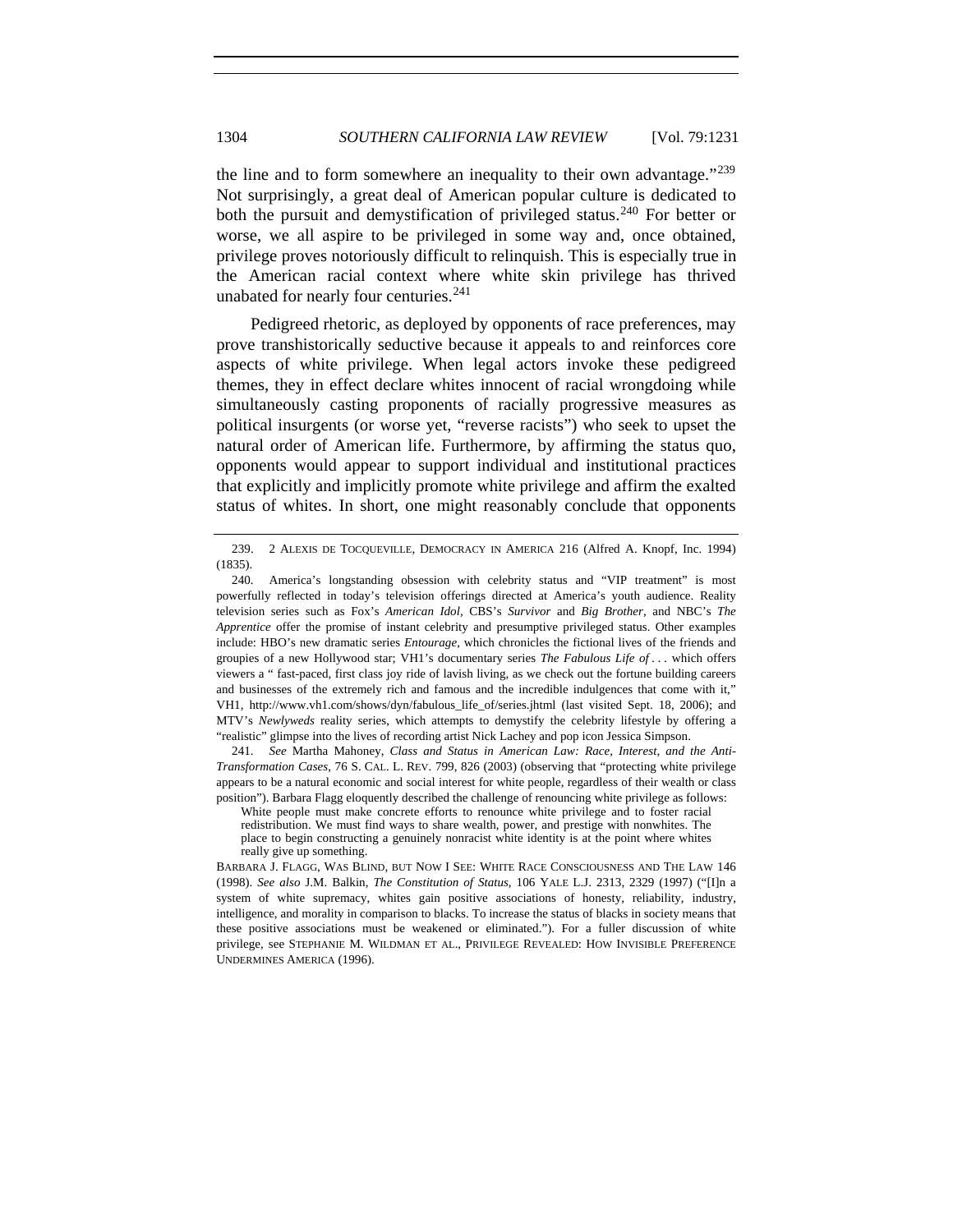the line and to form somewhere an inequality to their own advantage."<sup>[239](#page-73-0)</sup> Not surprisingly, a great deal of American popular culture is dedicated to both the pursuit and demystification of privileged status.<sup>[240](#page-73-1)</sup> For better or worse, we all aspire to be privileged in some way and, once obtained, privilege proves notoriously difficult to relinquish. This is especially true in the American racial context where white skin privilege has thrived unabated for nearly four centuries.<sup>[241](#page-73-2)</sup>

Pedigreed rhetoric, as deployed by opponents of race preferences, may prove transhistorically seductive because it appeals to and reinforces core aspects of white privilege. When legal actors invoke these pedigreed themes, they in effect declare whites innocent of racial wrongdoing while simultaneously casting proponents of racially progressive measures as political insurgents (or worse yet, "reverse racists") who seek to upset the natural order of American life. Furthermore, by affirming the status quo, opponents would appear to support individual and institutional practices that explicitly and implicitly promote white privilege and affirm the exalted status of whites. In short, one might reasonably conclude that opponents

<span id="page-73-2"></span>241. *See* Martha Mahoney, *Class and Status in American Law: Race, Interest, and the Anti-Transformation Cases*, 76 S. CAL. L. REV. 799, 826 (2003) (observing that "protecting white privilege appears to be a natural economic and social interest for white people, regardless of their wealth or class position"). Barbara Flagg eloquently described the challenge of renouncing white privilege as follows:

<span id="page-73-0"></span> <sup>239. 2</sup> ALEXIS DE TOCQUEVILLE, DEMOCRACY IN AMERICA 216 (Alfred A. Knopf, Inc. 1994) (1835).

<span id="page-73-1"></span> <sup>240.</sup> America's longstanding obsession with celebrity status and "VIP treatment" is most powerfully reflected in today's television offerings directed at America's youth audience. Reality television series such as Fox's *American Idol,* CBS's *Survivor* and *Big Brother*, and NBC's *The Apprentice* offer the promise of instant celebrity and presumptive privileged status. Other examples include: HBO's new dramatic series *Entourage*, which chronicles the fictional lives of the friends and groupies of a new Hollywood star; VH1's documentary series *The Fabulous Life of . . .* which offers viewers a " fast-paced, first class joy ride of lavish living, as we check out the fortune building careers and businesses of the extremely rich and famous and the incredible indulgences that come with it," VH1, http://www.vh1.com/shows/dyn/fabulous\_life\_of/series.jhtml (last visited Sept. 18, 2006); and MTV's *Newlyweds* reality series, which attempts to demystify the celebrity lifestyle by offering a "realistic" glimpse into the lives of recording artist Nick Lachey and pop icon Jessica Simpson.

White people must make concrete efforts to renounce white privilege and to foster racial redistribution. We must find ways to share wealth, power, and prestige with nonwhites. The place to begin constructing a genuinely nonracist white identity is at the point where whites really give up something.

BARBARA J. FLAGG, WAS BLIND, BUT NOW I SEE: WHITE RACE CONSCIOUSNESS AND THE LAW 146 (1998). *See also* J.M. Balkin, *The Constitution of Status*, 106 YALE L.J. 2313, 2329 (1997) ("[I]n a system of white supremacy, whites gain positive associations of honesty, reliability, industry, intelligence, and morality in comparison to blacks. To increase the status of blacks in society means that these positive associations must be weakened or eliminated."). For a fuller discussion of white privilege, see STEPHANIE M. WILDMAN ET AL., PRIVILEGE REVEALED: HOW INVISIBLE PREFERENCE UNDERMINES AMERICA (1996).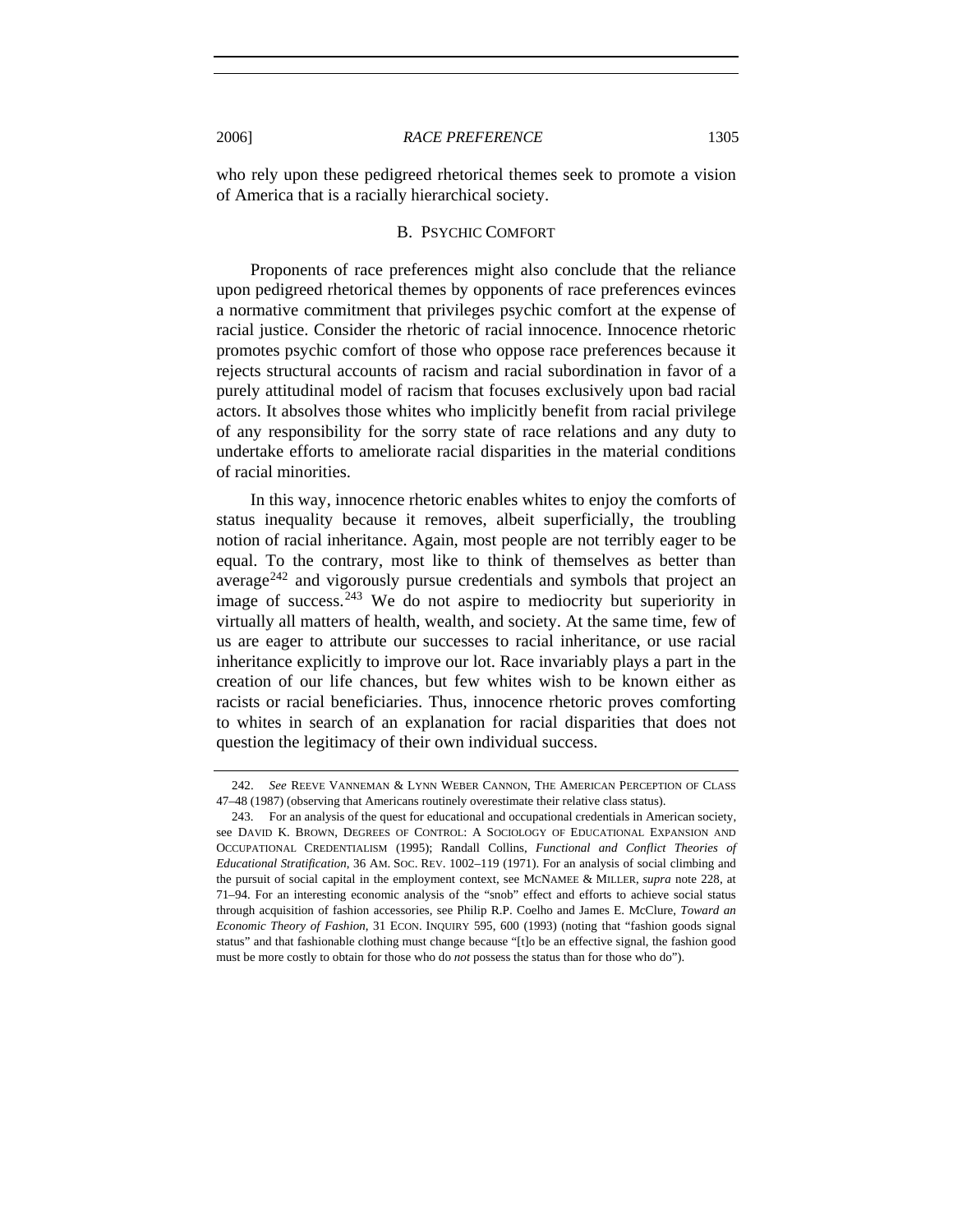who rely upon these pedigreed rhetorical themes seek to promote a vision of America that is a racially hierarchical society.

#### B. PSYCHIC COMFORT

Proponents of race preferences might also conclude that the reliance upon pedigreed rhetorical themes by opponents of race preferences evinces a normative commitment that privileges psychic comfort at the expense of racial justice. Consider the rhetoric of racial innocence. Innocence rhetoric promotes psychic comfort of those who oppose race preferences because it rejects structural accounts of racism and racial subordination in favor of a purely attitudinal model of racism that focuses exclusively upon bad racial actors. It absolves those whites who implicitly benefit from racial privilege of any responsibility for the sorry state of race relations and any duty to undertake efforts to ameliorate racial disparities in the material conditions of racial minorities.

In this way, innocence rhetoric enables whites to enjoy the comforts of status inequality because it removes, albeit superficially, the troubling notion of racial inheritance. Again, most people are not terribly eager to be equal. To the contrary, most like to think of themselves as better than average<sup>[242](#page-74-0)</sup> and vigorously pursue credentials and symbols that project an image of success.<sup>[243](#page-74-1)</sup> We do not aspire to mediocrity but superiority in virtually all matters of health, wealth, and society. At the same time, few of us are eager to attribute our successes to racial inheritance, or use racial inheritance explicitly to improve our lot. Race invariably plays a part in the creation of our life chances, but few whites wish to be known either as racists or racial beneficiaries. Thus, innocence rhetoric proves comforting to whites in search of an explanation for racial disparities that does not question the legitimacy of their own individual success.

<span id="page-74-0"></span><sup>242.</sup> *See* REEVE VANNEMAN & LYNN WEBER CANNON, THE AMERICAN PERCEPTION OF CLASS 47–48 (1987) (observing that Americans routinely overestimate their relative class status).

<span id="page-74-1"></span> <sup>243.</sup> For an analysis of the quest for educational and occupational credentials in American society, see DAVID K. BROWN, DEGREES OF CONTROL: A SOCIOLOGY OF EDUCATIONAL EXPANSION AND OCCUPATIONAL CREDENTIALISM (1995); Randall Collins, *Functional and Conflict Theories of Educational Stratification*, 36 AM. SOC. REV. 1002–119 (1971). For an analysis of social climbing and the pursuit of social capital in the employment context, see MCNAMEE & MILLER, *supra* note 228, at 71–94. For an interesting economic analysis of the "snob" effect and efforts to achieve social status through acquisition of fashion accessories, see Philip R.P. Coelho and James E. McClure, *Toward an Economic Theory of Fashion*, 31 ECON. INQUIRY 595, 600 (1993) (noting that "fashion goods signal status" and that fashionable clothing must change because "[t]o be an effective signal, the fashion good must be more costly to obtain for those who do *not* possess the status than for those who do").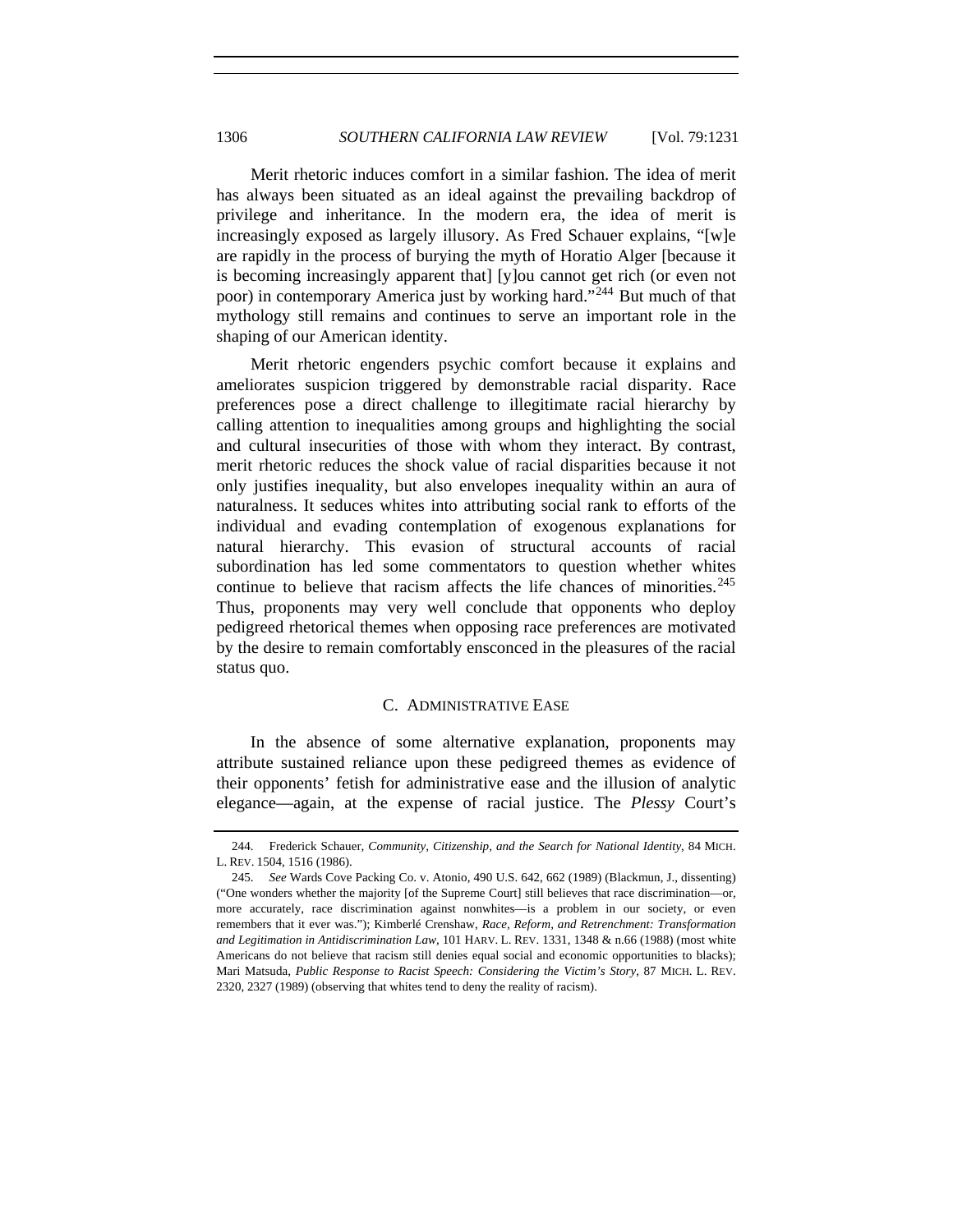Merit rhetoric induces comfort in a similar fashion. The idea of merit has always been situated as an ideal against the prevailing backdrop of privilege and inheritance. In the modern era, the idea of merit is increasingly exposed as largely illusory. As Fred Schauer explains, "[w]e are rapidly in the process of burying the myth of Horatio Alger [because it is becoming increasingly apparent that] [y]ou cannot get rich (or even not poor) in contemporary America just by working hard."[244](#page-75-0) But much of that mythology still remains and continues to serve an important role in the shaping of our American identity.

Merit rhetoric engenders psychic comfort because it explains and ameliorates suspicion triggered by demonstrable racial disparity. Race preferences pose a direct challenge to illegitimate racial hierarchy by calling attention to inequalities among groups and highlighting the social and cultural insecurities of those with whom they interact. By contrast, merit rhetoric reduces the shock value of racial disparities because it not only justifies inequality, but also envelopes inequality within an aura of naturalness. It seduces whites into attributing social rank to efforts of the individual and evading contemplation of exogenous explanations for natural hierarchy. This evasion of structural accounts of racial subordination has led some commentators to question whether whites continue to believe that racism affects the life chances of minorities.<sup>[245](#page-75-1)</sup> Thus, proponents may very well conclude that opponents who deploy pedigreed rhetorical themes when opposing race preferences are motivated by the desire to remain comfortably ensconced in the pleasures of the racial status quo.

### C. ADMINISTRATIVE EASE

In the absence of some alternative explanation, proponents may attribute sustained reliance upon these pedigreed themes as evidence of their opponents' fetish for administrative ease and the illusion of analytic elegance—again, at the expense of racial justice. The *Plessy* Court's

<span id="page-75-0"></span> <sup>244.</sup> Frederick Schauer, *Community, Citizenship, and the Search for National Identity*, 84 MICH. L. REV. 1504, 1516 (1986).

<span id="page-75-1"></span><sup>245.</sup> *See* Wards Cove Packing Co. v. Atonio, 490 U.S. 642, 662 (1989) (Blackmun, J., dissenting) ("One wonders whether the majority [of the Supreme Court] still believes that race discrimination—or, more accurately, race discrimination against nonwhites—is a problem in our society, or even remembers that it ever was."); Kimberlé Crenshaw, *Race, Reform, and Retrenchment: Transformation and Legitimation in Antidiscrimination Law*, 101 HARV. L. REV. 1331, 1348 & n.66 (1988) (most white Americans do not believe that racism still denies equal social and economic opportunities to blacks); Mari Matsuda, *Public Response to Racist Speech: Considering the Victim's Story*, 87 MICH. L. REV. 2320, 2327 (1989) (observing that whites tend to deny the reality of racism).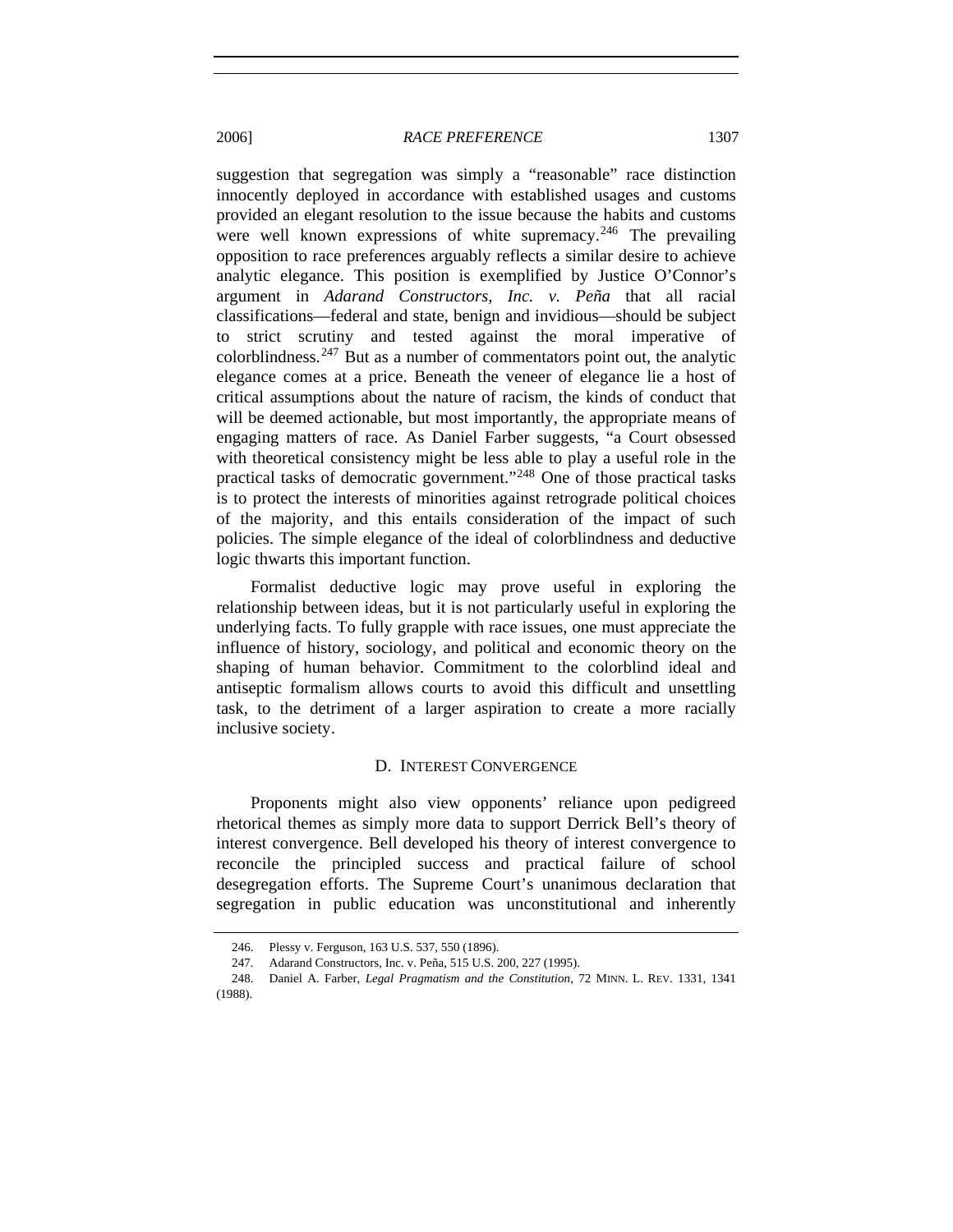suggestion that segregation was simply a "reasonable" race distinction innocently deployed in accordance with established usages and customs provided an elegant resolution to the issue because the habits and customs were well known expressions of white supremacy.<sup>[246](#page-76-0)</sup> The prevailing opposition to race preferences arguably reflects a similar desire to achieve analytic elegance. This position is exemplified by Justice O'Connor's argument in *Adarand Constructors, Inc. v. Peña* that all racial classifications—federal and state, benign and invidious—should be subject to strict scrutiny and tested against the moral imperative of colorblindness.<sup>[247](#page-76-1)</sup> But as a number of commentators point out, the analytic elegance comes at a price. Beneath the veneer of elegance lie a host of critical assumptions about the nature of racism, the kinds of conduct that will be deemed actionable, but most importantly, the appropriate means of engaging matters of race. As Daniel Farber suggests, "a Court obsessed with theoretical consistency might be less able to play a useful role in the practical tasks of democratic government."[248](#page-76-2) One of those practical tasks is to protect the interests of minorities against retrograde political choices of the majority, and this entails consideration of the impact of such policies. The simple elegance of the ideal of colorblindness and deductive logic thwarts this important function.

Formalist deductive logic may prove useful in exploring the relationship between ideas, but it is not particularly useful in exploring the underlying facts. To fully grapple with race issues, one must appreciate the influence of history, sociology, and political and economic theory on the shaping of human behavior. Commitment to the colorblind ideal and antiseptic formalism allows courts to avoid this difficult and unsettling task, to the detriment of a larger aspiration to create a more racially inclusive society.

#### D. INTEREST CONVERGENCE

Proponents might also view opponents' reliance upon pedigreed rhetorical themes as simply more data to support Derrick Bell's theory of interest convergence. Bell developed his theory of interest convergence to reconcile the principled success and practical failure of school desegregation efforts. The Supreme Court's unanimous declaration that segregation in public education was unconstitutional and inherently

 <sup>246.</sup> Plessy v. Ferguson, 163 U.S. 537, 550 (1896).

 <sup>247.</sup> Adarand Constructors, Inc. v. Peña, 515 U.S. 200, 227 (1995).

<span id="page-76-2"></span><span id="page-76-1"></span><span id="page-76-0"></span> <sup>248.</sup> Daniel A. Farber, *Legal Pragmatism and the Constitution*, 72 MINN. L. REV. 1331, 1341 (1988).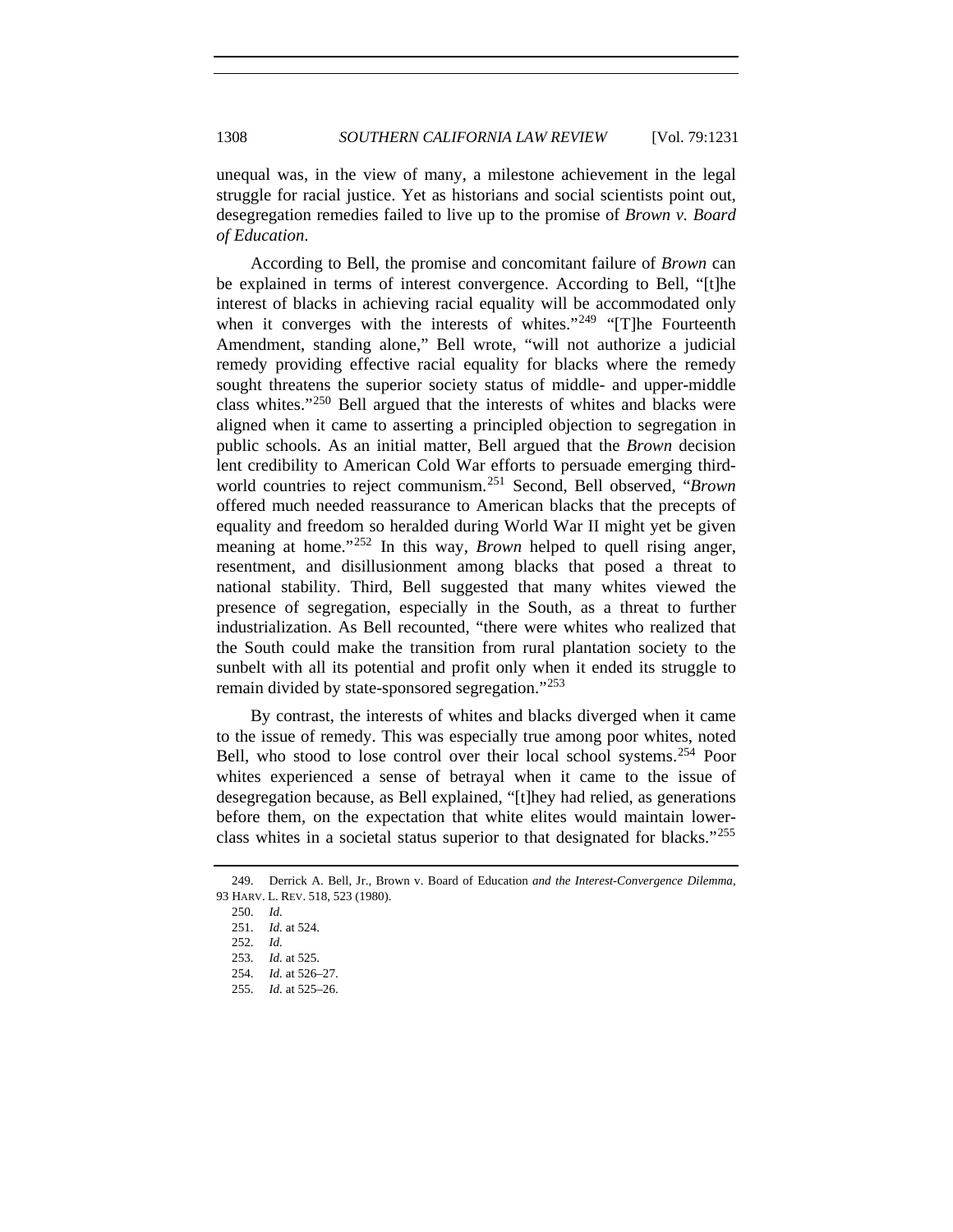unequal was, in the view of many, a milestone achievement in the legal struggle for racial justice. Yet as historians and social scientists point out, desegregation remedies failed to live up to the promise of *Brown v. Board of Education*.

According to Bell, the promise and concomitant failure of *Brown* can be explained in terms of interest convergence. According to Bell, "[t]he interest of blacks in achieving racial equality will be accommodated only when it converges with the interests of whites."<sup>[249](#page-77-0)</sup> "[T]he Fourteenth Amendment, standing alone," Bell wrote, "will not authorize a judicial remedy providing effective racial equality for blacks where the remedy sought threatens the superior society status of middle- and upper-middle class whites."[250](#page-77-1) Bell argued that the interests of whites and blacks were aligned when it came to asserting a principled objection to segregation in public schools. As an initial matter, Bell argued that the *Brown* decision lent credibility to American Cold War efforts to persuade emerging thirdworld countries to reject communism.[251](#page-77-2) Second, Bell observed, "*Brown*  offered much needed reassurance to American blacks that the precepts of equality and freedom so heralded during World War II might yet be given meaning at home."[252](#page-77-3) In this way, *Brown* helped to quell rising anger, resentment, and disillusionment among blacks that posed a threat to national stability. Third, Bell suggested that many whites viewed the presence of segregation, especially in the South, as a threat to further industrialization. As Bell recounted, "there were whites who realized that the South could make the transition from rural plantation society to the sunbelt with all its potential and profit only when it ended its struggle to remain divided by state-sponsored segregation."<sup>[253](#page-77-4)</sup>

By contrast, the interests of whites and blacks diverged when it came to the issue of remedy. This was especially true among poor whites, noted Bell, who stood to lose control over their local school systems.<sup>[254](#page-77-5)</sup> Poor whites experienced a sense of betrayal when it came to the issue of desegregation because, as Bell explained, "[t]hey had relied, as generations before them, on the expectation that white elites would maintain lowerclass whites in a societal status superior to that designated for blacks."[255](#page-77-6)

<span id="page-77-3"></span><span id="page-77-2"></span><span id="page-77-1"></span><span id="page-77-0"></span> <sup>249.</sup> Derrick A. Bell, Jr., Brown v. Board of Education *and the Interest-Convergence Dilemma*, 93 HARV. L. REV. 518, 523 (1980).

<span id="page-77-4"></span><sup>250.</sup> *Id.*

 <sup>251.</sup> *Id.* at 524.

<sup>252.</sup> *Id.*

<sup>253.</sup> *Id.* at 525.

<span id="page-77-5"></span> <sup>254.</sup> *Id.* at 526–27.

<span id="page-77-6"></span><sup>255.</sup> *Id.* at 525–26.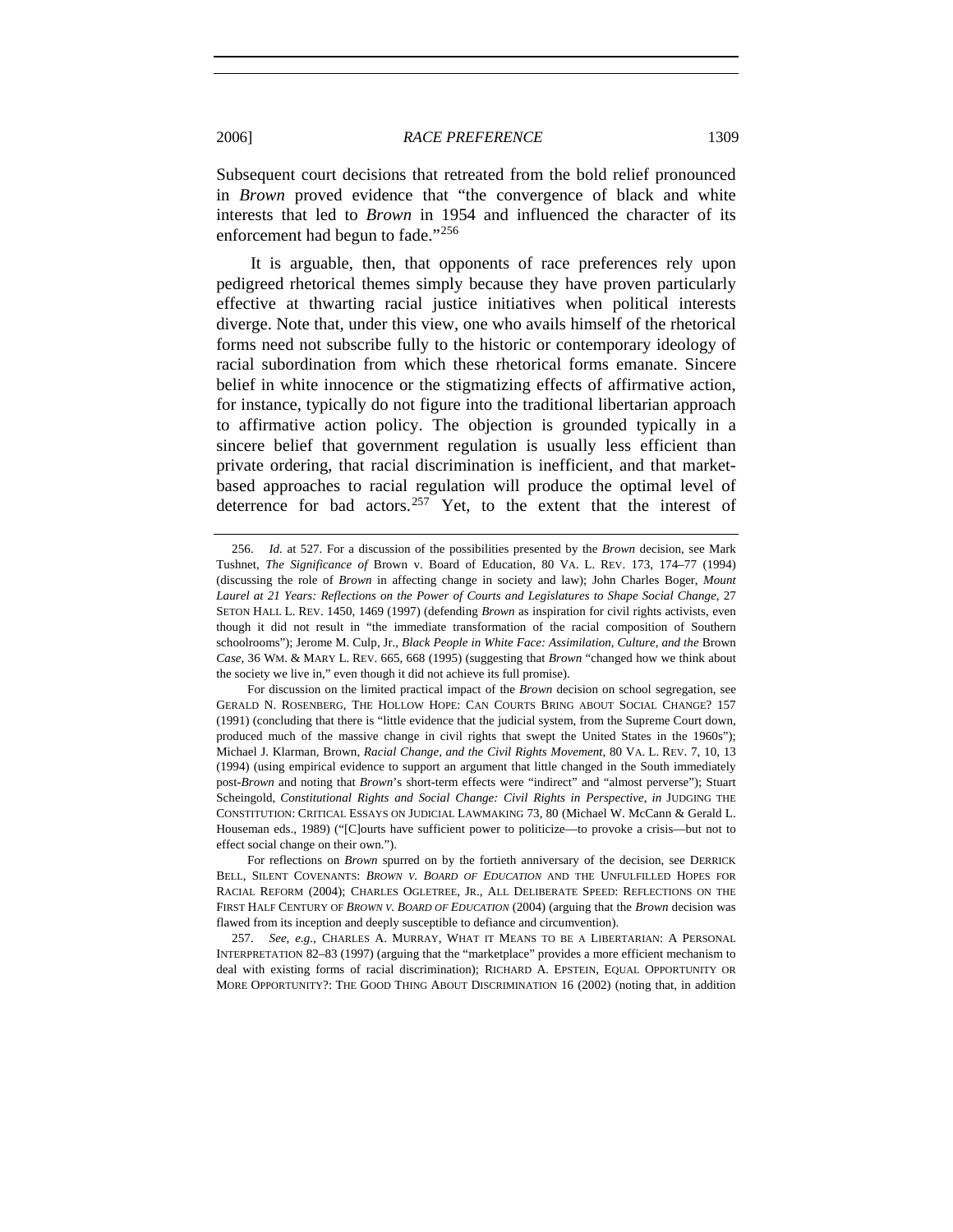Subsequent court decisions that retreated from the bold relief pronounced in *Brown* proved evidence that "the convergence of black and white interests that led to *Brown* in 1954 and influenced the character of its enforcement had begun to fade."<sup>[256](#page-78-0)</sup>

It is arguable, then, that opponents of race preferences rely upon pedigreed rhetorical themes simply because they have proven particularly effective at thwarting racial justice initiatives when political interests diverge. Note that, under this view, one who avails himself of the rhetorical forms need not subscribe fully to the historic or contemporary ideology of racial subordination from which these rhetorical forms emanate. Sincere belief in white innocence or the stigmatizing effects of affirmative action, for instance, typically do not figure into the traditional libertarian approach to affirmative action policy. The objection is grounded typically in a sincere belief that government regulation is usually less efficient than private ordering, that racial discrimination is inefficient, and that marketbased approaches to racial regulation will produce the optimal level of deterrence for bad actors.<sup>[257](#page-78-1)</sup> Yet, to the extent that the interest of

<span id="page-78-0"></span><sup>256.</sup> *Id.* at 527. For a discussion of the possibilities presented by the *Brown* decision, see Mark Tushnet, *The Significance of* Brown v. Board of Education, 80 VA. L. REV. 173, 174–77 (1994) (discussing the role of *Brown* in affecting change in society and law); John Charles Boger, *Mount Laurel at 21 Years: Reflections on the Power of Courts and Legislatures to Shape Social Change*, 27 SETON HALL L. REV. 1450, 1469 (1997) (defending *Brown* as inspiration for civil rights activists, even though it did not result in "the immediate transformation of the racial composition of Southern schoolrooms"); Jerome M. Culp, Jr., *Black People in White Face: Assimilation, Culture, and the* Brown *Case*, 36 WM. & MARY L. REV. 665, 668 (1995) (suggesting that *Brown* "changed how we think about the society we live in," even though it did not achieve its full promise).

For discussion on the limited practical impact of the *Brown* decision on school segregation, see GERALD N. ROSENBERG, THE HOLLOW HOPE: CAN COURTS BRING ABOUT SOCIAL CHANGE? 157 (1991) (concluding that there is "little evidence that the judicial system, from the Supreme Court down, produced much of the massive change in civil rights that swept the United States in the 1960s"); Michael J. Klarman, Brown, *Racial Change, and the Civil Rights Movement*, 80 VA. L. REV. 7, 10, 13 (1994) (using empirical evidence to support an argument that little changed in the South immediately post-*Brown* and noting that *Brown*'s short-term effects were "indirect" and "almost perverse"); Stuart Scheingold, *Constitutional Rights and Social Change: Civil Rights in Perspective*, *in* JUDGING THE CONSTITUTION: CRITICAL ESSAYS ON JUDICIAL LAWMAKING 73, 80 (Michael W. McCann & Gerald L. Houseman eds., 1989) ("[C]ourts have sufficient power to politicize—to provoke a crisis—but not to effect social change on their own.").

For reflections on *Brown* spurred on by the fortieth anniversary of the decision, see DERRICK BELL, SILENT COVENANTS: *BROWN V. BOARD OF EDUCATION* AND THE UNFULFILLED HOPES FOR RACIAL REFORM (2004); CHARLES OGLETREE, JR., ALL DELIBERATE SPEED: REFLECTIONS ON THE FIRST HALF CENTURY OF *BROWN V. BOARD OF EDUCATION* (2004) (arguing that the *Brown* decision was flawed from its inception and deeply susceptible to defiance and circumvention).

<span id="page-78-1"></span> <sup>257.</sup> *See, e.g.*, CHARLES A. MURRAY, WHAT IT MEANS TO BE A LIBERTARIAN: A PERSONAL INTERPRETATION 82–83 (1997) (arguing that the "marketplace" provides a more efficient mechanism to deal with existing forms of racial discrimination); RICHARD A. EPSTEIN, EQUAL OPPORTUNITY OR MORE OPPORTUNITY?: THE GOOD THING ABOUT DISCRIMINATION 16 (2002) (noting that, in addition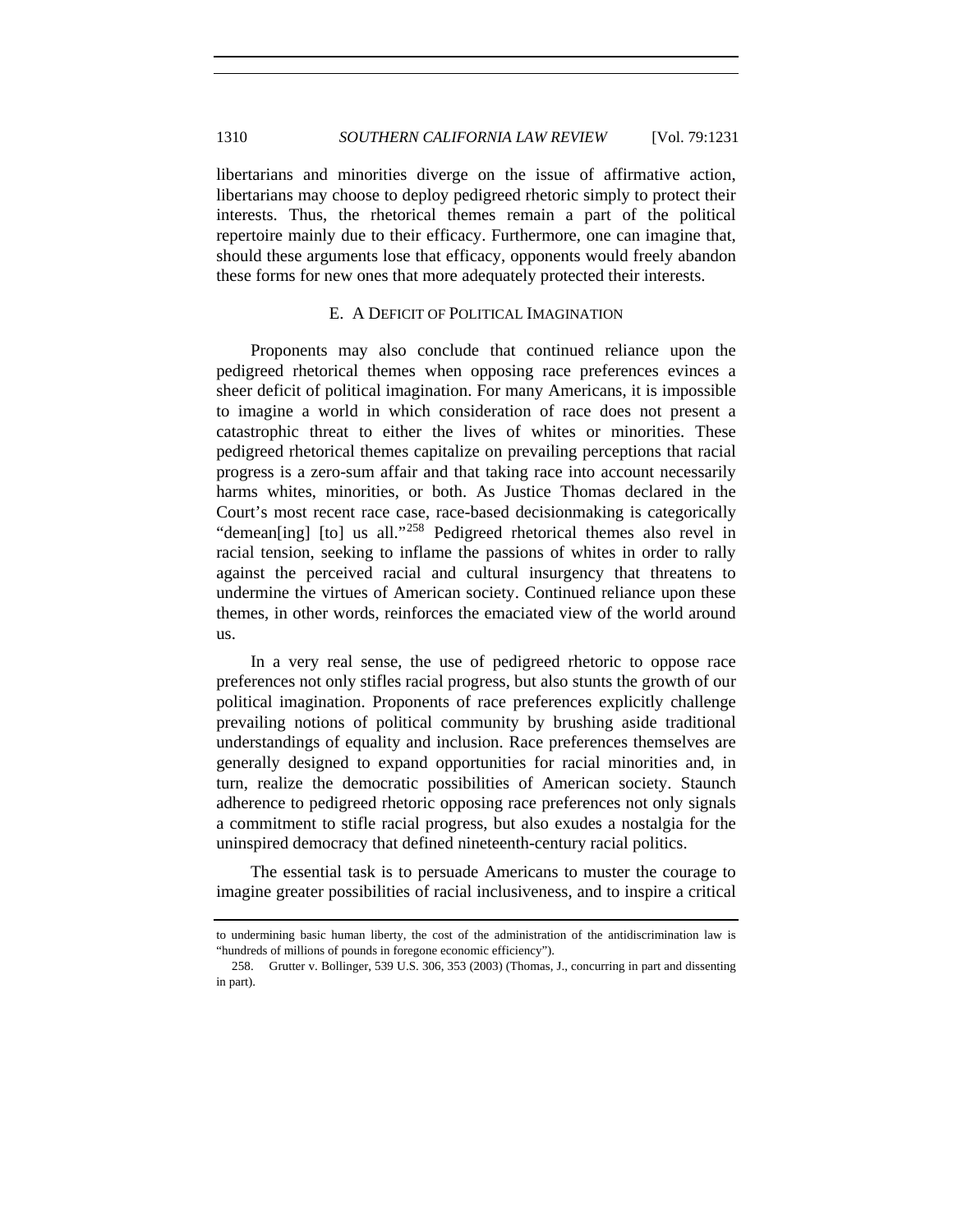#### 1310 *SOUTHERN CALIFORNIA LAW REVIEW* [Vol. 79:1231

libertarians and minorities diverge on the issue of affirmative action, libertarians may choose to deploy pedigreed rhetoric simply to protect their interests. Thus, the rhetorical themes remain a part of the political repertoire mainly due to their efficacy. Furthermore, one can imagine that, should these arguments lose that efficacy, opponents would freely abandon these forms for new ones that more adequately protected their interests.

## E. A DEFICIT OF POLITICAL IMAGINATION

Proponents may also conclude that continued reliance upon the pedigreed rhetorical themes when opposing race preferences evinces a sheer deficit of political imagination. For many Americans, it is impossible to imagine a world in which consideration of race does not present a catastrophic threat to either the lives of whites or minorities. These pedigreed rhetorical themes capitalize on prevailing perceptions that racial progress is a zero-sum affair and that taking race into account necessarily harms whites, minorities, or both. As Justice Thomas declared in the Court's most recent race case, race-based decisionmaking is categorically "demean[ing] [to] us all."<sup>[258](#page-79-0)</sup> Pedigreed rhetorical themes also revel in racial tension, seeking to inflame the passions of whites in order to rally against the perceived racial and cultural insurgency that threatens to undermine the virtues of American society. Continued reliance upon these themes, in other words, reinforces the emaciated view of the world around us.

In a very real sense, the use of pedigreed rhetoric to oppose race preferences not only stifles racial progress, but also stunts the growth of our political imagination. Proponents of race preferences explicitly challenge prevailing notions of political community by brushing aside traditional understandings of equality and inclusion. Race preferences themselves are generally designed to expand opportunities for racial minorities and, in turn, realize the democratic possibilities of American society. Staunch adherence to pedigreed rhetoric opposing race preferences not only signals a commitment to stifle racial progress, but also exudes a nostalgia for the uninspired democracy that defined nineteenth-century racial politics.

The essential task is to persuade Americans to muster the courage to imagine greater possibilities of racial inclusiveness, and to inspire a critical

to undermining basic human liberty, the cost of the administration of the antidiscrimination law is "hundreds of millions of pounds in foregone economic efficiency").

<span id="page-79-0"></span> <sup>258.</sup> Grutter v. Bollinger, 539 U.S. 306, 353 (2003) (Thomas, J., concurring in part and dissenting in part).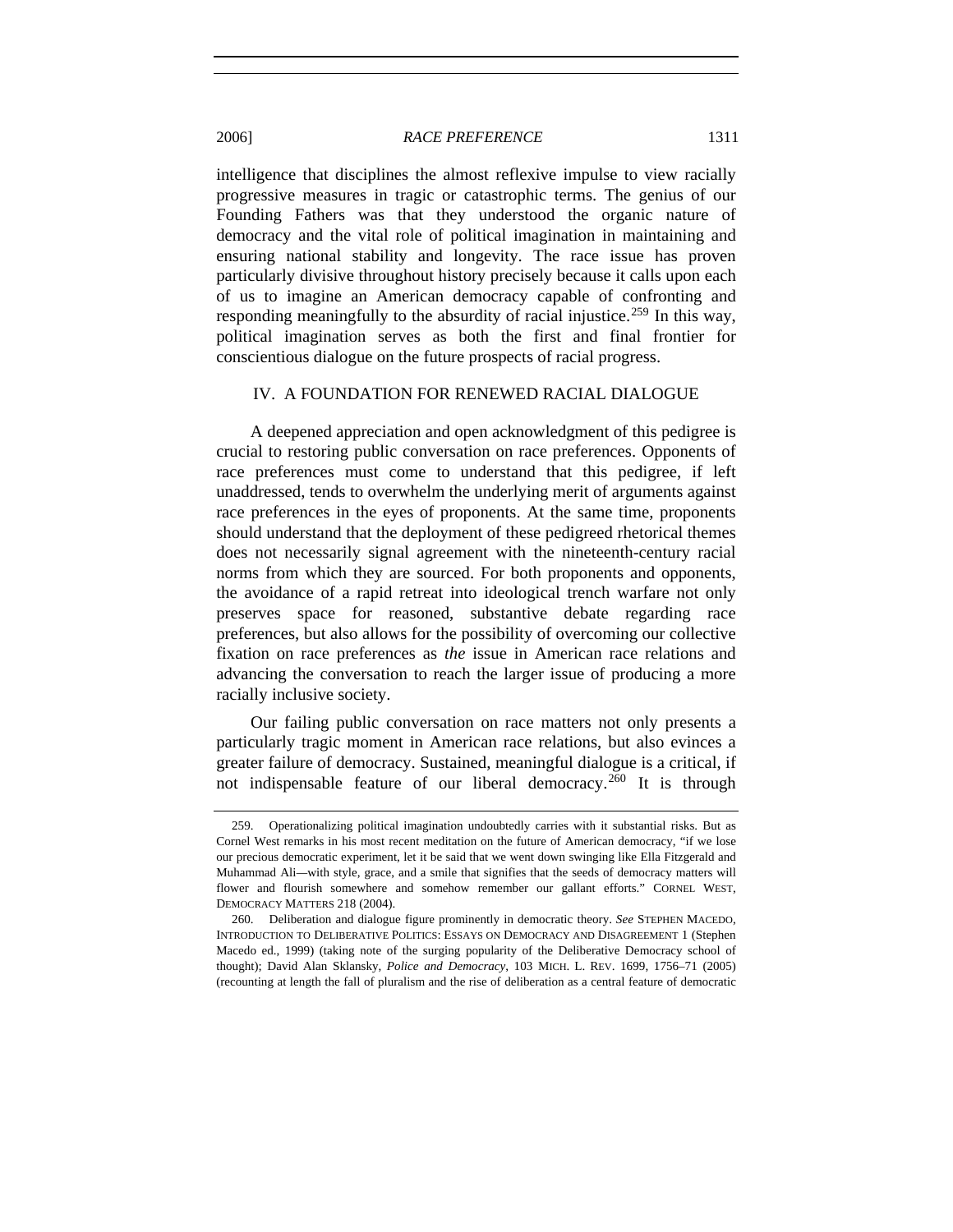intelligence that disciplines the almost reflexive impulse to view racially progressive measures in tragic or catastrophic terms. The genius of our Founding Fathers was that they understood the organic nature of democracy and the vital role of political imagination in maintaining and ensuring national stability and longevity. The race issue has proven particularly divisive throughout history precisely because it calls upon each of us to imagine an American democracy capable of confronting and responding meaningfully to the absurdity of racial injustice.<sup>[259](#page-80-0)</sup> In this way, political imagination serves as both the first and final frontier for conscientious dialogue on the future prospects of racial progress.

### IV. A FOUNDATION FOR RENEWED RACIAL DIALOGUE

A deepened appreciation and open acknowledgment of this pedigree is crucial to restoring public conversation on race preferences. Opponents of race preferences must come to understand that this pedigree, if left unaddressed, tends to overwhelm the underlying merit of arguments against race preferences in the eyes of proponents. At the same time, proponents should understand that the deployment of these pedigreed rhetorical themes does not necessarily signal agreement with the nineteenth-century racial norms from which they are sourced. For both proponents and opponents, the avoidance of a rapid retreat into ideological trench warfare not only preserves space for reasoned, substantive debate regarding race preferences, but also allows for the possibility of overcoming our collective fixation on race preferences as *the* issue in American race relations and advancing the conversation to reach the larger issue of producing a more racially inclusive society.

Our failing public conversation on race matters not only presents a particularly tragic moment in American race relations, but also evinces a greater failure of democracy. Sustained, meaningful dialogue is a critical, if not indispensable feature of our liberal democracy.<sup>[260](#page-80-1)</sup> It is through

<span id="page-80-0"></span> <sup>259.</sup> Operationalizing political imagination undoubtedly carries with it substantial risks. But as Cornel West remarks in his most recent meditation on the future of American democracy, "if we lose our precious democratic experiment, let it be said that we went down swinging like Ella Fitzgerald and Muhammad Ali*—*with style, grace, and a smile that signifies that the seeds of democracy matters will flower and flourish somewhere and somehow remember our gallant efforts." CORNEL WEST, DEMOCRACY MATTERS 218 (2004).

<span id="page-80-1"></span> <sup>260.</sup> Deliberation and dialogue figure prominently in democratic theory. *See* STEPHEN MACEDO, INTRODUCTION TO DELIBERATIVE POLITICS: ESSAYS ON DEMOCRACY AND DISAGREEMENT 1 (Stephen Macedo ed., 1999) (taking note of the surging popularity of the Deliberative Democracy school of thought); David Alan Sklansky, *Police and Democracy*, 103 MICH. L. REV. 1699, 1756–71 (2005) (recounting at length the fall of pluralism and the rise of deliberation as a central feature of democratic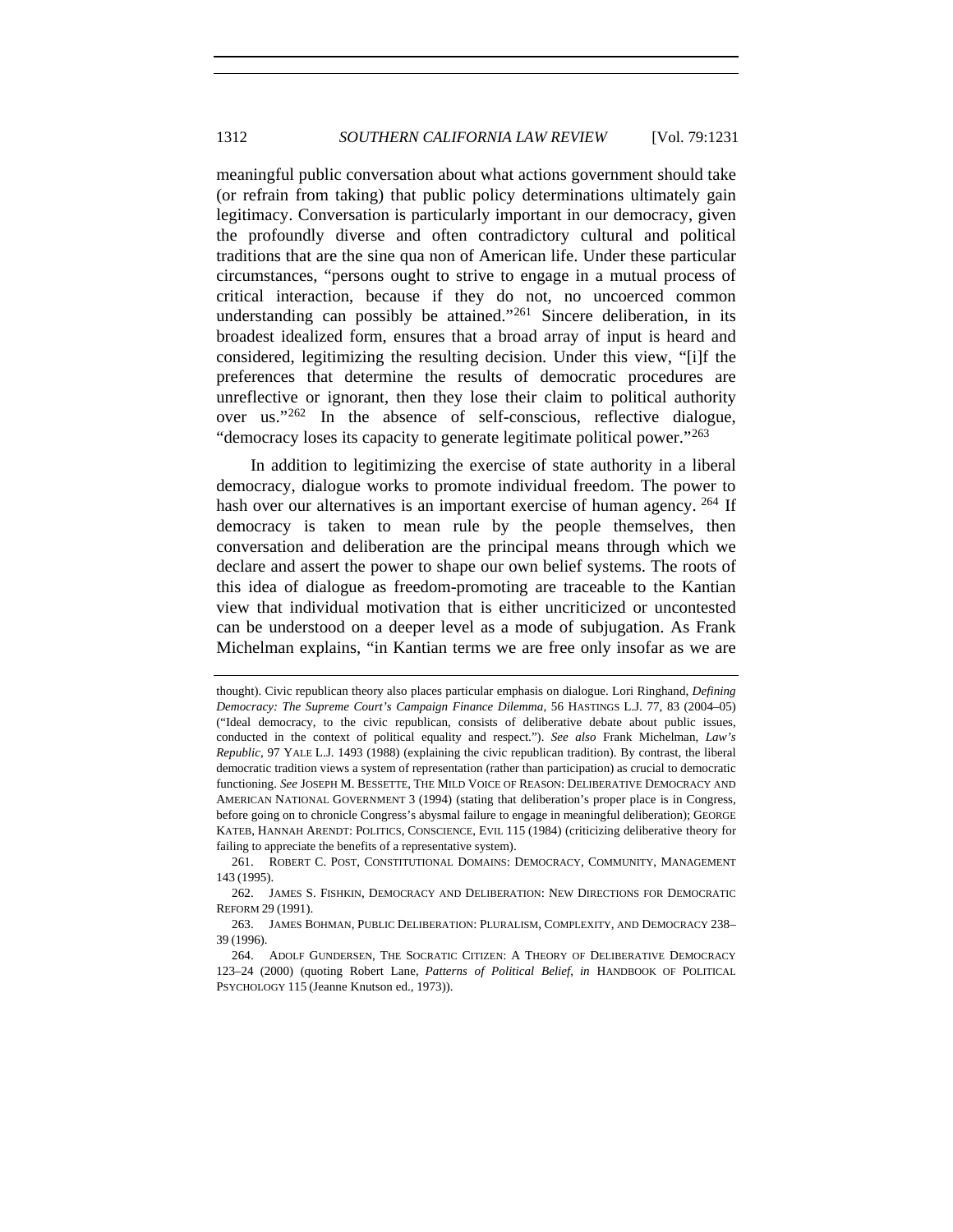meaningful public conversation about what actions government should take (or refrain from taking) that public policy determinations ultimately gain legitimacy. Conversation is particularly important in our democracy, given the profoundly diverse and often contradictory cultural and political traditions that are the sine qua non of American life. Under these particular circumstances, "persons ought to strive to engage in a mutual process of critical interaction, because if they do not, no uncoerced common understanding can possibly be attained."<sup>[261](#page-81-0)</sup> Sincere deliberation, in its broadest idealized form, ensures that a broad array of input is heard and considered, legitimizing the resulting decision. Under this view, "[i]f the preferences that determine the results of democratic procedures are unreflective or ignorant, then they lose their claim to political authority over us."[262](#page-81-1) In the absence of self-conscious, reflective dialogue, "democracy loses its capacity to generate legitimate political power."<sup>[263](#page-81-2)</sup>

In addition to legitimizing the exercise of state authority in a liberal democracy, dialogue works to promote individual freedom. The power to hash over our alternatives is an important exercise of human agency. <sup>[264](#page-81-3)</sup> If democracy is taken to mean rule by the people themselves, then conversation and deliberation are the principal means through which we declare and assert the power to shape our own belief systems. The roots of this idea of dialogue as freedom-promoting are traceable to the Kantian view that individual motivation that is either uncriticized or uncontested can be understood on a deeper level as a mode of subjugation. As Frank Michelman explains, "in Kantian terms we are free only insofar as we are

thought). Civic republican theory also places particular emphasis on dialogue. Lori Ringhand, *Defining Democracy: The Supreme Court's Campaign Finance Dilemma*, 56 HASTINGS L.J. 77, 83 (2004–05) ("Ideal democracy, to the civic republican, consists of deliberative debate about public issues, conducted in the context of political equality and respect."). *See also* Frank Michelman, *Law's Republic*, 97 YALE L.J. 1493 (1988) (explaining the civic republican tradition). By contrast, the liberal democratic tradition views a system of representation (rather than participation) as crucial to democratic functioning. *See* JOSEPH M. BESSETTE, THE MILD VOICE OF REASON: DELIBERATIVE DEMOCRACY AND AMERICAN NATIONAL GOVERNMENT 3 (1994) (stating that deliberation's proper place is in Congress, before going on to chronicle Congress's abysmal failure to engage in meaningful deliberation); GEORGE KATEB, HANNAH ARENDT: POLITICS, CONSCIENCE, EVIL 115 (1984) (criticizing deliberative theory for failing to appreciate the benefits of a representative system).

<span id="page-81-0"></span> <sup>261.</sup> ROBERT C. POST, CONSTITUTIONAL DOMAINS: DEMOCRACY, COMMUNITY, MANAGEMENT 143 (1995).

<span id="page-81-1"></span> <sup>262.</sup> JAMES S. FISHKIN, DEMOCRACY AND DELIBERATION: NEW DIRECTIONS FOR DEMOCRATIC REFORM 29 (1991).

<span id="page-81-2"></span> <sup>263.</sup> JAMES BOHMAN, PUBLIC DELIBERATION: PLURALISM, COMPLEXITY, AND DEMOCRACY 238– 39 (1996).

<span id="page-81-3"></span> <sup>264.</sup> ADOLF GUNDERSEN, THE SOCRATIC CITIZEN: A THEORY OF DELIBERATIVE DEMOCRACY 123–24 (2000) (quoting Robert Lane, *Patterns of Political Belief*, *in* HANDBOOK OF POLITICAL PSYCHOLOGY 115 (Jeanne Knutson ed., 1973)).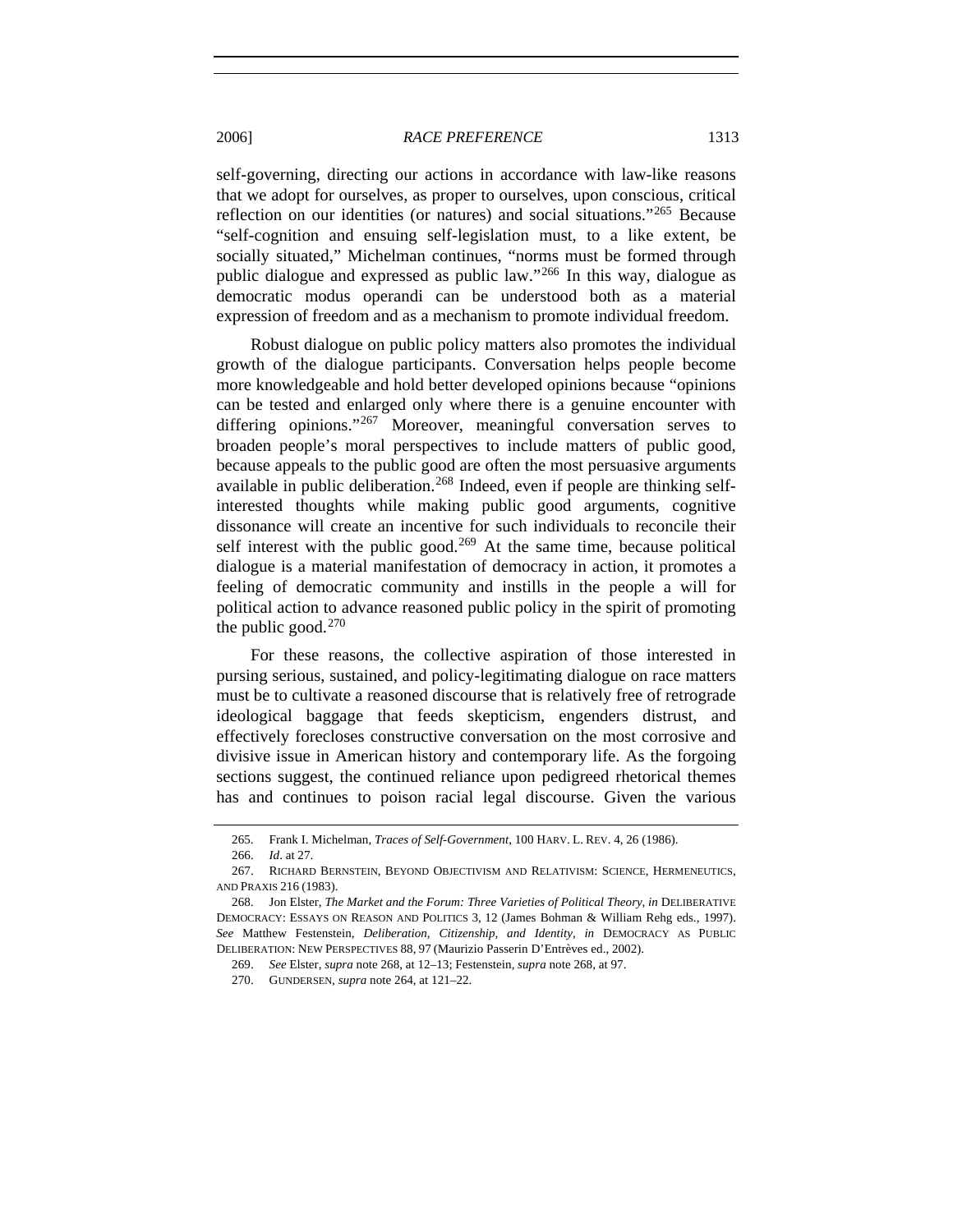self-governing, directing our actions in accordance with law-like reasons that we adopt for ourselves, as proper to ourselves, upon conscious, critical reflection on our identities (or natures) and social situations."[265](#page-82-0) Because "self-cognition and ensuing self-legislation must, to a like extent, be socially situated," Michelman continues, "norms must be formed through public dialogue and expressed as public law."[266](#page-82-1) In this way, dialogue as democratic modus operandi can be understood both as a material expression of freedom and as a mechanism to promote individual freedom.

Robust dialogue on public policy matters also promotes the individual growth of the dialogue participants. Conversation helps people become more knowledgeable and hold better developed opinions because "opinions can be tested and enlarged only where there is a genuine encounter with differing opinions."<sup>[267](#page-82-2)</sup> Moreover, meaningful conversation serves to broaden people's moral perspectives to include matters of public good, because appeals to the public good are often the most persuasive arguments available in public deliberation.<sup>[268](#page-82-3)</sup> Indeed, even if people are thinking selfinterested thoughts while making public good arguments, cognitive dissonance will create an incentive for such individuals to reconcile their self interest with the public good.<sup>[269](#page-82-4)</sup> At the same time, because political dialogue is a material manifestation of democracy in action, it promotes a feeling of democratic community and instills in the people a will for political action to advance reasoned public policy in the spirit of promoting the public good. $270$ 

For these reasons, the collective aspiration of those interested in pursing serious, sustained, and policy-legitimating dialogue on race matters must be to cultivate a reasoned discourse that is relatively free of retrograde ideological baggage that feeds skepticism, engenders distrust, and effectively forecloses constructive conversation on the most corrosive and divisive issue in American history and contemporary life. As the forgoing sections suggest, the continued reliance upon pedigreed rhetorical themes has and continues to poison racial legal discourse. Given the various

 <sup>265.</sup> Frank I. Michelman, *Traces of Self-Government*, 100 HARV. L. REV. 4, 26 (1986).

 <sup>266.</sup> *Id*. at 27.

<span id="page-82-2"></span><span id="page-82-1"></span><span id="page-82-0"></span> <sup>267.</sup> RICHARD BERNSTEIN, BEYOND OBJECTIVISM AND RELATIVISM: SCIENCE, HERMENEUTICS, AND PRAXIS 216 (1983).

<span id="page-82-5"></span><span id="page-82-4"></span><span id="page-82-3"></span> <sup>268.</sup> Jon Elster, *The Market and the Forum: Three Varieties of Political Theory*, *in* DELIBERATIVE DEMOCRACY: ESSAYS ON REASON AND POLITICS 3, 12 (James Bohman & William Rehg eds., 1997). *See* Matthew Festenstein, *Deliberation, Citizenship, and Identity*, *in* DEMOCRACY AS PUBLIC DELIBERATION: NEW PERSPECTIVES 88, 97 (Maurizio Passerin D'Entrèves ed., 2002).

 <sup>269.</sup> *See* Elster, *supra* note 268, at 12–13; Festenstein, *supra* note 268, at 97.

 <sup>270.</sup> GUNDERSEN, *supra* note 264, at 121–22.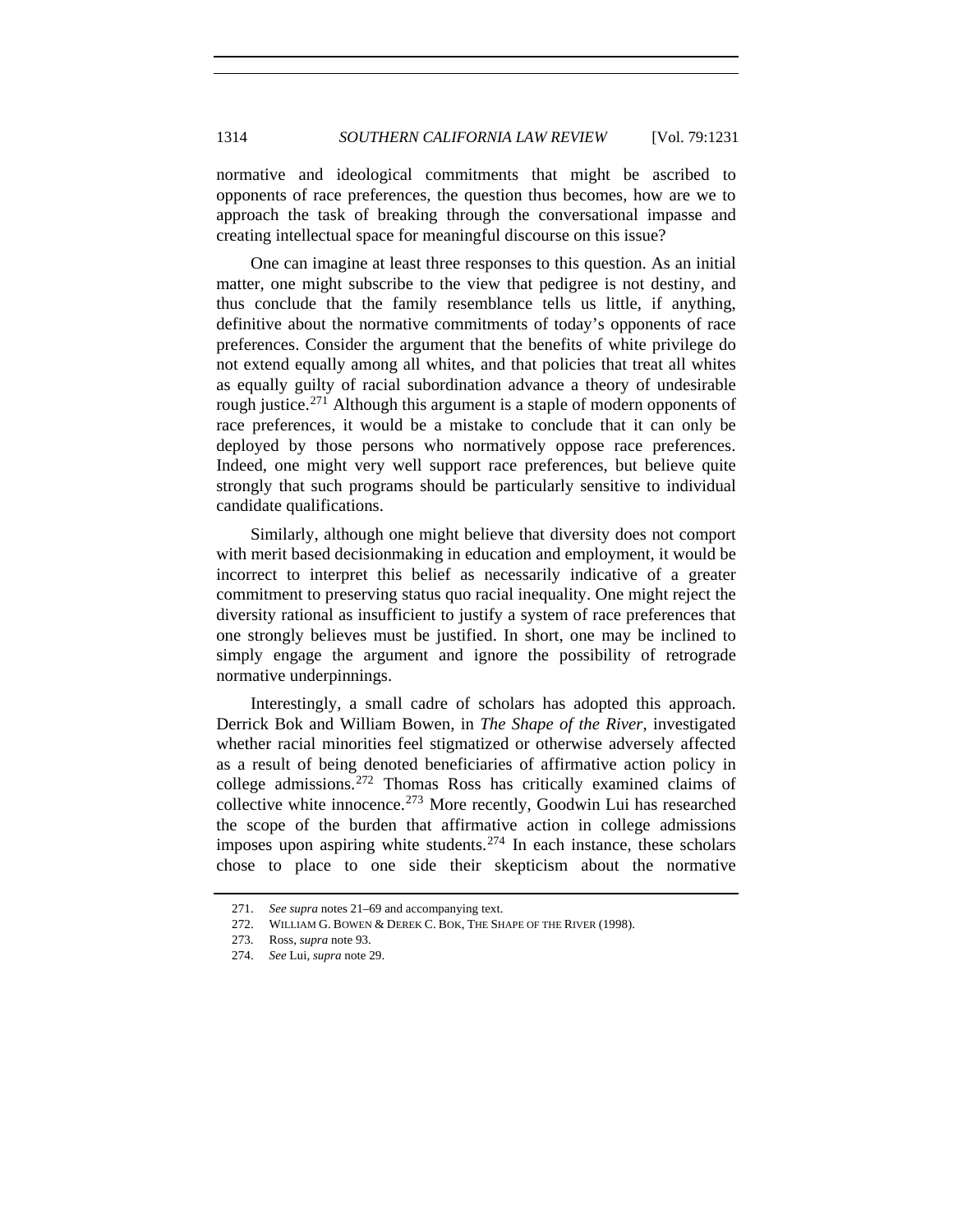normative and ideological commitments that might be ascribed to opponents of race preferences, the question thus becomes, how are we to approach the task of breaking through the conversational impasse and creating intellectual space for meaningful discourse on this issue?

One can imagine at least three responses to this question. As an initial matter, one might subscribe to the view that pedigree is not destiny, and thus conclude that the family resemblance tells us little, if anything, definitive about the normative commitments of today's opponents of race preferences. Consider the argument that the benefits of white privilege do not extend equally among all whites, and that policies that treat all whites as equally guilty of racial subordination advance a theory of undesirable rough justice.<sup>[271](#page-83-0)</sup> Although this argument is a staple of modern opponents of race preferences, it would be a mistake to conclude that it can only be deployed by those persons who normatively oppose race preferences. Indeed, one might very well support race preferences, but believe quite strongly that such programs should be particularly sensitive to individual candidate qualifications.

Similarly, although one might believe that diversity does not comport with merit based decisionmaking in education and employment, it would be incorrect to interpret this belief as necessarily indicative of a greater commitment to preserving status quo racial inequality. One might reject the diversity rational as insufficient to justify a system of race preferences that one strongly believes must be justified. In short, one may be inclined to simply engage the argument and ignore the possibility of retrograde normative underpinnings.

Interestingly, a small cadre of scholars has adopted this approach. Derrick Bok and William Bowen, in *The Shape of the River*, investigated whether racial minorities feel stigmatized or otherwise adversely affected as a result of being denoted beneficiaries of affirmative action policy in college admissions.[272](#page-83-1) Thomas Ross has critically examined claims of collective white innocence.[273](#page-83-2) More recently, Goodwin Lui has researched the scope of the burden that affirmative action in college admissions imposes upon aspiring white students. $274$  In each instance, these scholars chose to place to one side their skepticism about the normative

<span id="page-83-1"></span><span id="page-83-0"></span> <sup>271.</sup> *See supra* notes 21–69 and accompanying text.

<span id="page-83-2"></span> <sup>272.</sup> WILLIAM G. BOWEN & DEREK C. BOK, THE SHAPE OF THE RIVER (1998).

 <sup>273.</sup> Ross, *supra* note 93.

<span id="page-83-3"></span><sup>274.</sup> *See* Lui, *supra* note 29.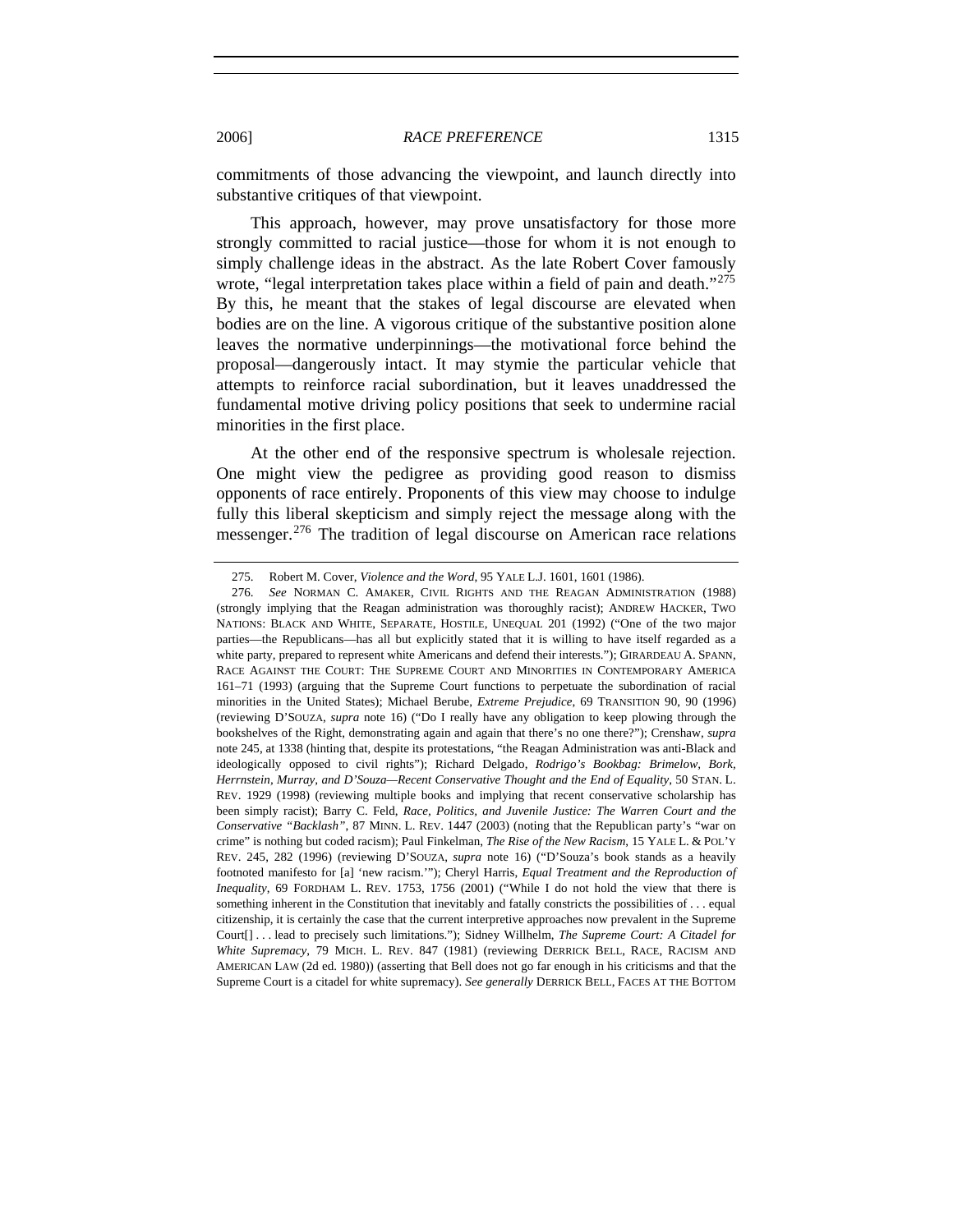commitments of those advancing the viewpoint, and launch directly into substantive critiques of that viewpoint.

This approach, however, may prove unsatisfactory for those more strongly committed to racial justice—those for whom it is not enough to simply challenge ideas in the abstract. As the late Robert Cover famously wrote, "legal interpretation takes place within a field of pain and death."<sup>[275](#page-84-0)</sup> By this, he meant that the stakes of legal discourse are elevated when bodies are on the line. A vigorous critique of the substantive position alone leaves the normative underpinnings—the motivational force behind the proposal—dangerously intact. It may stymie the particular vehicle that attempts to reinforce racial subordination, but it leaves unaddressed the fundamental motive driving policy positions that seek to undermine racial minorities in the first place.

At the other end of the responsive spectrum is wholesale rejection. One might view the pedigree as providing good reason to dismiss opponents of race entirely. Proponents of this view may choose to indulge fully this liberal skepticism and simply reject the message along with the messenger.<sup>[276](#page-84-1)</sup> The tradition of legal discourse on American race relations

 <sup>275.</sup> Robert M. Cover, *Violence and the Word*, 95 YALE L.J. 1601, 1601 (1986).

<span id="page-84-1"></span><span id="page-84-0"></span><sup>276.</sup> *See* NORMAN C. AMAKER, CIVIL RIGHTS AND THE REAGAN ADMINISTRATION (1988) (strongly implying that the Reagan administration was thoroughly racist); ANDREW HACKER, TWO NATIONS: BLACK AND WHITE, SEPARATE, HOSTILE, UNEQUAL 201 (1992) ("One of the two major parties—the Republicans—has all but explicitly stated that it is willing to have itself regarded as a white party, prepared to represent white Americans and defend their interests."); GIRARDEAU A. SPANN, RACE AGAINST THE COURT: THE SUPREME COURT AND MINORITIES IN CONTEMPORARY AMERICA 161–71 (1993) (arguing that the Supreme Court functions to perpetuate the subordination of racial minorities in the United States); Michael Berube, *Extreme Prejudice*, 69 TRANSITION 90, 90 (1996) (reviewing D'SOUZA, *supra* note 16) ("Do I really have any obligation to keep plowing through the bookshelves of the Right, demonstrating again and again that there's no one there?"); Crenshaw, *supra* note 245, at 1338 (hinting that, despite its protestations, "the Reagan Administration was anti-Black and ideologically opposed to civil rights"); Richard Delgado, *Rodrigo's Bookbag: Brimelow, Bork, Herrnstein, Murray, and D'Souza—Recent Conservative Thought and the End of Equality*, 50 STAN. L. REV. 1929 (1998) (reviewing multiple books and implying that recent conservative scholarship has been simply racist); Barry C. Feld, *Race, Politics, and Juvenile Justice: The Warren Court and the Conservative "Backlash"*, 87 MINN. L. REV. 1447 (2003) (noting that the Republican party's "war on crime" is nothing but coded racism); Paul Finkelman, *The Rise of the New Racism*, 15 YALE L. & POL'Y REV. 245, 282 (1996) (reviewing D'SOUZA, *supra* note 16) ("D'Souza's book stands as a heavily footnoted manifesto for [a] 'new racism.'"); Cheryl Harris, *Equal Treatment and the Reproduction of Inequality*, 69 FORDHAM L. REV. 1753, 1756 (2001) ("While I do not hold the view that there is something inherent in the Constitution that inevitably and fatally constricts the possibilities of . . . equal citizenship, it is certainly the case that the current interpretive approaches now prevalent in the Supreme Court[] . . . lead to precisely such limitations."); Sidney Willhelm, *The Supreme Court: A Citadel for White Supremacy*, 79 MICH. L. REV. 847 (1981) (reviewing DERRICK BELL, RACE, RACISM AND AMERICAN LAW (2d ed. 1980)) (asserting that Bell does not go far enough in his criticisms and that the Supreme Court is a citadel for white supremacy). *See generally* DERRICK BELL, FACES AT THE BOTTOM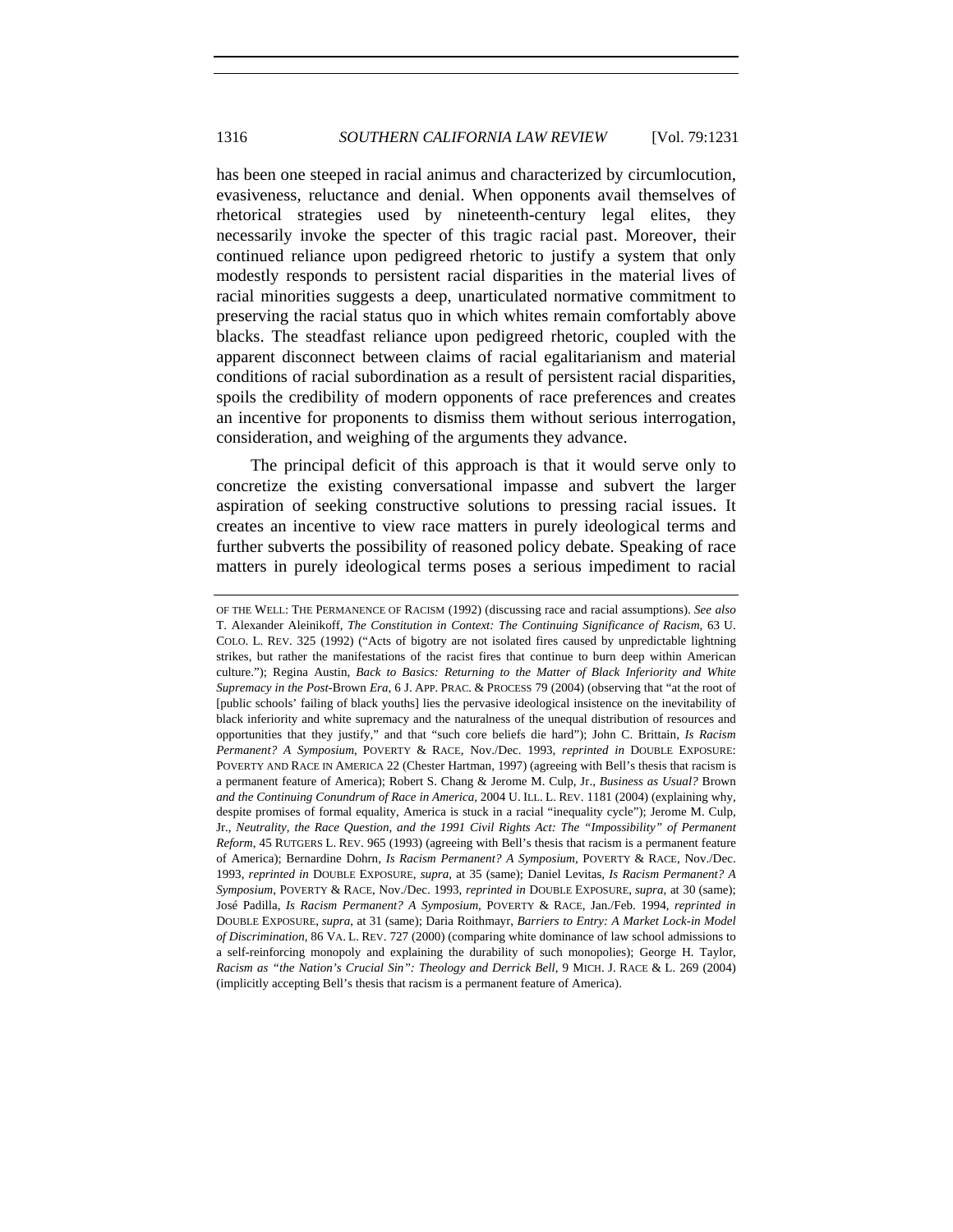has been one steeped in racial animus and characterized by circumlocution, evasiveness, reluctance and denial. When opponents avail themselves of rhetorical strategies used by nineteenth-century legal elites, they necessarily invoke the specter of this tragic racial past. Moreover, their continued reliance upon pedigreed rhetoric to justify a system that only modestly responds to persistent racial disparities in the material lives of racial minorities suggests a deep, unarticulated normative commitment to preserving the racial status quo in which whites remain comfortably above blacks. The steadfast reliance upon pedigreed rhetoric, coupled with the apparent disconnect between claims of racial egalitarianism and material conditions of racial subordination as a result of persistent racial disparities, spoils the credibility of modern opponents of race preferences and creates an incentive for proponents to dismiss them without serious interrogation, consideration, and weighing of the arguments they advance.

The principal deficit of this approach is that it would serve only to concretize the existing conversational impasse and subvert the larger aspiration of seeking constructive solutions to pressing racial issues. It creates an incentive to view race matters in purely ideological terms and further subverts the possibility of reasoned policy debate. Speaking of race matters in purely ideological terms poses a serious impediment to racial

OF THE WELL: THE PERMANENCE OF RACISM (1992) (discussing race and racial assumptions). *See also* T. Alexander Aleinikoff, *The Constitution in Context: The Continuing Significance of Racism*, 63 U. COLO. L. REV. 325 (1992) ("Acts of bigotry are not isolated fires caused by unpredictable lightning strikes, but rather the manifestations of the racist fires that continue to burn deep within American culture."); Regina Austin, *Back to Basics: Returning to the Matter of Black Inferiority and White Supremacy in the Post-*Brown *Era*, 6 J. APP. PRAC. & PROCESS 79 (2004) (observing that "at the root of [public schools' failing of black youths] lies the pervasive ideological insistence on the inevitability of black inferiority and white supremacy and the naturalness of the unequal distribution of resources and opportunities that they justify," and that "such core beliefs die hard"); John C. Brittain, *Is Racism Permanent? A Symposium*, POVERTY & RACE, Nov./Dec. 1993, *reprinted in* DOUBLE EXPOSURE: POVERTY AND RACE IN AMERICA 22 (Chester Hartman, 1997) (agreeing with Bell's thesis that racism is a permanent feature of America); Robert S. Chang & Jerome M. Culp, Jr., *Business as Usual?* Brown *and the Continuing Conundrum of Race in America*, 2004 U. ILL. L. REV. 1181 (2004) (explaining why, despite promises of formal equality, America is stuck in a racial "inequality cycle"); Jerome M. Culp, Jr., *Neutrality, the Race Question, and the 1991 Civil Rights Act: The "Impossibility" of Permanent Reform*, 45 RUTGERS L. REV. 965 (1993) (agreeing with Bell's thesis that racism is a permanent feature of America); Bernardine Dohrn, *Is Racism Permanent? A Symposium*, POVERTY & RACE, Nov./Dec. 1993, *reprinted in* DOUBLE EXPOSURE, *supra*, at 35 (same); Daniel Levitas, *Is Racism Permanent? A Symposium*, POVERTY & RACE, Nov./Dec. 1993, *reprinted in* DOUBLE EXPOSURE, *supra*, at 30 (same); José Padilla, *Is Racism Permanent? A Symposium*, POVERTY & RACE, Jan./Feb. 1994, *reprinted in* DOUBLE EXPOSURE, *supra*, at 31 (same); Daria Roithmayr, *Barriers to Entry: A Market Lock-in Model of Discrimination*, 86 VA. L. REV. 727 (2000) (comparing white dominance of law school admissions to a self-reinforcing monopoly and explaining the durability of such monopolies); George H. Taylor, *Racism as "the Nation's Crucial Sin": Theology and Derrick Bell*, 9 MICH. J. RACE & L. 269 (2004) (implicitly accepting Bell's thesis that racism is a permanent feature of America).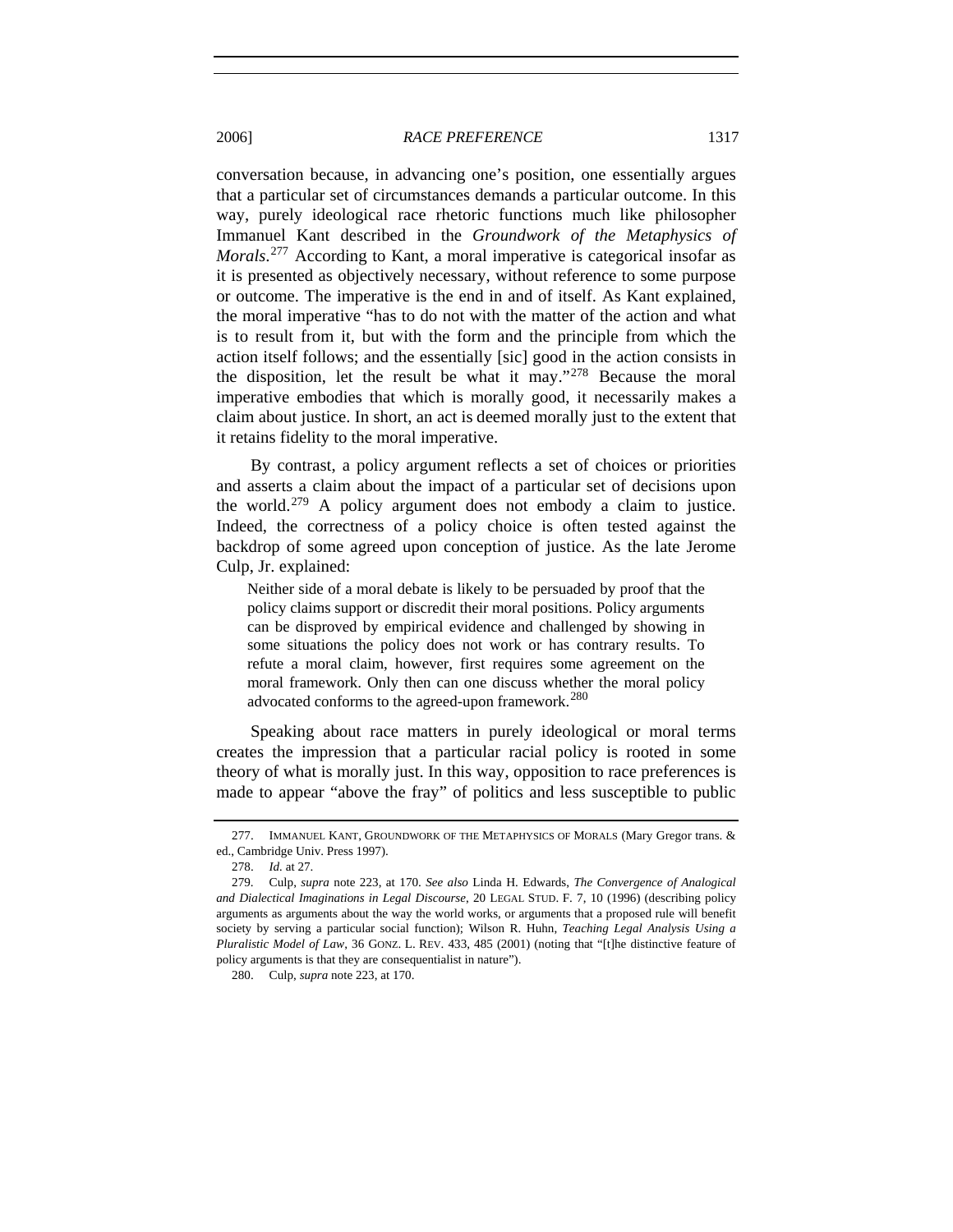conversation because, in advancing one's position, one essentially argues that a particular set of circumstances demands a particular outcome. In this way, purely ideological race rhetoric functions much like philosopher Immanuel Kant described in the *Groundwork of the Metaphysics of Morals*. [277](#page-86-0) According to Kant, a moral imperative is categorical insofar as it is presented as objectively necessary, without reference to some purpose or outcome. The imperative is the end in and of itself. As Kant explained, the moral imperative "has to do not with the matter of the action and what is to result from it, but with the form and the principle from which the action itself follows; and the essentially [sic] good in the action consists in the disposition, let the result be what it may." $278$  Because the moral imperative embodies that which is morally good, it necessarily makes a claim about justice. In short, an act is deemed morally just to the extent that it retains fidelity to the moral imperative.

By contrast, a policy argument reflects a set of choices or priorities and asserts a claim about the impact of a particular set of decisions upon the world.[279](#page-86-2) A policy argument does not embody a claim to justice. Indeed, the correctness of a policy choice is often tested against the backdrop of some agreed upon conception of justice. As the late Jerome Culp, Jr. explained:

Neither side of a moral debate is likely to be persuaded by proof that the policy claims support or discredit their moral positions. Policy arguments can be disproved by empirical evidence and challenged by showing in some situations the policy does not work or has contrary results. To refute a moral claim, however, first requires some agreement on the moral framework. Only then can one discuss whether the moral policy advocated conforms to the agreed-upon framework.<sup>[280](#page-86-3)</sup>

Speaking about race matters in purely ideological or moral terms creates the impression that a particular racial policy is rooted in some theory of what is morally just. In this way, opposition to race preferences is made to appear "above the fray" of politics and less susceptible to public

<span id="page-86-0"></span><sup>277.</sup> IMMANUEL KANT, GROUNDWORK OF THE METAPHYSICS OF MORALS (Mary Gregor trans. & ed., Cambridge Univ. Press 1997).

<sup>278.</sup> *Id.* at 27.

<span id="page-86-2"></span><span id="page-86-1"></span> <sup>279.</sup> Culp, *supra* note 223, at 170. *See also* Linda H. Edwards, *The Convergence of Analogical and Dialectical Imaginations in Legal Discourse*, 20 LEGAL STUD. F. 7, 10 (1996) (describing policy arguments as arguments about the way the world works, or arguments that a proposed rule will benefit society by serving a particular social function); Wilson R. Huhn, *Teaching Legal Analysis Using a Pluralistic Model of Law*, 36 GONZ. L. REV. 433, 485 (2001) (noting that "[t]he distinctive feature of policy arguments is that they are consequentialist in nature").

<span id="page-86-3"></span><sup>280.</sup> Culp, *supra* note 223, at 170.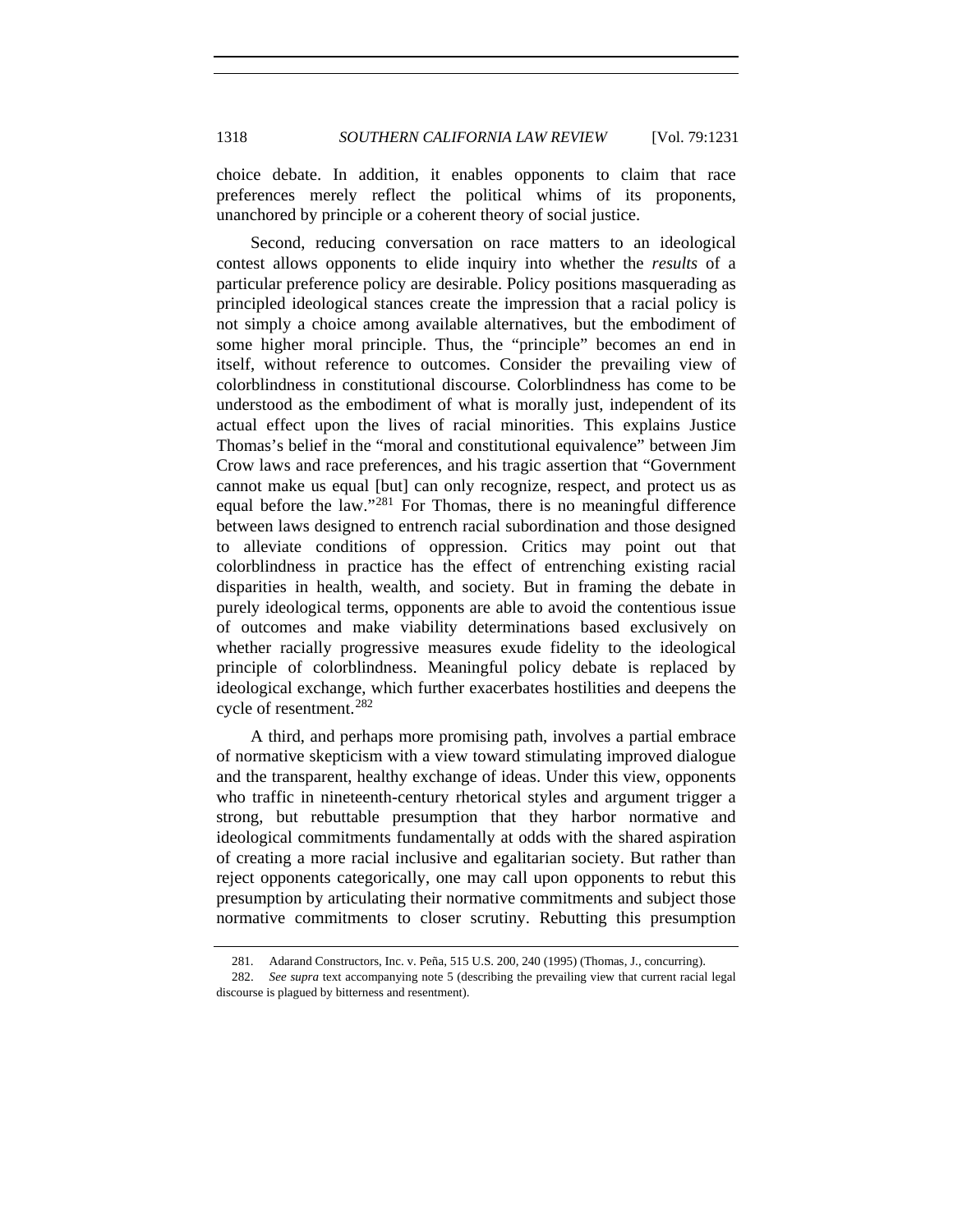choice debate. In addition, it enables opponents to claim that race preferences merely reflect the political whims of its proponents, unanchored by principle or a coherent theory of social justice.

Second, reducing conversation on race matters to an ideological contest allows opponents to elide inquiry into whether the *results* of a particular preference policy are desirable. Policy positions masquerading as principled ideological stances create the impression that a racial policy is not simply a choice among available alternatives, but the embodiment of some higher moral principle. Thus, the "principle" becomes an end in itself, without reference to outcomes. Consider the prevailing view of colorblindness in constitutional discourse. Colorblindness has come to be understood as the embodiment of what is morally just, independent of its actual effect upon the lives of racial minorities. This explains Justice Thomas's belief in the "moral and constitutional equivalence" between Jim Crow laws and race preferences, and his tragic assertion that "Government cannot make us equal [but] can only recognize, respect, and protect us as equal before the law."[281](#page-87-0) For Thomas, there is no meaningful difference between laws designed to entrench racial subordination and those designed to alleviate conditions of oppression. Critics may point out that colorblindness in practice has the effect of entrenching existing racial disparities in health, wealth, and society. But in framing the debate in purely ideological terms, opponents are able to avoid the contentious issue of outcomes and make viability determinations based exclusively on whether racially progressive measures exude fidelity to the ideological principle of colorblindness. Meaningful policy debate is replaced by ideological exchange, which further exacerbates hostilities and deepens the cycle of resentment.<sup>[282](#page-87-1)</sup>

A third, and perhaps more promising path, involves a partial embrace of normative skepticism with a view toward stimulating improved dialogue and the transparent, healthy exchange of ideas. Under this view, opponents who traffic in nineteenth-century rhetorical styles and argument trigger a strong, but rebuttable presumption that they harbor normative and ideological commitments fundamentally at odds with the shared aspiration of creating a more racial inclusive and egalitarian society. But rather than reject opponents categorically, one may call upon opponents to rebut this presumption by articulating their normative commitments and subject those normative commitments to closer scrutiny. Rebutting this presumption

 <sup>281.</sup> Adarand Constructors, Inc. v. Peña, 515 U.S. 200, 240 (1995) (Thomas, J., concurring).

<span id="page-87-1"></span><span id="page-87-0"></span><sup>282.</sup> *See supra* text accompanying note 5 (describing the prevailing view that current racial legal discourse is plagued by bitterness and resentment).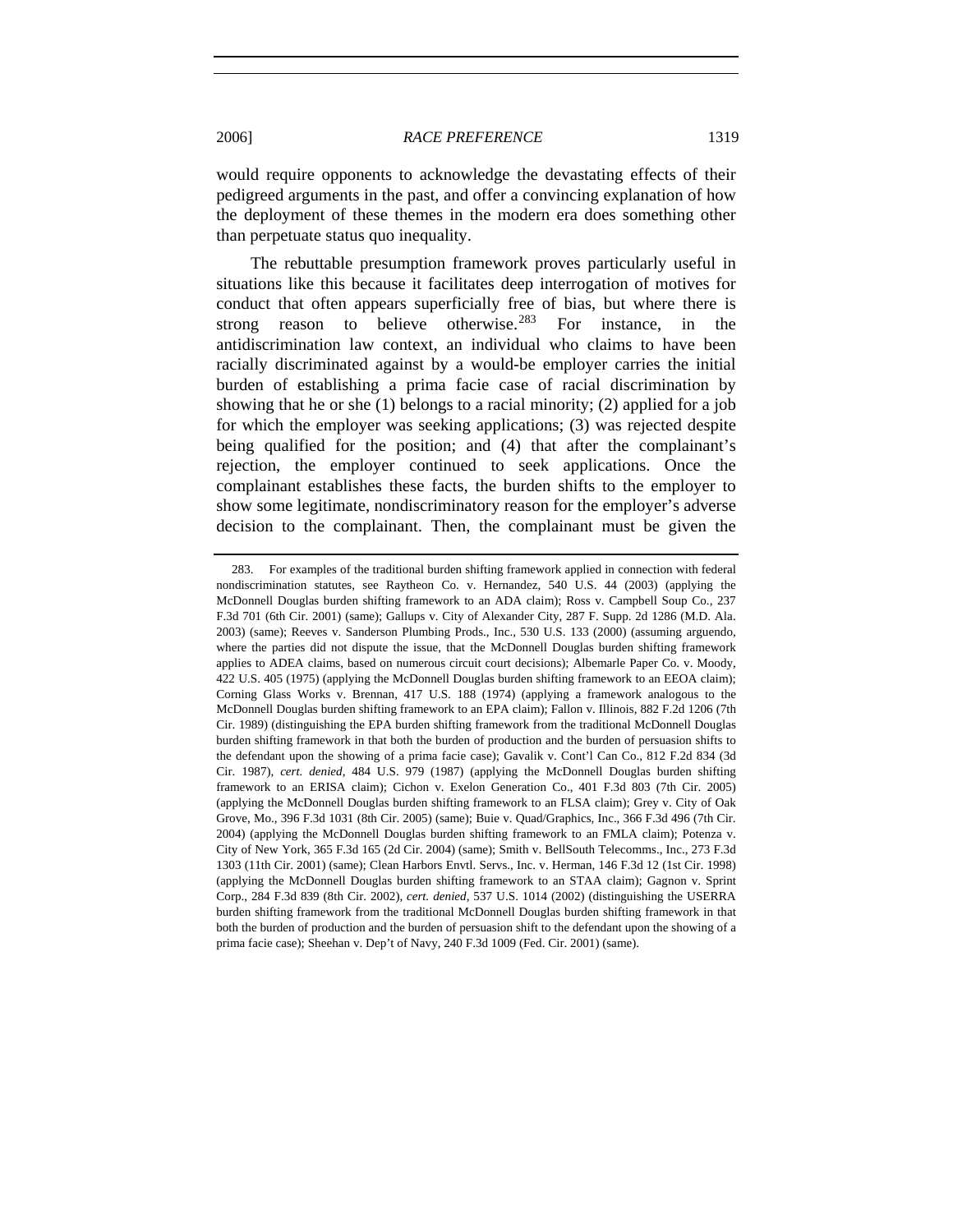would require opponents to acknowledge the devastating effects of their pedigreed arguments in the past, and offer a convincing explanation of how the deployment of these themes in the modern era does something other

The rebuttable presumption framework proves particularly useful in situations like this because it facilitates deep interrogation of motives for conduct that often appears superficially free of bias, but where there is strong reason to believe otherwise.<sup>[283](#page-88-0)</sup> For instance, in the antidiscrimination law context, an individual who claims to have been racially discriminated against by a would-be employer carries the initial burden of establishing a prima facie case of racial discrimination by showing that he or she (1) belongs to a racial minority; (2) applied for a job for which the employer was seeking applications; (3) was rejected despite being qualified for the position; and (4) that after the complainant's rejection, the employer continued to seek applications. Once the complainant establishes these facts, the burden shifts to the employer to show some legitimate, nondiscriminatory reason for the employer's adverse decision to the complainant. Then, the complainant must be given the

than perpetuate status quo inequality.

<span id="page-88-0"></span> <sup>283.</sup> For examples of the traditional burden shifting framework applied in connection with federal nondiscrimination statutes, see Raytheon Co. v. Hernandez, 540 U.S. 44 (2003) (applying the McDonnell Douglas burden shifting framework to an ADA claim); Ross v. Campbell Soup Co., 237 F.3d 701 (6th Cir. 2001) (same); Gallups v. City of Alexander City, 287 F. Supp. 2d 1286 (M.D. Ala. 2003) (same); Reeves v. Sanderson Plumbing Prods., Inc., 530 U.S. 133 (2000) (assuming arguendo, where the parties did not dispute the issue, that the McDonnell Douglas burden shifting framework applies to ADEA claims, based on numerous circuit court decisions); Albemarle Paper Co. v. Moody, 422 U.S. 405 (1975) (applying the McDonnell Douglas burden shifting framework to an EEOA claim); Corning Glass Works v. Brennan, 417 U.S. 188 (1974) (applying a framework analogous to the McDonnell Douglas burden shifting framework to an EPA claim); Fallon v. Illinois, 882 F.2d 1206 (7th Cir. 1989) (distinguishing the EPA burden shifting framework from the traditional McDonnell Douglas burden shifting framework in that both the burden of production and the burden of persuasion shifts to the defendant upon the showing of a prima facie case); Gavalik v. Cont'l Can Co., 812 F.2d 834 (3d Cir. 1987), *cert. denied*, 484 U.S. 979 (1987) (applying the McDonnell Douglas burden shifting framework to an ERISA claim); Cichon v. Exelon Generation Co., 401 F.3d 803 (7th Cir. 2005) (applying the McDonnell Douglas burden shifting framework to an FLSA claim); Grey v. City of Oak Grove, Mo., 396 F.3d 1031 (8th Cir. 2005) (same); Buie v. Quad/Graphics, Inc., 366 F.3d 496 (7th Cir. 2004) (applying the McDonnell Douglas burden shifting framework to an FMLA claim); Potenza v. City of New York, 365 F.3d 165 (2d Cir. 2004) (same); Smith v. BellSouth Telecomms., Inc., 273 F.3d 1303 (11th Cir. 2001) (same); Clean Harbors Envtl. Servs., Inc. v. Herman, 146 F.3d 12 (1st Cir. 1998) (applying the McDonnell Douglas burden shifting framework to an STAA claim); Gagnon v. Sprint Corp., 284 F.3d 839 (8th Cir. 2002), *cert. denied*, 537 U.S. 1014 (2002) (distinguishing the USERRA burden shifting framework from the traditional McDonnell Douglas burden shifting framework in that both the burden of production and the burden of persuasion shift to the defendant upon the showing of a prima facie case); Sheehan v. Dep't of Navy, 240 F.3d 1009 (Fed. Cir. 2001) (same).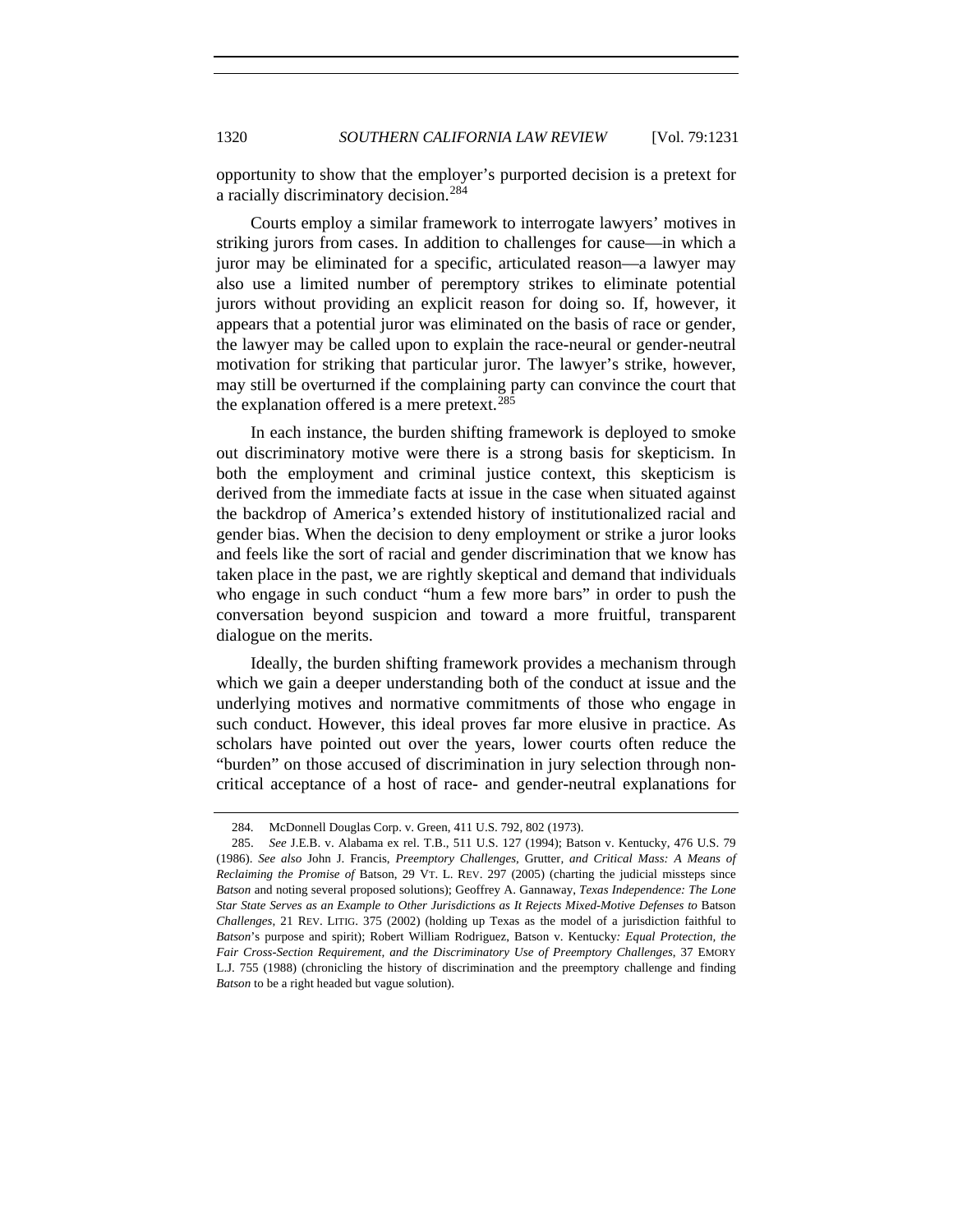opportunity to show that the employer's purported decision is a pretext for a racially discriminatory decision.<sup>[284](#page-89-0)</sup>

Courts employ a similar framework to interrogate lawyers' motives in striking jurors from cases. In addition to challenges for cause—in which a juror may be eliminated for a specific, articulated reason—a lawyer may also use a limited number of peremptory strikes to eliminate potential jurors without providing an explicit reason for doing so. If, however, it appears that a potential juror was eliminated on the basis of race or gender, the lawyer may be called upon to explain the race-neural or gender-neutral motivation for striking that particular juror. The lawyer's strike, however, may still be overturned if the complaining party can convince the court that the explanation offered is a mere pretext.<sup>[285](#page-89-1)</sup>

In each instance, the burden shifting framework is deployed to smoke out discriminatory motive were there is a strong basis for skepticism. In both the employment and criminal justice context, this skepticism is derived from the immediate facts at issue in the case when situated against the backdrop of America's extended history of institutionalized racial and gender bias. When the decision to deny employment or strike a juror looks and feels like the sort of racial and gender discrimination that we know has taken place in the past, we are rightly skeptical and demand that individuals who engage in such conduct "hum a few more bars" in order to push the conversation beyond suspicion and toward a more fruitful, transparent dialogue on the merits.

Ideally, the burden shifting framework provides a mechanism through which we gain a deeper understanding both of the conduct at issue and the underlying motives and normative commitments of those who engage in such conduct. However, this ideal proves far more elusive in practice. As scholars have pointed out over the years, lower courts often reduce the "burden" on those accused of discrimination in jury selection through noncritical acceptance of a host of race- and gender-neutral explanations for

 <sup>284.</sup> McDonnell Douglas Corp. v. Green, 411 U.S. 792, 802 (1973).

<span id="page-89-1"></span><span id="page-89-0"></span><sup>285.</sup> *See* J.E.B. v. Alabama ex rel. T.B., 511 U.S. 127 (1994); Batson v. Kentucky, 476 U.S. 79 (1986). *See also* John J. Francis, *Preemptory Challenges,* Grutter*, and Critical Mass: A Means of Reclaiming the Promise of* Batson, 29 VT. L. REV. 297 (2005) (charting the judicial missteps since *Batson* and noting several proposed solutions); Geoffrey A. Gannaway, *Texas Independence: The Lone Star State Serves as an Example to Other Jurisdictions as It Rejects Mixed-Motive Defenses to* Batson *Challenges*, 21 REV. LITIG. 375 (2002) (holding up Texas as the model of a jurisdiction faithful to *Batson*'s purpose and spirit); Robert William Rodriguez, Batson v. Kentucky*: Equal Protection, the Fair Cross-Section Requirement, and the Discriminatory Use of Preemptory Challenges*, 37 EMORY L.J. 755 (1988) (chronicling the history of discrimination and the preemptory challenge and finding *Batson* to be a right headed but vague solution).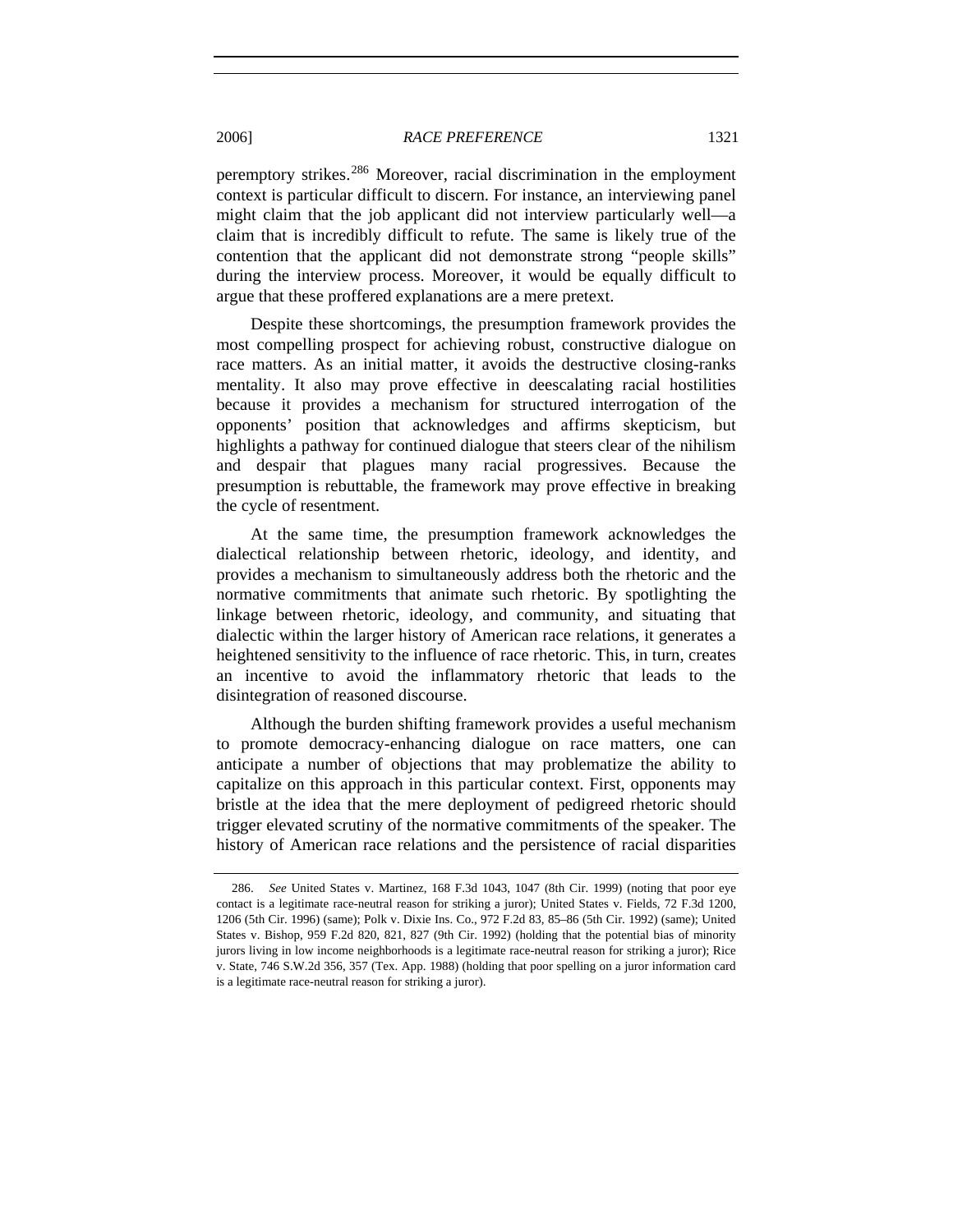peremptory strikes.[286](#page-90-0) Moreover, racial discrimination in the employment context is particular difficult to discern. For instance, an interviewing panel might claim that the job applicant did not interview particularly well—a claim that is incredibly difficult to refute. The same is likely true of the contention that the applicant did not demonstrate strong "people skills" during the interview process. Moreover, it would be equally difficult to argue that these proffered explanations are a mere pretext.

Despite these shortcomings, the presumption framework provides the most compelling prospect for achieving robust, constructive dialogue on race matters. As an initial matter, it avoids the destructive closing-ranks mentality. It also may prove effective in deescalating racial hostilities because it provides a mechanism for structured interrogation of the opponents' position that acknowledges and affirms skepticism, but highlights a pathway for continued dialogue that steers clear of the nihilism and despair that plagues many racial progressives. Because the presumption is rebuttable, the framework may prove effective in breaking the cycle of resentment.

At the same time, the presumption framework acknowledges the dialectical relationship between rhetoric, ideology, and identity, and provides a mechanism to simultaneously address both the rhetoric and the normative commitments that animate such rhetoric. By spotlighting the linkage between rhetoric, ideology, and community, and situating that dialectic within the larger history of American race relations, it generates a heightened sensitivity to the influence of race rhetoric. This, in turn, creates an incentive to avoid the inflammatory rhetoric that leads to the disintegration of reasoned discourse.

Although the burden shifting framework provides a useful mechanism to promote democracy-enhancing dialogue on race matters, one can anticipate a number of objections that may problematize the ability to capitalize on this approach in this particular context. First, opponents may bristle at the idea that the mere deployment of pedigreed rhetoric should trigger elevated scrutiny of the normative commitments of the speaker. The history of American race relations and the persistence of racial disparities

<span id="page-90-0"></span><sup>286.</sup> *See* United States v. Martinez, 168 F.3d 1043, 1047 (8th Cir. 1999) (noting that poor eye contact is a legitimate race-neutral reason for striking a juror); United States v. Fields, 72 F.3d 1200, 1206 (5th Cir. 1996) (same); Polk v. Dixie Ins. Co., 972 F.2d 83, 85–86 (5th Cir. 1992) (same); United States v. Bishop, 959 F.2d 820, 821, 827 (9th Cir. 1992) (holding that the potential bias of minority jurors living in low income neighborhoods is a legitimate race-neutral reason for striking a juror); Rice v. State, 746 S.W.2d 356, 357 (Tex. App. 1988) (holding that poor spelling on a juror information card is a legitimate race-neutral reason for striking a juror).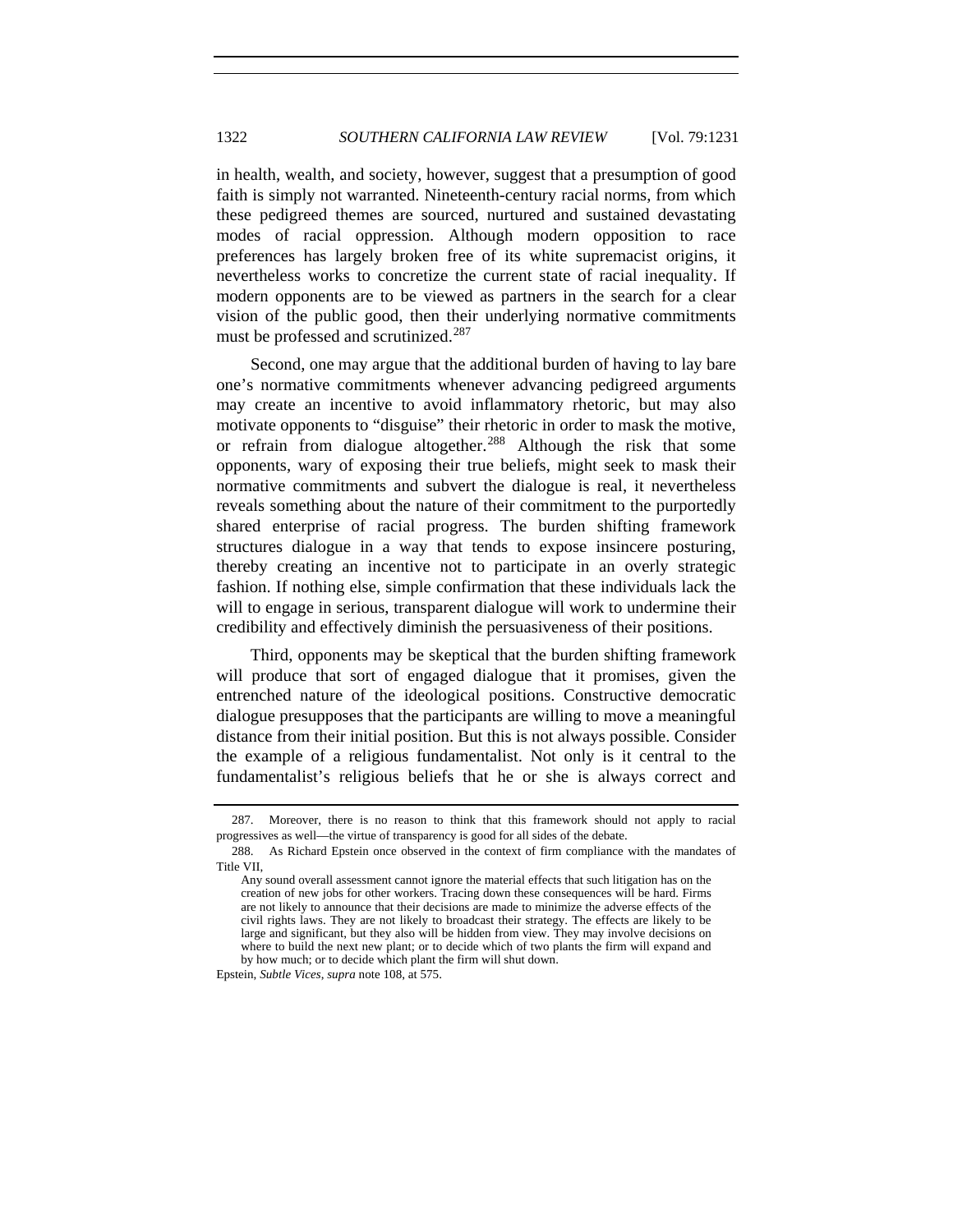in health, wealth, and society, however, suggest that a presumption of good faith is simply not warranted. Nineteenth-century racial norms, from which these pedigreed themes are sourced, nurtured and sustained devastating modes of racial oppression. Although modern opposition to race preferences has largely broken free of its white supremacist origins, it nevertheless works to concretize the current state of racial inequality. If modern opponents are to be viewed as partners in the search for a clear vision of the public good, then their underlying normative commitments must be professed and scrutinized.<sup>[287](#page-91-0)</sup>

Second, one may argue that the additional burden of having to lay bare one's normative commitments whenever advancing pedigreed arguments may create an incentive to avoid inflammatory rhetoric, but may also motivate opponents to "disguise" their rhetoric in order to mask the motive, or refrain from dialogue altogether.<sup>[288](#page-91-1)</sup> Although the risk that some opponents, wary of exposing their true beliefs, might seek to mask their normative commitments and subvert the dialogue is real, it nevertheless reveals something about the nature of their commitment to the purportedly shared enterprise of racial progress. The burden shifting framework structures dialogue in a way that tends to expose insincere posturing, thereby creating an incentive not to participate in an overly strategic fashion. If nothing else, simple confirmation that these individuals lack the will to engage in serious, transparent dialogue will work to undermine their credibility and effectively diminish the persuasiveness of their positions.

Third, opponents may be skeptical that the burden shifting framework will produce that sort of engaged dialogue that it promises, given the entrenched nature of the ideological positions. Constructive democratic dialogue presupposes that the participants are willing to move a meaningful distance from their initial position. But this is not always possible. Consider the example of a religious fundamentalist. Not only is it central to the fundamentalist's religious beliefs that he or she is always correct and

<span id="page-91-0"></span> <sup>287.</sup> Moreover, there is no reason to think that this framework should not apply to racial progressives as well—the virtue of transparency is good for all sides of the debate.

<span id="page-91-1"></span> <sup>288.</sup> As Richard Epstein once observed in the context of firm compliance with the mandates of Title VII,

Any sound overall assessment cannot ignore the material effects that such litigation has on the creation of new jobs for other workers. Tracing down these consequences will be hard. Firms are not likely to announce that their decisions are made to minimize the adverse effects of the civil rights laws. They are not likely to broadcast their strategy. The effects are likely to be large and significant, but they also will be hidden from view. They may involve decisions on where to build the next new plant; or to decide which of two plants the firm will expand and by how much; or to decide which plant the firm will shut down.

Epstein, *Subtle Vices*, *supra* note 108, at 575.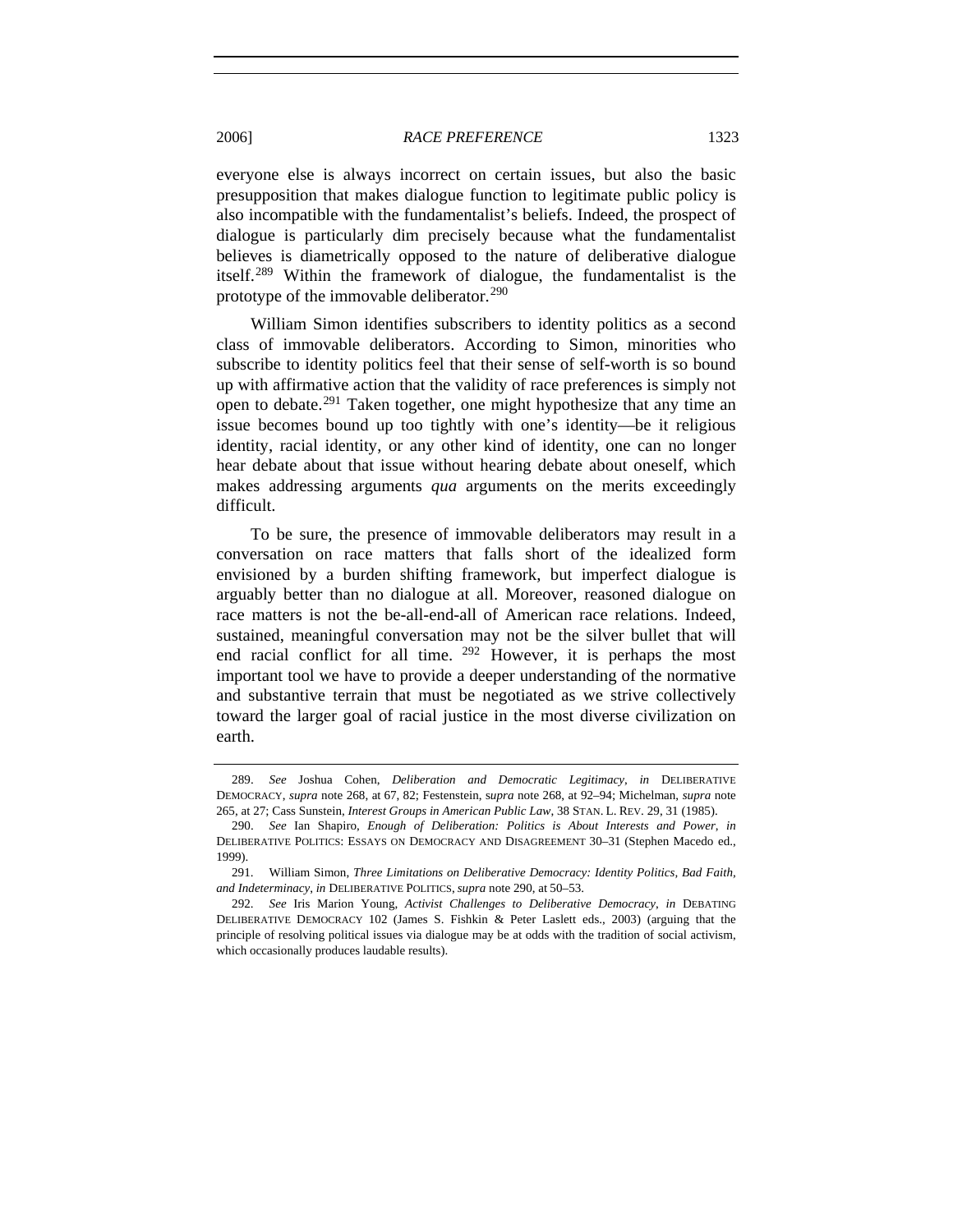everyone else is always incorrect on certain issues, but also the basic presupposition that makes dialogue function to legitimate public policy is also incompatible with the fundamentalist's beliefs. Indeed, the prospect of dialogue is particularly dim precisely because what the fundamentalist believes is diametrically opposed to the nature of deliberative dialogue itself.[289](#page-92-0) Within the framework of dialogue, the fundamentalist is the prototype of the immovable deliberator.<sup>[290](#page-92-1)</sup>

William Simon identifies subscribers to identity politics as a second class of immovable deliberators. According to Simon, minorities who subscribe to identity politics feel that their sense of self-worth is so bound up with affirmative action that the validity of race preferences is simply not open to debate.[291](#page-92-2) Taken together, one might hypothesize that any time an issue becomes bound up too tightly with one's identity—be it religious identity, racial identity, or any other kind of identity, one can no longer hear debate about that issue without hearing debate about oneself, which makes addressing arguments *qua* arguments on the merits exceedingly difficult.

To be sure, the presence of immovable deliberators may result in a conversation on race matters that falls short of the idealized form envisioned by a burden shifting framework, but imperfect dialogue is arguably better than no dialogue at all. Moreover, reasoned dialogue on race matters is not the be-all-end-all of American race relations. Indeed, sustained, meaningful conversation may not be the silver bullet that will end racial conflict for all time.  $292$  However, it is perhaps the most important tool we have to provide a deeper understanding of the normative and substantive terrain that must be negotiated as we strive collectively toward the larger goal of racial justice in the most diverse civilization on earth.

<span id="page-92-0"></span><sup>289.</sup> *See* Joshua Cohen, *Deliberation and Democratic Legitimacy*, *in* DELIBERATIVE DEMOCRACY, *supra* note 268, at 67, 82; Festenstein, s*upra* note 268, at 92–94; Michelman, *supra* note 265, at 27; Cass Sunstein, *Interest Groups in American Public Law*, 38 STAN. L. REV. 29, 31 (1985).

<span id="page-92-1"></span><sup>290.</sup> *See* Ian Shapiro, *Enough of Deliberation: Politics is About Interests and Power*, *in* DELIBERATIVE POLITICS: ESSAYS ON DEMOCRACY AND DISAGREEMENT 30–31 (Stephen Macedo ed., 1999).

<span id="page-92-2"></span> <sup>291.</sup> William Simon, *Three Limitations on Deliberative Democracy: Identity Politics, Bad Faith, and Indeterminacy*, *in* DELIBERATIVE POLITICS, *supra* note 290, at 50–53.

<span id="page-92-3"></span><sup>292.</sup> *See* Iris Marion Young, *Activist Challenges to Deliberative Democracy*, *in* DEBATING DELIBERATIVE DEMOCRACY 102 (James S. Fishkin & Peter Laslett eds., 2003) (arguing that the principle of resolving political issues via dialogue may be at odds with the tradition of social activism, which occasionally produces laudable results).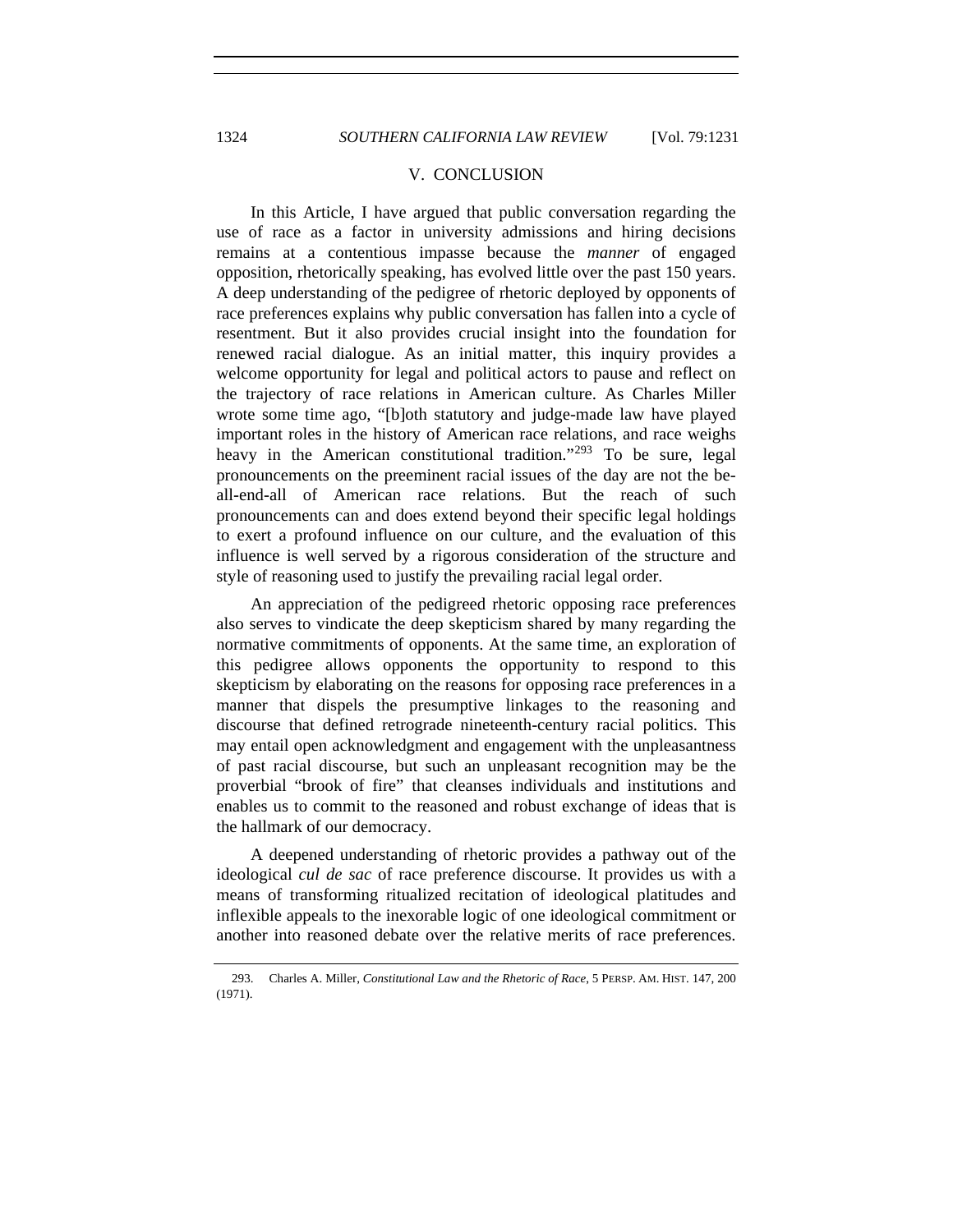#### V. CONCLUSION

In this Article, I have argued that public conversation regarding the use of race as a factor in university admissions and hiring decisions remains at a contentious impasse because the *manner* of engaged opposition, rhetorically speaking, has evolved little over the past 150 years. A deep understanding of the pedigree of rhetoric deployed by opponents of race preferences explains why public conversation has fallen into a cycle of resentment. But it also provides crucial insight into the foundation for renewed racial dialogue. As an initial matter, this inquiry provides a welcome opportunity for legal and political actors to pause and reflect on the trajectory of race relations in American culture. As Charles Miller wrote some time ago, "[b]oth statutory and judge-made law have played important roles in the history of American race relations, and race weighs heavy in the American constitutional tradition."<sup>[293](#page-93-0)</sup> To be sure, legal pronouncements on the preeminent racial issues of the day are not the beall-end-all of American race relations. But the reach of such pronouncements can and does extend beyond their specific legal holdings to exert a profound influence on our culture, and the evaluation of this influence is well served by a rigorous consideration of the structure and style of reasoning used to justify the prevailing racial legal order.

An appreciation of the pedigreed rhetoric opposing race preferences also serves to vindicate the deep skepticism shared by many regarding the normative commitments of opponents. At the same time, an exploration of this pedigree allows opponents the opportunity to respond to this skepticism by elaborating on the reasons for opposing race preferences in a manner that dispels the presumptive linkages to the reasoning and discourse that defined retrograde nineteenth-century racial politics. This may entail open acknowledgment and engagement with the unpleasantness of past racial discourse, but such an unpleasant recognition may be the proverbial "brook of fire" that cleanses individuals and institutions and enables us to commit to the reasoned and robust exchange of ideas that is the hallmark of our democracy.

A deepened understanding of rhetoric provides a pathway out of the ideological *cul de sac* of race preference discourse. It provides us with a means of transforming ritualized recitation of ideological platitudes and inflexible appeals to the inexorable logic of one ideological commitment or another into reasoned debate over the relative merits of race preferences.

<span id="page-93-0"></span> <sup>293.</sup> Charles A. Miller, *Constitutional Law and the Rhetoric of Race*, 5 PERSP. AM. HIST. 147, 200 (1971).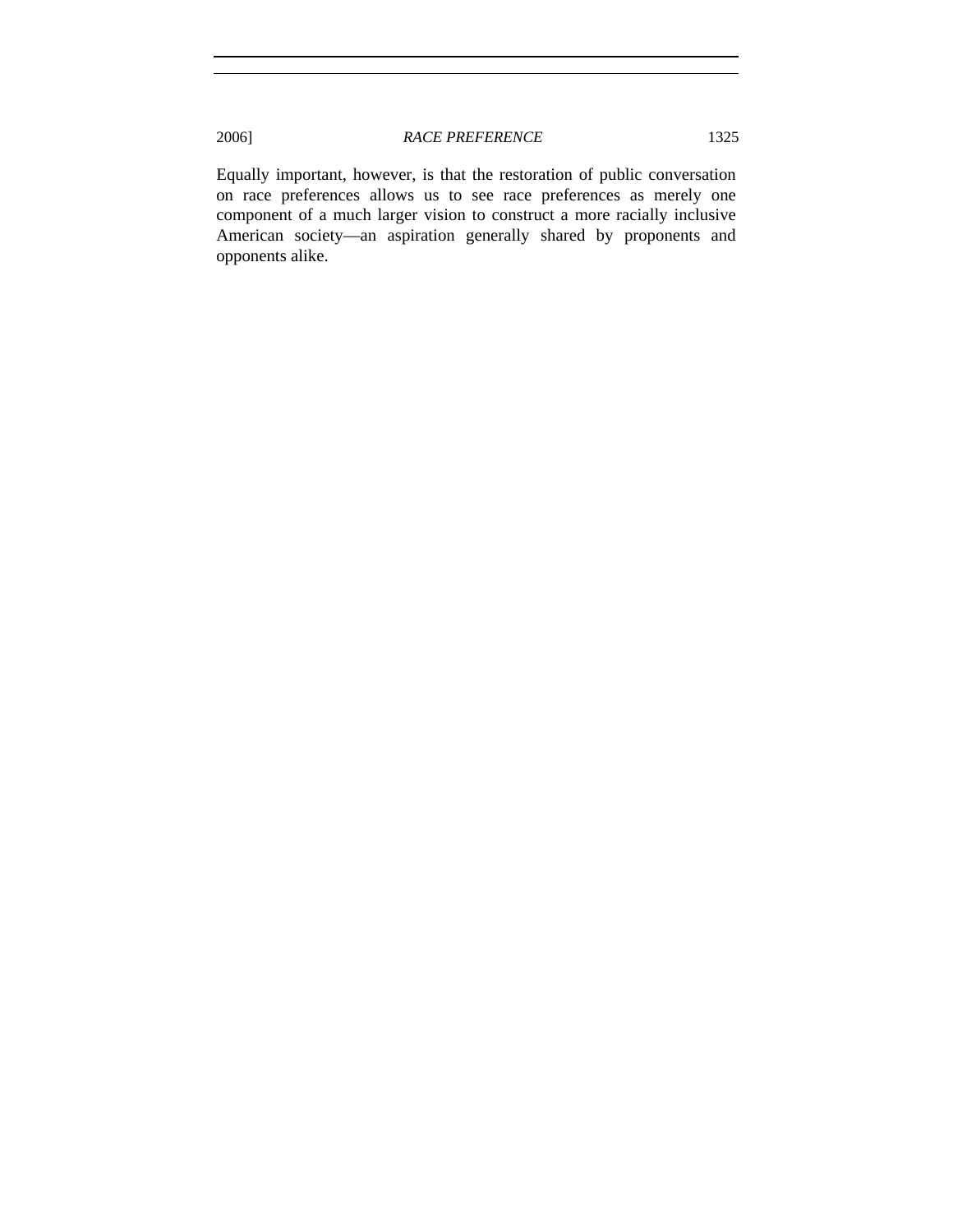Equally important, however, is that the restoration of public conversation on race preferences allows us to see race preferences as merely one component of a much larger vision to construct a more racially inclusive American society—an aspiration generally shared by proponents and opponents alike.